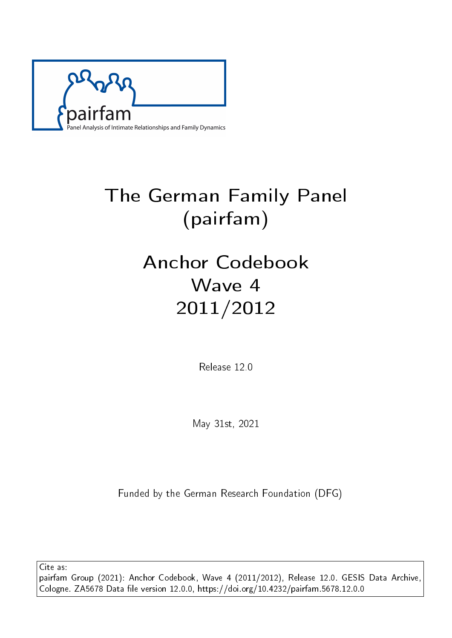

# The German Family Panel (pairfam)

# Anchor Codebook Wave 4 2011/2012

Release 12.0

May 31st, 2021

Funded by the German Research Foundation (DFG)

Cite as: pairfam Group (2021): Anchor Codebook, Wave 4 (2011/2012), Release 12.0. GESIS Data Archive, Cologne. ZA5678 Data file version 12.0.0, https://doi.org/10.4232/pairfam.5678.12.0.0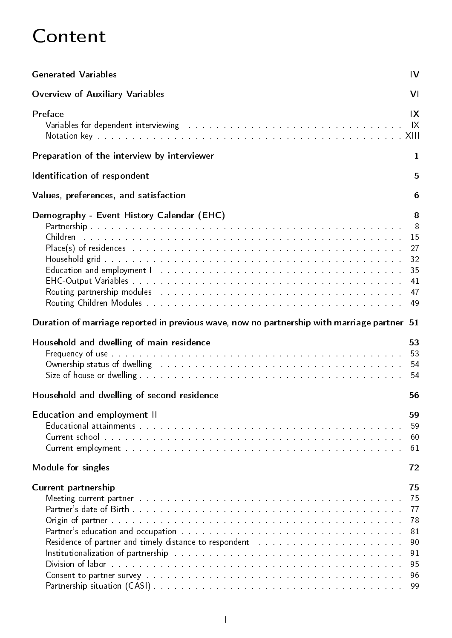# Content

| <b>Generated Variables</b>                                                                                                                                                                                                                                                                                                                                                                                                                                                                                                                                                                                                                                                                                                                                                                                                                          | IV                                                       |
|-----------------------------------------------------------------------------------------------------------------------------------------------------------------------------------------------------------------------------------------------------------------------------------------------------------------------------------------------------------------------------------------------------------------------------------------------------------------------------------------------------------------------------------------------------------------------------------------------------------------------------------------------------------------------------------------------------------------------------------------------------------------------------------------------------------------------------------------------------|----------------------------------------------------------|
| <b>Overview of Auxiliary Variables</b>                                                                                                                                                                                                                                                                                                                                                                                                                                                                                                                                                                                                                                                                                                                                                                                                              | VI                                                       |
| Preface<br>Variables for dependent interviewing and all the contract of the contract of the contract of the contract of the                                                                                                                                                                                                                                                                                                                                                                                                                                                                                                                                                                                                                                                                                                                         | IX<br>$\mathsf{I} \mathsf{X}$                            |
| Preparation of the interview by interviewer                                                                                                                                                                                                                                                                                                                                                                                                                                                                                                                                                                                                                                                                                                                                                                                                         | 1                                                        |
| Identification of respondent                                                                                                                                                                                                                                                                                                                                                                                                                                                                                                                                                                                                                                                                                                                                                                                                                        | 5                                                        |
| Values, preferences, and satisfaction                                                                                                                                                                                                                                                                                                                                                                                                                                                                                                                                                                                                                                                                                                                                                                                                               | 6                                                        |
| Demography - Event History Calendar (EHC)<br>Children a caracteristic construction of the construction of the construction of the construction of the construction of the construction of the construction of the construction of the construction of the construction of t<br>Place(s) of residences entertainment and the series of the series of the series of the series of the series of<br>Education and employment 1 material contracts and contracts are according to the set of the set of the set of the set of the set of the set of the set of the set of the set of the set of the set of the set of the set of th<br>Routing partnership modules and a contract the contract of the contract of the contract of the contract of the                                                                                                   | 8<br>8<br>15<br>27<br>32<br>35<br>41<br>47<br>49         |
| Duration of marriage reported in previous wave, now no partnership with marriage partner 51                                                                                                                                                                                                                                                                                                                                                                                                                                                                                                                                                                                                                                                                                                                                                         |                                                          |
| Household and dwelling of main residence<br>Ownership status of dwelling research and contained a statute of the statute of the statute of the statute of                                                                                                                                                                                                                                                                                                                                                                                                                                                                                                                                                                                                                                                                                           | 53<br>53<br>54<br>54                                     |
| Household and dwelling of second residence                                                                                                                                                                                                                                                                                                                                                                                                                                                                                                                                                                                                                                                                                                                                                                                                          | 56                                                       |
| Education and employment II                                                                                                                                                                                                                                                                                                                                                                                                                                                                                                                                                                                                                                                                                                                                                                                                                         | 59<br>59<br>60<br>61                                     |
| Module for singles                                                                                                                                                                                                                                                                                                                                                                                                                                                                                                                                                                                                                                                                                                                                                                                                                                  | 72                                                       |
| Current partnership<br>Meeting current partner with a subsequence of the subsequence of the set of the set of the set of the set of the set of the set of the set of the set of the set of the set of the set of the set of the set of the set of the<br>Partner's education and occupation and accupation and and and and and and and according to the set of the set o<br>Residence of partner and timely distance to respondent the substitution of the substitution of the substitutio<br>Institutionalization of partnership weeds to a contract the contract of the contract of the contract of the co<br><b>Consent to partner survey</b> decrease and conservative and conservative conservative and conservative and conservative and conservative and conservative and conservative and conservative and conservative and conservative an | 75<br>75<br>77<br>78<br>81<br>90<br>91<br>95<br>96<br>99 |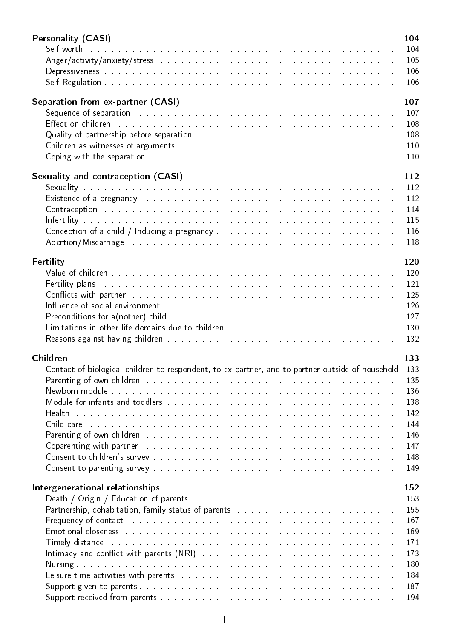| <b>Personality (CASI)</b>                                                                                                                                                                                                      | 104 |
|--------------------------------------------------------------------------------------------------------------------------------------------------------------------------------------------------------------------------------|-----|
|                                                                                                                                                                                                                                |     |
|                                                                                                                                                                                                                                |     |
|                                                                                                                                                                                                                                |     |
|                                                                                                                                                                                                                                |     |
| Separation from ex-partner (CASI)                                                                                                                                                                                              | 107 |
|                                                                                                                                                                                                                                |     |
| Effect on children with the contract to the contract the contract of the contract of the set of the set of the                                                                                                                 |     |
|                                                                                                                                                                                                                                |     |
|                                                                                                                                                                                                                                |     |
|                                                                                                                                                                                                                                |     |
| Sexuality and contraception (CASI)                                                                                                                                                                                             | 112 |
|                                                                                                                                                                                                                                |     |
| Existence of a pregnancy research and contained a series and contained a series and series and series and 112                                                                                                                  |     |
| Contraception with the contract of the contract of the contract of the contract of the contract of the contract of the contract of the contract of the contract of the contract of the contract of the contract of the contrac |     |
|                                                                                                                                                                                                                                |     |
| Conception of a child / Inducing a pregnancy and a series and a series and a series of 116                                                                                                                                     |     |
|                                                                                                                                                                                                                                |     |
|                                                                                                                                                                                                                                |     |
| Fertility                                                                                                                                                                                                                      | 120 |
|                                                                                                                                                                                                                                |     |
| Fertility plans and a contract the contract of the contract of the contract of the contract of the contract of the contract of the contract of the contract of the contract of the contract of the contract of the contract of |     |
| Conflicts with partner research and contact the contract of the contract of the contract of the contract of the                                                                                                                |     |
| Influence of social environment the contract of the contract of the contract of the state of the state of the                                                                                                                  |     |
| Limitations in other life domains due to children the substitution of the substitutions in the 130                                                                                                                             |     |
|                                                                                                                                                                                                                                |     |
|                                                                                                                                                                                                                                |     |
| Children                                                                                                                                                                                                                       | 133 |
| Contact of biological children to respondent, to ex-partner, and to partner outside of household 133                                                                                                                           |     |
| Parenting of own children the community of the community of the community of the community of the community of                                                                                                                 |     |
|                                                                                                                                                                                                                                |     |
|                                                                                                                                                                                                                                |     |
|                                                                                                                                                                                                                                |     |
| Child care the contract of the contract of the contract of the contract of the contract of the contract of the                                                                                                                 |     |
| Parenting of own children with the contract of the contract of the contract of the contract of the contract of                                                                                                                 |     |
| Coparenting with partner research and the contract of the contract of the contract of the contract of the contract of the contract of the contract of the contract of the contract of the contract of the contract of the cont |     |
| Consent to parenting survey entering the service of the service of the service of the service of the service of the service of the service of the service of the service of the service of the service of the service of the s |     |
|                                                                                                                                                                                                                                |     |
| Intergenerational relationships                                                                                                                                                                                                | 152 |
|                                                                                                                                                                                                                                |     |
| Partnership, cohabitation, family status of parents and a summary and a summary 155                                                                                                                                            |     |
| Frequency of contact research and contact the contract of the contract of the contract of the 167                                                                                                                              |     |
| Emotional closeness research and contain the contract of the contract and containing the set of the set of the                                                                                                                 |     |
| Timely distance the contract of the contract of the contract of the contract of the contract of the contract of the contract of the contract of the contract of the contract of the contract of the contract of the contract o |     |
|                                                                                                                                                                                                                                |     |
|                                                                                                                                                                                                                                |     |
| Leisure time activities with parents and account to the contract of the contract of the state of the 184                                                                                                                       |     |
|                                                                                                                                                                                                                                |     |
|                                                                                                                                                                                                                                |     |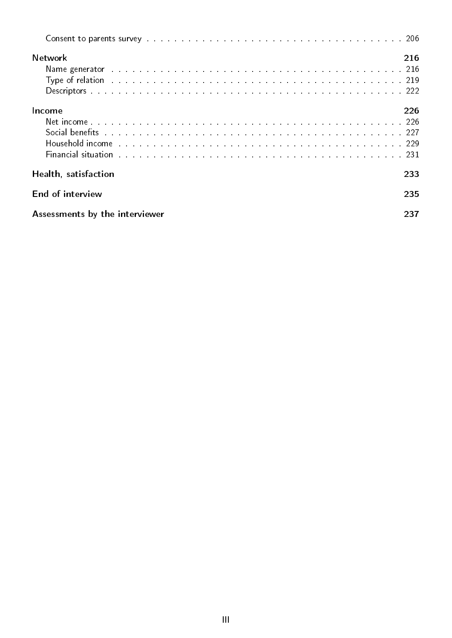| Consent to parents survey the contract of the contract of the contract of the contract of the contract of the contract of the contract of the contract of the contract of the contract of the contract of the contract of the  |     |
|--------------------------------------------------------------------------------------------------------------------------------------------------------------------------------------------------------------------------------|-----|
| <b>Network</b>                                                                                                                                                                                                                 | 216 |
| Partners generator<br>T                                                                                                                                                                                                        |     |
| Type of relation and an analyzing and an analyzing and an analyzing and an analyzing the state of the 219                                                                                                                      |     |
|                                                                                                                                                                                                                                |     |
| Income                                                                                                                                                                                                                         | 226 |
|                                                                                                                                                                                                                                |     |
| Social benefits with a contract of the contract of the contract of the contract of the contract of the contract of the contract of the contract of the contract of the contract of the contract of the contract of the contrac |     |
| Household income the contract of the contract of the contract of the contract of the contract of the contract of the contract of the contract of the contract of the contract of the contract of the contract of the contract  |     |
| Financial situation with a contract to contract the contract of the contract of the contract of the contract of the contract of the contract of the contract of the contract of the contract of the contract of the contract o |     |
| Health, satisfaction                                                                                                                                                                                                           | 233 |
| End of interview                                                                                                                                                                                                               | 235 |
| Assessments by the interviewer<br>237                                                                                                                                                                                          |     |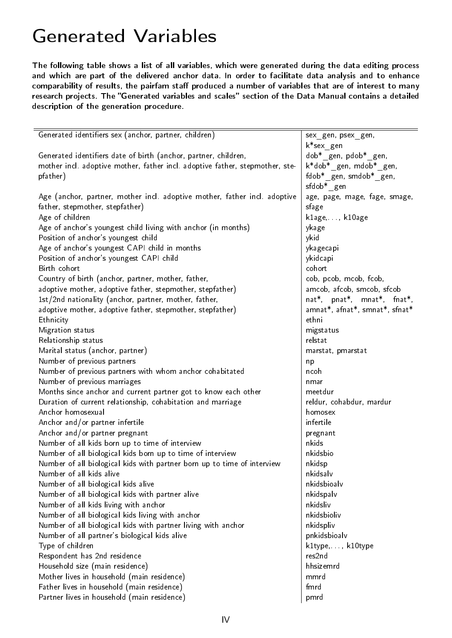### <span id="page-4-0"></span>Generated Variables

The following table shows a list of all variables, which were generated during the data editing process and which are part of the delivered anchor data. In order to facilitate data analysis and to enhance comparability of results, the pairfam staff produced a number of variables that are of interest to many research projects. The "Generated variables and scales" section of the Data Manual contains a detailed description of the generation procedure.

| Generated identifiers sex (anchor, partner, children)                        | sex_gen, psex_gen,<br>k*sex gen  |
|------------------------------------------------------------------------------|----------------------------------|
| Generated identifiers date of birth (anchor, partner, children,              | dob* gen, pdob* gen,             |
| mother incl. adoptive mother, father incl. adoptive father, stepmother, ste- | k*dob* gen, mdob* gen,           |
| pfather)                                                                     | fdob* gen, smdob* gen,           |
|                                                                              | $\mathsf{sfdob*}\_ \mathsf{gen}$ |
| Age (anchor, partner, mother incl. adoptive mother, father incl. adoptive    | age, page, mage, fage, smage,    |
| father, stepmother, stepfather)                                              | sfage                            |
| Age of children                                                              | klage, , k10age                  |
| Age of anchor's youngest child living with anchor (in months)                | ykage                            |
| Position of anchor's youngest child                                          | ykid                             |
| Age of anchor's youngest CAPI child in months                                | ykagecapi                        |
| Position of anchor's youngest CAPI child                                     | ykidcapi                         |
| Birth cohort                                                                 | cohort                           |
| Country of birth (anchor, partner, mother, father,                           | cob, pcob, mcob, fcob,           |
| adoptive mother, adoptive father, stepmother, stepfather)                    | amcob, afcob, smcob, sfcob       |
| 1st/2nd nationality (anchor, partner, mother, father,                        | nat*, pnat*, mnat*, fnat*,       |
| adoptive mother, adoptive father, stepmother, stepfather)                    | amnat*, afnat*, smnat*, sfnat*   |
| Ethnicity                                                                    | ethni                            |
| Migration status                                                             | migstatus                        |
| Relationship status                                                          | relstat                          |
| Marital status (anchor, partner)                                             | marstat, pmarstat                |
| Number of previous partners                                                  | np                               |
| Number of previous partners with whom anchor cohabitated                     | ncoh                             |
| Number of previous marriages                                                 | nmar                             |
| Months since anchor and current partner got to know each other               | meetdur                          |
| Duration of current relationship, cohabitation and marriage                  | reldur, cohabdur, mardur         |
| Anchor homosexual                                                            | homosex                          |
| Anchor and/or partner infertile                                              | infertile                        |
| Anchor and/or partner pregnant                                               | pregnant                         |
| Number of all kids born up to time of interview                              | nkids                            |
| Number of all biological kids born up to time of interview                   | nkidsbio                         |
| Number of all biological kids with partner born up to time of interview      | nkidsp                           |
| Number of all kids alive                                                     | nkidsalv                         |
| Number of all biological kids alive                                          | nkidsbioalv                      |
| Number of all biological kids with partner alive                             | nkidspalv                        |
| Number of all kids living with anchor                                        | nkidsliv                         |
| Number of all biological kids living with anchor                             | nkidsbioliv                      |
| Number of all biological kids with partner living with anchor                | nkidspliv                        |
| Number of all partner's biological kids alive                                | pnkidsbioalv                     |
| Type of children                                                             | k1type, , k10type                |
| Respondent has 2nd residence                                                 | res2nd                           |
| Household size (main residence)                                              | hhsizemrd                        |
| Mother lives in household (main residence)                                   | mmrd                             |
| Father lives in household (main residence)                                   | fmrd                             |
| Partner lives in household (main residence)                                  | pmrd                             |
|                                                                              |                                  |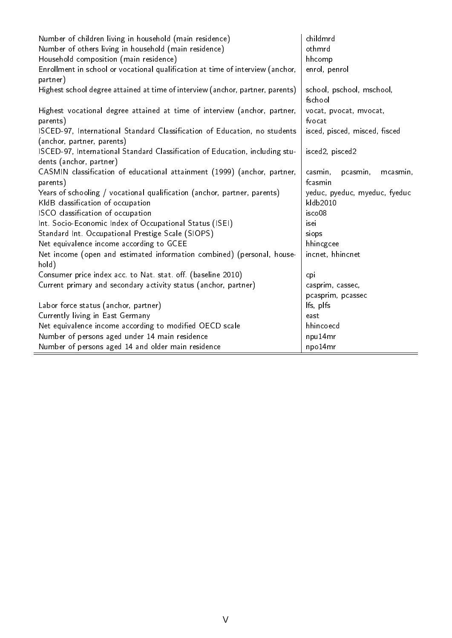| Number of children living in household (main residence)                               | childmrd                             |
|---------------------------------------------------------------------------------------|--------------------------------------|
| Number of others living in household (main residence)                                 | othmrd                               |
| Household composition (main residence)                                                | hhcomp                               |
| Enrollment in school or vocational qualification at time of interview (anchor,        | enrol, penrol                        |
| partner)                                                                              |                                      |
| Highest school degree attained at time of interview (anchor, partner, parents)        | school, pschool, mschool,<br>fschool |
| Highest vocational degree attained at time of interview (anchor, partner,<br>parents) | vocat, pvocat, mvocat,<br>fvocat     |
| ISCED-97, International Standard Classification of Education, no students             | isced, pisced, misced, fisced        |
| (anchor, partner, parents)                                                            |                                      |
| ISCED-97, International Standard Classification of Education, including stu-          | isced2, pisced2                      |
| dents (anchor, partner)                                                               |                                      |
| CASMIN classification of educational attainment (1999) (anchor, partner,              | casmin,<br>pcasmin,<br>mcasmin,      |
| parents)                                                                              | fcasmin                              |
| Years of schooling / vocational qualification (anchor, partner, parents)              | yeduc, pyeduc, myeduc, fyeduc        |
| KldB classification of occupation                                                     | kldb2010                             |
| ISCO classification of occupation                                                     | isco08                               |
| Int. Socio-Economic Index of Occupational Status (ISEI)                               | isei                                 |
| Standard Int. Occupational Prestige Scale (SIOPS)                                     | siops                                |
| Net equivalence income according to GCEE                                              | hhincgcee                            |
| Net income (open and estimated information combined) (personal, house-                | incnet, hhincnet                     |
| hold)                                                                                 |                                      |
| Consumer price index acc. to Nat. stat. off. (baseline 2010)                          | cpi                                  |
| Current primary and secondary activity status (anchor, partner)                       | casprim, cassec,                     |
|                                                                                       | pcasprim, pcassec                    |
| Labor force status (anchor, partner)                                                  | Ifs, plfs                            |
| Currently living in East Germany                                                      | east                                 |
| Net equivalence income according to modified OECD scale                               | hhincoecd                            |
| Number of persons aged under 14 main residence                                        | npu14mr                              |
| Number of persons aged 14 and older main residence                                    | npo14mr                              |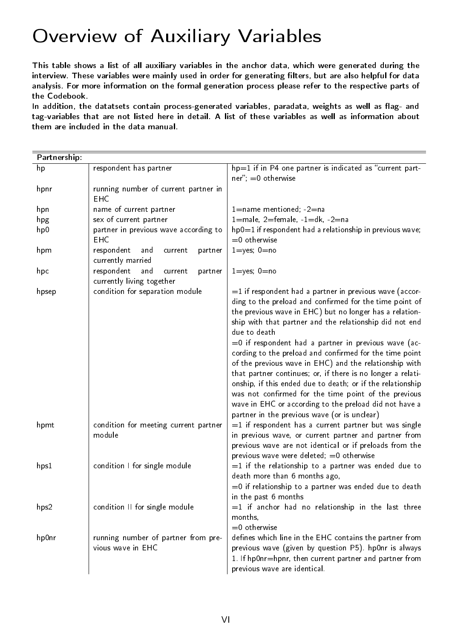# <span id="page-6-0"></span>Overview of Auxiliary Variables

This table shows a list of all auxiliary variables in the anchor data, which were generated during the interview. These variables were mainly used in order for generating filters, but are also helpful for data analysis. For more information on the formal generation process please refer to the respective parts of the Codebook.

In addition, the datatsets contain process-generated variables, paradata, weights as well as flag- and tag-variables that are not listed here in detail. A list of these variables as well as information about them are included in the data manual.

| Partnership: |                                                                      |                                                                                                                                                                                                                                                                                                                                                                                                                  |  |
|--------------|----------------------------------------------------------------------|------------------------------------------------------------------------------------------------------------------------------------------------------------------------------------------------------------------------------------------------------------------------------------------------------------------------------------------------------------------------------------------------------------------|--|
| hp           | respondent has partner                                               | hp=1 if in P4 one partner is indicated as "current part-<br>$ner''$ ; =0 otherwise                                                                                                                                                                                                                                                                                                                               |  |
| hpnr         | running number of current partner in<br><b>EHC</b>                   |                                                                                                                                                                                                                                                                                                                                                                                                                  |  |
| hpn          | name of current partner                                              | $1 =$ name mentioned; $-2 =$ na                                                                                                                                                                                                                                                                                                                                                                                  |  |
| hpg          | sex of current partner                                               | $1 =$ male, $2 =$ female, $-1 =$ dk, $-2 =$ na                                                                                                                                                                                                                                                                                                                                                                   |  |
| hp0          | partner in previous wave according to<br><b>EHC</b>                  | hp0=1 if respondent had a relationship in previous wave;<br>$=0$ otherwise                                                                                                                                                                                                                                                                                                                                       |  |
| hpm          | respondent<br>and<br>partner<br>current<br>currently married         | $1 = yes$ ; $0 = no$                                                                                                                                                                                                                                                                                                                                                                                             |  |
| hpc          | respondent<br>and<br>current<br>partner<br>currently living together | $1 = yes$ ; $0 = no$                                                                                                                                                                                                                                                                                                                                                                                             |  |
| hpsep        | condition for separation module                                      | $=$ 1 if respondent had a partner in previous wave (accor-<br>ding to the preload and confirmed for the time point of<br>the previous wave in EHC) but no longer has a relation-<br>ship with that partner and the relationship did not end<br>due to death<br>=0 if respondent had a partner in previous wave (ac-                                                                                              |  |
|              |                                                                      | cording to the preload and confirmed for the time point<br>of the previous wave in EHC) and the relationship with<br>that partner continues; or, if there is no longer a relati-<br>onship, if this ended due to death; or if the relationship<br>was not confirmed for the time point of the previous<br>wave in EHC or according to the preload did not have a<br>partner in the previous wave (or is unclear) |  |
| hpmt         | condition for meeting current partner<br>module                      | $=$ 1 if respondent has a current partner but was single<br>in previous wave, or current partner and partner from<br>previous wave are not identical or if preloads from the<br>previous wave were deleted; $=0$ otherwise                                                                                                                                                                                       |  |
| hps1         | condition I for single module                                        | $=$ 1 if the relationship to a partner was ended due to<br>death more than 6 months ago,<br>$=$ 0 if relationship to a partner was ended due to death<br>in the past 6 months                                                                                                                                                                                                                                    |  |
| hps2         | condition II for single module                                       | $=$ 1 if anchor had no relationship in the last three<br>months,<br>$=0$ otherwise                                                                                                                                                                                                                                                                                                                               |  |
| hp0nr        | running number of partner from pre-<br>vious wave in EHC             | defines which line in the EHC contains the partner from<br>previous wave (given by question P5). hp0nr is always<br>1. If hp0nr=hpnr, then current partner and partner from<br>previous wave are identical.                                                                                                                                                                                                      |  |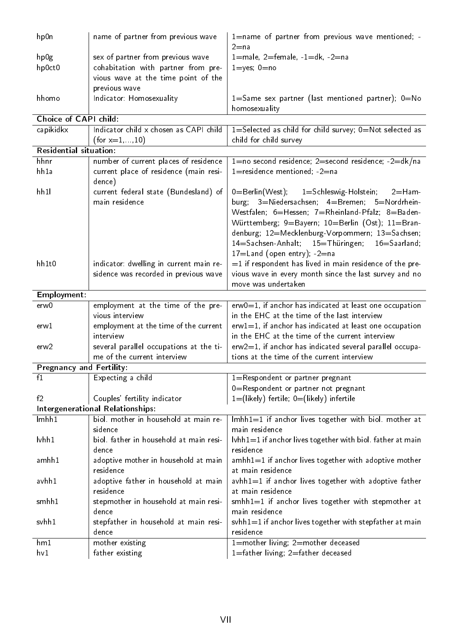| hp0n                            | name of partner from previous wave                                               | 1=name of partner from previous wave mentioned; -<br>$2 = n a$                    |
|---------------------------------|----------------------------------------------------------------------------------|-----------------------------------------------------------------------------------|
| hp0g                            | sex of partner from previous wave                                                | $1 =$ male, $2 =$ female, $-1 =$ dk, $-2 =$ na                                    |
| hp0ct0                          | cohabitation with partner from pre-                                              | $1 = yes$ ; $0 = no$                                                              |
|                                 | vious wave at the time point of the                                              |                                                                                   |
|                                 | previous wave                                                                    |                                                                                   |
| hhomo                           | Indicator: Homosexuality                                                         | 1=Same sex partner (last mentioned partner); 0=No                                 |
|                                 |                                                                                  | homosexuality                                                                     |
| Choice of CAPI child:           |                                                                                  |                                                                                   |
| capikidkx                       | Indicator child x chosen as CAPI child<br>(for $x=1,,10$ )                       | 1=Selected as child for child survey; 0=Not selected as<br>child for child survey |
| <b>Residential situation:</b>   |                                                                                  |                                                                                   |
| hhnr                            | number of current places of residence                                            | 1=no second residence; 2=second residence; -2=dk/na                               |
| hh1a                            | current place of residence (main resi-<br>dence)                                 | 1=residence mentioned; -2=na                                                      |
| hh11                            | current federal state (Bundesland) of                                            | 0=Berlin(West); 1=Schleswig-Holstein; 2=Ham-                                      |
|                                 | main residence                                                                   | burg; 3=Niedersachsen; 4=Bremen; 5=Nordrhein-                                     |
|                                 |                                                                                  | Westfalen; 6=Hessen; 7=Rheinland-Pfalz; 8=Baden-                                  |
|                                 |                                                                                  | Württemberg; 9=Bayern; 10=Berlin (Ost); 11=Bran-                                  |
|                                 |                                                                                  | denburg; 12=Mecklenburg-Vorpommern; 13=Sachsen;                                   |
|                                 |                                                                                  | 14=Sachsen-Anhalt; 15=Thüringen; 16=Saarland;                                     |
|                                 |                                                                                  | $17 =$ Land (open entry); $-2 =$ na                                               |
| hh1t0                           | indicator: dwelling in current main re-<br>sidence was recorded in previous wave | $=$ 1 if respondent has lived in main residence of the pre-                       |
|                                 |                                                                                  | vious wave in every month since the last survey and no<br>move was undertaken     |
| Employment:                     |                                                                                  |                                                                                   |
| erw0                            | employment at the time of the pre-                                               | $erw0=1$ , if anchor has indicated at least one occupation                        |
|                                 | vious interview                                                                  | in the EHC at the time of the last interview                                      |
| erw 1                           | employment at the time of the current                                            | $erw1=1$ , if anchor has indicated at least one occupation                        |
|                                 | interview                                                                        | in the EHC at the time of the current interview                                   |
| erw2                            | several parallel occupations at the ti-                                          | erw2=1, if anchor has indicated several parallel occupa-                          |
|                                 |                                                                                  |                                                                                   |
|                                 | me of the current interview                                                      | tions at the time of the current interview                                        |
| <b>Pregnancy and Fertility:</b> |                                                                                  |                                                                                   |
| f <sub>1</sub>                  | Expecting a child                                                                | 1=Respondent or partner pregnant                                                  |
|                                 |                                                                                  | 0=Respondent or partner not pregnant                                              |
| f2                              | Couples' fertility indicator                                                     | $1 = ($ likely) fertile; $0 = ($ likely) infertile                                |
|                                 | Intergenerational Relationships:                                                 |                                                                                   |
| lmhh1                           | biol. mother in household at main re-                                            | $lmhh1=1$ if anchor lives together with biol. mother at                           |
|                                 | sidence                                                                          | main residence                                                                    |
| $\mathsf{I}$ vhh $1$            | biol. father in household at main resi-                                          | $\lvert \text{vhh1}=1$ if anchor lives together with biol. father at main         |
|                                 | dence                                                                            | residence                                                                         |
| amhh 1                          | adoptive mother in household at main                                             | $amhh1=1$ if anchor lives together with adoptive mother                           |
| avhh1                           | residence                                                                        | at main residence                                                                 |
|                                 | adoptive father in household at main<br>residence                                | avhh1=1 if anchor lives together with adoptive father<br>at main residence        |
| smhh1                           | stepmother in household at main resi-                                            | $smhh1=1$ if anchor lives together with stepmother at                             |
|                                 | dence                                                                            | main residence                                                                    |
| svhh1                           | stepfather in household at main resi-                                            | svhh1=1 if anchor lives together with stepfather at main                          |
|                                 | dence                                                                            | residence                                                                         |
| hm1<br>hv1                      | mother existing<br>father existing                                               | 1=mother living; 2=mother deceased<br>1=father living; 2=father deceased          |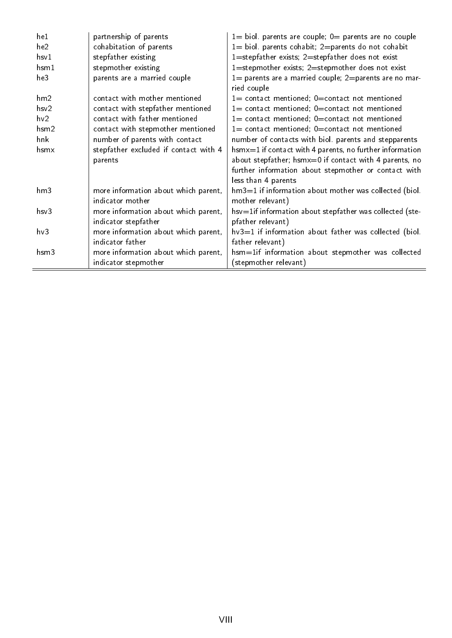| he1        | partnership of parents                | $1=$ biol. parents are couple; $0=$ parents are no couple      |
|------------|---------------------------------------|----------------------------------------------------------------|
| he2        | cohabitation of parents               | $1=$ biol. parents cohabit; 2=parents do not cohabit           |
| hsv1       | stepfather existing                   | 1=stepfather exists; $2$ =stepfather does not exist            |
| $h$ sm $1$ | stepmother existing                   | 1=stepmother exists; 2=stepmother does not exist               |
| he3        | parents are a married couple          | $1=$ parents are a married couple; 2=parents are no mar-       |
|            |                                       | ried couple                                                    |
| hm2        | contact with mother mentioned         | $1=$ contact mentioned; $0=$ contact not mentioned             |
| hsv2       | contact with stepfather mentioned     | $1=$ contact mentioned; $0=$ contact not mentioned             |
| hv2        | contact with father mentioned         | $1=$ contact mentioned; $0=$ contact not mentioned             |
| $h$ sm $2$ | contact with stepmother mentioned     | $1=$ contact mentioned; $0=$ contact not mentioned             |
| hnk        | number of parents with contact        | number of contacts with biol. parents and stepparents          |
| hsmx       | stepfather excluded if contact with 4 | $h$ sm $x=1$ if contact with 4 parents, no further information |
|            | parents                               | about stepfather; hsmx=0 if contact with 4 parents, no         |
|            |                                       | further information about stepmother or contact with           |
|            |                                       | less than 4 parents                                            |
| hm3        | more information about which parent,  | $hm3=1$ if information about mother was collected (biol.       |
|            | indicator mother                      | mother relevant)                                               |
| hsv3       | more information about which parent,  | hsv=1if information about stepfather was collected (ste-       |
|            | indicator stepfather                  | pfather relevant)                                              |
| hv3        | more information about which parent,  | $hv3=1$ if information about father was collected (biol.       |
|            | indicator father                      | father relevant)                                               |
| $h$ sm $3$ | more information about which parent,  | hsm=1if information about stepmother was collected             |
|            | indicator stepmother                  | (stepmother relevant)                                          |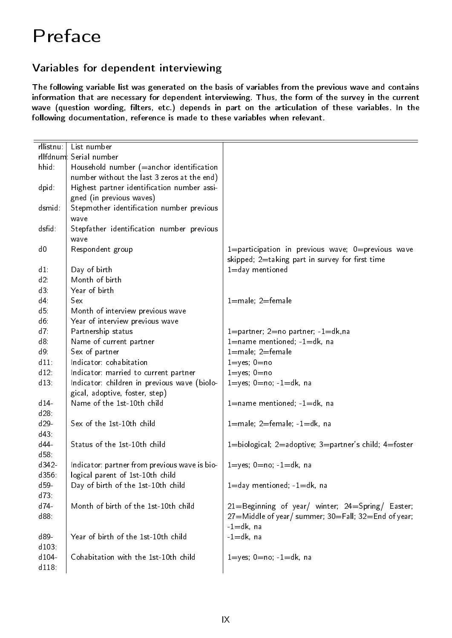# <span id="page-9-0"></span>Preface

### <span id="page-9-1"></span>Variables for dependent interviewing

The following variable list was generated on the basis of variables from the previous wave and contains information that are necessary for dependent interviewing. Thus, the form of the survey in the current wave (question wording, filters, etc.) depends in part on the articulation of these variables. In the following documentation, reference is made to these variables when relevant.

| rllistnu:               | List number                                   |                                                           |  |
|-------------------------|-----------------------------------------------|-----------------------------------------------------------|--|
| rllfdnum: Serial number |                                               |                                                           |  |
| hhid:                   | Household number (=anchor identification      |                                                           |  |
|                         | number without the last 3 zeros at the end)   |                                                           |  |
| dpid:                   | Highest partner identification number assi-   |                                                           |  |
|                         |                                               |                                                           |  |
|                         | gned (in previous waves)                      |                                                           |  |
| dsmid:                  | Stepmother identification number previous     |                                                           |  |
|                         | wave                                          |                                                           |  |
| dsfid:                  | Stepfather identification number previous     |                                                           |  |
|                         | wave                                          |                                                           |  |
| d <sub>0</sub>          | Respondent group                              | $1 =$ participation in previous wave; $0 =$ previous wave |  |
|                         |                                               | skipped; 2=taking part in survey for first time           |  |
| $d1$ :                  | Day of birth                                  | 1=day mentioned                                           |  |
| d2.                     | Month of birth                                |                                                           |  |
| d3.                     | Year of birth                                 |                                                           |  |
| $d4$ :                  | Sex                                           | $1$ =male; $2$ =female                                    |  |
| $d5$ :                  | Month of interview previous wave              |                                                           |  |
| $d6$ :                  | Year of interview previous wave               |                                                           |  |
| d7:                     | Partnership status                            | 1=partner; 2=no partner; -1=dk,na                         |  |
| d8:                     | Name of current partner                       | $1 =$ name mentioned; $-1 = dk$ , na                      |  |
| d9.                     | Sex of partner                                | $1$ =male; $2$ =female                                    |  |
| $d11$ :                 | Indicator: cohabitation                       | $1 = yes$ ; $0 = no$                                      |  |
| $d12$ :                 | Indicator: married to current partner         | $1 = yes$ ; $0 = no$                                      |  |
| d13                     | Indicator: children in previous wave (biolo-  | $1 = yes$ ; $0 = no$ ; $-1 = dk$ , na                     |  |
|                         | gical, adoptive, foster, step)                |                                                           |  |
| $d14-$                  | Name of the 1st-10th child                    | $1 =$ name mentioned; $-1 = dk$ , na                      |  |
| $d28$ :                 |                                               |                                                           |  |
| $d29$ -                 | Sex of the 1st-10th child                     |                                                           |  |
|                         |                                               | $1$ =male; $2$ =female; $-1$ =dk, na                      |  |
| d43.                    |                                               |                                                           |  |
| d44-                    | Status of the 1st-10th child                  | 1=biological; 2=adoptive; 3=partner's child; 4=foster     |  |
| d58.                    |                                               |                                                           |  |
| d342-                   | Indicator: partner from previous wave is bio- | $1 = yes$ ; $0 = no$ ; $-1 = dk$ , na                     |  |
| d356:                   | logical parent of 1st-10th child              |                                                           |  |
| d59-                    | Day of birth of the 1st-10th child            | $1 =$ day mentioned; $-1 =$ dk, na                        |  |
| d73.                    |                                               |                                                           |  |
| d74                     | Month of birth of the 1st-10th child          | 21=Beginning of year/ winter; 24=Spring/ Easter;          |  |
| d88.                    |                                               | 27=Middle of year/ summer; 30=Fall; 32=End of year;       |  |
|                         |                                               | $-1$ = dk, na                                             |  |
| d89-                    | Year of birth of the 1st-10th child           | $-1=dk$ , na                                              |  |
| d103                    |                                               |                                                           |  |
| d104-                   | Cohabitation with the 1st-10th child          | $1 = yes$ ; $0 = no$ ; $-1 = dk$ , na                     |  |
| d118                    |                                               |                                                           |  |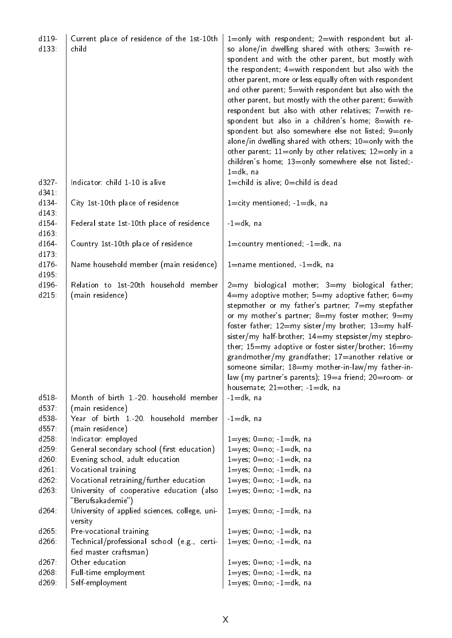| d119<br>d133      | Current place of residence of the 1st-10th<br>child                                                       | 1=only with respondent; 2=with respondent but al-<br>so alone/in dwelling shared with others; 3=with re-<br>spondent and with the other parent, but mostly with<br>the respondent; 4=with respondent but also with the<br>other parent, more or less equally often with respondent<br>and other parent; 5=with respondent but also with the<br>other parent, but mostly with the other parent; 6=with<br>respondent but also with other relatives; 7=with re-<br>spondent but also in a children's home; 8=with re-<br>spondent but also somewhere else not listed; 9=only<br>alone/in dwelling shared with others; 10=only with the<br>other parent; 11=only by other relatives; 12=only in a<br>children's home; 13=only somewhere else not listed;-<br>$1 = dk$ , na |
|-------------------|-----------------------------------------------------------------------------------------------------------|-------------------------------------------------------------------------------------------------------------------------------------------------------------------------------------------------------------------------------------------------------------------------------------------------------------------------------------------------------------------------------------------------------------------------------------------------------------------------------------------------------------------------------------------------------------------------------------------------------------------------------------------------------------------------------------------------------------------------------------------------------------------------|
| d327-<br>$d341$ : | Indicator: child 1-10 is alive                                                                            | $1 =$ child is alive; $0 =$ child is dead                                                                                                                                                                                                                                                                                                                                                                                                                                                                                                                                                                                                                                                                                                                               |
| d134-<br>d143     | City 1st-10th place of residence                                                                          | $1 =$ city mentioned; $-1 = dk$ , na                                                                                                                                                                                                                                                                                                                                                                                                                                                                                                                                                                                                                                                                                                                                    |
| d154<br>d163      | Federal state 1st-10th place of residence                                                                 | $-1$ =dk, na                                                                                                                                                                                                                                                                                                                                                                                                                                                                                                                                                                                                                                                                                                                                                            |
| d164-<br>$d173$ : | Country 1st-10th place of residence                                                                       | $1 =$ country mentioned; $-1 = dk$ , na                                                                                                                                                                                                                                                                                                                                                                                                                                                                                                                                                                                                                                                                                                                                 |
| d176-<br>d195:    | Name household member (main residence)                                                                    | $1 =$ name mentioned, $-1 = dk$ , na                                                                                                                                                                                                                                                                                                                                                                                                                                                                                                                                                                                                                                                                                                                                    |
| d196-<br>$d215$ : | Relation to 1st-20th household member<br>(main residence)                                                 | $2 = my$ biological mother; $3 = my$ biological father;<br>$4=$ my adoptive mother; $5=$ my adoptive father; $6=$ my<br>stepmother or my father's partner; 7=my stepfather<br>or my mother's partner; 8=my foster mother; 9=my<br>foster father; 12=my sister/my brother; 13=my half-<br>sister/my half-brother; 14=my stepsister/my stepbro-<br>ther; $15=$ my adoptive or foster sister/brother; $16=$ my<br>grandmother/my grandfather; 17=another relative or<br>someone similar; 18=my mother-in-law/my father-in-<br>law (my partner's parents); 19=a friend; 20=room- or<br>housemate; $21=$ other; $-1=$ dk, na                                                                                                                                                 |
| d518<br>d537:     | Month of birth 1.-20. household member<br>(main residence)                                                | $-1=dk$ , na                                                                                                                                                                                                                                                                                                                                                                                                                                                                                                                                                                                                                                                                                                                                                            |
| d538-<br>d557:    | Year of birth 1-20. household member<br>(main residence)                                                  | $-1$ =dk, na                                                                                                                                                                                                                                                                                                                                                                                                                                                                                                                                                                                                                                                                                                                                                            |
| d258              | Indicator: employed                                                                                       | $1 = yes$ ; $0 = no$ ; $-1 = dk$ , na                                                                                                                                                                                                                                                                                                                                                                                                                                                                                                                                                                                                                                                                                                                                   |
| d259              | General secondary school (first education)                                                                | $1 = yes$ ; $0 = no$ ; $-1 = dk$ , na                                                                                                                                                                                                                                                                                                                                                                                                                                                                                                                                                                                                                                                                                                                                   |
| d260:             | Evening school, adult education                                                                           | $1 = yes$ ; $0 = no$ ; $-1 = dk$ , na                                                                                                                                                                                                                                                                                                                                                                                                                                                                                                                                                                                                                                                                                                                                   |
| $d261$ :          | Vocational training                                                                                       | $1 = yes$ ; $0 = no$ ; $-1 = dk$ , na                                                                                                                                                                                                                                                                                                                                                                                                                                                                                                                                                                                                                                                                                                                                   |
| $d262$ :<br>d263  | Vocational retraining/further education<br>University of cooperative education (also<br>"Berufsakademie") | $1 = yes$ ; $0 = no$ ; $-1 = dk$ , na<br>$1 = yes$ ; $0 = no$ ; $-1 = dk$ , na                                                                                                                                                                                                                                                                                                                                                                                                                                                                                                                                                                                                                                                                                          |
| d264              | University of applied sciences, college, uni-<br>versity                                                  | $1 = yes$ ; $0 = no$ ; $-1 = dk$ , na                                                                                                                                                                                                                                                                                                                                                                                                                                                                                                                                                                                                                                                                                                                                   |
| $d265$ :          | Pre-vocational training                                                                                   | $1 = yes$ ; $0 = no$ ; $-1 = dk$ , na                                                                                                                                                                                                                                                                                                                                                                                                                                                                                                                                                                                                                                                                                                                                   |
| d266:             | Technical/professional school (e.g., certi-<br>fied master craftsman)                                     | $1 = yes$ ; $0 = no$ ; $-1 = dk$ , na                                                                                                                                                                                                                                                                                                                                                                                                                                                                                                                                                                                                                                                                                                                                   |
| d267:             | Other education                                                                                           | $1 = yes$ ; $0 = no$ ; $-1 = dk$ , na                                                                                                                                                                                                                                                                                                                                                                                                                                                                                                                                                                                                                                                                                                                                   |
| $d268$ :          | Full-time employment                                                                                      | $1 = yes$ ; $0 = no$ ; $-1 = dk$ , na                                                                                                                                                                                                                                                                                                                                                                                                                                                                                                                                                                                                                                                                                                                                   |
| d269              | Self-employment                                                                                           | $1 = yes$ ; $0 = no$ ; $-1 = dk$ , na                                                                                                                                                                                                                                                                                                                                                                                                                                                                                                                                                                                                                                                                                                                                   |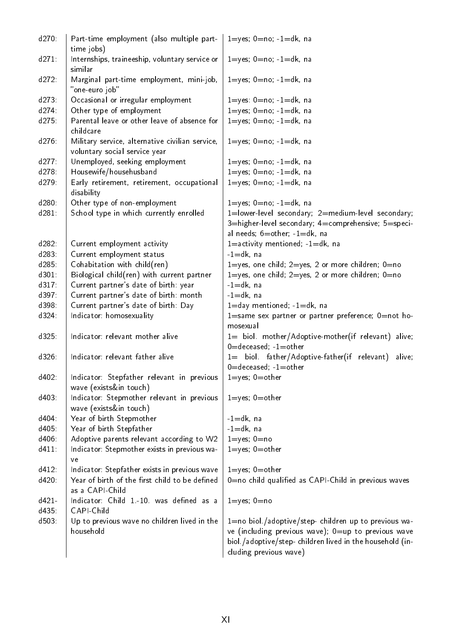| d270     | Part-time employment (also multiple part-<br>time jobs)                          | $1 = yes$ ; $0 = no$ ; $-1 = dk$ , na                                                                                                                                                              |
|----------|----------------------------------------------------------------------------------|----------------------------------------------------------------------------------------------------------------------------------------------------------------------------------------------------|
| $d271$ : | Internships, traineeship, voluntary service or<br>similar                        | $1 = yes$ ; $0 = no$ ; $-1 = dk$ , na                                                                                                                                                              |
| $d272$ : | Marginal part-time employment, mini-job,<br>"one-euro job"                       | $1 = yes$ ; $0 = no$ ; $-1 = dk$ , na                                                                                                                                                              |
| $d273$ : | Occasional or irregular employment                                               | $1 = yes$ : $0 = no$ ; $-1 = dk$ , na                                                                                                                                                              |
| d274     | Other type of employment                                                         | $1 = yes$ ; $0 = no$ ; $-1 = dk$ , na                                                                                                                                                              |
| d275     | Parental leave or other leave of absence for<br>childcare                        | $1 = yes$ ; $0 = no$ ; $-1 = dk$ , na                                                                                                                                                              |
| d276     | Military service, alternative civilian service,<br>voluntary social service year | $1 = yes$ ; $0 = no$ ; $-1 = dk$ , na                                                                                                                                                              |
| $d277$ : | Unemployed, seeking employment                                                   | $1 = yes$ ; $0 = no$ ; $-1 = dk$ , na                                                                                                                                                              |
| d278     | Housewife/househusband                                                           | $1 = yes$ ; $0 = no$ ; $-1 = dk$ , na                                                                                                                                                              |
| $d279$ : | Early retirement, retirement, occupational<br>disability                         | $1 = yes$ ; $0 = no$ ; $-1 = dk$ , na                                                                                                                                                              |
| $d280$ : | Other type of non-employment                                                     | $1 = yes$ ; $0 = no$ ; $-1 = dk$ , na                                                                                                                                                              |
| d281     | School type in which currently enrolled                                          | 1=lower-level secondary; 2=medium-level secondary;<br>3=higher-level secondary; 4=comprehensive; 5=speci-                                                                                          |
|          |                                                                                  | al needs; 6=other; -1=dk, na                                                                                                                                                                       |
| d282:    | Current employment activity                                                      | $1 =$ activity mentioned; $-1 = dk$ , na                                                                                                                                                           |
| d283:    | Current employment status                                                        | $-1=dk$ , na                                                                                                                                                                                       |
| $d285$ : | Cohabitation with child(ren)                                                     | $1 = yes$ , one child; $2 = yes$ , 2 or more children; $0 = no$                                                                                                                                    |
| d301     | Biological child(ren) with current partner                                       | $1 = yes$ , one child; $2 = yes$ , 2 or more children; $0 = no$                                                                                                                                    |
| d317     | Current partner's date of birth: year                                            | $-1=$ dk, na                                                                                                                                                                                       |
| d397     | Current partner's date of birth: month                                           | $-1$ =dk, na                                                                                                                                                                                       |
| d398.    | Current partner's date of birth: Day                                             | $1 =$ day mentioned; $-1 =$ dk, na                                                                                                                                                                 |
| $d324$ : | Indicator: homosexuality                                                         | 1=same sex partner or partner preference; 0=not ho-<br>mosexual                                                                                                                                    |
| d325.    | Indicator: relevant mother alive                                                 | 1= biol. mother/Adoptive-mother(if relevant) alive;                                                                                                                                                |
|          |                                                                                  | $0 =$ deceased; $-1 =$ other                                                                                                                                                                       |
| $d326$ : | Indicator: relevant father alive                                                 | 1= biol. father/Adoptive-father(if relevant) alive;<br>$0 =$ deceased; $-1 =$ other                                                                                                                |
| d402:    | Indicator: Stepfather relevant in previous<br>wave (exists∈ touch)               | $1 = yes$ ; $0 = other$                                                                                                                                                                            |
| d403.    | Indicator: Stepmother relevant in previous<br>wave (exists∈ touch)               | $1 = yes$ ; $0 = other$                                                                                                                                                                            |
| d404     | Year of birth Stepmother                                                         | $-1$ =dk, na                                                                                                                                                                                       |
| d405:    | Year of birth Stepfather                                                         | $-1=dk$ , na                                                                                                                                                                                       |
| d406:    | Adoptive parents relevant according to W2                                        | $1 = yes$ ; $0 = no$                                                                                                                                                                               |
| d411     | Indicator: Stepmother exists in previous wa-                                     | $1 = yes$ ; $0 = other$                                                                                                                                                                            |
|          | ve                                                                               |                                                                                                                                                                                                    |
| d412.    | Indicator: Stepfather exists in previous wave                                    | $1 = yes$ ; $0 = other$                                                                                                                                                                            |
| d420     | Year of birth of the first child to be defined<br>as a CAPI-Child                | 0=no child qualified as CAPI-Child in previous waves                                                                                                                                               |
| $d421-$  | Indicator: Child 1-10. was defined as a                                          | $1 = yes$ ; $0 = no$                                                                                                                                                                               |
| d435.    | CAPI-Child                                                                       |                                                                                                                                                                                                    |
| d503.    | Up to previous wave no children lived in the<br>household                        | 1=no biol /adoptive/step- children up to previous wa-<br>ve (including previous wave); 0=up to previous wave<br>biol./adoptive/step-children lived in the household (in-<br>cluding previous wave) |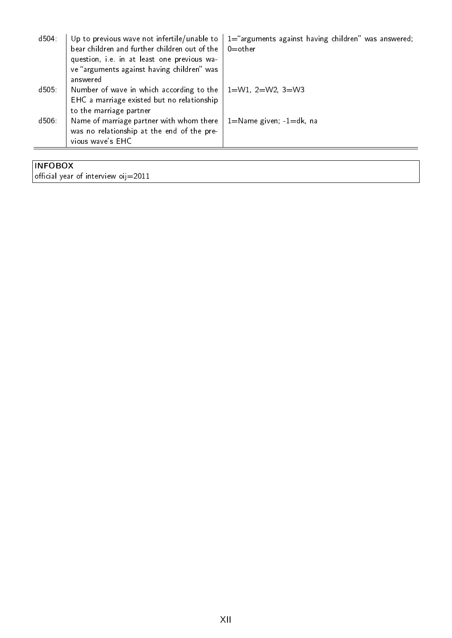| d504 | Up to previous wave not infertile/unable to<br>bear children and further children out of the<br>question, i.e. in at least one previous wa-<br>ve "arguments against having children" was | 1="arguments against having children" was answered;<br>$0$ =other |
|------|-------------------------------------------------------------------------------------------------------------------------------------------------------------------------------------------|-------------------------------------------------------------------|
|      | answered                                                                                                                                                                                  |                                                                   |
| d505 | Number of wave in which according to the<br>EHC a marriage existed but no relationship<br>to the marriage partner                                                                         | $1 = W1$ , $2 = W2$ , $3 = W3$                                    |
| d506 | Name of marriage partner with whom there<br>was no relationship at the end of the pre-<br>vious wave's EHC                                                                                | $1 =$ Name given; $-1 =$ dk, na                                   |
|      |                                                                                                                                                                                           |                                                                   |

### INFOBOX official year of interview oij=2011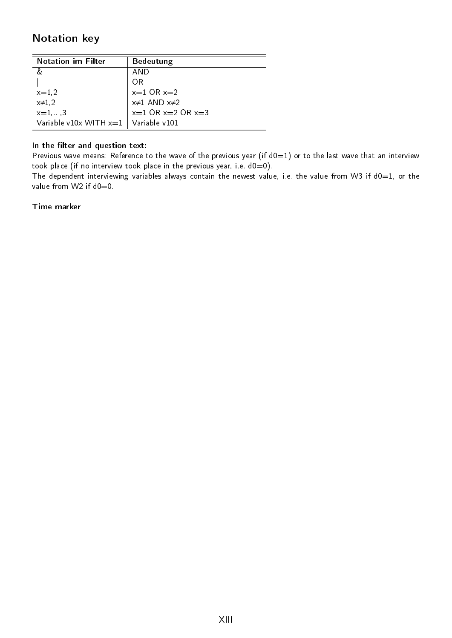### <span id="page-13-0"></span>Notation key

| <b>Notation im Filter</b>                | <b>Bedeutung</b>        |
|------------------------------------------|-------------------------|
|                                          | AND                     |
|                                          | ΩR                      |
| $x = 1,2$                                | $x=1$ OR $x=2$          |
| $x\neq 1,2$                              | $x\neq 1$ AND $x\neq 2$ |
| $x = 1, , 3$                             | $x=1$ OR $x=2$ OR $x=3$ |
| Variable v10x WITH $x=1$   Variable v101 |                         |

#### In the filter and question text:

Previous wave means: Reference to the wave of the previous year (if  $d0=1$ ) or to the last wave that an interview took place (if no interview took place in the previous year, i.e.  $d0=0$ ).

The dependent interviewing variables always contain the newest value, i.e. the value from W3 if  $d0=1$ , or the value from W2 if d0=0.

#### Time marker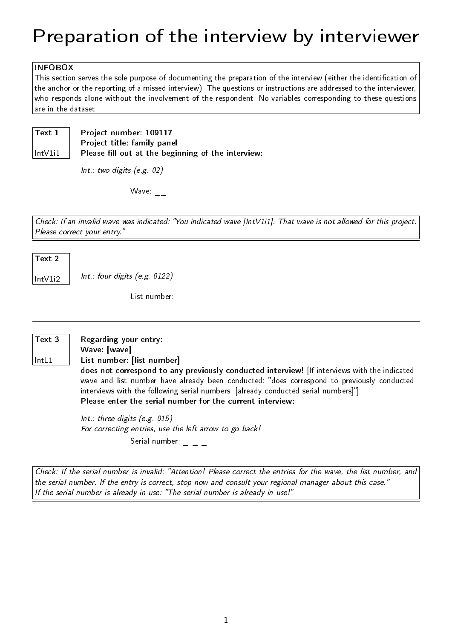# <span id="page-14-0"></span>Preparation of the interview by interviewer

#### INFOBOX

This section serves the sole purpose of documenting the preparation of the interview (either the identication of the anchor or the reporting of a missed interview). The questions or instructions are addressed to the interviewer, who responds alone without the involvement of the respondent. No variables corresponding to these questions are in the dataset.

Text 1

IntV1i1

Project number: 109117 Project title: family panel Please fill out at the beginning of the interview:

Int.: two digits (e.g. 02)

Wave:  $\overline{\phantom{a}}$ 

Check: If an invalid wave was indicated: You indicated wave [IntV1i1]. That wave is not allowed for this project. Please correct your entry."

#### Text 2

 $\vert$  Int. Int.: four digits (e.g. 0122)

List number:  $_{---}$ 

#### Text 3

IntL1

Regarding your entry: Wave: [wave]

List number: [list number]

does not correspond to any previously conducted interview! [If interviews with the indicated wave and list number have already been conducted: "does correspond to previously conducted interviews with the following serial numbers: [already conducted serial numbers]"] Please enter the serial number for the current interview:

Int.: three digits (e.g. 015) For correcting entries, use the left arrow to go back! Serial number:  $\_$   $\_$   $\_$   $\_$ 

Check: If the serial number is invalid: "Attention! Please correct the entries for the wave, the list number, and the serial number. If the entry is correct, stop now and consult your regional manager about this case. If the serial number is already in use: "The serial number is already in use!"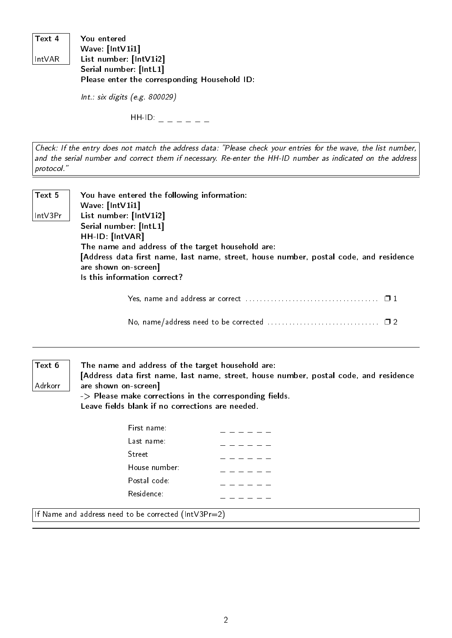| Text 4  | You entered                                  |
|---------|----------------------------------------------|
|         | Wave: [IntV1i1]                              |
| ∣IntVAR | List number: [IntV1i2]                       |
|         | Serial number: [IntL1]                       |
|         | Please enter the corresponding Household ID: |

Int.: six digits (e.g. 800029)

 $HH$ -ID:  $\qquad \qquad$ 

Check: If the entry does not match the address data: "Please check your entries for the wave, the list number, and the serial number and correct them if necessary. Re-enter the HH-ID number as indicated on the address protocol.

Text 5 IntV3Pr You have entered the following information: Wave: [IntV1i1] List number: [IntV1i2] Serial number: [IntL1] HH-ID: [IntVAR] The name and address of the target household are: [Address data first name, last name, street, house number, postal code, and residence are shown on-screen] Is this information correct?

Yes, name and address ar correct . . . . . . . . . . . . . . . . . . . . . . . . . . . . . . . . . . . . . ❐ 1

No, name/address need to be corrected . . . . . . . . . . . . . . . . . . . . . . . . . . . . . . . ❐ 2

#### Text 6

Adrkorr

The name and address of the target household are:

[Address data first name, last name, street, house number, postal code, and residence are shown on-screen]

 $\rightarrow$  Please make corrections in the corresponding fields. Leave fields blank if no corrections are needed.

| First name:   |  |  |  |
|---------------|--|--|--|
| Last name:    |  |  |  |
| Street        |  |  |  |
| House number: |  |  |  |
| Postal code:  |  |  |  |
| Residence:    |  |  |  |
|               |  |  |  |

If Name and address need to be corrected (IntV3Pr=2)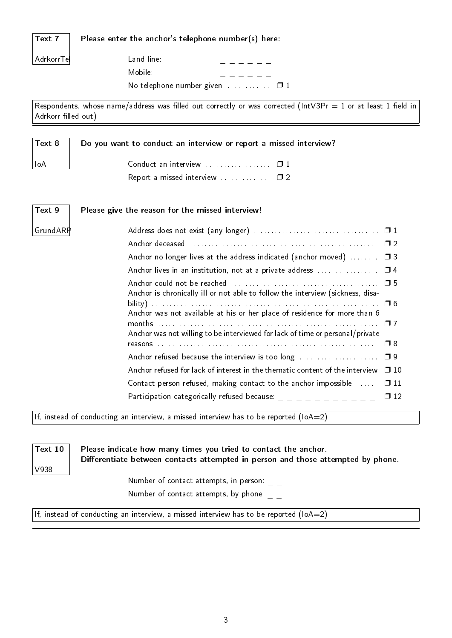|--|--|

Please enter the anchor's telephone number(s) here:

AdrkorrTel

Land line: Mobile: No telephone number given  $\dots\dots\dots \square$  1

Respondents, whose name/address was filled out correctly or was corrected (IntV3Pr = 1 or at least 1 field in Adrkorr filled out)

| Text 8 | Do you want to conduct an interview or report a missed interview? |
|--------|-------------------------------------------------------------------|
| ⊺loA   |                                                                   |
|        |                                                                   |

| Text 9   | Please give the reason for the missed interview!                               |              |
|----------|--------------------------------------------------------------------------------|--------------|
| GrundARP |                                                                                |              |
|          |                                                                                |              |
|          | Anchor no longer lives at the address indicated (anchor moved)                 | $\Box$ 3     |
|          |                                                                                |              |
|          | Anchor is chronically ill or not able to follow the interview (sickness, disa- |              |
|          | Anchor was not available at his or her place of residence for more than 6      |              |
|          | Anchor was not willing to be interviewed for lack of time or personal/private  | $\Box$ 8     |
|          |                                                                                |              |
|          | Anchor refused for lack of interest in the thematic content of the interview   | $\square$ 10 |
|          | Contact person refused, making contact to the anchor impossible                | $\Box$ 11    |
|          |                                                                                | $\Box$ 12    |

If, instead of conducting an interview, a missed interview has to be reported (IoA=2)

Text 10

V938

Please indicate how many times you tried to contact the anchor. Differentiate between contacts attempted in person and those attempted by phone.

> Number of contact attempts, in person:  $\overline{\phantom{x}}$   $\overline{\phantom{x}}$ Number of contact attempts, by phone:  $\overline{\phantom{a}}$

If, instead of conducting an interview, a missed interview has to be reported (IoA=2)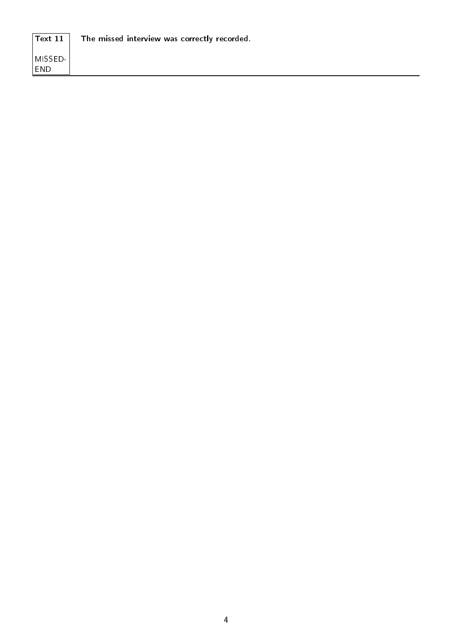| $T$ ext 11                          | The missed interview was correctly recorded. |
|-------------------------------------|----------------------------------------------|
| <sup>i</sup> MISSED-1<br><b>END</b> |                                              |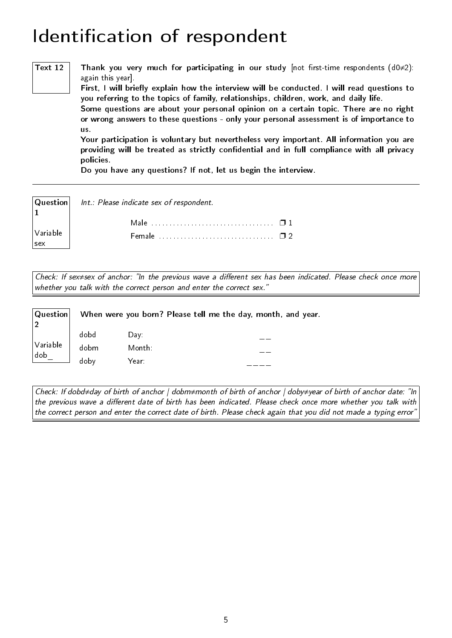### <span id="page-18-0"></span>Identification of respondent

Text 12  $|$  Thank you very much for participating in our study [not first-time respondents (d0≠2): again this year].

> First, I will briefly explain how the interview will be conducted. I will read questions to you referring to the topics of family, relationships, children, work, and daily life.

> Some questions are about your personal opinion on a certain topic. There are no right or wrong answers to these questions - only your personal assessment is of importance to us.

> Your participation is voluntary but nevertheless very important. All information you are providing will be treated as strictly confidential and in full compliance with all privacy policies.

Do you have any questions? If not, let us begin the interview.

| $\vert$ 1 | $ \mathbf{Q}$ uestion $ \quad$ Int.: Please indicate sex of respondent. |  |
|-----------|-------------------------------------------------------------------------|--|
|           |                                                                         |  |
| Variable  |                                                                         |  |
| $ $ sex   |                                                                         |  |

Check: If sex≠sex of anchor: "In the previous wave a different sex has been indicated. Please check once more whether you talk with the correct person and enter the correct sex."

| $ $ Question $ $   | When were you born? Please tell me the day, month, and year. |        |  |  |  |
|--------------------|--------------------------------------------------------------|--------|--|--|--|
|                    | dobd                                                         | Day:   |  |  |  |
| $\sqrt{}$ Variable | dobm                                                         | Month: |  |  |  |
| $ $ dob            | doby                                                         | Year:  |  |  |  |

Check: If dobd≠day of birth of anchor | dobm≠month of birth of anchor | doby≠year of birth of anchor date: In the previous wave a different date of birth has been indicated. Please check once more whether you talk with the correct person and enter the correct date of birth. Please check again that you did not made a typing error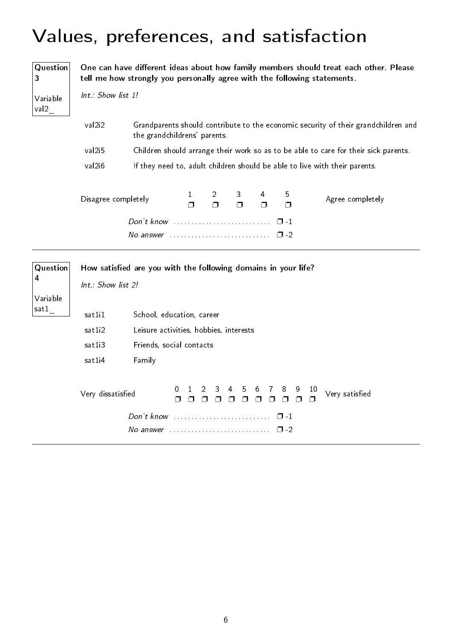# <span id="page-19-0"></span>Values, preferences, and satisfaction

| Question<br>3        | One can have different ideas about how family members should treat each other. Please<br>tell me how strongly you personally agree with the following statements. |                                                                     |             |                            |                            |                            |                        |                                                                                     |
|----------------------|-------------------------------------------------------------------------------------------------------------------------------------------------------------------|---------------------------------------------------------------------|-------------|----------------------------|----------------------------|----------------------------|------------------------|-------------------------------------------------------------------------------------|
| Variable<br>val2     | Int.: Show list 1!                                                                                                                                                |                                                                     |             |                            |                            |                            |                        |                                                                                     |
|                      | val2i2                                                                                                                                                            | the grandchildrens' parents.                                        |             |                            |                            |                            |                        | Grandparents should contribute to the economic security of their grandchildren and  |
|                      | val <sub>2i5</sub>                                                                                                                                                |                                                                     |             |                            |                            |                            |                        | Children should arrange their work so as to be able to care for their sick parents. |
|                      | val2i6                                                                                                                                                            |                                                                     |             |                            |                            |                            |                        | If they need to, adult children should be able to live with their parents.          |
|                      | Disagree completely                                                                                                                                               |                                                                     | 1<br>$\Box$ | $\overline{2}$<br>$\Box$   | 3.<br>$\Box$               | 4<br>Π                     | 5<br>$\Box$            | Agree completely                                                                    |
|                      |                                                                                                                                                                   | Don't know<br>No answer $\cdots$ , $\cdots$ , $\cdots$              |             |                            |                            |                            | $\Box$ 1<br>$\Box$ -2  |                                                                                     |
| <b>Question</b><br>4 | Int.: Show list 2!                                                                                                                                                | How satisfied are you with the following domains in your life?      |             |                            |                            |                            |                        |                                                                                     |
| Variable             |                                                                                                                                                                   |                                                                     |             |                            |                            |                            |                        |                                                                                     |
| satl                 | sat1i1                                                                                                                                                            | School, education, career                                           |             |                            |                            |                            |                        |                                                                                     |
|                      | sat1i2                                                                                                                                                            | Leisure activities, hobbies, interests                              |             |                            |                            |                            |                        |                                                                                     |
|                      | sat1i3                                                                                                                                                            | Friends, social contacts                                            |             |                            |                            |                            |                        |                                                                                     |
|                      | sat1i4                                                                                                                                                            | Family                                                              |             |                            |                            |                            |                        |                                                                                     |
|                      | Very dissatisfied                                                                                                                                                 | 0<br>Π.                                                             | $\Box$      | 2<br>3<br>$\Box$<br>$\Box$ | 4<br>5<br>$\Box$<br>$\Box$ | 6<br>7<br>$\Box$<br>$\Box$ | 8<br>9<br>$\Box$       | 10<br>Very satisfied<br>$\Box$                                                      |
|                      |                                                                                                                                                                   | No answer $\ldots \ldots \ldots \ldots \ldots \ldots \ldots \ldots$ |             |                            |                            |                            | $\Box$ -1<br>$\Box$ -2 |                                                                                     |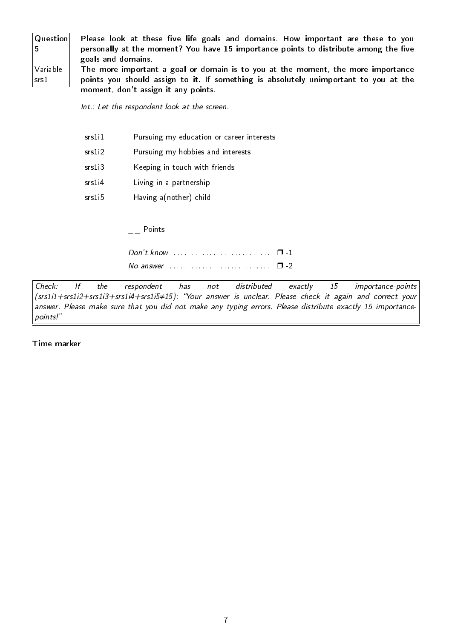| Question                              | Please look at these five life goals and domains. How important are these to you     |
|---------------------------------------|--------------------------------------------------------------------------------------|
|                                       | personally at the moment? You have 15 importance points to distribute among the five |
|                                       | goals and domains.                                                                   |
| $\sqrt{\frac{1}{2}}$                  | The more important a goal or domain is to you at the moment, the more importance     |
| $ $ srs $1$ <sub><math>-</math></sub> | points you should assign to it. If something is absolutely unimportant to you at the |
|                                       | moment, don't assign it any points.                                                  |

Int.: Let the respondent look at the screen.

srs1i1 Pursuing my education or career interests

- srs1i2 Pursuing my hobbies and interests
- srs1i3 Keeping in touch with friends
- srs1i4 Living in a partnership
- srs1i5 Having a(nother) child

\_\_ Points

| Don't know $\ldots$ , $\ldots$ , $\ldots$ , $\ldots$ , $\Box$ -1 |  |
|------------------------------------------------------------------|--|
| No answer $\ldots$ , $\ldots$ , $\ldots$ , $\ldots$ , $\Box$ -2  |  |

Check: If the respondent has not distributed exactly 15 importance-points (srs1i1+srs1i2+srs1i3+srs1i4+srs1i5≠15): Your answer is unclear. Please check it again and correct your answer. Please make sure that you did not make any typing errors. Please distribute exactly 15 importancepoints!

Time marker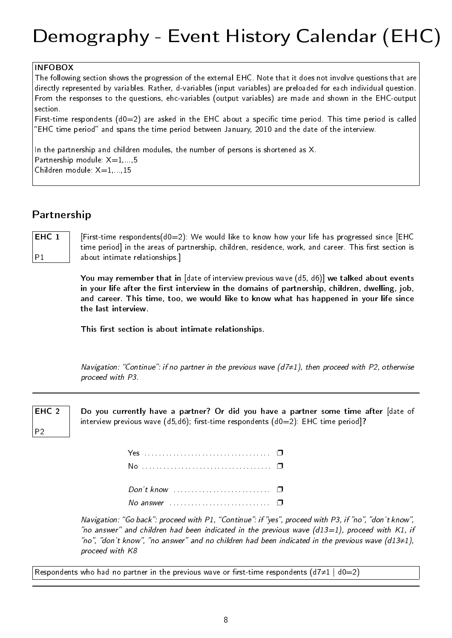# <span id="page-21-0"></span>Demography - Event History Calendar (EHC)

#### INFOBOX

The following section shows the progression of the external EHC. Note that it does not involve questions that are directly represented by variables. Rather, d-variables (input variables) are preloaded for each individual question. From the responses to the questions, ehc-variables (output variables) are made and shown in the EHC-output section.

First-time respondents  $(d0=2)$  are asked in the EHC about a specific time period. This time period is called "EHC time period" and spans the time period between January, 2010 and the date of the interview.

In the partnership and children modules, the number of persons is shortened as X. Partnership module:  $X=1,...,5$ Children module:  $X=1,...,15$ 

### <span id="page-21-1"></span>Partnership

EHC<sub>1</sub>  $P<sub>1</sub>$ 

[First-time respondents( $d0=2$ ): We would like to know how your life has progressed since [EHC time period] in the areas of partnership, children, residence, work, and career. This first section is about intimate relationships.]

You may remember that in [date of interview previous wave (d5, d6)] we talked about events in your life after the first interview in the domains of partnership, children, dwelling, job, and career. This time, too, we would like to know what has happened in your life since the last interview.

This first section is about intimate relationships.

Navigation: "Continue": if no partner in the previous wave ( $d7\neq 1$ ), then proceed with P2, otherwise proceed with P3.



P2

Do you currently have a partner? Or did you have a partner some time after [date of interview previous wave  $(d5, d6)$ ; first-time respondents  $(d0=2)$ : EHC time period]?

| Don't know $\ldots$ , $\ldots$ , $\ldots$ |  |
|-------------------------------------------|--|
|                                           |  |

Navigation: "Go back": proceed with P1, "Continue": if "yes", proceed with P3, if "no", "don't know", "no answer" and children had been indicated in the previous wave ( $d13=1$ ), proceed with K1, if "no", "don't know", "no answer" and no children had been indicated in the previous wave (d13≠1), proceed with K8

Respondents who had no partner in the previous wave or first-time respondents (d7≠1 | d0=2)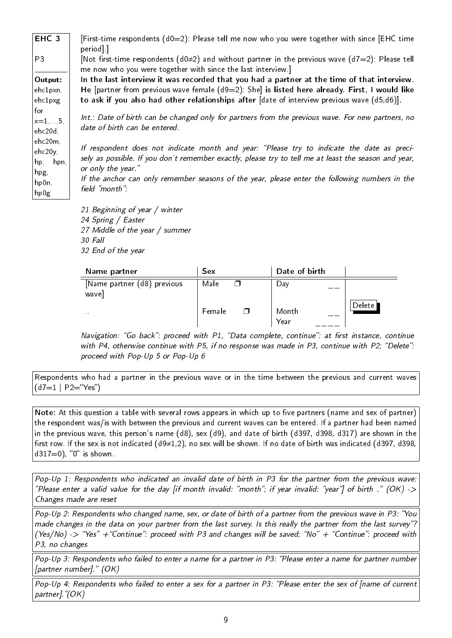EHC 3 P3 Output: ehc1pxn, ehc1pxg for  $x=1$ .... ehc20d, ehc20m, ehc20y, hp, hpn, hpg, hp0n, hp0g [First-time respondents  $(d0=2)$ : Please tell me now who you were together with since [EHC time period].] [Not first-time respondents (d0≠2) and without partner in the previous wave (d7=2): Please tell me now who you were together with since the last interview.] In the last interview it was recorded that you had a partner at the time of that interview. He [partner from previous wave female  $(d9=2)$ : She] is listed here already. First, I would like to ask if you also had other relationships after [date of interview previous wave (d5,d6)]. Int.: Date of birth can be changed only for partners from the previous wave. For new partners, no date of birth can be entered. If respondent does not indicate month and year: "Please try to indicate the date as precisely as possible. If you don't remember exactly, please try to tell me at least the season and year, or only the year. If the anchor can only remember seasons of the year, please enter the following numbers in the field "month":

> 21 Beginning of year / winter 24 Spring / Easter 27 Middle of the year / summer 30 Fall 32 End of the year

| Name partner                         | Sex              | Date of birth |        |
|--------------------------------------|------------------|---------------|--------|
| [Name partner (d8) previous<br>wave] | Male             | Day           |        |
| $\mathbf{r}$                         | Female<br>$\Box$ | Month<br>Year | Delete |

Navigation: "Go back": proceed with P1, "Data complete, continue": at first instance, continue with P4, otherwise continue with P5, if no response was made in P3, continue with P2; "Delete": proceed with Pop-Up 5 or Pop-Up 6

Respondents who had a partner in the previous wave or in the time between the previous and current waves  $(d7=1 | P2="Yes")$ 

Note: At this question a table with several rows appears in which up to five partners (name and sex of partner) the respondent was/is with between the previous and current waves can be entered. If a partner had been named in the previous wave, this person's name (d8), sex (d9), and date of birth (d397, d398, d317) are shown in the first row. If the sex is not indicated (d9≠1,2), no sex will be shown. If no date of birth was indicated (d397, d398,  $d317=0$ ), "0" is shown.

Pop-Up 1: Respondents who indicated an invalid date of birth in P3 for the partner from the previous wave: "Please enter a valid value for the day [if month invalid: "month"; if year invalid: "year"] of birth ." (OK) -> Changes made are reset

Pop-Up 2: Respondents who changed name, sex, or date of birth of a partner from the previous wave in P3: You made changes in the data on your partner from the last survey. Is this really the partner from the last survey"? (Yes/No) -> "Yes" + "Continue": proceed with P3 and changes will be saved; "No" + "Continue": proceed with P3, no changes

Pop-Up 3: Respondents who failed to enter a name for a partner in P3: "Please enter a name for partner number [partner number]." (OK)

Pop-Up 4: Respondents who failed to enter a sex for a partner in P3: "Please enter the sex of [name of current partner]."(OK)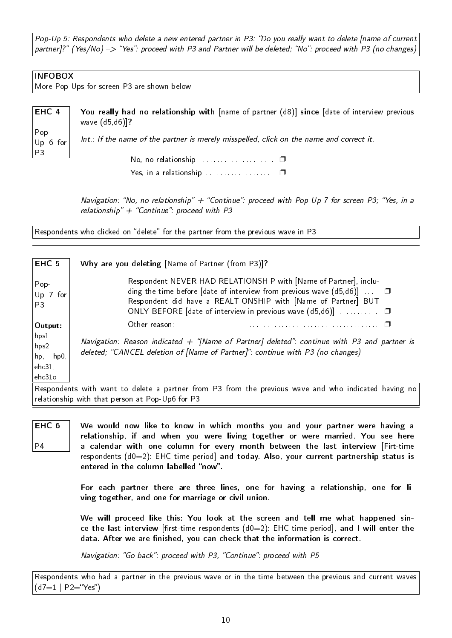Pop-Up 5: Respondents who delete a new entered partner in P3: "Do you really want to delete [name of current partner]?" (Yes/No)  $\Rightarrow$  "Yes": proceed with P3 and Partner will be deleted; "No": proceed with P3 (no changes)

#### INFOBOX

More Pop-Ups for screen P3 are shown below

| $\overline{E}$ HC 4                                  | You really had no relationship with [name of partner (d8)] since [date of interview previous<br>wave (d5,d6)]? |
|------------------------------------------------------|----------------------------------------------------------------------------------------------------------------|
| $\begin{vmatrix} Pop & \ Up & 6 & for \end{vmatrix}$ | Int.: If the name of the partner is merely misspelled, click on the name and correct it.                       |
| P3                                                   |                                                                                                                |
|                                                      |                                                                                                                |

Navigation: "No, no relationship"  $+$  "Continue": proceed with Pop-Up 7 for screen P3; "Yes, in a relationship"  $+$  "Continue": proceed with P3

Respondents who clicked on "delete" for the partner from the previous wave in P3

| EHC 5                                                       | Why are you deleting [Name of Partner (from P3)]?                                                                                                                                                                                                                                   |
|-------------------------------------------------------------|-------------------------------------------------------------------------------------------------------------------------------------------------------------------------------------------------------------------------------------------------------------------------------------|
| Pop-<br> Up 7 for<br>P <sub>3</sub>                         | Respondent NEVER HAD RELATIONSHIP with [Name of Partner], inclu-<br>ding the time before [date of interview from previous wave $(d5, d6)$ ] $\Box$<br>Respondent did have a REALTIONSHIP with [Name of Partner] BUT<br>ONLY BEFORE [date of interview in previous wave $(d5, d6)$ ] |
| Output:                                                     | Other reason:                                                                                                                                                                                                                                                                       |
| $hps1$ ,<br>$hps2$ ,<br>hp, hp0,<br>$ $ ehc $31,$<br>ehc31o | Navigation: Reason indicated + "[Name of Partner] deleted": continue with P3 and partner is<br>deleted; "CANCEL deletion of [Name of Partner]": continue with P3 (no changes)                                                                                                       |
|                                                             |                                                                                                                                                                                                                                                                                     |
|                                                             | Respondents with want to delete a partner from P3 from the previous wave and who indicated having no                                                                                                                                                                                |

relationship with that person at Pop-Up6 for P3

EHC 6 P4

We would now like to know in which months you and your partner were having a relationship, if and when you were living together or were married. You see here a calendar with one column for every month between the last interview [Firt-time respondents (d0=2): EHC time period] and today. Also, your current partnership status is entered in the column labelled "now".

For each partner there are three lines, one for having a relationship, one for living together, and one for marriage or civil union.

We will proceed like this: You look at the screen and tell me what happened since the last interview [first-time respondents  $(d0=2)$ : EHC time period], and I will enter the data. After we are finished, you can check that the information is correct.

Navigation: "Go back": proceed with P3, "Continue": proceed with P5

Respondents who had a partner in the previous wave or in the time between the previous and current waves  $(d7=1 | P2="cs")$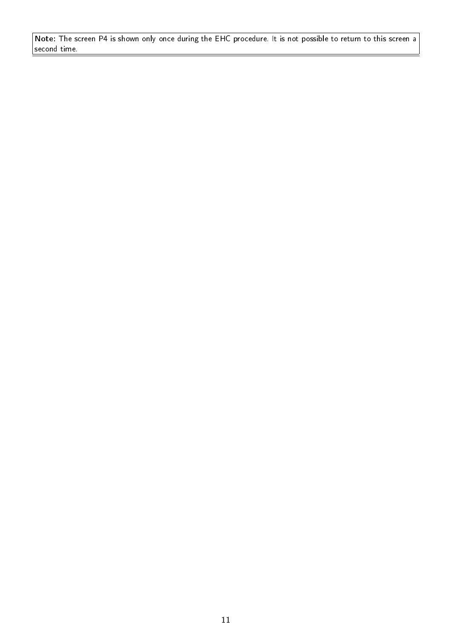Note: The screen P4 is shown only once during the EHC procedure. It is not possible to return to this screen a second time.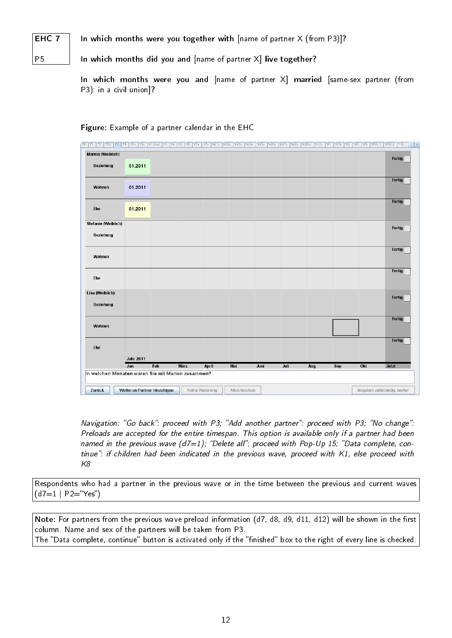### In which months were you together with  $[name of partner X (from P3)]$ ?

P5

EHC 7

In which months did you and  $[name of partner X]$  live together?

In which months were you and [name of partner X] married [same-sex partner (from P3): in a civil union]?

| PD PT<br>P2 PD3                         | P3<br>P4<br>K <sub>1</sub> P<br>Kio               | K1 Kind<br>ÎЮ.<br>K4 | K5<br>KB<br>K7a | K7b<br>TkD1x   | TkD2x<br>1k03x | TkD4x<br>1k05x<br>KIO <sub>6</sub> x | 1k07x<br><b>TkD8x</b> | Ik08bx<br>1k12x | <sup>1</sup> 071<br><b>YW1b</b><br>1002 | ms.<br>10/5<br>$\frac{1}{100}$ | W30_2 HH                    |
|-----------------------------------------|---------------------------------------------------|----------------------|-----------------|----------------|----------------|--------------------------------------|-----------------------|-----------------|-----------------------------------------|--------------------------------|-----------------------------|
| <b>Marion (Weiblich)</b>                |                                                   |                      |                 |                |                |                                      |                       |                 |                                         |                                |                             |
| Beziehung                               | 01.2011                                           |                      |                 |                |                |                                      |                       |                 |                                         |                                | Fertig                      |
| Wohnen                                  | 01.2011                                           |                      |                 |                |                |                                      |                       |                 |                                         |                                | Fertig                      |
| Ehe                                     | 01.2011                                           |                      |                 |                |                |                                      |                       |                 |                                         |                                | Fertig                      |
| <b>Stefanie (Weiblich)</b><br>Beziehung |                                                   |                      |                 |                |                |                                      |                       |                 |                                         |                                | Fertig                      |
| Wohnen                                  |                                                   |                      |                 |                |                |                                      |                       |                 |                                         |                                | Fertig                      |
| Ehe                                     |                                                   |                      |                 |                |                |                                      |                       |                 |                                         |                                | Fertig                      |
| Lisa (Weiblich)<br>Beziehung            |                                                   |                      |                 |                |                |                                      |                       |                 |                                         |                                | Fertig                      |
| Wohnen                                  |                                                   |                      |                 |                |                |                                      |                       |                 |                                         |                                | Fertig                      |
|                                         |                                                   |                      |                 |                |                |                                      |                       |                 |                                         |                                | Fertig                      |
| Ehe                                     | <b>Jahr 2011</b>                                  |                      |                 |                |                |                                      |                       |                 |                                         |                                |                             |
|                                         | Jan                                               | Feb                  | <b>März</b>     | April          | Mai            | Juni                                 | Juli                  | Aug             | <b>Sep</b>                              | Okt                            | Jetzt                       |
|                                         | In welchen Monaten waren Sie mit Marion zusammen? |                      |                 |                |                |                                      |                       |                 |                                         |                                |                             |
| Zurück                                  | Weiteren Partner hinzufügen                       |                      |                 | Keine Änderung | Alles löschen  |                                      |                       |                 |                                         |                                | Angaben vollständig, weiter |

#### Figure: Example of a partner calendar in the EHC

Navigation: "Go back": proceed with P3; "Add another partner": proceed with P3; "No change": Preloads are accepted for the entire timespan. This option is available only if a partner had been named in the previous wave  $(d7=1)$ ; "Delete all": proceed with Pop-Up 15; "Data complete, continue": if children had been indicated in the previous wave, proceed with K1, else proceed with K8

Respondents who had a partner in the previous wave or in the time between the previous and current waves  $(d7=1 | P2="S$ "Yes")

Note: For partners from the previous wave preload information (d7, d8, d9, d11, d12) will be shown in the first column. Name and sex of the partners will be taken from P3. The "Data complete, continue" button is activated only if the "finished" box to the right of every line is checked.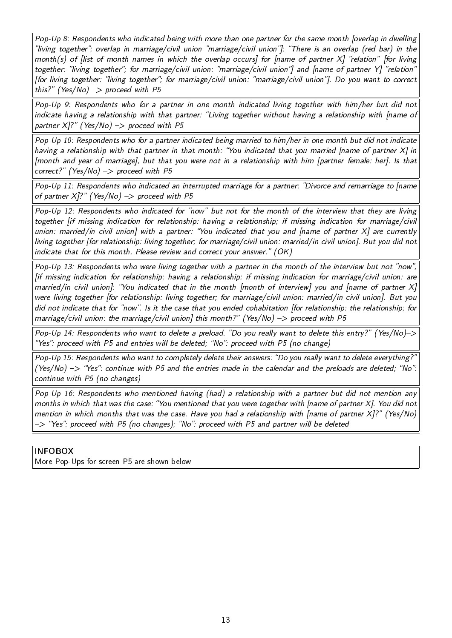Pop-Up 8: Respondents who indicated being with more than one partner for the same month [overlap in dwelling "living together"; overlap in marriage/civil union "marriage/civil union"]: "There is an overlap (red bar) in the month(s) of [list of month names in which the overlap occurs] for [name of partner  $X$ ] "relation" [for living together: "living together"; for marriage/civil union: "marriage/civil union"] and [name of partner Y] "relation" [for living together: "living together"; for marriage/civil union: "marriage/civil union"]. Do you want to correct this?" (Yes/No)  $\rightarrow$  proceed with P5

Pop-Up 9: Respondents who for a partner in one month indicated living together with him/her but did not indicate having a relationship with that partner: "Living together without having a relationship with [name of partner  $X$ ]?" (Yes/No) -> proceed with P5

Pop-Up 10: Respondents who for a partner indicated being married to him/her in one month but did not indicate having a relationship with that partner in that month: You indicated that you married [name of partner X] in [month and year of marriage], but that you were not in a relationship with him [partner female: her]. Is that correct?" (Yes/No)  $\Rightarrow$  proceed with P5

Pop-Up 11: Respondents who indicated an interrupted marriage for a partner: "Divorce and remarriage to [name of partner  $X$ ]?" (Yes/No) -> proceed with P5

Pop-Up 12: Respondents who indicated for "now" but not for the month of the interview that they are living together [if missing indication for relationship: having a relationship; if missing indication for marriage/civil union: married/in civil union] with a partner: "You indicated that you and [name of partner X] are currently living together [for relationship: living together; for marriage/civil union: married/in civil union]. But you did not indicate that for this month. Please review and correct your answer."  $(OK)$ 

Pop-Up 13: Respondents who were living together with a partner in the month of the interview but not "now", [if missing indication for relationship: having a relationship; if missing indication for marriage/civil union: are married/in civil union]: You indicated that in the month [month of interview] you and [name of partner X] were living together [for relationship: living together; for marriage/civil union: married/in civil union]. But you did not indicate that for "now". Is it the case that you ended cohabitation [for relationship: the relationship; for marriage/civil union: the marriage/civil union] this month?" (Yes/No)  $\rightarrow$  proceed with P5

Pop-Up 14: Respondents who want to delete a preload. "Do you really want to delete this entry?" (Yes/No)-> "Yes": proceed with P5 and entries will be deleted; "No": proceed with P5 (no change)

Pop-Up 15: Respondents who want to completely delete their answers: "Do you really want to delete everything?" (Yes/No)  $\rightarrow$  "Yes": continue with P5 and the entries made in the calendar and the preloads are deleted; "No": continue with P5 (no changes)

Pop-Up 16: Respondents who mentioned having (had) a relationship with a partner but did not mention any months in which that was the case: You mentioned that you were together with [name of partner X]. You did not mention in which months that was the case. Have you had a relationship with [name of partner X]? (Yes/No) -> "Yes": proceed with P5 (no changes); "No": proceed with P5 and partner will be deleted

#### INFOBOX

More Pop-Ups for screen P5 are shown below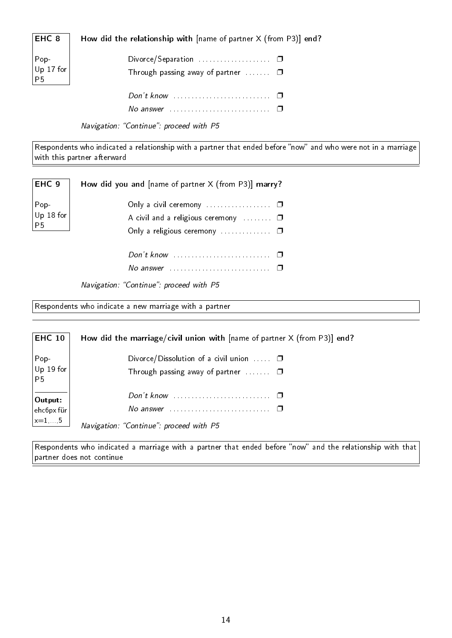| EHC 8                                                                                              | How did the relationship with $[name of partner X (from P3)] end?$   |
|----------------------------------------------------------------------------------------------------|----------------------------------------------------------------------|
| $\begin{array}{ c } \hline \text{Pop-} \\ \hline \text{Up 17 for} \\ \hline \text{P5} \end{array}$ | Through passing away of partner $\Box$                               |
|                                                                                                    |                                                                      |
|                                                                                                    | No answer $\ldots \ldots \ldots \ldots \ldots \ldots \ldots \square$ |

Navigation: "Continue": proceed with P5

Respondents who indicated a relationship with a partner that ended before "now" and who were not in a marriage with this partner afterward

| EHC <sub>9</sub>                                                                                 | How did you and $[name of partner X (from P3)]$ marry?       |
|--------------------------------------------------------------------------------------------------|--------------------------------------------------------------|
| $\begin{array}{ l } \hline \text{Pop-} \ \hline \text{Up 18 for} \ \hline \text{P5} \end{array}$ | A civil and a religious ceremony $\Box$                      |
|                                                                                                  | No answer $\ldots \ldots \ldots \ldots \ldots \ldots \ldots$ |

Navigation: "Continue": proceed with P5

Respondents who indicate a new marriage with a partner

**EHC 10** Pop-Up 19 for P5 Output: ehc6px für  $x=1, . . .5$ How did the marriage/civil union with [name of partner X (from P3)] end? Divorce/Dissolution of a civil union  $\ldots$   $\Box$ Through passing away of partner  $\dots \dots$ Don't know . . . . . . . . . . . . . . . . . . . . . . . . . . . ❐ No answer . . . . . . . . . . . . . . . . . . . . . . . . . . . . ❐ Navigation: "Continue": proceed with P5

Respondents who indicated a marriage with a partner that ended before "now" and the relationship with that partner does not continue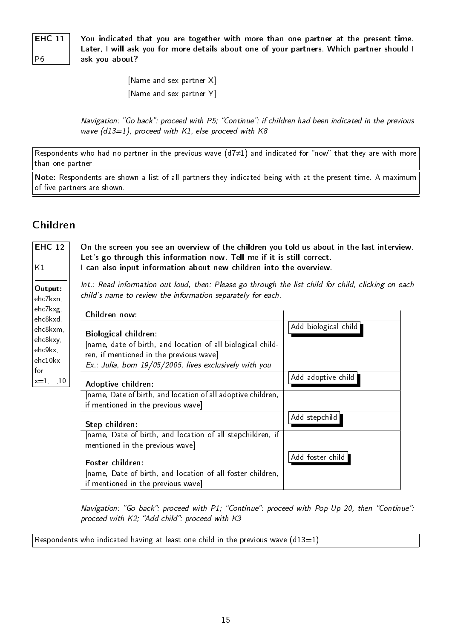### **EHC 11**

P6

You indicated that you are together with more than one partner at the present time. Later, I will ask you for more details about one of your partners. Which partner should I ask you about?

> [Name and sex partner X] [Name and sex partner Y]

Navigation: "Go back": proceed with P5; "Continue": if children had been indicated in the previous wave  $(d13=1)$ , proceed with K1, else proceed with K8

Respondents who had no partner in the previous wave (d7≠1) and indicated for "now" that they are with more than one partner.

Note: Respondents are shown a list of all partners they indicated being with at the present time. A maximum of five partners are shown.

### <span id="page-28-0"></span>Children

| I can also input information about new children into the overview.<br>K1<br>Int.: Read information out loud, then: Please go through the list child for child, clicking on each<br>Output:<br>child's name to review the information separately for each.<br>ehc7kxn,<br>ehc7kxg,<br>Children now:<br>ehc8kxd,<br>Add biological child<br>ehc8kxm,<br><b>Biological children:</b><br>ehc8kxy,<br>[name, date of birth, and location of all biological child-<br>ehc9kx,<br>ren, if mentioned in the previous wave]<br>ehc10kx<br>Ex.: Julia, born 19/05/2005, lives exclusively with you<br>for<br>Add adoptive child<br>$x=1,,10$<br>Adoptive children:<br>[name, Date of birth, and location of all adoptive children,<br>if mentioned in the previous wave]<br>Add stepchild  <br>Step children:<br>[name, Date of birth, and location of all stepchildren, if<br>mentioned in the previous wave]<br>Add foster child<br>Foster children:<br>[name, Date of birth, and location of all foster children, | <b>EHC 12</b> | On the screen you see an overview of the children you told us about in the last interview.<br>Let's go through this information now. Tell me if it is still correct. |  |
|------------------------------------------------------------------------------------------------------------------------------------------------------------------------------------------------------------------------------------------------------------------------------------------------------------------------------------------------------------------------------------------------------------------------------------------------------------------------------------------------------------------------------------------------------------------------------------------------------------------------------------------------------------------------------------------------------------------------------------------------------------------------------------------------------------------------------------------------------------------------------------------------------------------------------------------------------------------------------------------------------------|---------------|----------------------------------------------------------------------------------------------------------------------------------------------------------------------|--|
|                                                                                                                                                                                                                                                                                                                                                                                                                                                                                                                                                                                                                                                                                                                                                                                                                                                                                                                                                                                                            |               |                                                                                                                                                                      |  |
|                                                                                                                                                                                                                                                                                                                                                                                                                                                                                                                                                                                                                                                                                                                                                                                                                                                                                                                                                                                                            |               |                                                                                                                                                                      |  |
|                                                                                                                                                                                                                                                                                                                                                                                                                                                                                                                                                                                                                                                                                                                                                                                                                                                                                                                                                                                                            |               |                                                                                                                                                                      |  |
|                                                                                                                                                                                                                                                                                                                                                                                                                                                                                                                                                                                                                                                                                                                                                                                                                                                                                                                                                                                                            |               |                                                                                                                                                                      |  |
|                                                                                                                                                                                                                                                                                                                                                                                                                                                                                                                                                                                                                                                                                                                                                                                                                                                                                                                                                                                                            |               |                                                                                                                                                                      |  |
|                                                                                                                                                                                                                                                                                                                                                                                                                                                                                                                                                                                                                                                                                                                                                                                                                                                                                                                                                                                                            |               |                                                                                                                                                                      |  |
|                                                                                                                                                                                                                                                                                                                                                                                                                                                                                                                                                                                                                                                                                                                                                                                                                                                                                                                                                                                                            |               |                                                                                                                                                                      |  |
|                                                                                                                                                                                                                                                                                                                                                                                                                                                                                                                                                                                                                                                                                                                                                                                                                                                                                                                                                                                                            |               |                                                                                                                                                                      |  |
|                                                                                                                                                                                                                                                                                                                                                                                                                                                                                                                                                                                                                                                                                                                                                                                                                                                                                                                                                                                                            |               |                                                                                                                                                                      |  |
|                                                                                                                                                                                                                                                                                                                                                                                                                                                                                                                                                                                                                                                                                                                                                                                                                                                                                                                                                                                                            |               | if mentioned in the previous wave]                                                                                                                                   |  |

Navigation: "Go back": proceed with P1; "Continue": proceed with Pop-Up 20, then "Continue": proceed with  $K2$ ; "Add child": proceed with  $K3$ 

Respondents who indicated having at least one child in the previous wave  $(d13=1)$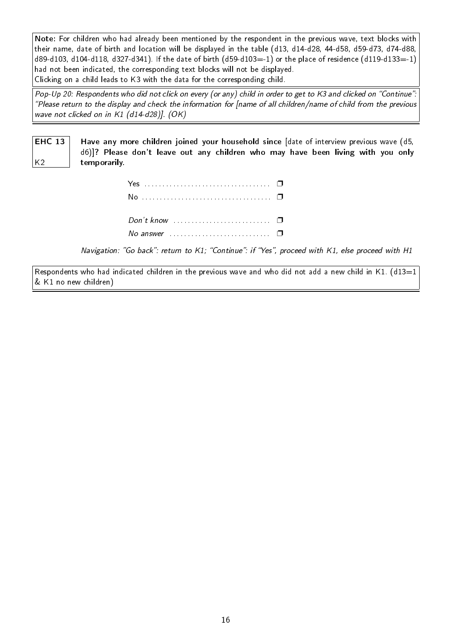Note: For children who had already been mentioned by the respondent in the previous wave, text blocks with their name, date of birth and location will be displayed in the table (d13, d14-d28, 44-d58, d59-d73, d74-d88, d89-d103, d104-d118, d327-d341). If the date of birth  $(d59- d103=-1)$  or the place of residence  $(d119-d133=-1)$ had not been indicated, the corresponding text blocks will not be displayed. Clicking on a child leads to K3 with the data for the corresponding child.

Pop-Up 20: Respondents who did not click on every (or any) child in order to get to K3 and clicked on "Continue": Please return to the display and check the information for [name of all children/name of child from the previous wave not clicked on in K1 (d14-d28)]. (OK)

EHC 13 Have any more children joined your household since [date of interview previous wave (d5, d6)]? Please don't leave out any children who may have been living with you only temporarily.

| No answer $\Box$ $\Box$ |  |
|-------------------------|--|

K2

Navigation: "Go back": return to K1; "Continue": if "Yes", proceed with K1, else proceed with H1

Respondents who had indicated children in the previous wave and who did not add a new child in K1. (d13=1) & K1 no new children)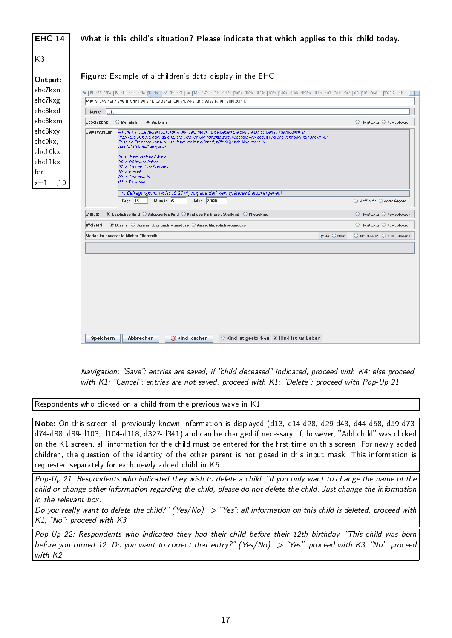

Navigation: "Save": entries are saved; if "child deceased" indicated, proceed with K4; else proceed with K1; "Cancel": entries are not saved, proceed with K1; "Delete": proceed with Pop-Up 21

Respondents who clicked on a child from the previous wave in K1

Note: On this screen all previously known information is displayed (d13, d14-d28, d29-d43, d44-d58, d59-d73, d74-d88, d89-d103, d104-d118, d327-d341) and can be changed if necessary. If, however, "Add child" was clicked on the K1 screen, all information for the child must be entered for the first time on this screen. For newly added children, the question of the identity of the other parent is not posed in this input mask. This information is requested separately for each newly added child in K5.

Pop-Up 21: Respondents who indicated they wish to delete a child: "If you only want to change the name of the child or change other information regarding the child, please do not delete the child. Just change the information in the relevant box.

Do you really want to delete the child?" (Yes/No)  $\rightarrow$  "Yes": all information on this child is deleted, proceed with  $K1$ : "No": proceed with  $K3$ 

Pop-Up 22: Respondents who indicated they had their child before their 12th birthday. This child was born before you turned 12. Do you want to correct that entry?" (Yes/No) -> "Yes": proceed with K3; "No": proceed with K2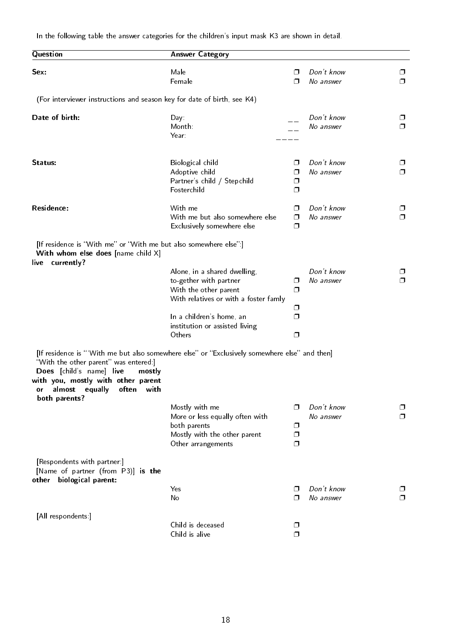In the following table the answer categories for the children's input mask K3 are shown in detail.

| Question                                                                                                                                                                                                                                                     | <b>Answer Category</b>                                                                                                   |                  |                         |                  |
|--------------------------------------------------------------------------------------------------------------------------------------------------------------------------------------------------------------------------------------------------------------|--------------------------------------------------------------------------------------------------------------------------|------------------|-------------------------|------------------|
| Sex:                                                                                                                                                                                                                                                         | Male<br>Female                                                                                                           | ⊓<br>⊓           | Don't know<br>No answer | □<br>Π.          |
| (For interviewer instructions and season key for date of birth, see K4)                                                                                                                                                                                      |                                                                                                                          |                  |                         |                  |
| Date of birth:                                                                                                                                                                                                                                               | Day:<br>Month:<br>Year:                                                                                                  |                  | Don't know<br>No answer | $\Box$<br>$\Box$ |
| Status:                                                                                                                                                                                                                                                      | Biological child<br>Adoptive child<br>Partner's child / Stepchild<br>Fosterchild                                         | ⊓<br>⊓<br>□<br>σ | Don't know<br>No answer | $\Box$<br>$\Box$ |
| Residence:                                                                                                                                                                                                                                                   | With me<br>With me but also somewhere else<br>Exclusively somewhere else                                                 | ⊓<br>σ<br>σ      | Don't know<br>No answer | $\Box$<br>$\Box$ |
| [If residence is "With me" or "With me but also somewhere else":]<br>With whom else does [name child X]                                                                                                                                                      |                                                                                                                          |                  |                         |                  |
| live currently?                                                                                                                                                                                                                                              | Alone, in a shared dwelling,<br>to-gether with partner<br>With the other parent<br>With relatives or with a foster famly | □<br>$\Box$<br>□ | Don't know<br>No answer | ⊓                |
|                                                                                                                                                                                                                                                              | In a children's home, an<br>institution or assisted living<br>Others                                                     | ⊓<br>$\Box$      |                         |                  |
| [If residence is "With me but also somewhere else" or "Exclusively somewhere else" and then]<br>"With the other parent" was entered:<br>Does [child's name] live<br>mostly<br>with you, mostly with other parent<br>almost<br>equally<br>often<br>or<br>with |                                                                                                                          |                  |                         |                  |
| both parents?                                                                                                                                                                                                                                                | Mostly with me<br>More or less equally often with<br>both parents<br>Mostly with the other parent<br>Other arrangements  | ⊓<br>σ<br>Ω<br>σ | Don't know<br>No answer | ⊓                |
| [Respondents with partner:]<br>[Name of partner (from P3)] is the<br>biological parent:<br>other                                                                                                                                                             |                                                                                                                          |                  |                         |                  |
|                                                                                                                                                                                                                                                              | Yes<br>No                                                                                                                | ⊓<br>⊓           | Don't know<br>No answer | ⊓                |
| [All respondents:]                                                                                                                                                                                                                                           | Child is deceased<br>Child is alive                                                                                      | □<br>⊓           |                         |                  |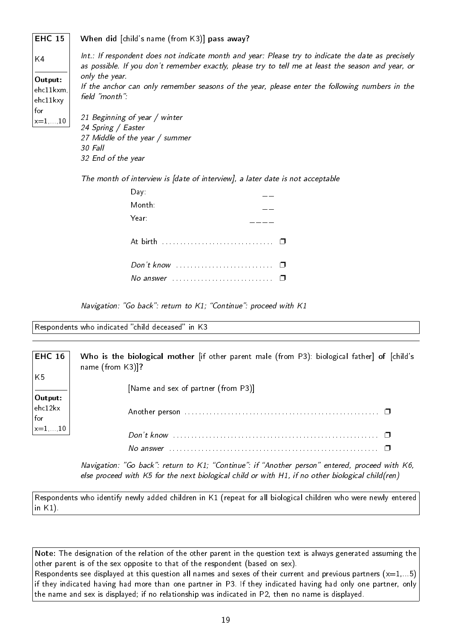EHC 15 When did [child's name (from K3)] pass away?

K4 Output: ehc11kxm, ehc11kxy for  $x=1$ , 10 Int.: If respondent does not indicate month and year: Please try to indicate the date as precisely as possible. If you don't remember exactly, please try to tell me at least the season and year, or only the year. If the anchor can only remember seasons of the year, please enter the following numbers in the field "month": 21 Beginning of year / winter 24 Spring / Easter 27 Middle of the year / summer 30 Fall

32 End of the year

The month of interview is [date of interview], a later date is not acceptable

| Day:                                                               |  |
|--------------------------------------------------------------------|--|
| Month:                                                             |  |
| Year:                                                              |  |
| At birth                                                           |  |
| $Don't know \dots \dots \dots \dots \dots \dots \dots \dots \dots$ |  |
| No answer                                                          |  |

Navigation: "Go back": return to  $K1$ ; "Continue": proceed with  $K1$ 

Respondents who indicated "child deceased" in K3

EHC 16 K5 Output: ehc12kx for  $x=1,...,10$ Who is the biological mother [if other parent male (from P3): biological father] of [child's name (from K3)]? [Name and sex of partner (from P3)] Another person . . . . . . . . . . . . . . . . . . . . . . . . . . . . . . . . . . . . . . . . . . . . . . . . . . . . . . ❐ Don't know . . . . . . . . . . . . . . . . . . . . . . . . . . . . . . . . . . . . . . . . . . . . . . . . . . . . . . . . . ❐ No answer . . . . . . . . . . . . . . . . . . . . . . . . . . . . . . . . . . . . . . . . . . . . . . . . . . . . . . . . . . ❐

> Navigation: "Go back": return to K1; "Continue": if "Another person" entered, proceed with K6, else proceed with K5 for the next biological child or with H1, if no other biological child(ren)

Respondents who identify newly added children in K1 (repeat for all biological children who were newly entered in K1).

Note: The designation of the relation of the other parent in the question text is always generated assuming the other parent is of the sex opposite to that of the respondent (based on sex). Respondents see displayed at this question all names and sexes of their current and previous partners  $(x=1,...5)$ if they indicated having had more than one partner in P3. If they indicated having had only one partner, only the name and sex is displayed; if no relationship was indicated in P2, then no name is displayed.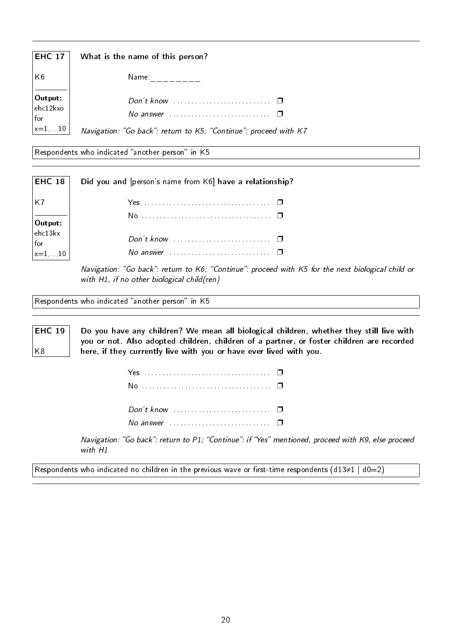| <b>EHC 17</b>                                                        | What is the name of this person?                                                                                            |
|----------------------------------------------------------------------|-----------------------------------------------------------------------------------------------------------------------------|
| K <sub>6</sub>                                                       | Name: .                                                                                                                     |
| $\Big  \textbf{Output:} \over \text{ehc12kxo}$<br>for<br>$ x=1,,10 $ | Don't know $\cdots$ $\Box$<br>No answer $\cdots$ $\Box$<br>Navigation: "Go back": return to K5; "Continue": proceed with K7 |

Respondents who indicated "another person" in K5

| <b>EHC 18</b>                                                                           | Did you and [person's name from K6] have a relationship?             |
|-----------------------------------------------------------------------------------------|----------------------------------------------------------------------|
|                                                                                         |                                                                      |
|                                                                                         |                                                                      |
| $\begin{cases}\n\text{Output:} \\ \text{ehc13kx} \\ \text{for} \\ x=1,,10\n\end{cases}$ | Don't know $\ldots$ , $\ldots$                                       |
|                                                                                         | No answer $\ldots \ldots \ldots \ldots \ldots \ldots \ldots \square$ |

Navigation: "Go back": return to K6; "Continue": proceed with K5 for the next biological child or with H1, if no other biological child(ren)

Respondents who indicated "another person" in K5

K8

EHC 19 Do you have any children? We mean all biological children, whether they still live with you or not. Also adopted children, children of a partner, or foster children are recorded here, if they currently live with you or have ever lived with you.

| Don't know $\ldots \ldots \ldots \ldots \ldots \ldots \square$ |  |
|----------------------------------------------------------------|--|
| No answer $\Box$ $\Box$                                        |  |

Navigation: "Go back": return to P1; "Continue": if "Yes" mentioned, proceed with K9, else proceed with H1

Respondents who indicated no children in the previous wave or first-time respondents (d13≠1 | d0=2)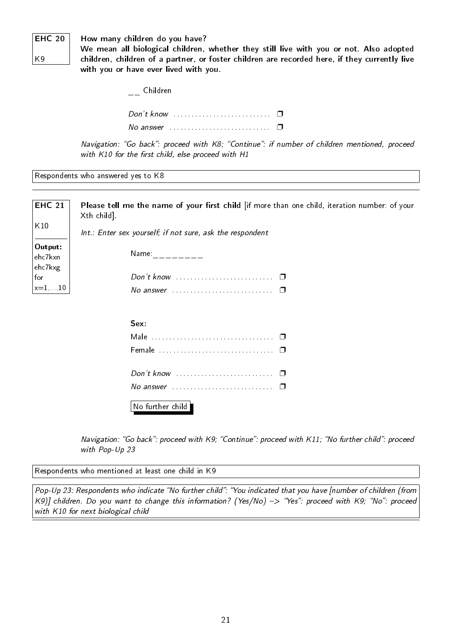### **EHC 20**

How many children do you have?

K9

We mean all biological children, whether they still live with you or not. Also adopted children, children of a partner, or foster children are recorded here, if they currently live with you or have ever lived with you.

| $\overline{\phantom{a}}$ Children |  |
|-----------------------------------|--|
|                                   |  |
|                                   |  |

Navigation: "Go back": proceed with K8; "Continue": if number of children mentioned, proceed with  $K10$  for the first child, else proceed with  $H1$ 

Respondents who answered yes to K8

| <b>EHC 21</b><br>K10          | Please tell me the name of your first child [if more than one child, iteration number: of your<br>Xth child].<br>Int.: Enter sex yourself; if not sure, ask the respondent |
|-------------------------------|----------------------------------------------------------------------------------------------------------------------------------------------------------------------------|
| Output:<br>ehc7kxn<br>ehc7kxg | Name: $\frac{1}{2}$                                                                                                                                                        |
| for                           |                                                                                                                                                                            |
| $x=1,\ldots,10$               | No answer $\cdots$ $\Box$                                                                                                                                                  |
|                               |                                                                                                                                                                            |
|                               | Sex:                                                                                                                                                                       |
|                               |                                                                                                                                                                            |
|                               |                                                                                                                                                                            |
|                               | Don't know $\ldots \ldots \ldots \ldots \ldots \ldots \ldots \square$                                                                                                      |
|                               |                                                                                                                                                                            |

No further child

Navigation: "Go back": proceed with K9; "Continue": proceed with K11; "No further child": proceed with Pop-Up 23

Respondents who mentioned at least one child in K9

Pop-Up 23: Respondents who indicate "No further child": "You indicated that you have [number of children (from K9)] children. Do you want to change this information? (Yes/No) -> "Yes": proceed with K9; "No": proceed with K10 for next biological child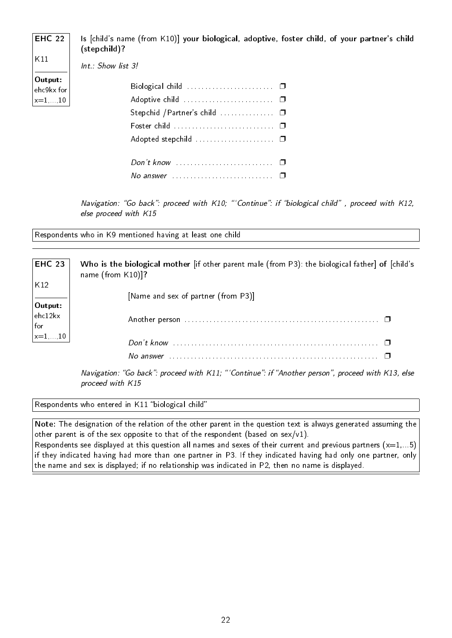| <b>EHC 22</b>         | Is [child's name (from K10)] your biological, adoptive, foster child, of your partner's child<br>(stepchild)? |
|-----------------------|---------------------------------------------------------------------------------------------------------------|
| K11                   | Int.: Show list 3!                                                                                            |
| Output:<br>ehc9kx for |                                                                                                               |
| $x=1,\ldots,10$       |                                                                                                               |
|                       |                                                                                                               |
|                       | Foster child $\dots\dots\dots\dots\dots\dots\dots\dots \Box$                                                  |
|                       |                                                                                                               |
|                       |                                                                                                               |

No answer . . . . . . . . . . . . . . . . . . . . . . . . . . . . ❐

Navigation: "Go back": proceed with K10; "'Continue": if "biological child", proceed with K12, else proceed with K15

Respondents who in K9 mentioned having at least one child

| <b>EHC 23</b>                                                                                                                   | Who is the biological mother [if other parent male (from P3): the biological father] of [child's<br>name (from $K10$ )]?                      |
|---------------------------------------------------------------------------------------------------------------------------------|-----------------------------------------------------------------------------------------------------------------------------------------------|
| $\vert_{\rm K12}$                                                                                                               | [Name and sex of partner (from P3)]                                                                                                           |
| $\begin{vmatrix}$ Output:<br>ehc12kx<br>$\left  \begin{smallmatrix} \text{for} \ \text{x}=1\ldots,10 \end{smallmatrix} \right.$ |                                                                                                                                               |
|                                                                                                                                 |                                                                                                                                               |
|                                                                                                                                 | No answer $\cdots$ . $\cdots$ . $\cdots$ . $\cdots$ . $\cdots$ . $\cdots$ . $\cdots$ . $\cdots$ . $\cdots$ . $\cdots$ . $\cdots$ . $\cdots$ . |

Navigation: "Go back": proceed with K11; "'Continue": if "Another person", proceed with K13, else proceed with K15

Respondents who entered in K11 "biological child"

Note: The designation of the relation of the other parent in the question text is always generated assuming the other parent is of the sex opposite to that of the respondent (based on sex/v1). Respondents see displayed at this question all names and sexes of their current and previous partners  $(x=1,...5)$ if they indicated having had more than one partner in P3. If they indicated having had only one partner, only the name and sex is displayed; if no relationship was indicated in P2, then no name is displayed.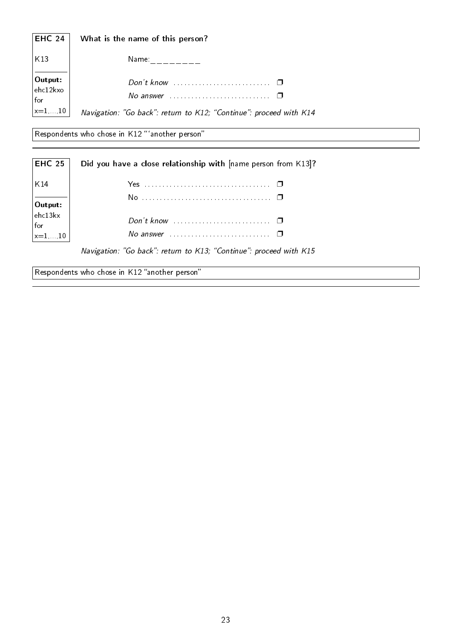| <b>EHC 24</b>                                                                                        | What is the name of this person?                                                                              |
|------------------------------------------------------------------------------------------------------|---------------------------------------------------------------------------------------------------------------|
| K13                                                                                                  | Name:                                                                                                         |
| $\begin{vmatrix}$ Output:<br>ehc12kxo<br>$\begin{vmatrix} \text{for} \\ x=1,\ldots,10 \end{vmatrix}$ | Don't know $\cdots$ $\Box$<br>No answer<br>Navigation: "Go back": return to K12; "Continue": proceed with K14 |

 $\sqrt{\mathsf{Respondents}}$  who chose in K12 "'another person"

| <b>EHC 25</b>                                      | Did you have a close relationship with [name person from K13]?     |
|----------------------------------------------------|--------------------------------------------------------------------|
| K14<br>$\Big  \textbf{Output:} \ \textbf{ehc13kx}$ |                                                                    |
| for<br>$\vert_{x=1,\ldots,10}$                     | No answer $\Box$ $\Box$                                            |
|                                                    | Navigation: "Go back": return to K13; "Continue": proceed with K15 |

Respondents who chose in K12 "another person"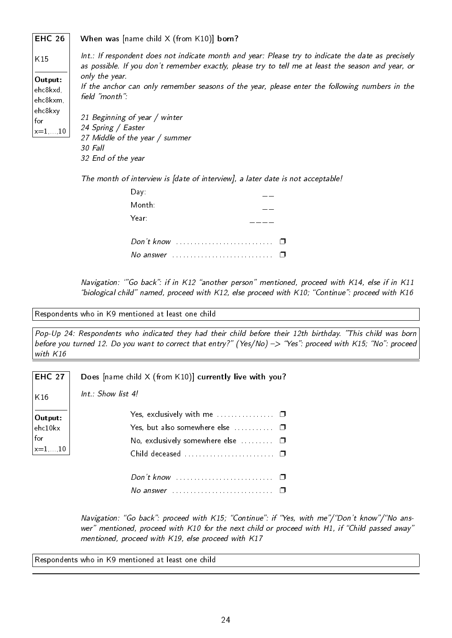#### EHC 26 When was [name child X (from K10)] born?

| K15                             | Int.: If respondent does not indicate month and year: Please try to indicate the date as precisely                                                                                                                                       |
|---------------------------------|------------------------------------------------------------------------------------------------------------------------------------------------------------------------------------------------------------------------------------------|
| Output:<br>ehc8kxd,<br>ehc8kxm, | as possible. If you don't remember exactly, please try to tell me at least the season and year, or<br>only the year.<br>If the anchor can only remember seasons of the year, please enter the following numbers in the<br>field "month": |
| ehc8kxy<br>for<br>$x = 1, , 10$ | 21 Beginning of year / winter<br>24 Spring / Easter<br>27 Middle of the year / summer                                                                                                                                                    |
|                                 | 30 Fall<br>32 End of the year                                                                                                                                                                                                            |

The month of interview is [date of interview], a later date is not acceptable!

| Day:      |  |
|-----------|--|
| Month:    |  |
| Year:     |  |
|           |  |
| No answer |  |

Navigation: "Go back": if in K12 "another person" mentioned, proceed with K14, else if in K11 "biological child" named, proceed with K12, else proceed with K10; "Continue": proceed with K16

Respondents who in K9 mentioned at least one child

Pop-Up 24: Respondents who indicated they had their child before their 12th birthday. "This child was born before you turned 12. Do you want to correct that entry?" (Yes/No) -> "Yes": proceed with K15; "No": proceed with K16

|  |  |  |  |  |  |  | <b>EHC</b> 27 $\vert$ Does [name child X (from K10)] currently live with you? |  |  |  |
|--|--|--|--|--|--|--|-------------------------------------------------------------------------------|--|--|--|
|--|--|--|--|--|--|--|-------------------------------------------------------------------------------|--|--|--|

|  | Int.: Show list 4! |  |
|--|--------------------|--|
|  |                    |  |

K16

 $\overline{\phantom{a}}$ 

| $\begin{bmatrix} \textbf{Output:} \\ \text{ehc10kx} \end{bmatrix}$<br>$\left \begin{array}{c} \text{for} \\ \text{x=1}, \dots, 10 \end{array}\right $ | Yes, but also somewhere else $\dots\dots\dots$<br>No, exclusively somewhere else $\ldots$ $\blacksquare$ |
|-------------------------------------------------------------------------------------------------------------------------------------------------------|----------------------------------------------------------------------------------------------------------|
|                                                                                                                                                       | No answer $\Box$ $\Box$                                                                                  |

Navigation: "Go back": proceed with K15; "Continue": if "Yes, with me"/"Don't know"/"No answer" mentioned, proceed with K10 for the next child or proceed with H1, if "Child passed away" mentioned, proceed with K19, else proceed with K17

Respondents who in K9 mentioned at least one child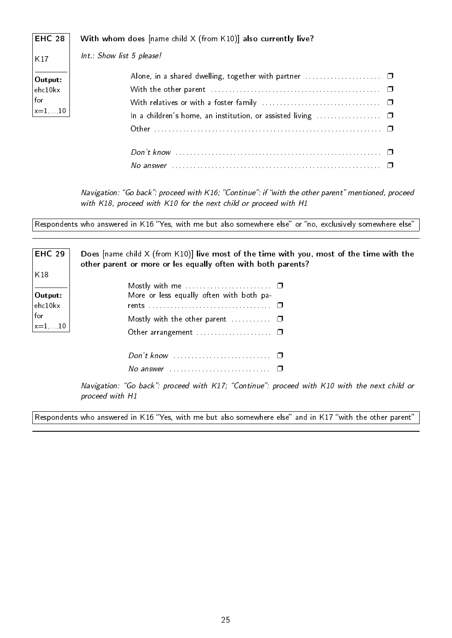| <b>EHC 28</b>                                                                            | With whom does [name child X (from K10)] also currently live? |
|------------------------------------------------------------------------------------------|---------------------------------------------------------------|
| K17                                                                                      | Int.: Show list 5 please!                                     |
| Output:<br>ehc10kx<br>$\begin{vmatrix} \text{for} \\ \text{x}=1,\ldots,10 \end{vmatrix}$ |                                                               |
|                                                                                          |                                                               |

Navigation: "Go back": proceed with K16; "Continue": if "with the other parent" mentioned, proceed with K18, proceed with K10 for the next child or proceed with H1

Respondents who answered in K16 "Yes, with me but also somewhere else" or "no, exclusively somewhere else"

| <b>EHC 29</b>                  | Does $[name child \times (from K10)]$ live most of the time with you, most of the time with the<br>other parent or more or les equally often with both parents? |
|--------------------------------|-----------------------------------------------------------------------------------------------------------------------------------------------------------------|
| K18                            |                                                                                                                                                                 |
|                                |                                                                                                                                                                 |
| Output:                        | More or less equally often with both pa-                                                                                                                        |
| $ $ ehc $10$ kx                |                                                                                                                                                                 |
| for<br>$\vert_{x=1,\ldots,10}$ | Mostly with the other parent $\dots\dots\dots$                                                                                                                  |
|                                |                                                                                                                                                                 |
|                                |                                                                                                                                                                 |
|                                | No answer $\ldots \ldots \ldots \ldots \ldots \ldots \ldots \square$                                                                                            |

Navigation: "Go back": proceed with K17; "Continue": proceed with K10 with the next child or proceed with H1

Respondents who answered in K16 "Yes, with me but also somewhere else" and in K17 "with the other parent"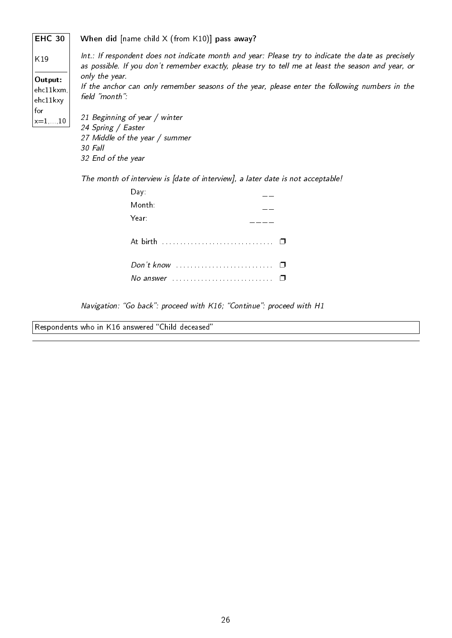EHC 30 K19 Output: ehc11kxm, ehc11kxy for  $x=1$ ....10 When did [name child X (from K10)] pass away? Int.: If respondent does not indicate month and year: Please try to indicate the date as precisely as possible. If you don't remember exactly, please try to tell me at least the season and year, or only the year. If the anchor can only remember seasons of the year, please enter the following numbers in the field "month": 21 Beginning of year / winter 24 Spring / Easter 27 Middle of the year / summer 30 Fall 32 End of the year

The month of interview is [date of interview], a later date is not acceptable!

| Day:     |  |
|----------|--|
| Month:   |  |
| Year:    |  |
| At birth |  |
|          |  |
|          |  |

Navigation: "Go back": proceed with K16; "Continue": proceed with H1

Respondents who in K16 answered "Child deceased"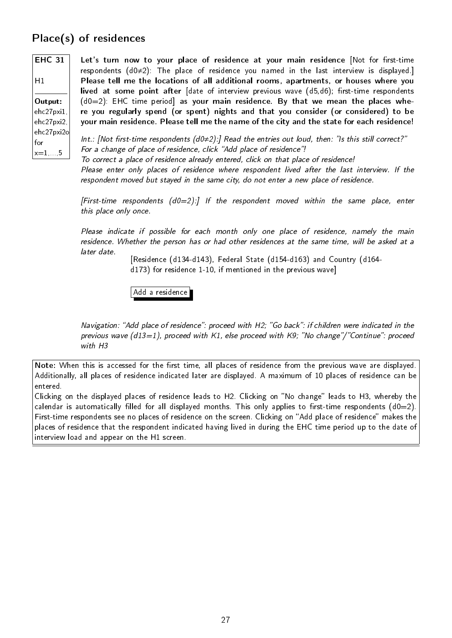## Place(s) of residences

EHC 31  $H1$ 

Output: ehc27pxi1, ehc27pxi2, ehc27pxi2o for  $x=1, . . .5$ 

Let's turn now to your place of residence at your main residence [Not for first-time respondents (d0≠2): The place of residence you named in the last interview is displayed.] Please tell me the locations of all additional rooms, apartments, or houses where you lived at some point after  $\int$  date of interview previous wave  $\int$  d5,d6); first-time respondents  $(d0=2)$ : EHC time period] as your main residence. By that we mean the places where you regularly spend (or spent) nights and that you consider (or considered) to be your main residence. Please tell me the name of the city and the state for each residence!

Int.: [Not first-time respondents (d0≠2):] Read the entries out loud, then: "Is this still correct?" For a change of place of residence, click "Add place of residence"!

To correct a place of residence already entered, click on that place of residence! Please enter only places of residence where respondent lived after the last interview. If the respondent moved but stayed in the same city, do not enter a new place of residence.

[First-time respondents  $(d0=2)$ :] If the respondent moved within the same place, enter this place only once.

Please indicate if possible for each month only one place of residence, namely the main residence. Whether the person has or had other residences at the same time, will be asked at a later date.

[Residence (d134-d143), Federal State (d154-d163) and Country (d164 d173) for residence 1-10, if mentioned in the previous wave]

Add a residence

Navigation: "Add place of residence": proceed with H2; "Go back": if children were indicated in the previous wave (d13=1), proceed with K1, else proceed with K9; "No change"/"Continue": proceed with H3

Note: When this is accessed for the first time, all places of residence from the previous wave are displayed. Additionally, all places of residence indicated later are displayed. A maximum of 10 places of residence can be entered.

Clicking on the displayed places of residence leads to H2. Clicking on "No change" leads to H3, whereby the calendar is automatically filled for all displayed months. This only applies to first-time respondents (d0=2). First-time respondents see no places of residence on the screen. Clicking on "Add place of residence" makes the places of residence that the respondent indicated having lived in during the EHC time period up to the date of interview load and appear on the H1 screen.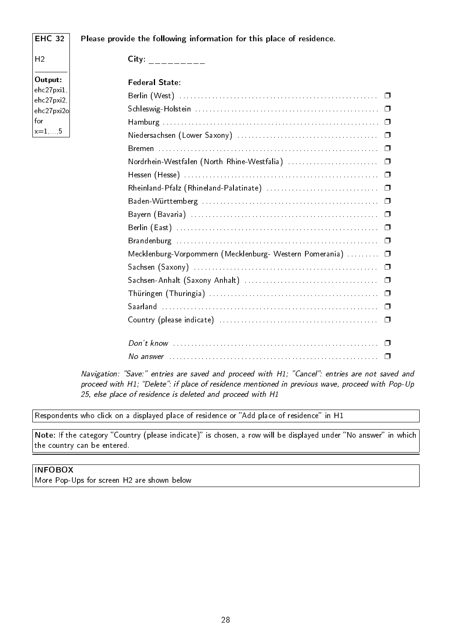#### EHC 32 Please provide the following information for this place of residence.

 $City:$  \_\_\_\_\_\_\_\_\_

 $H<sub>2</sub>$ 

Output: ehc27pxi1, ehc27pxi2, ehc27pxi2o for  $x=1$ , 5

| <b>Federal State:</b>                                      |  |
|------------------------------------------------------------|--|
|                                                            |  |
|                                                            |  |
|                                                            |  |
|                                                            |  |
|                                                            |  |
|                                                            |  |
|                                                            |  |
|                                                            |  |
|                                                            |  |
|                                                            |  |
|                                                            |  |
|                                                            |  |
| Mecklenburg-Vorpommern (Mecklenburg- Western Pomerania)  0 |  |
|                                                            |  |
|                                                            |  |
|                                                            |  |
|                                                            |  |
|                                                            |  |
|                                                            |  |
|                                                            |  |
|                                                            |  |

Navigation: "Save:" entries are saved and proceed with H1; "Cancel": entries are not saved and proceed with H1; "Delete": if place of residence mentioned in previous wave, proceed with Pop-Up 25, else place of residence is deleted and proceed with H1

Respondents who click on a displayed place of residence or "Add place of residence" in H1

Note: If the category "Country (please indicate)" is chosen, a row will be displayed under "No answer" in which the country can be entered.

### INFOBOX

More Pop-Ups for screen H2 are shown below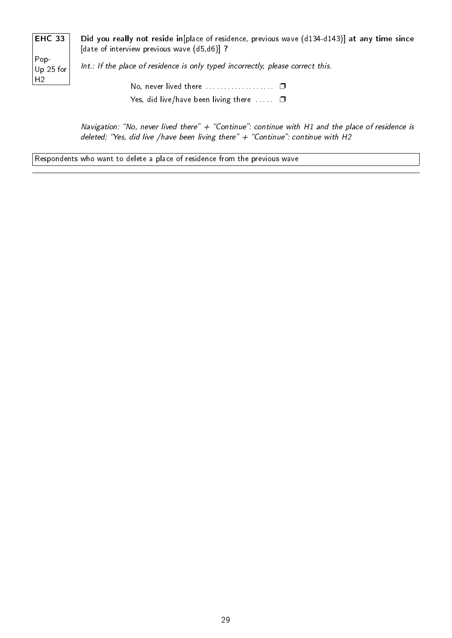| EHC 33 |  |
|--------|--|
| Pop-   |  |

H2

Did you really not reside in[place of residence, previous wave (d134-d143)] at any time since [date of interview previous wave (d5,d6)] ?

Up 25 for Int.: If the place of residence is only typed incorrectly, please correct this.

> No, never lived there . . . . . . . . . . . . . . . . . . . ❐ Yes, did live/have been living there  $\dots$   $\square$

Navigation: "No, never lived there"  $+$  "Continue": continue with H1 and the place of residence is deleted; "Yes, did live /have been living there"  $+$  "Continue": continue with H2

Respondents who want to delete a place of residence from the previous wave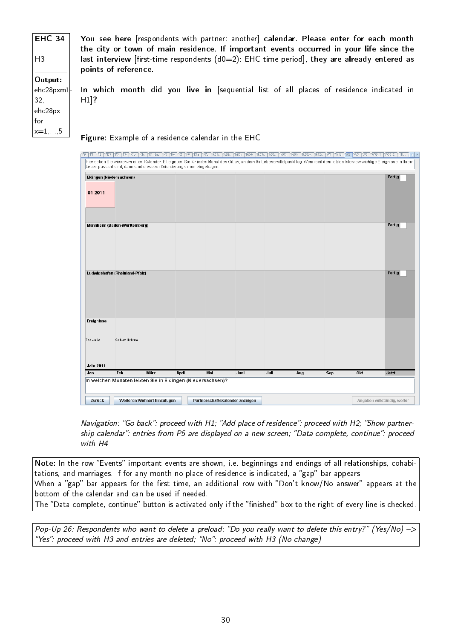EHC 34 You see here [respondents with partner: another] calendar. Please enter for each month the city or town of main residence. If important events occurred in your life since the last interview [first-time respondents  $(d0=2)$ : EHC time period], they are already entered as points of reference. Output: In which month did you live in [sequential list of all places of residence indicated in ehc28pxm1- H1]? ehc28px  $x=1, \ldots, 5$ Figure: Example of a residence calendar in the EHC .<br>Po YFI YF2 YFO3 YF3 YF4 YKIb YKI YKI KKI YKF YKF YKF YKF YKOX YKO3X YKO3X YKO3X YKO3X YKO3X YKO3X YKO3BX YKI2X YWI YWIb YWZ YW3 YW3 YW30\_I YW30\_2 YFH.  $\overline{1}$ Hier sehen Sie wiederum einen Kalender. Bitte geben Sie für jeden Monat den Ort an, an dem Ihr Lebensmittelpunkt lag. Wenn seit dem letzten Interview wichtige Ereignisse in Ihrem<br>Leben passiert sind, dann sind diese zur Or

H3

32,

for

| Eldingen (Niedersachsen)<br>01.2011                        |                                |                             |       |                                 |      |      |     |            |                             | Fertig |
|------------------------------------------------------------|--------------------------------|-----------------------------|-------|---------------------------------|------|------|-----|------------|-----------------------------|--------|
|                                                            | Mannheim (Baden-Württemberg)   |                             |       |                                 |      |      |     |            |                             | Fertig |
|                                                            | Ludwigshafen (Rheinland-Pfalz) |                             |       |                                 |      |      |     |            |                             | Fertig |
| Ereignisse                                                 |                                |                             |       |                                 |      |      |     |            |                             |        |
| Tod Julia<br><b>Jahr 2011</b>                              | Geburt Helena                  |                             |       |                                 |      |      |     |            |                             |        |
| Jan                                                        | Feb                            | <b>Marz</b>                 | April | Mai                             | Juni | Juli | Aug | <b>Sep</b> | Okt                         | Jetzt  |
| In welchen Monaten lebten Sie in Eldingen (Niedersachsen)? |                                |                             |       |                                 |      |      |     |            |                             |        |
| Zurück                                                     |                                | Weiteren Wohnort hinzufügen |       | Partnerschaftskalender anzeigen |      |      |     |            | Angaben vollständig, weiter |        |

Navigation: "Go back": proceed with H1; "Add place of residence": proceed with H2; "Show partnership calendar": entries from P5 are displayed on a new screen; "Data complete, continue": proceed with H4

Note: In the row "Events" important events are shown, i.e. beginnings and endings of all relationships, cohabitations, and marriages. If for any month no place of residence is indicated, a "gap" bar appears. When a "gap" bar appears for the first time, an additional row with "Don't know/No answer" appears at the bottom of the calendar and can be used if needed. The "Data complete, continue" button is activated only if the "finished" box to the right of every line is checked.

Pop-Up 26: Respondents who want to delete a preload: "Do you really want to delete this entry?" (Yes/No)  $\rightarrow$ "Yes": proceed with H3 and entries are deleted; "No": proceed with H3 (No change)

30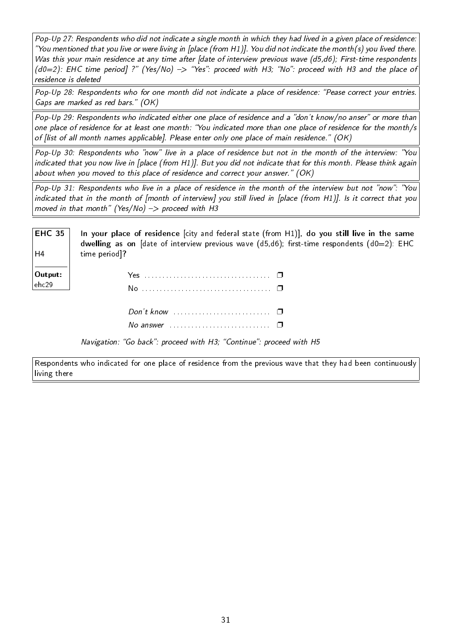Pop-Up 27: Respondents who did not indicate a single month in which they had lived in a given place of residence: "You mentioned that you live or were living in [place (from H1)]. You did not indicate the month(s) you lived there. Was this your main residence at any time after [date of interview previous wave (d5,d6); First-time respondents  $(d0=2)$ : EHC time period] ?" (Yes/No)  $\Rightarrow$  "Yes": proceed with H3; "No": proceed with H3 and the place of residence is deleted

Pop-Up 28: Respondents who for one month did not indicate a place of residence: "Pease correct your entries. Gaps are marked as red bars." (OK)

Pop-Up 29: Respondents who indicated either one place of residence and a "don't know/no anser" or more than one place of residence for at least one month: You indicated more than one place of residence for the month/s of [list of all month names applicable]. Please enter only one place of main residence."  $(OK)$ 

Pop-Up 30: Respondents who "now" live in a place of residence but not in the month of the interview: "You indicated that you now live in [place (from H1)]. But you did not indicate that for this month. Please think again about when you moved to this place of residence and correct your answer."  $(OK)$ 

Pop-Up 31: Respondents who live in a place of residence in the month of the interview but not "now": "You indicated that in the month of [month of interview] you still lived in [place (from H1)]. Is it correct that you moved in that month" (Yes/No)  $\rightarrow$  proceed with H3

| <b>EHC 35</b><br>$\mathsf{H}_4$ | In your place of residence $\lceil$ city and federal state (from H1), do you still live in the same<br>dwelling as on $\lceil$ date of interview previous wave $(d5, d6)$ ; first-time respondents $(d0=2)$ : EHC |
|---------------------------------|-------------------------------------------------------------------------------------------------------------------------------------------------------------------------------------------------------------------|
|                                 | time period]?                                                                                                                                                                                                     |
| Output:<br>ehc29                |                                                                                                                                                                                                                   |
|                                 |                                                                                                                                                                                                                   |
|                                 | Don't know $\ldots$ $\ldots$ $\ldots$ $\ldots$                                                                                                                                                                    |

Navigation: "Go back": proceed with H3; "Continue": proceed with H5

No answer . . . . . . . . . . . . . . . . . . . . . . . . . . . . ❐

Respondents who indicated for one place of residence from the previous wave that they had been continuously living there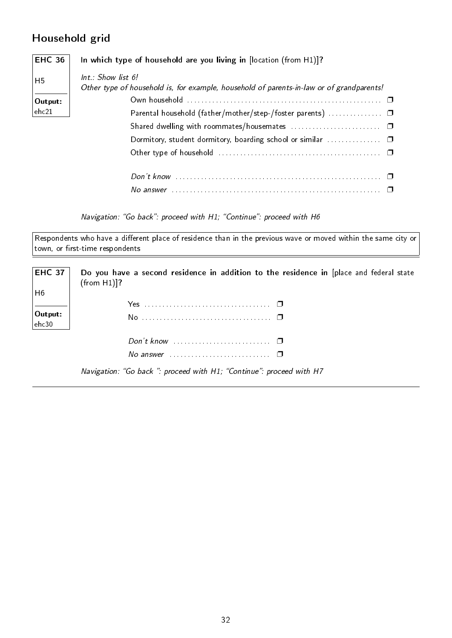## Household grid

| <b>EHC 36</b>  | In which type of household are you living in $[location (from H1)]$ ?                                            |
|----------------|------------------------------------------------------------------------------------------------------------------|
| H <sub>5</sub> | $Int : Show$ list 6!<br>Other type of household is, for example, household of parents-in-law or of grandparents! |
| Output:        |                                                                                                                  |
| ehc21          |                                                                                                                  |
|                |                                                                                                                  |
|                |                                                                                                                  |
|                |                                                                                                                  |
|                |                                                                                                                  |
|                | No answer                                                                                                        |

Navigation: "Go back": proceed with H1; "Continue": proceed with H6

Respondents who have a different place of residence than in the previous wave or moved within the same city or  $\vert$  town, or first-time respondents

| <b>EHC 37</b>   | Do you have a second residence in addition to the residence in [place and federal state<br>(from H1)]? |
|-----------------|--------------------------------------------------------------------------------------------------------|
| $\vert$ H6      |                                                                                                        |
|                 |                                                                                                        |
| $\vert$ Output: |                                                                                                        |
| $ $ ehc30 $ $   |                                                                                                        |
|                 |                                                                                                        |
|                 | No answer $\cdots$ $\Box$                                                                              |
|                 | Navigation: "Go back ": proceed with H1; "Continue": proceed with H7                                   |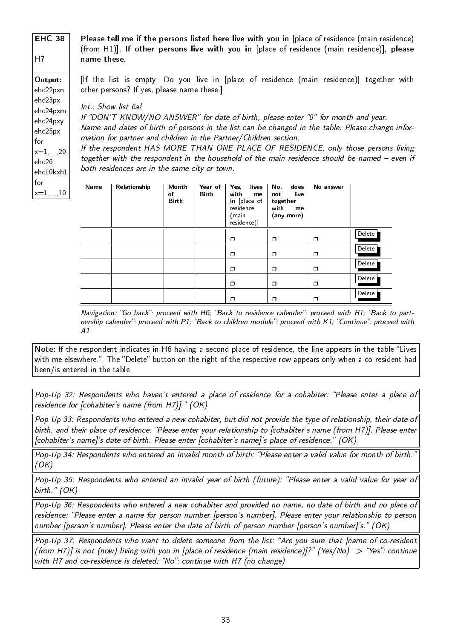EHC 38 H7 Output: ehc22pxn, ehc23px, ehc24pxm, ehc24pxy ehc25px for  $x=1, \ldots, 20,$ ehc26, ehc10kxh1 for  $x=1, . . . 10$ Please tell me if the persons listed here live with you in [place of residence (main residence) (from H1)]. If other persons live with you in [place of residence (main residence)], please name these. [If the list is empty: Do you live in [place of residence (main residence)] together with other persons? If yes, please name these.] Int.: Show list 6a! If "DON'T KNOW/NO ANSWER" for date of birth, please enter "0" for month and year. Name and dates of birth of persons in the list can be changed in the table. Please change information for partner and children in the Partner/Children section. If the respondent HAS MORE THAN ONE PLACE OF RESIDENCE, only those persons living together with the respondent in the household of the main residence should be named  $-$  even if both residences are in the same city or town. Name | Relationship | Month of Birth Year of Birth Yes, lives with me in [place of residence (main residence)] No, does not live together with me (any more) No answer o lo lo Delete

Note: If the respondent indicates in H6 having a second place of residence, the line appears in the table "Lives with me elsewhere.". The "Delete" button on the right of the respective row appears only when a co-resident had been/is entered in the table.

A1

Navigation: "Go back": proceed with  $H6$ ; "Back to residence calender": proceed with  $H1$ ; "Back to partnership calender": proceed with P1; "Back to children module": proceed with K1; "Continue": proceed with

n In In

o lo lo

n In In

o lo lo

Delete

Delete

Delete

Delete

Pop-Up 32: Respondents who haven't entered a place of residence for a cohabiter: "Please enter a place of residence for  $[cohabiter's name (from H7)]$ ."  $(OK)$ 

Pop-Up 33: Respondents who entered a new cohabiter, but did not provide the type of relationship, their date of birth, and their place of residence: "Please enter your relationship to [cohabiter's name (from H7)]. Please enter [cohabiter's name]'s date of birth. Please enter [cohabiter's name]'s place of residence." (OK)

Pop-Up 34: Respondents who entered an invalid month of birth: "Please enter a valid value for month of birth.  $(OK)$ 

Pop-Up 35: Respondents who entered an invalid year of birth (future): "Please enter a valid value for year of birth."  $(OK)$ 

Pop-Up 36: Respondents who entered a new cohabiter and provided no name, no date of birth and no place of residence: "Please enter a name for person number [person's number]. Please enter your relationship to person number [person's number]. Please enter the date of birth of person number [person's number]'s." (OK)

Pop-Up 37: Respondents who want to delete someone from the list: "Are you sure that [name of co-resident (from H7)] is not (now) living with you in [place of residence (main residence)]?" (Yes/No) -> "Yes": continue with H7 and co-residence is deleted; "No": continue with H7 (no change)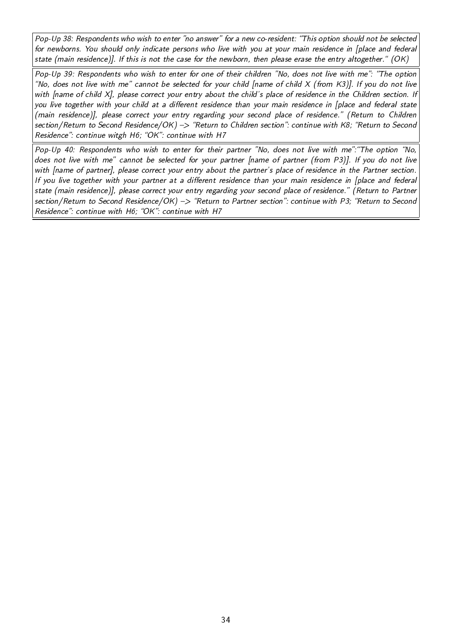Pop-Up 38: Respondents who wish to enter "no answer" for a new co-resident: "This option should not be selected for newborns. You should only indicate persons who live with you at your main residence in [place and federal state (main residence)]. If this is not the case for the newborn, then please erase the entry altogether." (OK)

Pop-Up 39: Respondents who wish to enter for one of their children "No, does not live with me": "The option "No, does not live with me" cannot be selected for your child [name of child  $X$  (from  $K3$ )]. If you do not live with [name of child X], please correct your entry about the child's place of residence in the Children section. If you live together with your child at a different residence than your main residence in [place and federal state (main residence)], please correct your entry regarding your second place of residence." (Return to Children section/Return to Second Residence/OK) -> "Return to Children section": continue with K8; "Return to Second Residence": continue witgh H6; "OK": continue with H7

Pop-Up 40: Respondents who wish to enter for their partner "No, does not live with me": "The option "No, does not live with me" cannot be selected for your partner [name of partner (from P3)]. If you do not live with [name of partner], please correct your entry about the partner's place of residence in the Partner section. If you live together with your partner at a different residence than your main residence in [place and federal state (main residence)], please correct your entry regarding your second place of residence." (Return to Partner section/Return to Second Residence/OK) -> "Return to Partner section": continue with P3; "Return to Second Residence": continue with H6; "OK": continue with H7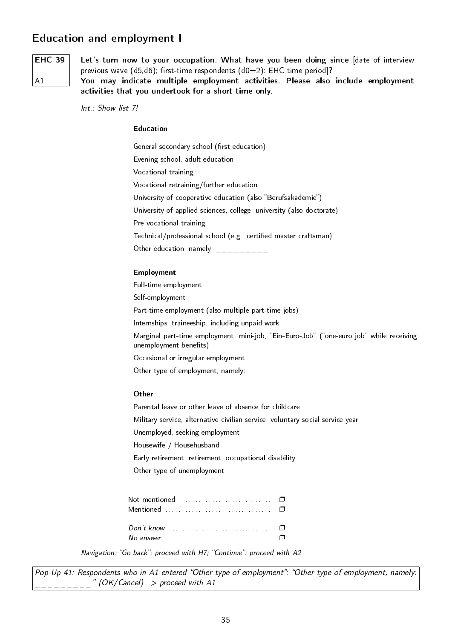## Education and employment I

# EHC 39  $A<sub>1</sub>$

Let's turn now to your occupation. What have you been doing since [date of interview previous wave  $(d5, d6)$ ; first-time respondents  $(d0=2)$ : EHC time period]?

You may indicate multiple employment activities. Please also include employment activities that you undertook for a short time only.

Int.: Show list 7!

#### Education

General secondary school (first education) Evening school, adult education Vocational training Vocational retraining/further education University of cooperative education (also "Berufsakademie") University of applied sciences, college, university (also doctorate) Pre-vocational training Technical/professional school (e.g., certified master craftsman) Other education, namely:  $\frac{1}{2}$ 

#### Employment

Full-time employment Self-employment Part-time employment (also multiple part-time jobs) Internships, traineeship, including unpaid work Marginal part-time employment, mini-job, "Ein-Euro-Job" ("one-euro job" while receiving unemployment benefits) Occasional or irregular employment Other type of employment, namely:  $\frac{1}{2}$ **Other** Parental leave or other leave of absence for childcare Military service, alternative civilian service, voluntary social service year Unemployed, seeking employment Housewife / Househusband

Early retirement, retirement, occupational disability

Other type of unemployment

| Not mentioned $\qquad \qquad \Box$<br>Mentioned $\ldots$ $\ldots$ $\ldots$ $\ldots$ $\ldots$ $\Box$ |  |
|-----------------------------------------------------------------------------------------------------|--|
| Don't know                                                                                          |  |

Navigation: "Go back": proceed with H7; "Continue": proceed with A2

Pop-Up 41: Respondents who in A1 entered "Other type of employment": "Other type of employment, namely:  $\degree$  (OK/Cancel) -> proceed with A1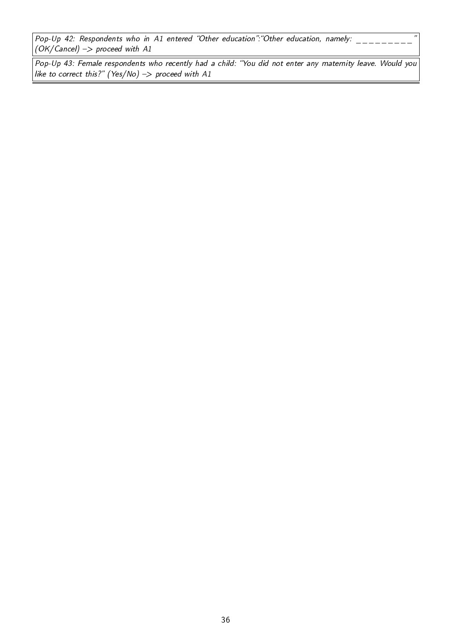Pop-Up 42: Respondents who in A1 entered "Other education": "Other education, namely:  $(OK/Cancel)$  -> proceed with A1

Pop-Up 43: Female respondents who recently had a child: "You did not enter any maternity leave. Would you like to correct this?" (Yes/No)  $\rightarrow$  proceed with A1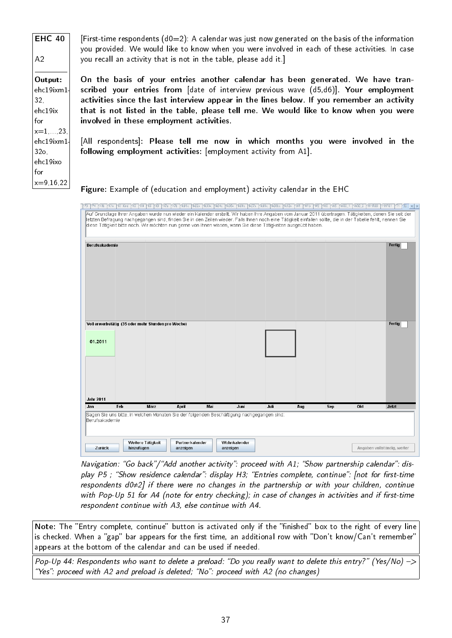EHC 40  $A<sub>2</sub>$ Output: ehc19ixm1- 32, ehc19ix for  $x=1$ .....23 ehc19ixm1-  $32<sub>o</sub>$ ehc19ixo for  $x = 9,16,22$ [First-time respondents  $(d0=2)$ : A calendar was just now generated on the basis of the information you provided. We would like to know when you were involved in each of these activities. In case you recall an activity that is not in the table, please add it.] On the basis of your entries another calendar has been generated. We have transcribed your entries from [date of interview previous wave (d5,d6)]. Your employment activities since the last interview appear in the lines below. If you remember an activity that is not listed in the table, please tell me. We would like to know when you were involved in these employment activities. [All respondents]: Please tell me now in which months you were involved in the following employment activities: [employment activity from A1]. Figure: Example of (education and employment) activity calendar in the EHC



Navigation: "Go back"/"Add another activity": proceed with A1; "Show partnership calendar": display P5; "Show residence calendar": display H3; "Entries complete, continue": [not for first-time respondents d0≠2] if there were no changes in the partnership or with your children, continue with Pop-Up 51 for A4 (note for entry checking); in case of changes in activities and if first-time respondent continue with A3, else continue with A4.

Note: The "Entry complete, continue" button is activated only if the "finished" box to the right of every line is checked. When a "gap" bar appears for the first time, an additional row with "Don't know/Can't remember" appears at the bottom of the calendar and can be used if needed.

Pop-Up 44: Respondents who want to delete a preload: "Do you really want to delete this entry?" (Yes/No)  $\rightarrow$ "Yes": proceed with A2 and preload is deleted: "No": proceed with A2 (no changes)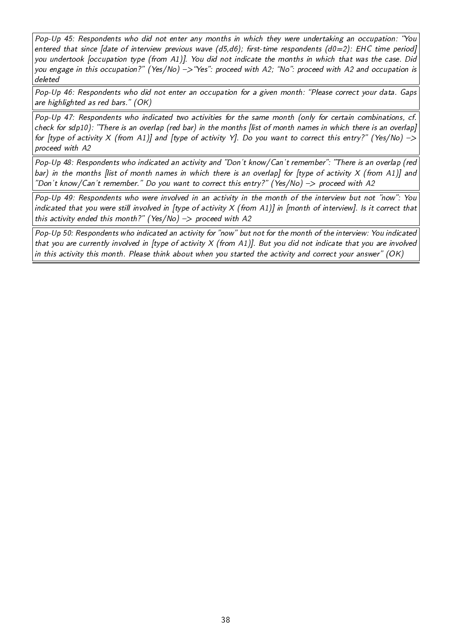Pop-Up 45: Respondents who did not enter any months in which they were undertaking an occupation: You entered that since [date of interview previous wave (d5,d6); first-time respondents (d0=2): EHC time period] you undertook [occupation type (from A1)]. You did not indicate the months in which that was the case. Did you engage in this occupation?" (Yes/No)  $\rightarrow$  "Yes": proceed with A2; "No": proceed with A2 and occupation is deleted

Pop-Up 46: Respondents who did not enter an occupation for a given month: "Please correct your data. Gaps are highlighted as red bars."  $(OK)$ 

Pop-Up 47: Respondents who indicated two activities for the same month (only for certain combinations, cf. check for sdp10): There is an overlap (red bar) in the months [list of month names in which there is an overlap] for [type of activity X (from A1)] and [type of activity Y]. Do you want to correct this entry?" (Yes/No)  $\rightarrow$ proceed with A2

Pop-Up 48: Respondents who indicated an activity and "Don't know/Can't remember": "There is an overlap (red bar) in the months *[list of month names in which there is an overlap] for [type of activity X (from A1)] and* "Don't know/Can't remember." Do you want to correct this entry?" (Yes/No)  $\rightarrow$  proceed with A2

Pop-Up 49: Respondents who were involved in an activity in the month of the interview but not "now": You indicated that you were still involved in [type of activity X (from A1)] in [month of interview]. Is it correct that this activity ended this month?" (Yes/No)  $\Rightarrow$  proceed with A2

Pop-Up 50: Respondents who indicated an activity for "now" but not for the month of the interview: You indicated that you are currently involved in [type of activity  $X$  (from A1)]. But you did not indicate that you are involved in this activity this month. Please think about when you started the activity and correct your answer" (OK)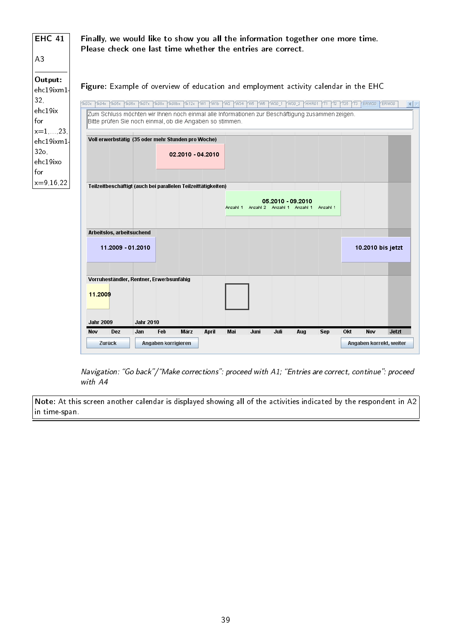| <b>EHC 41</b>                            | Finally, we would like to show you all the information together one more time.<br>Please check one last time whether the entries are correct.                                                                                                                   |
|------------------------------------------|-----------------------------------------------------------------------------------------------------------------------------------------------------------------------------------------------------------------------------------------------------------------|
| A3                                       |                                                                                                                                                                                                                                                                 |
| Output:<br>ehc19ixm1<br>32,              | Figure: Example of overview of education and employment activity calendar in the EHC<br>TK04x TK05x TK06x TK07x TK08x TK08bx TK12x TW1<br>ERW20 ERW30<br>$\sqrt{\text{k03x}}$<br>PW16 PW2 PW34 PW5 PW6 PW30_1<br>$\sqrt{0030}$ 2<br>HHR01<br>12 125 13<br>KT1 I |
| ehc19ix<br>for<br>$x=1, , 23,$           | Zum Schluss möchten wir Ihnen noch einmal alle Informationen zur Beschäftigung zusammen zeigen.<br>Bitte prüfen Sie noch einmal, ob die Angaben so stimmen.                                                                                                     |
| ehc19ixm1<br>32 <sub>o</sub><br>ehc19ixo | Voll erwerbstätig (35 oder mehr Stunden pro Woche)<br>02.2010 - 04.2010                                                                                                                                                                                         |
| for<br>$x=9,16,22$                       | Teilzeitbeschäftigt (auch bei parallelen Teilzeittätigkeiten)<br>05.2010 - 09.2010<br>Anzahl 1 Anzahl 2 Anzahl 1 Anzahl 1<br>Anzahl 1                                                                                                                           |
|                                          | Arbeitslos, arbeitsuchend                                                                                                                                                                                                                                       |
|                                          | 11.2009 - 01.2010<br>10.2010 bis jetzt                                                                                                                                                                                                                          |
|                                          | Vorruheständler, Rentner, Erwerbsunfähig<br>11.2009                                                                                                                                                                                                             |
|                                          | <b>Jahr 2010</b><br><b>Jahr 2009</b><br><b>Marz</b><br>Jetzt<br>Feb<br>Okt<br>Nov<br>Nov<br>Dez<br>Jan<br>April<br>Mai<br>Juni<br>Juli<br>Aug<br>Sep                                                                                                            |
|                                          | Zurück<br>Angaben korrigieren<br>Angaben korrekt, weiter                                                                                                                                                                                                        |

Navigation: "Go back"/"Make corrections": proceed with A1; "Entries are correct, continue": proceed with A4

Note: At this screen another calendar is displayed showing all of the activities indicated by the respondent in A2 in time-span.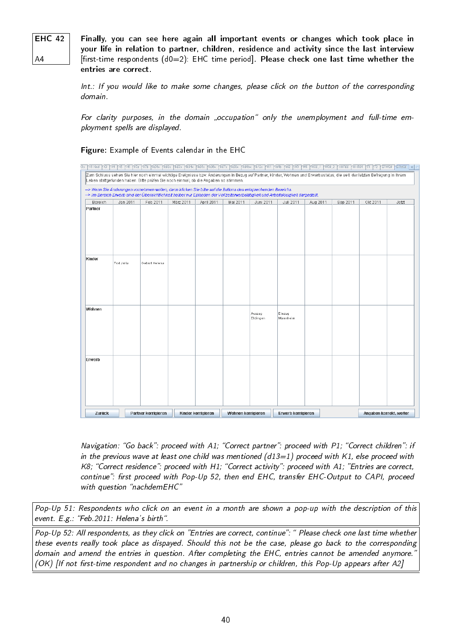EHC 42

A4

Finally, you can see here again all important events or changes which took place in your life in relation to partner, children, residence and activity since the last interview  $[first-time$  respondents  $(d0=2)$ : EHC time period]. Please check one last time whether the entries are correct.

Int.: If you would like to make some changes, please click on the button of the corresponding domain.

For clarity purposes, in the domain "occupation" only the unemployment and full-time employment spells are displayed.

### Figure: Example of Events calendar in the EHC

|                    | cto KKI Kind KK3 KK4 KK5 KK3 KK75 KK01x Kik02x Kik03x Kik04x Kik06x Kik06x Kik07x Kik08bx Kik12x KW1 KW15 KW3 KW5 KW30_1                                                                                                                                          |                     |           |                    |                    |                    |                    | $\frac{1}{10030 - 2}$ |          | HHROD HHROT TT TZ FERW20 ERW30 4   B |       |
|--------------------|-------------------------------------------------------------------------------------------------------------------------------------------------------------------------------------------------------------------------------------------------------------------|---------------------|-----------|--------------------|--------------------|--------------------|--------------------|-----------------------|----------|--------------------------------------|-------|
|                    | Zum Schluss sehen Sie hier noch einmal wichtige Ereignisse bzw. Änderungen in Bezug auf Partner, Kinder, Wohnen und Erwerbsstatus, die seit der letzten Befragung in Ihrem<br>Leben stattgefunden haben. Bitte prüfen Sie noch einmal, ob die Angaben so stimmen. |                     |           |                    |                    |                    |                    |                       |          |                                      |       |
|                    | -> Wenn Sie Änderungen vornehmen wollen, dann klicken Sie bitte auf die Buttons des entsprechenden Bereichs.                                                                                                                                                      |                     |           |                    |                    |                    |                    |                       |          |                                      |       |
|                    | -> Im Bereich Erwerb sind der Übersichtlichkeit halber nur Episoden der Vollzeiterwerbstätigkeit und Arbeitslosigkeit dargestellt.                                                                                                                                |                     |           |                    |                    |                    |                    |                       |          |                                      |       |
| Bereich<br>Partner | Jan 2011                                                                                                                                                                                                                                                          | Feb 2011            | März 2011 | April 2011         | Mai 2011           | Juni 2011          | Juli 2011          | Aug 2011              | Sep 2011 | Okt 2011                             | Jetzt |
|                    |                                                                                                                                                                                                                                                                   |                     |           |                    |                    |                    |                    |                       |          |                                      |       |
|                    |                                                                                                                                                                                                                                                                   |                     |           |                    |                    |                    |                    |                       |          |                                      |       |
| Kinder             | Tod Julia                                                                                                                                                                                                                                                         | Geburt Helena       |           |                    |                    |                    |                    |                       |          |                                      |       |
|                    |                                                                                                                                                                                                                                                                   |                     |           |                    |                    |                    |                    |                       |          |                                      |       |
|                    |                                                                                                                                                                                                                                                                   |                     |           |                    |                    |                    |                    |                       |          |                                      |       |
| Wohnen             |                                                                                                                                                                                                                                                                   |                     |           |                    |                    | Auszug<br>Eldingen | Einzug<br>Mannheim |                       |          |                                      |       |
|                    |                                                                                                                                                                                                                                                                   |                     |           |                    |                    |                    |                    |                       |          |                                      |       |
| Erwerb             |                                                                                                                                                                                                                                                                   |                     |           |                    |                    |                    |                    |                       |          |                                      |       |
|                    |                                                                                                                                                                                                                                                                   |                     |           |                    |                    |                    |                    |                       |          |                                      |       |
|                    |                                                                                                                                                                                                                                                                   |                     |           |                    |                    |                    |                    |                       |          |                                      |       |
|                    |                                                                                                                                                                                                                                                                   |                     |           |                    |                    |                    |                    |                       |          |                                      |       |
| Zurück             |                                                                                                                                                                                                                                                                   | Partner korrigieren |           | Kinder korrigieren | Wohnen korrigieren |                    | Erwerb korrigieren |                       |          | Angaben korrekt, weiter              |       |

Navigation: "Go back": proceed with A1; "Correct partner": proceed with P1; "Correct children": if in the previous wave at least one child was mentioned  $(d13=1)$  proceed with K1, else proceed with K8; "Correct residence": proceed with H1; "Correct activity": proceed with A1; "Entries are correct, continue": first proceed with Pop-Up 52, then end EHC, transfer EHC-Output to CAPI, proceed with question "nachdemEHC"

Pop-Up 51: Respondents who click on an event in a month are shown a pop-up with the description of this event. E.g.: "Feb.2011: Helena's birth".

Pop-Up 52: All respondents, as they click on "Entries are correct, continue": " Please check one last time whether these events really took place as dispayed. Should this not be the case, please go back to the corresponding domain and amend the entries in question. After completing the EHC, entries cannot be amended anymore. (OK) Ilf not first-time respondent and no changes in partnership or children, this Pop-Up appears after A2]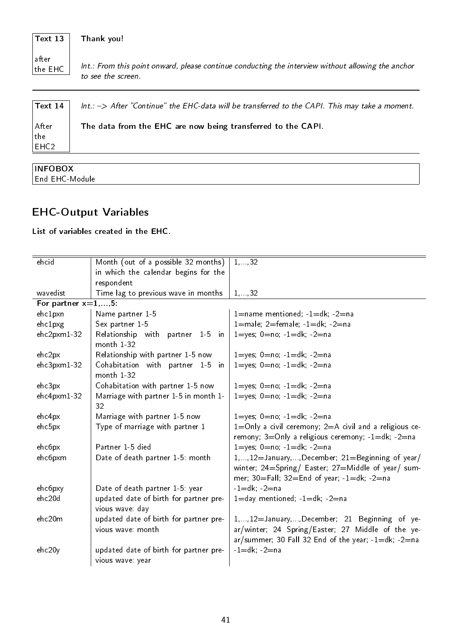#### Text 13 Thank you!

after the  $E$ HC

Int.: From this point onward, please continue conducting the interview without allowing the anchor to see the screen.

| $\vert$ Text 14       | $Int.: -> After "Continue"$ the EHC-data will be transferred to the CAPI. This may take a moment. |
|-----------------------|---------------------------------------------------------------------------------------------------|
| After <br>$\vert$ the | The data from the EHC are now being transferred to the CAPI.                                      |
| EHC2                  |                                                                                                   |

| End<br>' FHt<br>- IV 11<br>۱l۴<br>n. |  |
|--------------------------------------|--|

## EHC-Output Variables

### List of variables created in the EHC.

| ehcid                  | Month (out of a possible 32 months)                         | 1, 32                                                                                                                                                                 |
|------------------------|-------------------------------------------------------------|-----------------------------------------------------------------------------------------------------------------------------------------------------------------------|
|                        | in which the calendar begins for the                        |                                                                                                                                                                       |
|                        | respondent                                                  |                                                                                                                                                                       |
| wavedist               | Time lag to previous wave in months                         | 1, 32                                                                                                                                                                 |
| For partner $x=1,,5$ : |                                                             |                                                                                                                                                                       |
| ehc1pxn                | Name partner 1-5                                            | $1 =$ name mentioned; $-1 = dk$ ; $-2 =$ na                                                                                                                           |
| ehclpxg                | Sex partner 1-5                                             | 1=male; 2=female; $-1=dk$ ; $-2=na$                                                                                                                                   |
| ehc2pxm1-32            | Relationship with<br>partner 1-5 in<br>month 1-32           | 1=yes; $0=no; -1=dk; -2=na$                                                                                                                                           |
| ehc2px                 | Relationship with partner 1-5 now                           | $1 = yes$ ; $0 = no$ ; $-1 = dk$ ; $-2 = na$                                                                                                                          |
| $ehc3pxm1-32$          | Cohabitation with partner 1-5 in<br>month 1-32              | $1 = yes$ ; $0 = no$ ; $-1 = dk$ ; $-2 = na$                                                                                                                          |
| ehc3px                 | Cohabitation with partner 1-5 now                           | 1=yes; $0=no; -1=dk; -2=na$                                                                                                                                           |
| ehc4pxm1-32            | Marriage with partner 1-5 in month 1-                       | 1=yes; $0=no; -1=dk; -2=na$                                                                                                                                           |
|                        | 32                                                          |                                                                                                                                                                       |
| ehc4px                 | Marriage with partner 1-5 now                               | $1 = yes$ ; $0 = no$ ; $-1 = dk$ ; $-2 = na$                                                                                                                          |
| ehc5px                 | Type of marriage with partner 1                             | $1=$ Only a civil ceremony; $2=$ A civil and a religious ce-<br>remony; $3=$ Only a religious ceremony; $-1=$ dk; $-2=$ na                                            |
| ehc6px                 | Partner 1-5 died                                            | 1=yes; $0=no; -1=dk; -2=na$                                                                                                                                           |
| ehc6pxm                | Date of death partner 1-5: month                            | 1, , 12 = January, , December; 21 = Beginning of year/                                                                                                                |
|                        |                                                             | winter; 24=Spring/ Easter; 27=Middle of year/ sum-                                                                                                                    |
|                        |                                                             | mer; $30=$ Fall; $32=$ End of year; $-1=$ dk; $-2=$ na                                                                                                                |
| ehc6pxy                | Date of death partner 1-5: year                             | $-1 = dk$ ; $-2 = na$                                                                                                                                                 |
| ehc20d                 | updated date of birth for partner pre-<br>vious wave: day   | $1 =$ day mentioned; $-1 =$ dk; $-2 =$ na                                                                                                                             |
| ehc20m                 | updated date of birth for partner pre-<br>vious wave: month | 1, , 12= January, , December; 21 Beginning of ye-<br>ar/winter; 24 Spring/Easter; 27 Middle of the ye-<br>$ar/summer$ ; 30 Fall 32 End of the year; $-1=dk$ ; $-2=na$ |
| ehc20y                 | updated date of birth for partner pre-<br>vious wave: year  | $-1 = dk$ ; $-2 = na$                                                                                                                                                 |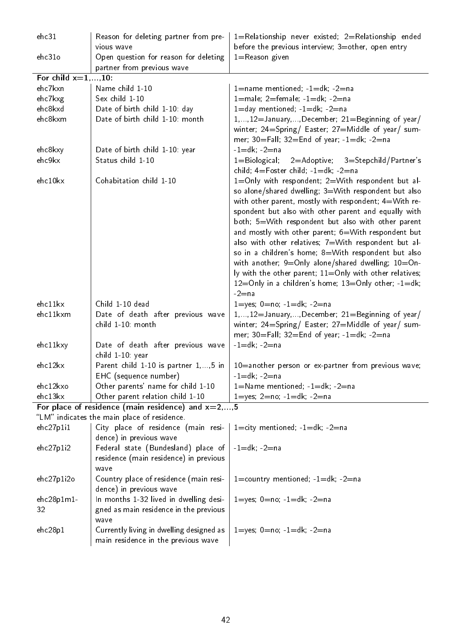| ehc31                          | Reason for deleting partner from pre-<br>vious wave                                   | 1=Relationship never existed; 2=Relationship ended<br>before the previous interview; 3=other, open entry                                                                                                                                                                                                                                                                                                                                                                                                                                                                                                                                                                                                                                                            |
|--------------------------------|---------------------------------------------------------------------------------------|---------------------------------------------------------------------------------------------------------------------------------------------------------------------------------------------------------------------------------------------------------------------------------------------------------------------------------------------------------------------------------------------------------------------------------------------------------------------------------------------------------------------------------------------------------------------------------------------------------------------------------------------------------------------------------------------------------------------------------------------------------------------|
| ehc31o                         | Open question for reason for deleting                                                 | $1 =$ Reason given                                                                                                                                                                                                                                                                                                                                                                                                                                                                                                                                                                                                                                                                                                                                                  |
|                                | partner from previous wave                                                            |                                                                                                                                                                                                                                                                                                                                                                                                                                                                                                                                                                                                                                                                                                                                                                     |
| For child $x=1,,10$ :          |                                                                                       |                                                                                                                                                                                                                                                                                                                                                                                                                                                                                                                                                                                                                                                                                                                                                                     |
| ehc7kxn                        | Name child 1-10                                                                       | 1=name mentioned; -1=dk; -2=na                                                                                                                                                                                                                                                                                                                                                                                                                                                                                                                                                                                                                                                                                                                                      |
| ehc7kxg                        | Sex child 1-10                                                                        | 1=male; 2=female; $-1=dk$ ; $-2=na$                                                                                                                                                                                                                                                                                                                                                                                                                                                                                                                                                                                                                                                                                                                                 |
| ehc8kxd                        | Date of birth child 1-10: day                                                         | $1 =$ day mentioned; $-1 =$ dk; $-2 =$ na                                                                                                                                                                                                                                                                                                                                                                                                                                                                                                                                                                                                                                                                                                                           |
| ehc8kxm                        | Date of birth child 1-10: month                                                       | 1,, 12=January, , December; 21=Beginning of year/<br>winter, 24=Spring/ Easter, 27=Middle of year/ sum-<br>mer; 30=Fall; 32=End of year; -1=dk; -2=na                                                                                                                                                                                                                                                                                                                                                                                                                                                                                                                                                                                                               |
| ehc8kxy                        | Date of birth child 1-10: year                                                        | $-1 = dk$ ; $-2 = na$                                                                                                                                                                                                                                                                                                                                                                                                                                                                                                                                                                                                                                                                                                                                               |
| ehc9kx                         | Status child 1-10                                                                     | $1 = Biological;$<br>2=Adoptive; 3=Stepchild/Partner's<br>child; 4=Foster child; -1=dk; -2=na                                                                                                                                                                                                                                                                                                                                                                                                                                                                                                                                                                                                                                                                       |
| ehc10kx<br>ehc11kx<br>ehc11kxm | Cohabitation child 1-10<br>Child 1-10 dead<br>Date of death after previous wave       | 1=Only with respondent; 2=With respondent but al-<br>so alone/shared dwelling; 3=With respondent but also<br>with other parent, mostly with respondent; 4=With re-<br>spondent but also with other parent and equally with<br>both; 5=With respondent but also with other parent<br>and mostly with other parent; 6=With respondent but<br>also with other relatives; 7=With respondent but al-<br>so in a children's home; 8=With respondent but also<br>with another; $9=Only$ alone/shared dwelling; $10=On-$<br>ly with the other parent; $11=$ Only with other relatives;<br>$12 =$ Only in a children's home; $13 =$ Only other; $-1 =$ dk;<br>$-2$ = na<br>$1 = yes$ ; $0 = no$ ; $-1 = dk$ ; $-2 = na$<br>1,, 12=January, , December; 21=Beginning of year/ |
|                                | child 1-10: month                                                                     | winter; 24=Spring/ Easter; 27=Middle of year/ sum-<br>mer; 30=Fall; 32=End of year; -1=dk; -2=na                                                                                                                                                                                                                                                                                                                                                                                                                                                                                                                                                                                                                                                                    |
| ehc11kxy                       | Date of death after previous wave<br>child 1-10: year                                 | $-1 = dk$ ; $-2 = na$                                                                                                                                                                                                                                                                                                                                                                                                                                                                                                                                                                                                                                                                                                                                               |
| ehc12kx                        | Parent child 1-10 is partner 1, , 5 in                                                | 10=another person or ex-partner from previous wave;                                                                                                                                                                                                                                                                                                                                                                                                                                                                                                                                                                                                                                                                                                                 |
|                                | EHC (sequence number)                                                                 | $-1 = dk$ ; $-2 = na$                                                                                                                                                                                                                                                                                                                                                                                                                                                                                                                                                                                                                                                                                                                                               |
| ehc12kxo                       | Other parents' name for child 1-10                                                    | $1 =$ Name mentioned; $-1 =$ dk; $-2 =$ na                                                                                                                                                                                                                                                                                                                                                                                                                                                                                                                                                                                                                                                                                                                          |
| ehc13kx                        | Other parent relation child 1-10                                                      | $1 = yes$ ; $2 = no$ ; $-1 = dk$ ; $-2 = na$                                                                                                                                                                                                                                                                                                                                                                                                                                                                                                                                                                                                                                                                                                                        |
|                                | For place of residence (main residence) and $x=2,,5$                                  |                                                                                                                                                                                                                                                                                                                                                                                                                                                                                                                                                                                                                                                                                                                                                                     |
|                                | "LM" indicates the main place of residence.                                           |                                                                                                                                                                                                                                                                                                                                                                                                                                                                                                                                                                                                                                                                                                                                                                     |
| ehc27p1i1                      | City place of residence (main resi-<br>dence) in previous wave                        | $1 =$ city mentioned; $-1 = dk$ ; $-2 = na$                                                                                                                                                                                                                                                                                                                                                                                                                                                                                                                                                                                                                                                                                                                         |
| ehc27p1i2                      | Federal state (Bundesland) place of<br>residence (main residence) in previous<br>wave | $-1=dk; -2=na$                                                                                                                                                                                                                                                                                                                                                                                                                                                                                                                                                                                                                                                                                                                                                      |
| ehc27p1i2o                     | Country place of residence (main resi-<br>dence) in previous wave                     | $1 =$ country mentioned; $-1 = dk$ ; $-2 = na$                                                                                                                                                                                                                                                                                                                                                                                                                                                                                                                                                                                                                                                                                                                      |
| $ehc28p1m1-$                   | In months 1-32 lived in dwelling desi-                                                | $1 = yes$ ; $0 = no$ ; $-1 = dk$ ; $-2 = na$                                                                                                                                                                                                                                                                                                                                                                                                                                                                                                                                                                                                                                                                                                                        |
| 32                             | gned as main residence in the previous<br>wave                                        |                                                                                                                                                                                                                                                                                                                                                                                                                                                                                                                                                                                                                                                                                                                                                                     |
| ehc28p1                        | Currently living in dwelling designed as<br>main residence in the previous wave       | $1 = yes$ ; $0 = no$ ; $-1 = dk$ ; $-2 = na$                                                                                                                                                                                                                                                                                                                                                                                                                                                                                                                                                                                                                                                                                                                        |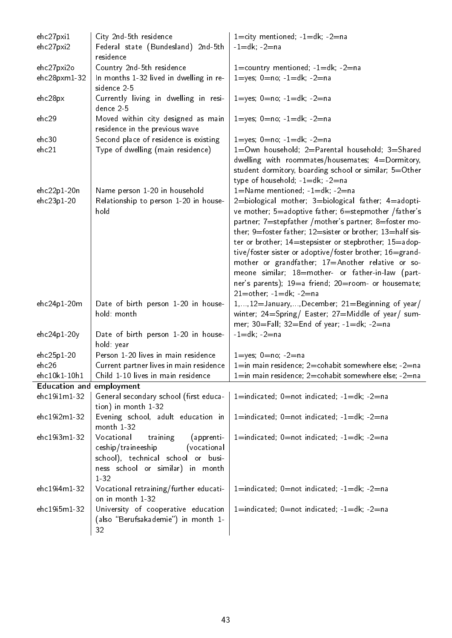| ehc27pxi1                       | City 2nd-5th residence                                                 | 1=city mentioned; $-1=dk$ ; $-2=na$                                                                           |
|---------------------------------|------------------------------------------------------------------------|---------------------------------------------------------------------------------------------------------------|
| ehc27pxi2                       | Federal state (Bundesland) 2nd-5th<br>residence                        | $-1 = dk$ ; $-2 = na$                                                                                         |
| ehc27pxi2o                      | Country 2nd-5th residence                                              | 1=country mentioned; $-1=dk$ ; $-2=na$                                                                        |
| $ehc28pxm1-32$                  | In months 1-32 lived in dwelling in re-<br>sidence 2-5                 | $1 = yes$ ; $0 = no$ ; $-1 = dk$ ; $-2 = na$                                                                  |
| ehc28px                         | Currently living in dwelling in resi-<br>dence 2-5                     | $1 = yes$ ; $0 = no$ ; $-1 = dk$ ; $-2 = na$                                                                  |
| ehc29                           | Moved within city designed as main<br>residence in the previous wave   | $1 = yes$ ; $0 = no$ , $-1 = dk$ ; $-2 = na$                                                                  |
| ehc30                           | Second place of residence is existing                                  | $1 = yes$ ; $0 = no$ ; $-1 = dk$ ; $-2 = na$                                                                  |
| ehc21                           | Type of dwelling (main residence)                                      | 1=Own household; 2=Parental household; 3=Shared                                                               |
|                                 |                                                                        | dwelling with roommates/housemates; 4=Dormitory,                                                              |
|                                 |                                                                        | student dormitory, boarding school or similar; 5=Other                                                        |
|                                 |                                                                        | type of household; $-1=dk$ ; $-2=na$                                                                          |
| $ehc22p1-20n$                   | Name person 1-20 in household                                          | $1 =$ Name mentioned; $-1 =$ dk; $-2 =$ na                                                                    |
| ehc23p1-20                      | Relationship to person 1-20 in house-                                  | 2=biological mother; 3=biological father; 4=adopti-                                                           |
|                                 | hold                                                                   | ve mother; 5=adoptive father; 6=stepmother /father's<br>partner; 7=stepfather /mother's partner; 8=foster mo- |
|                                 |                                                                        | ther; 9=foster father; 12=sister or brother; 13=half sis-                                                     |
|                                 |                                                                        | ter or brother; 14=stepsister or stepbrother; 15=adop-                                                        |
|                                 |                                                                        | tive/foster sister or adoptive/foster brother; 16=grand-                                                      |
|                                 |                                                                        | mother or grandfather; 17=Another relative or so-                                                             |
|                                 |                                                                        | meone similar; 18=mother- or father-in-law (part-                                                             |
|                                 |                                                                        | ner's parents); 19=a friend; 20=room- or housemate;                                                           |
|                                 |                                                                        | $21 =$ other; $-1 = dk$ ; $-2 = na$                                                                           |
| $ehc24p1-20m$                   | Date of birth person 1-20 in house-                                    | $1, \ldots, 12 =$ January, , December; 21=Beginning of year/                                                  |
|                                 | hold: month                                                            | winter, 24=Spring/ Easter, 27=Middle of year/ sum-                                                            |
| ehc24p1-20y                     | Date of birth person 1-20 in house-                                    | mer; 30=Fall; 32=End of year; -1=dk; -2=na<br>$-1 = dk$ ; $-2 = na$                                           |
|                                 | hold: year                                                             |                                                                                                               |
| ehc25p1-20                      | Person 1-20 lives in main residence                                    | $1 = yes$ ; $0 = no$ ; $-2 = na$                                                                              |
| ehc26                           | Current partner lives in main residence                                | $1 =$ in main residence; 2=cohabit somewhere else; -2=na                                                      |
| ehc10k1-10h1                    | Child 1-10 lives in main residence                                     | 1=in main residence; 2=cohabit somewhere else; -2=na                                                          |
| <b>Education and employment</b> |                                                                        |                                                                                                               |
| ehc19i1m1-32                    | General secondary school (first educa-                                 | 1=indicated; 0=not indicated; -1=dk; -2=na                                                                    |
| ehc19i2m1-32                    | tion) in month 1-32<br>Evening school, adult education in              | $1 =$ indicated; $0 =$ not indicated; $-1 =$ dk; $-2 =$ na                                                    |
|                                 | month $1-32$                                                           |                                                                                                               |
| ehc19i3m1-32                    | Vocational<br>training<br>(apprenti-                                   | $1 =$ indicated; $0 =$ not indicated; $-1 =$ dk; $-2 =$ na                                                    |
|                                 | ceship/traineeship<br>(vocational                                      |                                                                                                               |
|                                 | school), technical school or busi-<br>ness school or similar) in month |                                                                                                               |
|                                 | $1 - 32$                                                               |                                                                                                               |
| ehc19i4m1-32                    | Vocational retraining/further educati-                                 | $1 =$ indicated; $0 =$ not indicated; $-1 =$ dk; $-2 =$ na                                                    |
|                                 | on in month 1-32                                                       |                                                                                                               |
| ehc19i5m1-32                    | University of cooperative education                                    | $1 =$ indicated; $0 =$ not indicated; $-1 =$ dk; $-2 =$ na                                                    |
|                                 | (also "Berufsakademie") in month 1-                                    |                                                                                                               |
|                                 | 32                                                                     |                                                                                                               |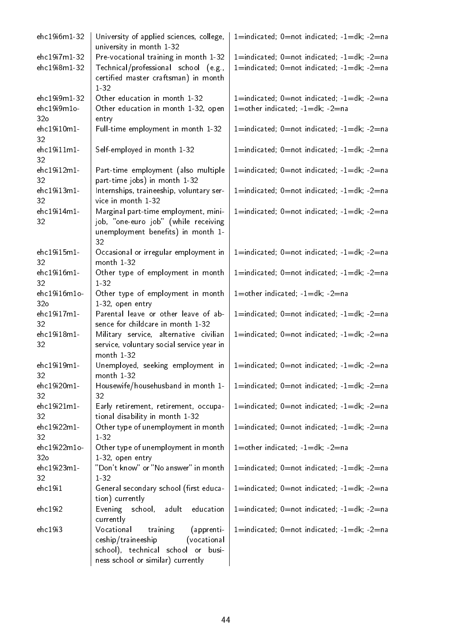| ehc19i6m1-32                                   | University of applied sciences, college,<br>university in month 1-32                                                                                 | $1 =$ indicated; $0 =$ not indicated; $-1 =$ dk; $-2 =$ na                                                               |
|------------------------------------------------|------------------------------------------------------------------------------------------------------------------------------------------------------|--------------------------------------------------------------------------------------------------------------------------|
| ehc19i7m1-32<br>ehc19i8m1-32                   | Pre-vocational training in month 1-32<br>Technical/professional school (e.g.,<br>certified master craftsman) in month<br>1 3 2                       | $1 =$ indicated; $0 =$ not indicated; $-1 =$ dk; $-2 =$ na<br>$1 =$ indicated; $0 =$ not indicated; $-1 =$ dk; $-2 =$ na |
| ehc19i9m1-32<br>ehc19i9m1o-<br>32 <sub>o</sub> | Other education in month 1-32<br>Other education in month 1-32, open<br>entry                                                                        | $1 =$ indicated; $0 =$ not indicated; $-1 =$ dk; $-2 =$ na<br>$1 =$ other indicated; $-1 =$ dk; $-2 =$ na                |
| ehc19i10m1-<br>32                              | Full-time employment in month 1-32                                                                                                                   | $1 =$ indicated; $0 =$ not indicated; $-1 =$ dk; $-2 =$ na                                                               |
| ehc19i11m1-<br>32                              | Self-employed in month 1-32                                                                                                                          | $1 =$ indicated; $0 =$ not indicated; $-1 =$ dk; $-2 =$ na                                                               |
| ehc19i12m1-<br>32                              | Part-time employment (also multiple<br>part-time jobs) in month 1-32                                                                                 | $1 =$ indicated; $0 =$ not indicated; $-1 =$ dk; $-2 =$ na                                                               |
| ehc19i13m1-<br>32                              | Internships, traineeship, voluntary ser-<br>vice in month 1-32                                                                                       | $1 =$ indicated; $0 =$ not indicated; $-1 =$ dk; $-2 =$ na                                                               |
| ehc19i14m1-<br>32                              | Marginal part-time employment, mini-<br>job, "one-euro job" (while receiving<br>unemployment benefits) in month 1-<br>32                             | $1 =$ indicated; $0 =$ not indicated; $-1 =$ dk; $-2 =$ na                                                               |
| ehc19i15m1-<br>32                              | Occasional or irregular employment in<br>month 1-32                                                                                                  | $1 =$ indicated; $0 =$ not indicated; $-1 =$ dk; $-2 =$ na                                                               |
| ehc19i16m1-<br>32                              | Other type of employment in month<br>1 3 2                                                                                                           | $1 =$ indicated; $0 =$ not indicated; $-1 =$ dk; $-2 =$ na                                                               |
| ehc19i16m1o-<br>32 <sub>o</sub>                | Other type of employment in month<br>1-32, open entry                                                                                                | $1 =$ other indicated, $-1 =$ dk, $-2 =$ na                                                                              |
| ehc19i17m1-<br>32                              | Parental leave or other leave of ab-<br>sence for childcare in month 1-32                                                                            | $1 =$ indicated; $0 =$ not indicated; $-1 =$ dk; $-2 =$ na                                                               |
| ehc19i18m1-<br>32                              | Military service, alternative civilian<br>service, voluntary social service year in<br>month 1-32                                                    | $1 =$ indicated; $0 =$ not indicated; $-1 =$ dk; $-2 =$ na                                                               |
| ehc19i19m1-<br>32                              | Unemployed, seeking employment in<br>month 1-32                                                                                                      | $1 =$ indicated; $0 =$ not indicated; $-1 =$ dk; $-2 =$ na                                                               |
| ehc19i20m1-<br>32                              | Housewife/househusband in month 1-<br>32                                                                                                             | $1 =$ indicated; $0 =$ not indicated; $-1 =$ dk; $-2 =$ na                                                               |
| ehc19i21m1-<br>32                              | Early retirement, retirement, occupa-<br>tional disability in month 1-32                                                                             | $1 =$ indicated; $0 =$ not indicated; $-1 =$ dk; $-2 =$ na                                                               |
| ehc19i22m1-<br>32                              | Other type of unemployment in month<br>$1 - 32$                                                                                                      | $1 =$ indicated; $0 =$ not indicated; $-1 =$ dk; $-2 =$ na                                                               |
| ehc19i22m1o-<br>32 <sub>o</sub>                | Other type of unemployment in month<br>1-32, open entry                                                                                              | $1 =$ other indicated; $-1 = dk$ ; $-2 = na$                                                                             |
| ehc19i23m1-<br>32                              | "Don't know" or "No answer" in month<br>1-32                                                                                                         | 1=indicated; 0=not indicated; -1=dk; -2=na                                                                               |
| ehc19i1                                        | General secondary school (first educa-<br>tion) currently                                                                                            | $1 =$ indicated; $0 =$ not indicated; $-1 =$ dk; $-2 =$ na                                                               |
| ehc19i2                                        | adult<br>education<br>Evening<br>school,<br>currently                                                                                                | $1 =$ indicated; $0 =$ not indicated; $-1 =$ dk; $-2 =$ na                                                               |
| ehc19i3                                        | Vocational<br>training<br>(apprenti-<br>ceship/traineeship<br>(vocational<br>school), technical school or busi-<br>ness school or similar) currently | $1 =$ indicated; $0 =$ not indicated; $-1 =$ dk; $-2 =$ na                                                               |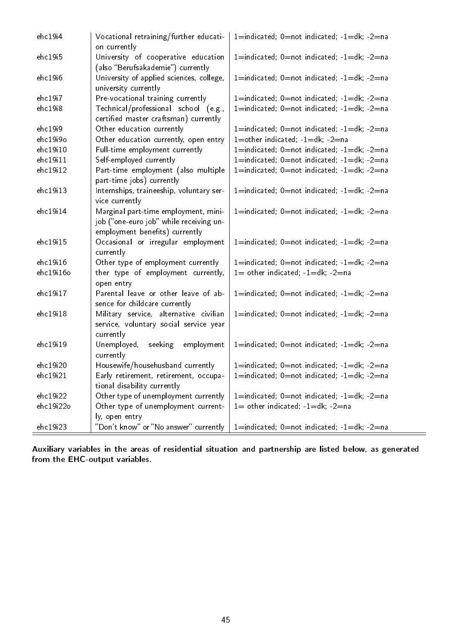| ehc19i4   | Vocational retraining/further educati-<br>on currently                                                            | 1=indicated; 0=not indicated; -1=dk; -2=na                 |
|-----------|-------------------------------------------------------------------------------------------------------------------|------------------------------------------------------------|
| ehc19i5   | University of cooperative education<br>(also "Berufsakademie") currently                                          | $1 =$ indicated; $0 =$ not indicated; $-1 =$ dk; $-2 =$ na |
| ehc19i6   | University of applied sciences, college,<br>university currently                                                  | $1 =$ indicated; $0 =$ not indicated; $-1 =$ dk; $-2 =$ na |
| ehc19i7   | Pre-vocational training currently                                                                                 | 1=indicated; 0=not indicated; -1=dk; -2=na                 |
| ehc19i8   | Technical/professional school (e.g.,<br>certified master craftsman) currently                                     | 1=indicated; 0=not indicated; -1=dk; -2=na                 |
| ehc19i9   | Other education currently                                                                                         | $1 =$ indicated; $0 =$ not indicated; $-1 =$ dk; $-2 =$ na |
| ehc19i9o  | Other education currently, open entry                                                                             | 1=other indicated; -1=dk; -2=na                            |
| ehc19i10  | Full-time employment currently                                                                                    | $1 =$ indicated; $0 =$ not indicated; $-1 =$ dk; $-2 =$ na |
| ehc19i11  | Self-employed currently                                                                                           | $1 =$ indicated; $0 =$ not indicated; $-1 =$ dk; $-2 =$ na |
| ehc19i12  | Part-time employment (also multiple<br>part-time jobs) currently                                                  | $1 =$ indicated; $0 =$ not indicated; $-1 =$ dk; $-2 =$ na |
| ehc19i13  | Internships, traineeship, voluntary ser-<br>vice currently                                                        | $1 =$ indicated; $0 =$ not indicated; $-1 =$ dk; $-2 =$ na |
| ehc19i14  | Marginal part-time employment, mini-<br>job ("one-euro job" while receiving un-<br>employment benefits) currently | $1 =$ indicated; $0 =$ not indicated; $-1 =$ dk; $-2 =$ na |
| ehc19i15  | Occasional or irregular employment<br>currently                                                                   | $1 =$ indicated; $0 =$ not indicated; $-1 =$ dk; $-2 =$ na |
| ehc19i16  | Other type of employment currently                                                                                | $1 =$ indicated; $0 =$ not indicated; $-1 =$ dk; $-2 =$ na |
| ehc19i16o | ther type of employment currently,<br>open entry                                                                  | $1=$ other indicated; $-1=dk$ ; $-2=na$                    |
| ehc19i17  | Parental leave or other leave of ab-<br>sence for childcare currently                                             | $1 =$ indicated; $0 =$ not indicated; $-1 =$ dk; $-2 =$ na |
| ehc19i18  | Military service, alternative civilian<br>service, voluntary social service year<br>currently                     | $1 =$ indicated; $0 =$ not indicated; $-1 =$ dk; $-2 =$ na |
| ehc19i19  | Unemployed,<br>seeking<br>employment<br>currently                                                                 | $1 =$ indicated; $0 =$ not indicated; $-1 =$ dk; $-2 =$ na |
| ehc19i20  | Housewife/househusband currently                                                                                  | $1 =$ indicated; $0 =$ not indicated; $-1 =$ dk; $-2 =$ na |
| ehc19i21  | Early retirement, retirement, occupa-<br>tional disability currently                                              | $1 =$ indicated; $0 =$ not indicated; $-1 =$ dk; $-2 =$ na |
| ehc19i22  | Other type of unemployment currently                                                                              | $1 =$ indicated; $0 =$ not indicated; $-1 =$ dk; $-2 =$ na |
| ehc19i22o | Other type of unemployment current-<br>ly, open entry                                                             | $1=$ other indicated; $-1=dk$ ; $-2=na$                    |
| ehc19i23  | "Don't know" or "No answer" currently                                                                             | $1 =$ indicated; $0 =$ not indicated; $-1 =$ dk; $-2 =$ na |

Auxiliary variables in the areas of residential situation and partnership are listed below, as generated from the EHC-output variables.

 $=$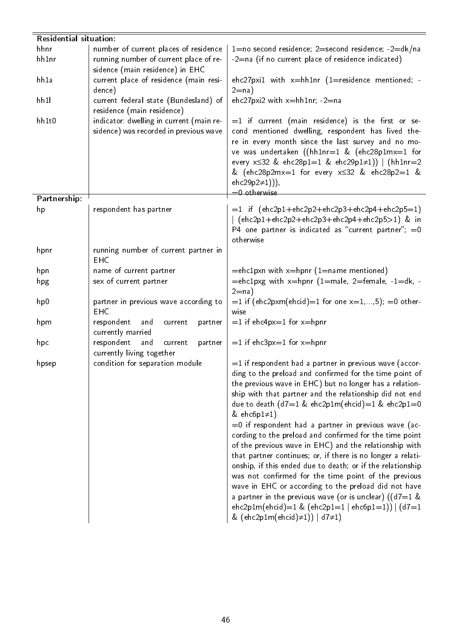|              | <b>Residential situation:</b>            |                                                                                                       |  |  |  |
|--------------|------------------------------------------|-------------------------------------------------------------------------------------------------------|--|--|--|
| hhnr         | number of current places of residence    | 1=no second residence; 2=second residence; -2=dk/na                                                   |  |  |  |
| hh1nr        | running number of current place of re-   | $-2$ =na (if no current place of residence indicated)                                                 |  |  |  |
|              | sidence (main residence) in EHC          |                                                                                                       |  |  |  |
| hh1a         | current place of residence (main resi-   | ehc27pxi1 with $x = hh1nr$ (1=residence mentioned; -                                                  |  |  |  |
|              | dence)                                   | $2=na)$                                                                                               |  |  |  |
| hh11         | current federal state (Bundesland) of    | ehc27pxi2 with $x = h h 1nr$ ; -2=na                                                                  |  |  |  |
|              | residence (main residence)               |                                                                                                       |  |  |  |
| hh1t0        | indicator: dwelling in current (main re- | $=$ 1 if current (main residence) is the first or se-                                                 |  |  |  |
|              | sidence) was recorded in previous wave   | cond mentioned dwelling, respondent has lived the-                                                    |  |  |  |
|              |                                          | re in every month since the last survey and no mo-                                                    |  |  |  |
|              |                                          | ve was undertaken ((hh1nr=1 & (ehc28p1mx=1 for                                                        |  |  |  |
|              |                                          | every $x \le 32$ & ehc28p1=1 & ehc29p1 $\neq$ 1))   (hh1nr=2                                          |  |  |  |
|              |                                          | & (ehc28p2mx=1 for every $x \le 32$ & ehc28p2=1 &                                                     |  |  |  |
|              |                                          | ehc29p2 $\neq$ 1))),                                                                                  |  |  |  |
|              |                                          | $=0$ otherwise                                                                                        |  |  |  |
| Partnership: |                                          |                                                                                                       |  |  |  |
| hp           | respondent has partner                   | $=1$ if (ehc2p1+ehc2p2+ehc2p3+ehc2p4+ehc2p5=1)                                                        |  |  |  |
|              |                                          | (ehc2p1+ehc2p2+ehc2p3+ehc2p4+ehc2p5>1) & in<br>P4 one partner is indicated as "current partner"; $=0$ |  |  |  |
|              |                                          | otherwise                                                                                             |  |  |  |
| hpnr         | running number of current partner in     |                                                                                                       |  |  |  |
|              | <b>EHC</b>                               |                                                                                                       |  |  |  |
| hpn          | name of current partner                  | $=$ ehc1pxn with x $=$ hpnr (1 $=$ name mentioned)                                                    |  |  |  |
| hpg          | sex of current partner                   | $=$ ehc1pxg with x=hpnr (1=male, 2=female, -1=dk, -                                                   |  |  |  |
|              |                                          | $2=na)$                                                                                               |  |  |  |
| hp0          | partner in previous wave according to    | $=1$ if (ehc2pxm(ehcid)=1 for one x=1,,5); =0 other-                                                  |  |  |  |
|              | <b>EHC</b>                               | wise                                                                                                  |  |  |  |
| hpm          | respondent<br>and<br>current<br>partner  | $=1$ if ehc4px=1 for x=hpnr                                                                           |  |  |  |
|              | currently married                        |                                                                                                       |  |  |  |
| hpc          | respondent<br>and<br>partner<br>current  | $=1$ if ehc3px=1 for x=hpnr                                                                           |  |  |  |
|              | currently living together                |                                                                                                       |  |  |  |
| hpsep        | condition for separation module          | $=$ 1 if respondent had a partner in previous wave (accor-                                            |  |  |  |
|              |                                          | ding to the preload and confirmed for the time point of                                               |  |  |  |
|              |                                          | the previous wave in EHC) but no longer has a relation-                                               |  |  |  |
|              |                                          | ship with that partner and the relationship did not end                                               |  |  |  |
|              |                                          | due to death $(d7=1 \& \text{ehc2p1m}(\text{ehcid})=1 \& \text{ehc2p1}=0$                             |  |  |  |
|              |                                          | & ehc6p1 $\neq$ 1)                                                                                    |  |  |  |
|              |                                          | =0 if respondent had a partner in previous wave (ac-                                                  |  |  |  |
|              |                                          | cording to the preload and confirmed for the time point                                               |  |  |  |
|              |                                          | of the previous wave in EHC) and the relationship with                                                |  |  |  |
|              |                                          | that partner continues; or, if there is no longer a relati-                                           |  |  |  |
|              |                                          | onship, if this ended due to death; or if the relationship                                            |  |  |  |
|              |                                          | was not confirmed for the time point of the previous                                                  |  |  |  |
|              |                                          | wave in EHC or according to the preload did not have                                                  |  |  |  |
|              |                                          | a partner in the previous wave (or is unclear) (( $d7=1$ &                                            |  |  |  |
|              |                                          | ehc2p1m(ehcid)=1 & (ehc2p1=1   ehc6p1=1))   $(d7=1)$                                                  |  |  |  |
|              |                                          | & $(ehc2p1m(ehcid)\neq 1))   d7\neq 1)$                                                               |  |  |  |
|              |                                          |                                                                                                       |  |  |  |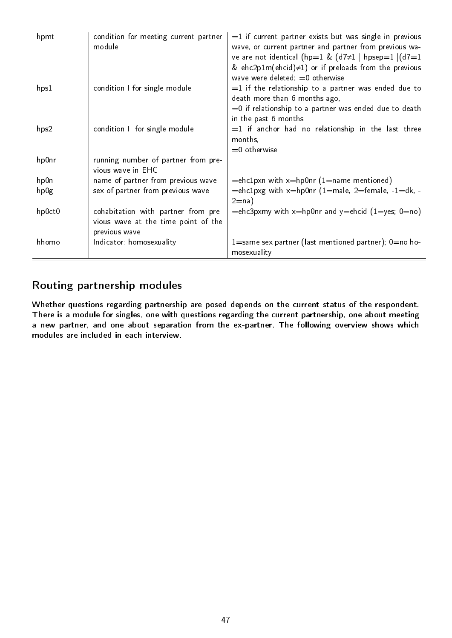| hpmt   | condition for meeting current partner<br>module                                             | $=$ 1 if current partner exists but was single in previous<br>wave, or current partner and partner from previous wa-<br>ve are not identical (hp=1 & $(d7\neq 1 \mid hpsep=1 \mid (d7=1$<br>& ehc2p1m(ehcid) $\neq$ 1) or if preloads from the previous<br>wave were deleted; $=0$ otherwise |
|--------|---------------------------------------------------------------------------------------------|----------------------------------------------------------------------------------------------------------------------------------------------------------------------------------------------------------------------------------------------------------------------------------------------|
| hps1   | condition I for single module                                                               | $=$ 1 if the relationship to a partner was ended due to<br>death more than 6 months ago,<br>$=$ 0 if relationship to a partner was ended due to death<br>in the past 6 months                                                                                                                |
| hps2   | condition II for single module                                                              | $=1$ if anchor had no relationship in the last three<br>months,<br>$=0$ otherwise                                                                                                                                                                                                            |
| hp0nr  | running number of partner from pre-<br>vious wave in EHC                                    |                                                                                                                                                                                                                                                                                              |
| hp0n   | name of partner from previous wave                                                          | $=$ ehc1pxn with $x=$ hp0nr (1 $=$ name mentioned)                                                                                                                                                                                                                                           |
| hp0g   | sex of partner from previous wave                                                           | $=$ ehc1pxg with x=hp0nr (1=male, 2=female, -1=dk, -<br>$2=na)$                                                                                                                                                                                                                              |
| hp0ct0 | cohabitation with partner from pre-<br>vious wave at the time point of the<br>previous wave | $=$ ehc3pxmy with x $=$ hp0nr and y $=$ ehcid (1 $=$ yes; 0 $=$ no)                                                                                                                                                                                                                          |
| hhomo  | Indicator: homosexuality                                                                    | $1 =$ same sex partner (last mentioned partner); $0 =$ no ho-<br>mosexuality                                                                                                                                                                                                                 |

## Routing partnership modules

Whether questions regarding partnership are posed depends on the current status of the respondent. There is a module for singles, one with questions regarding the current partnership, one about meeting a new partner, and one about separation from the ex-partner. The following overview shows which modules are included in each interview.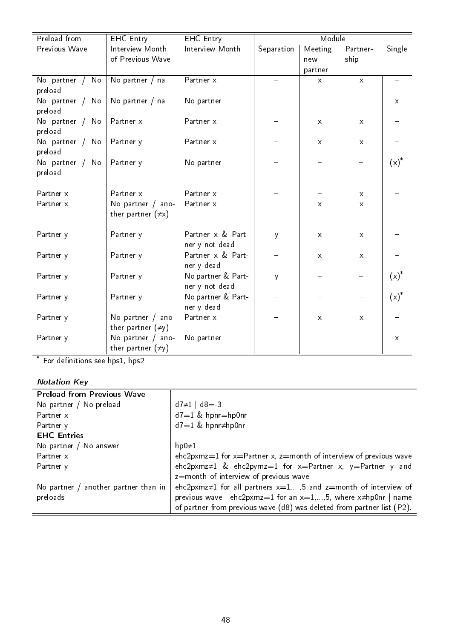| Preload from               | <b>EHC</b> Entry                               | <b>EHC</b> Entry                     |            | Module       |              |              |
|----------------------------|------------------------------------------------|--------------------------------------|------------|--------------|--------------|--------------|
| Previous Wave              | Interview Month                                | Interview Month                      | Separation | Meeting      | Partner-     | Single       |
|                            | of Previous Wave                               |                                      |            | new          | ship         |              |
|                            |                                                |                                      |            | partner      |              |              |
| No partner / No<br>preload | No partner / na                                | Partner x                            |            | $\mathsf{x}$ | $\mathsf{X}$ |              |
| No partner / No<br>preload | No partner / na                                | No partner                           |            |              |              | $\mathsf{X}$ |
| No partner / No<br>preload | Partner x                                      | Partner x                            |            | $\mathsf{X}$ | $\mathsf{X}$ |              |
| No partner / No<br>preload | Partner y                                      | Partner x                            |            | $\mathsf{X}$ | $\mathsf{x}$ |              |
| No partner / No<br>preload | Partner y                                      | No partner                           |            |              |              | $(x)^*$      |
| Partner x                  | Partner x                                      | Partner x                            |            |              | $\mathsf{x}$ |              |
| Partner x                  | No partner $/$ ano-<br>ther partner $(\neq x)$ | Partner x                            |            | $\mathsf{x}$ | $\mathsf{X}$ |              |
| Partner y                  | Partner y                                      | Partner x & Part-<br>ner y not dead  | y          | $\mathsf{X}$ | $\mathsf{x}$ |              |
| Partner y                  | Partner y                                      | Partner x & Part-<br>ner y dead      |            | $\mathsf{x}$ | $\times$     |              |
| Partner y                  | Partner y                                      | No partner & Part-<br>ner y not dead | y          |              |              | $(x)^*$      |
| Partner y                  | Partner y                                      | No partner & Part-<br>ner y dead     |            |              |              | $(x)^*$      |
| Partner y                  | No partner $/$ ano-<br>ther partner $(\neq y)$ | Partner x                            |            | $\mathsf{X}$ | X            |              |
| Partner y                  | No partner / ano-<br>ther partner $(\neq y)$   | No partner                           |            |              |              | $\mathsf{x}$ |

\* For definitions see hps1, hps2

### Notation Key

| <b>Preload from Previous Wave</b>      |                                                                          |
|----------------------------------------|--------------------------------------------------------------------------|
| No partner / No preload                | $d7 \neq 1$   $d8 = -3$                                                  |
| Partner x                              | $d7=1$ & hpnr=hp0nr                                                      |
| Partner y                              | $d7=1$ & hpnr $\neq$ hp0nr                                               |
| <b>EHC Entries</b>                     |                                                                          |
| No partner / No answer                 | $hp0\neq 1$                                                              |
| Partner x                              | ehc2pxmz=1 for $x=$ Partner x, z=month of interview of previous wave     |
| Partner y                              | ehc2pxmz=1 & ehc2pymz=1 for x=Partner x, y=Partner y and                 |
|                                        | z=month of interview of previous wave                                    |
| No partner $/$ another partner than in | ehc2pxmz≠1 for all partners $x=1,,5$ and z=month of interview of         |
| preloads                               | previous wave   ehc2pxmz=1 for an $x=1,,5$ , where $x\neq h$ p0nr   name |
|                                        | of partner from previous wave (d8) was deleted from partner list (P2).   |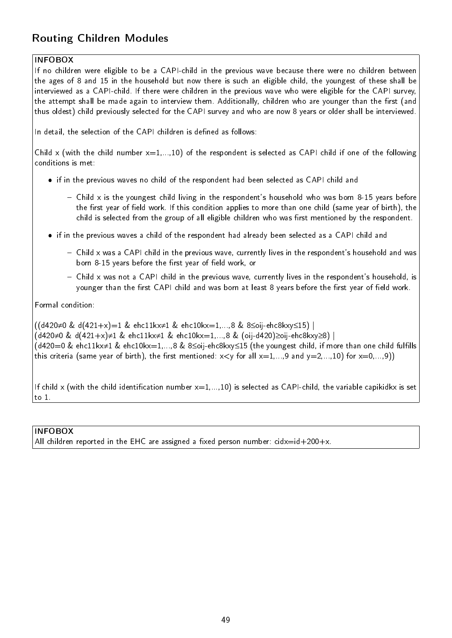## Routing Children Modules

### INFOBOX

If no children were eligible to be a CAPI-child in the previous wave because there were no children between the ages of 8 and 15 in the household but now there is such an eligible child, the youngest of these shall be interviewed as a CAPI-child. If there were children in the previous wave who were eligible for the CAPI survey, the attempt shall be made again to interview them. Additionally, children who are younger than the first (and thus oldest) child previously selected for the CAPI survey and who are now 8 years or older shall be interviewed.

In detail, the selection of the CAPI children is defined as follows:

Child x (with the child number  $x=1,...,10$ ) of the respondent is selected as CAPI child if one of the following conditions is met:

- $\bullet\,$  if in the previous waves no child of the respondent had been selected as CAPI child and
	- $-$  Child x is the youngest child living in the respondent's household who was born 8-15 years before the first year of field work. If this condition applies to more than one child (same year of birth), the child is selected from the group of all eligible children who was first mentioned by the respondent.
- $\bullet\,$  if in the previous waves a child of the respondent had already been selected as a CAPI child and
	- Child x was a CAPI child in the previous wave, currently lives in the respondent's household and was born 8-15 years before the first year of field work, or
	- Child x was not a CAPI child in the previous wave, currently lives in the respondent's household, is younger than the first CAPI child and was born at least 8 years before the first year of field work.

Formal condition:

((d420≠0 & d(421+x)=1 & ehc11kx≠1 & ehc10kx=1,...,8 & 8≤oij-ehc8kxy≤15) | (d420≠0 & d(421+x)≠1 & ehc11kx≠1 & ehc10kx=1,...,8 & (oij-d420)≥oij-ehc8kxy≥8) | (d420=0 & ehc11kx≠1 & ehc10kx=1,...,8 & 8≤oij-ehc8kxy≤15 (the youngest child, if more than one child fullls this criteria (same year of birth), the first mentioned:  $x < y$  for all  $x=1,...,9$  and  $y=2,...,10$ ) for  $x=0,...,9$ ))

If child x (with the child identification number  $x=1,...,10$ ) is selected as CAPI-child, the variable capikidkx is set to 1.

INFOBOX

All children reported in the EHC are assigned a fixed person number:  $c$ idx=id+200+x.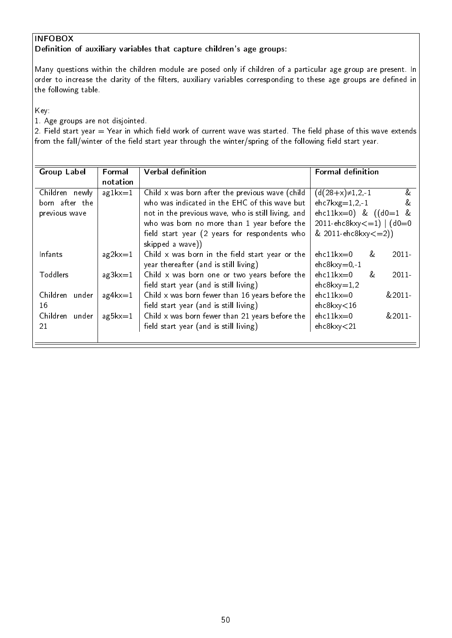## INFOBOX

Definition of auxiliary variables that capture children's age groups:

Many questions within the children module are posed only if children of a particular age group are present. In order to increase the clarity of the filters, auxiliary variables corresponding to these age groups are defined in the following table.

Key:

1. Age groups are not disjointed.

2. Field start year  $=$  Year in which field work of current wave was started. The field phase of this wave extends from the fall/winter of the field start year through the winter/spring of the following field start year.

| <b>Group Label</b> | Formal            | <b>Verbal definition</b>                           | <b>Formal definition</b>         |
|--------------------|-------------------|----------------------------------------------------|----------------------------------|
|                    | notation          |                                                    |                                  |
| Children newly     | $a$ g $1$ k $x=1$ | Child x was born after the previous wave (child    | &<br>$(d(28+x) \neq 1, 2, -1)$   |
| born after the     |                   | who was indicated in the EHC of this wave but      | $ehc7kxg=1,2,-1$<br>&            |
| previous wave      |                   | not in the previous wave, who is still living, and | ehc11kx=0) & $((d0=1 \&$         |
|                    |                   | who was born no more than 1 year before the        | $2011 - ehc8kxy \le 1$   $(d0=0$ |
|                    |                   | field start year (2 years for respondents who      | $& 2011 - \text{ehc8kxy} < = 2)$ |
|                    |                   | skipped a wave))                                   |                                  |
| Infants            | $a$ g $2$ k $x=1$ | Child $x$ was born in the field start year or the  | $ehc11kx=0$<br>$2011 -$<br>x.    |
|                    |                   | year thereafter (and is still living)              | $ehc8kxy=0,-1$                   |
| Toddlers           | $a$ g $3kx=1$     | Child x was born one or two years before the       | $ehc11kx=0$<br>$2011 -$<br>&.    |
|                    |                   | field start year (and is still living)             | $ehc8kxy=1,2$                    |
| Children under     | $a$ g4 $kx=1$     | Child $x$ was born fewer than 16 years before the  | $ehc11kx=0$<br>$&2011-$          |
| 16                 |                   | field start year (and is still living)             | $ehc8$ kxy $<$ 16                |
| Children under     | $a$ g $5kx=1$     | Child $x$ was born fewer than 21 years before the  | $ehc11kx=0$<br>&2011             |
| 21                 |                   | field start year (and is still living)             | ehc8kxy<21                       |
|                    |                   |                                                    |                                  |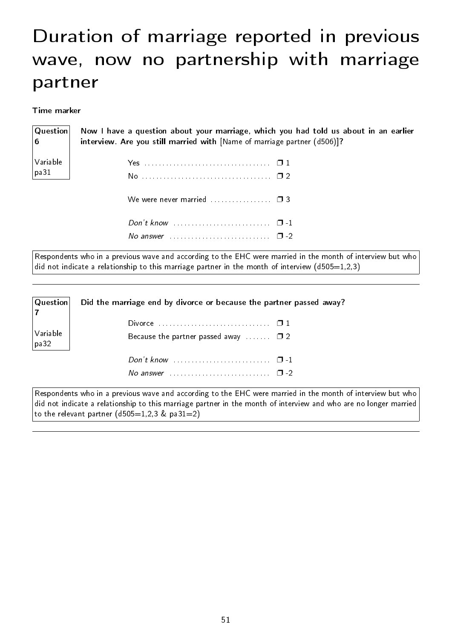# Duration of marriage reported in previous wave, now no partnership with marriage partner

Time marker

| <b>Question</b> | Now I have a question about your marriage, which you had told us about in an earlier |
|-----------------|--------------------------------------------------------------------------------------|
| ∣6⊦             | interview. Are you still married with [Name of marriage partner (d506)]?             |
| Variable        |                                                                                      |
| pa31            |                                                                                      |
|                 | We were never married $\Box$                                                         |
|                 | Don't know $\ldots \ldots \ldots \ldots \ldots \ldots \ldots \quad \Box -1$          |

Respondents who in a previous wave and according to the EHC were married in the month of interview but who did not indicate a relationship to this marriage partner in the month of interview (d505=1,2,3)

No answer . . . . . . . . . . . . . . . . . . . . . . . . . . . . ❐ -2

| Question         | Did the marriage end by divorce or because the partner passed away? |  |  |
|------------------|---------------------------------------------------------------------|--|--|
|                  |                                                                     |  |  |
| Variable<br>pa32 | Because the partner passed away $\square$ 2                         |  |  |
|                  | Don't know $\cdots$ $\cdots$ $\cdots$                               |  |  |
|                  |                                                                     |  |  |

Respondents who in a previous wave and according to the EHC were married in the month of interview but who did not indicate a relationship to this marriage partner in the month of interview and who are no longer married to the relevant partner  $(d505=1,2,3 \& pa31=2)$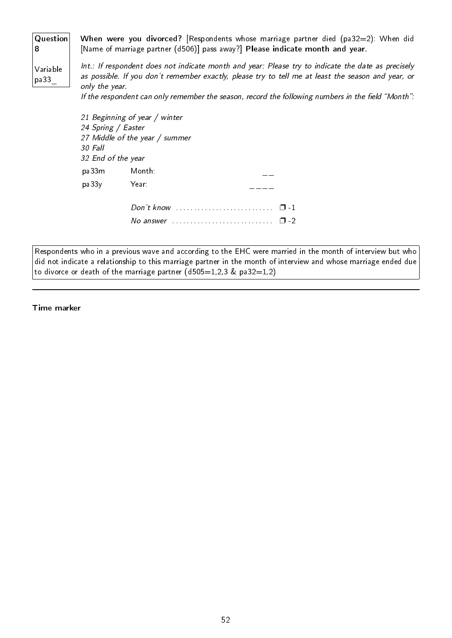| Question<br>8    | When were you divorced? [Respondents whose marriage partner died (pa32=2): When did<br>[Name of marriage partner (d506)] pass away?] Please indicate month and year.                                                       |
|------------------|----------------------------------------------------------------------------------------------------------------------------------------------------------------------------------------------------------------------------|
| Variable<br>pa33 | Int.: If respondent does not indicate month and year: Please try to indicate the date as precisely<br>as possible. If you don't remember exactly, please try to tell me at least the season and year, or<br>only the year. |
|                  | If the respondent can only remember the season, record the following numbers in the field "Month":                                                                                                                         |
|                  | 21 Beginning of year / winter                                                                                                                                                                                              |
|                  | 24 Spring / Easter                                                                                                                                                                                                         |
|                  | 27 Middle of the year / summer                                                                                                                                                                                             |
|                  | 30 Fall                                                                                                                                                                                                                    |

| 32 End of the year |                                                     |     |
|--------------------|-----------------------------------------------------|-----|
| pa33m              | Month:                                              |     |
| pa33y              | Year:                                               |     |
|                    |                                                     |     |
|                    | No answer $\ldots$ , $\ldots$ , $\ldots$ , $\ldots$ | כ ד |

Respondents who in a previous wave and according to the EHC were married in the month of interview but who did not indicate a relationship to this marriage partner in the month of interview and whose marriage ended due to divorce or death of the marriage partner  $(d505=1,2,3 \& p a 32=1,2)$ 

Time marker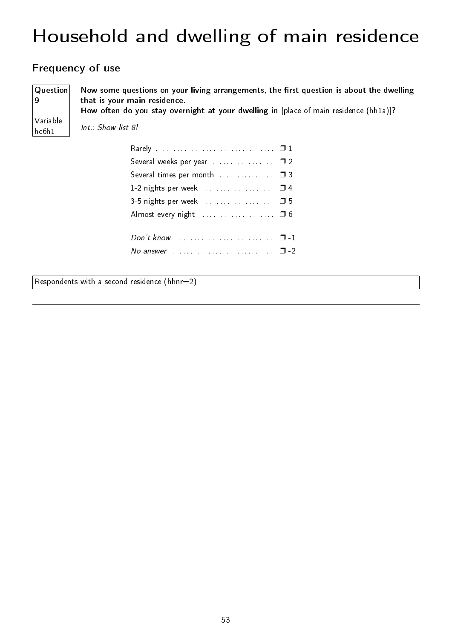# Household and dwelling of main residence

## Frequency of use

Question Now some questions on your living arrangements, the first question is about the dwelling that is your main residence. How often do you stay overnight at your dwelling in [place of main residence (hh1a)]?

Variable hc6h1

9

Int.: Show list 8!

| Several weeks per year  02  |  |
|-----------------------------|--|
| Several times per month  03 |  |
|                             |  |
| 3-5 nights per week  □ 5    |  |
|                             |  |
|                             |  |
|                             |  |
|                             |  |

Respondents with a second residence (hhnr=2)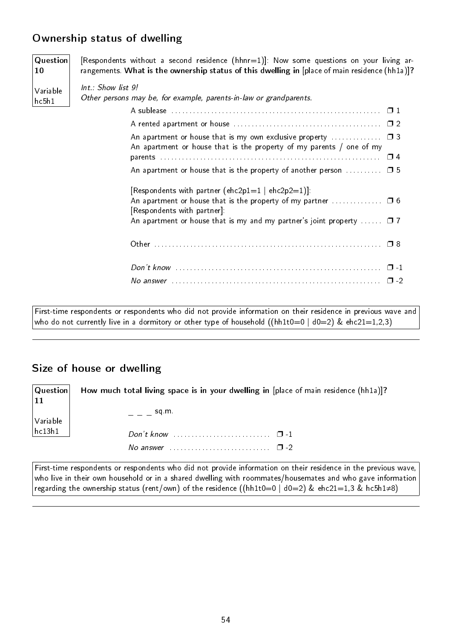## Ownership status of dwelling

**Question** 10 Variable hc5h1 [Respondents without a second residence (hhnr=1)]: Now some questions on your living arrangements. What is the ownership status of this dwelling in [place of main residence (hh1a)]? Int.: Show list 9! Other persons may be, for example, parents-in-law or grandparents. A sublease . . . . . . . . . . . . . . . . . . . . . . . . . . . . . . . . . . . . . . . . . . . . . . . . . . . . . . . . . . ❐ 1 A rented apartment or house . . . . . . . . . . . . . . . . . . . . . . . . . . . . . . . . . . . . . . . . . ❐ 2 An apartment or house that is my own exclusive property  $\ldots$ An apartment or house that is the property of my parents / one of my parents . . . . . . . . . . . . . . . . . . . . . . . . . . . . . . . . . . . . . . . . . . . . . . . . . . . . . . . . . . . . . ❐ 4 An apartment or house that is the property of another person  $\dots \dots \dots \square$  5 [Respondents with partner (ehc2p1=1  $|$  ehc2p2=1)]: An apartment or house that is the property of my partner  $\dots\dots\dots\dots\quad\Box$  6 [Respondents with partner]: An apartment or house that is my and my partner's joint property  $\Box$  .  $\Box$  7 Other . . . . . . . . . . . . . . . . . . . . . . . . . . . . . . . . . . . . . . . . . . . . . . . . . . . . . . . . . . . . . . . ❐ 8 Don't know . . . . . . . . . . . . . . . . . . . . . . . . . . . . . . . . . . . . . . . . . . . . . . . . . . . . . . . . . ❐ -1 No answer . . . . . . . . . . . . . . . . . . . . . . . . . . . . . . . . . . . . . . . . . . . . . . . . . . . . . . . . . . ❐ -2

First-time respondents or respondents who did not provide information on their residence in previous wave and who do not currently live in a dormitory or other type of household ((hh1t0=0 | d0=2) & ehc21=1,2,3)

## Size of house or dwelling

**Question** 11 Variable hc13h1 How much total living space is in your dwelling in [place of main residence (hh1a)]?  $=$   $=$   $=$  sq.m. Don't know . . . . . . . . . . . . . . . . . . . . . . . . . . . ❐ -1 No answer  $\dots \dots \dots \dots \dots \dots \dots \square$  -2

First-time respondents or respondents who did not provide information on their residence in the previous wave, who live in their own household or in a shared dwelling with roommates/housemates and who gave information regarding the ownership status (rent/own) of the residence ((hh1t0=0 | d0=2) & ehc21=1,3 & hc5h1≠8)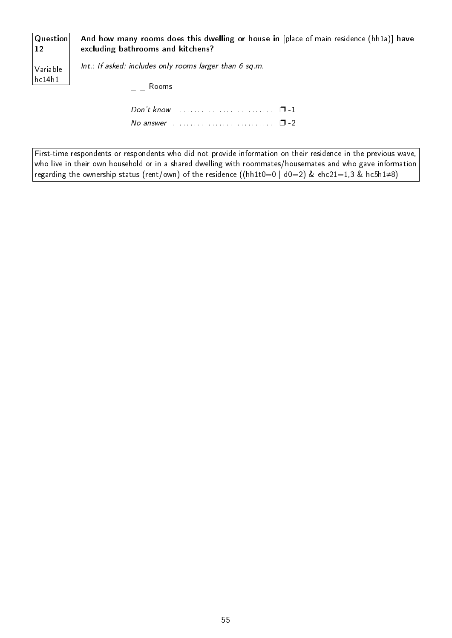| Question | And how many rooms does this dwelling or house in [place of main residence (hh1a)] have |
|----------|-----------------------------------------------------------------------------------------|
| 12       | excluding bathrooms and kitchens?                                                       |
| Variable | Int.: If asked: includes only rooms larger than 6 sq.m.                                 |
| hc14h1   | Rooms                                                                                   |
|          | No answer $\ldots$ , $\ldots$ , $\ldots$ , $\Box$ -2                                    |

First-time respondents or respondents who did not provide information on their residence in the previous wave, who live in their own household or in a shared dwelling with roommates/housemates and who gave information regarding the ownership status (rent/own) of the residence ((hh1t0=0 | d0=2) & ehc21=1,3 & hc5h1≠8)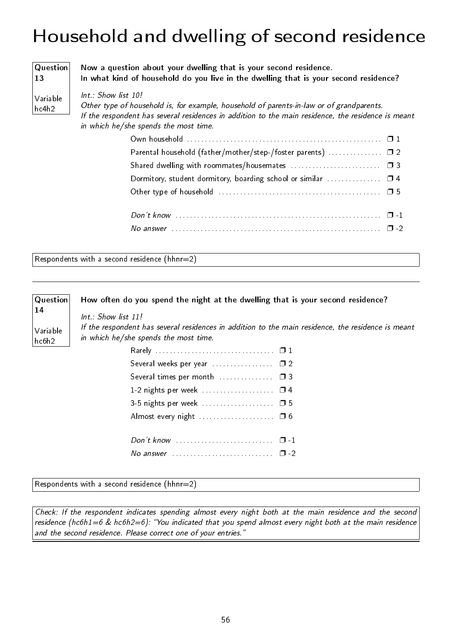# Household and dwelling of second residence

#### Question 13

Variable hc4h2

Now a question about your dwelling that is your second residence. In what kind of household do you live in the dwelling that is your second residence?

#### Int.: Show list 10!

Other type of household is, for example, household of parents-in-law or of grandparents. If the respondent has several residences in addition to the main residence, the residence is meant in which he/she spends the most time.

| Parental household (father/mother/step-/foster parents)  □ 2  |  |
|---------------------------------------------------------------|--|
|                                                               |  |
| Dormitory, student dormitory, boarding school or similar  0 4 |  |
|                                                               |  |
|                                                               |  |
|                                                               |  |
|                                                               |  |

Respondents with a second residence (hhnr=2)

Int.: Show list 11!

#### Question How often do you spend the night at the dwelling that is your second residence?

Variable

hc6h2

14

If the respondent has several residences in addition to the main residence, the residence is meant in which he/she spends the most time.

| Several weeks per year  02           |  |
|--------------------------------------|--|
| Several times per month  03          |  |
|                                      |  |
| 3-5 nights per week  0 5             |  |
|                                      |  |
|                                      |  |
|                                      |  |
| No answer $\cdots$ $\cdots$ $\cdots$ |  |

Respondents with a second residence  $(hhnr=2)$ 

Check: If the respondent indicates spending almost every night both at the main residence and the second residence (hc6h1=6 & hc6h2=6): "You indicated that you spend almost every night both at the main residence and the second residence. Please correct one of your entries."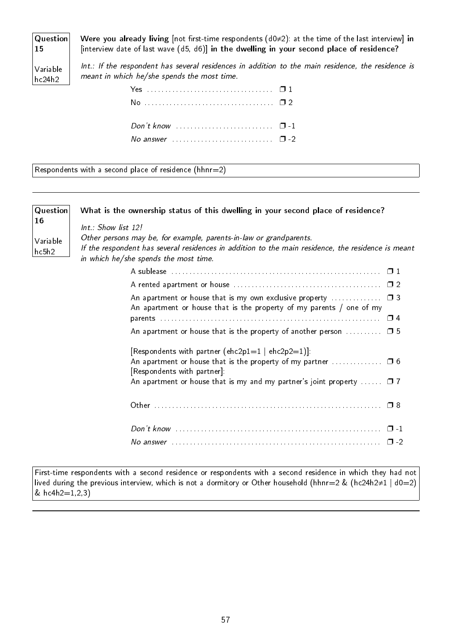Question Were you already living [not first-time respondents (d0≠2): at the time of the last interview] in [interview date of last wave (d5, d6)] in the dwelling in your second place of residence?

Variable hc24h2

15

Int.: If the respondent has several residences in addition to the main residence, the residence is meant in which he/she spends the most time.

| No answer $\cdots$ $\cdots$ |  |
|-----------------------------|--|
|                             |  |

Respondents with a second place of residence (hhnr=2)

| Question                                                                                                                                                                                                                               | What is the ownership status of this dwelling in your second place of residence?                                             |  |  |
|----------------------------------------------------------------------------------------------------------------------------------------------------------------------------------------------------------------------------------------|------------------------------------------------------------------------------------------------------------------------------|--|--|
| 16                                                                                                                                                                                                                                     | $Int.$ : Show list 12!                                                                                                       |  |  |
| Other persons may be, for example, parents-in-law or grandparents.<br>Variable<br>If the respondent has several residences in addition to the main residence, the residence is meant<br>hc5h2<br>in which he/she spends the most time. |                                                                                                                              |  |  |
|                                                                                                                                                                                                                                        |                                                                                                                              |  |  |
|                                                                                                                                                                                                                                        |                                                                                                                              |  |  |
|                                                                                                                                                                                                                                        | An apartment or house that is the property of my parents / one of my                                                         |  |  |
|                                                                                                                                                                                                                                        |                                                                                                                              |  |  |
|                                                                                                                                                                                                                                        | An apartment or house that is the property of another person $\Box$ 5                                                        |  |  |
|                                                                                                                                                                                                                                        | [Respondents with partner (ehc2p1=1   ehc2p2=1)].                                                                            |  |  |
|                                                                                                                                                                                                                                        | An apartment or house that is the property of my partner $\ldots \ldots \ldots \ldots \Box 6$<br>[Respondents with partner]: |  |  |
|                                                                                                                                                                                                                                        | An apartment or house that is my and my partner's joint property $\Box$ 7                                                    |  |  |
|                                                                                                                                                                                                                                        |                                                                                                                              |  |  |
|                                                                                                                                                                                                                                        |                                                                                                                              |  |  |
|                                                                                                                                                                                                                                        | $\Box$                                                                                                                       |  |  |

First-time respondents with a second residence or respondents with a second residence in which they had not lived during the previous interview, which is not a dormitory or Other household (hhnr=2 & (hc24h2≠1 | d0=2) &  $hc4h2=1,2,3)$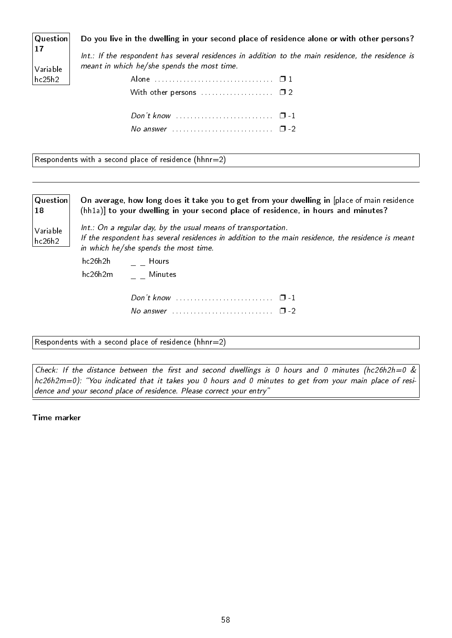Question Do you live in the dwelling in your second place of residence alone or with other persons?

17 Variable hc25h2

Int.: If the respondent has several residences in addition to the main residence, the residence is meant in which he/she spends the most time.

Respondents with a second place of residence (hhnr=2)

Question 18 Variable hc26h2 On average, how long does it take you to get from your dwelling in [place of main residence (hh1a)] to your dwelling in your second place of residence, in hours and minutes? Int.: On a regular day, by the usual means of transportation. If the respondent has several residences in addition to the main residence, the residence is meant in which he/she spends the most time.  $hc26h2h$   $=$   $=$  Hours hc26h2m \_ Minutes Don't know ............................ <del>□</del>-1 No answer . . . . . . . . . . . . . . . . . . . . . . . . . . . . ❐ -2

Respondents with a second place of residence (hhnr=2)

Check: If the distance between the first and second dwellings is 0 hours and 0 minutes (hc26h2h=0  $\&$ hc26h2m=0): "You indicated that it takes you 0 hours and 0 minutes to get from your main place of residence and your second place of residence. Please correct your entry"

Time marker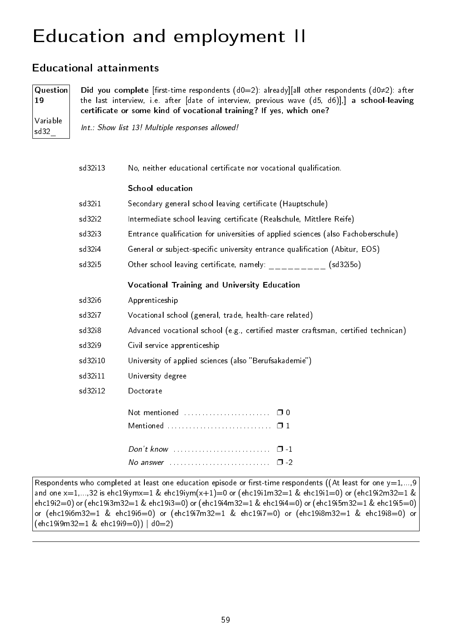# Education and employment II

### Educational attainments

Question 19 Variable sd32\_

Did you complete [first-time respondents (d0=2): already][all other respondents (d0≠2): after the last interview, i.e. after [date of interview, previous wave (d5, d6)],] a school-leaving certificate or some kind of vocational training? If yes, which one?

Int.: Show list 13! Multiple responses allowed!

| sd32i13            | No, neither educational certificate nor vocational qualification.                                 |  |  |  |  |  |  |  |  |  |
|--------------------|---------------------------------------------------------------------------------------------------|--|--|--|--|--|--|--|--|--|
|                    | <b>School education</b>                                                                           |  |  |  |  |  |  |  |  |  |
| sd32i1             | Secondary general school leaving certificate (Hauptschule)                                        |  |  |  |  |  |  |  |  |  |
| sd32i2             | Intermediate school leaving certificate (Realschule, Mittlere Reife)                              |  |  |  |  |  |  |  |  |  |
| sd32i3             | Entrance qualification for universities of applied sciences (also Fachoberschule)                 |  |  |  |  |  |  |  |  |  |
| sd32i4             | General or subject-specific university entrance qualification (Abitur, EOS)                       |  |  |  |  |  |  |  |  |  |
| sd32 <sub>15</sub> | Other school leaving certificate, namely: $\frac{1}{2}$ = $\frac{1}{2}$ = $\frac{1}{2}$ (sd32i50) |  |  |  |  |  |  |  |  |  |
|                    | Vocational Training and University Education                                                      |  |  |  |  |  |  |  |  |  |
| sd32i6             | Apprenticeship                                                                                    |  |  |  |  |  |  |  |  |  |
| sd32i7             | Vocational school (general, trade, health-care related)                                           |  |  |  |  |  |  |  |  |  |
| sd32i8             | Advanced vocational school (e.g., certified master craftsman, certified technican)                |  |  |  |  |  |  |  |  |  |
| sd32i9             | Civil service apprenticeship                                                                      |  |  |  |  |  |  |  |  |  |
| sd32i10            | University of applied sciences (also "Berufsakademie")                                            |  |  |  |  |  |  |  |  |  |
| sd32i11            | University degree                                                                                 |  |  |  |  |  |  |  |  |  |
| sd32i12            | Doctorate                                                                                         |  |  |  |  |  |  |  |  |  |
|                    |                                                                                                   |  |  |  |  |  |  |  |  |  |
|                    |                                                                                                   |  |  |  |  |  |  |  |  |  |
|                    | $\Box$ 1                                                                                          |  |  |  |  |  |  |  |  |  |
|                    | $\Box$ -2<br>No answer $\ldots \ldots \ldots \ldots \ldots \ldots \ldots \ldots$                  |  |  |  |  |  |  |  |  |  |

Respondents who completed at least one education episode or first-time respondents ((At least for one  $y=1,...,9$ and one  $x=1,...,32$  is ehc19iymx=1 & ehc19iym(x+1)=0 or (ehc19i1m32=1 & ehc19i1=0) or (ehc19i2m32=1 & ehc19i2=0) or (ehc19i3m32=1 & ehc19i3=0) or (ehc19i4m32=1 & ehc19i4=0) or (ehc19i5m32=1 & ehc19i5=0) or (ehc19i6m32=1 & ehc19i6=0) or (ehc19i7m32=1 & ehc19i7=0) or (ehc19i8m32=1 & ehc19i8=0) or (ehc19i9m32=1 & ehc19i9=0)) | d0=2)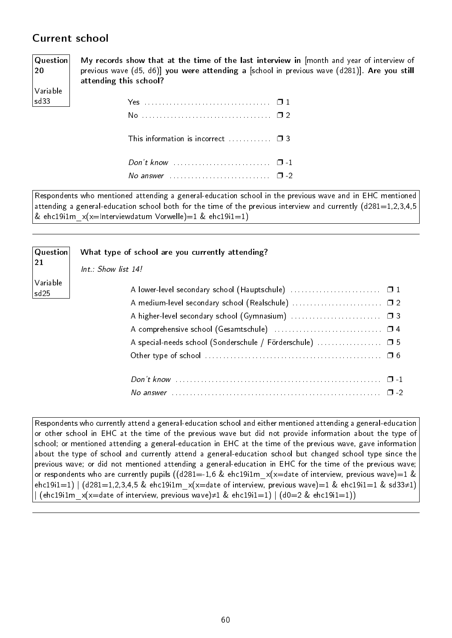### Current school

20

Variable sd33

Question My records show that at the time of the last interview in [month and year of interview of previous wave (d5, d6)] you were attending a [school in previous wave (d281)]. Are you still attending this school?

| This information is incorrect $\Box$ $\Box$ 3 |  |
|-----------------------------------------------|--|
| No answer $\cdots$ $\cdots$ $\cdots$ $\cdots$ |  |

Respondents who mentioned attending a general-education school in the previous wave and in EHC mentioned attending a general-education school both for the time of the previous interview and currently (d281=1,2,3,4,5 & ehc19i1m  $x(x=Interviewdatum$  Vorwelle)=1 & ehc19i1=1)

| <b>Question</b><br>21        | What type of school are you currently attending?<br>$Int.$ : Show list 14! |
|------------------------------|----------------------------------------------------------------------------|
| Variable<br>sd <sub>25</sub> | A medium-level secondary school (Realschule)  □ 2                          |
|                              |                                                                            |
|                              |                                                                            |
|                              | A special-needs school (Sonderschule / Förderschule)  □ 5                  |
|                              |                                                                            |
|                              |                                                                            |
|                              | $\Box$                                                                     |

Respondents who currently attend a general-education school and either mentioned attending a general-education or other school in EHC at the time of the previous wave but did not provide information about the type of school; or mentioned attending a general-education in EHC at the time of the previous wave, gave information about the type of school and currently attend a general-education school but changed school type since the previous wave; or did not mentioned attending a general-education in EHC for the time of the previous wave; or respondents who are currently pupils ((d281=-1,6 & ehc19i1m  $x(x=$ date of interview, previous wave)=1 & ehc19i1=1) | (d281=1,2,3,4,5 & ehc19i1m  $x(x=$ date of interview, previous wave)=1 & ehc19i1=1 & sd33≠1)  $|$  (ehc19i1m  $x(x=$ date of interview, previous wave)≠1 & ehc19i1=1)  $|$  (d0=2 & ehc19i1=1))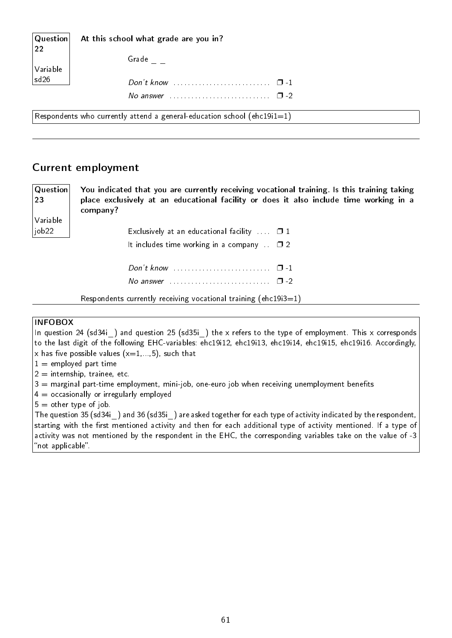| $\vert$ Question $\vert$<br>22                                          | At this school what grade are you in? |  |  |  |  |  |  |  |
|-------------------------------------------------------------------------|---------------------------------------|--|--|--|--|--|--|--|
| Variable                                                                | Grade                                 |  |  |  |  |  |  |  |
| sd <sub>26</sub>                                                        |                                       |  |  |  |  |  |  |  |
|                                                                         | No answer $\cdots$ $\cdots$ $\cdots$  |  |  |  |  |  |  |  |
| Respondents who currently attend a general-education school (ehc19i1=1) |                                       |  |  |  |  |  |  |  |

#### Current employment

23 Variable job22

Question

You indicated that you are currently receiving vocational training. Is this training taking place exclusively at an educational facility or does it also include time working in a company?

> Exclusively at an educational facility  $\Box$   $\Box$  1 It includes time working in a company  $\Box$  2 Don't know . . . . . . . . . . . . . . . . . . . . . . . . . . . ❐ -1 No answer . . . . . . . . . . . . . . . . . . . . . . . . . . . . ❐ -2

Respondents currently receiving vocational training (ehc19i3=1)

#### INFOBOX

In question 24 (sd34i) and question 25 (sd35i) the x refers to the type of employment. This x corresponds to the last digit of the following EHC-variables: ehc19i12, ehc19i13, ehc19i14, ehc19i15, ehc19i16. Accordingly, x has five possible values  $(x=1,...,5)$ , such that

- $1 =$  employed part time
- $2 =$  internship, trainee, etc.
- $3$  = marginal part-time employment, mini-job, one-euro job when receiving unemployment benefits
- $4 =$  occasionally or irregularly employed
- $5 =$  other type of job.

The question 35 (sd34i\_) and 36 (sd35i\_) are asked together for each type of activity indicated by the respondent, starting with the first mentioned activity and then for each additional type of activity mentioned. If a type of activity was not mentioned by the respondent in the EHC, the corresponding variables take on the value of -3 "not applicable".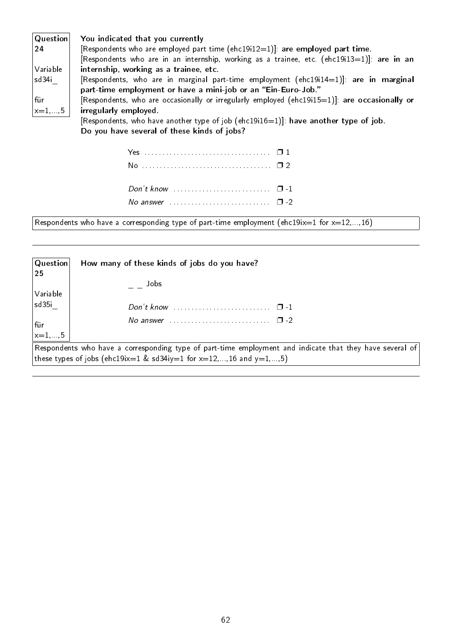| $\vert$ Question $\vert$   | You indicated that you currently                                                              |
|----------------------------|-----------------------------------------------------------------------------------------------|
| $ 24\rangle$               | [Respondents who are employed part time ( $ehc19i12=1$ ]: are employed part time.             |
|                            | [Respondents who are in an internship, working as a trainee, etc. $(ehc19i13=1)$ ]: are in an |
| Variable                   | internship, working as a trainee, etc.                                                        |
| sd34i                      | [Respondents, who are in marginal part-time employment (ehc19i14=1)]: are in marginal         |
|                            | part-time employment or have a mini-job or an "Ein-Euro-Job."                                 |
| für                        | [Respondents, who are occasionally or irregularly employed (ehc19i15=1)]: are occasionally or |
| $\vert x=1,\ldots,5 \vert$ | irregularly employed.                                                                         |
|                            | [Respondents, who have another type of job (ehc19i16=1)]: have another type of job.           |
|                            | Do you have several of these kinds of jobs?                                                   |

Respondents who have a corresponding type of part-time employment (ehc19ix=1 for  $x=12,...,16$ )

| $\mid$ Question $\mid$<br> 25 | How many of these kinds of jobs do you have?                                                                                                                                                   |
|-------------------------------|------------------------------------------------------------------------------------------------------------------------------------------------------------------------------------------------|
| Variable                      | Jobs                                                                                                                                                                                           |
| $ $ sd $35i$                  |                                                                                                                                                                                                |
| für<br>$\vert_{x=1,\ldots,5}$ | No answer $\ldots$ $\ldots$ $\ldots$ $\ldots$ $\ldots$ $\ldots$ $\Box$ -2                                                                                                                      |
|                               |                                                                                                                                                                                                |
|                               | $\mid$ Respondents who have a corresponding type of part-time employment and indicate that they have several of $\mid$<br>  these types of jobs (ehc19ix=1 & sd34iy=1 for x=12,,16 and y=1,,5) |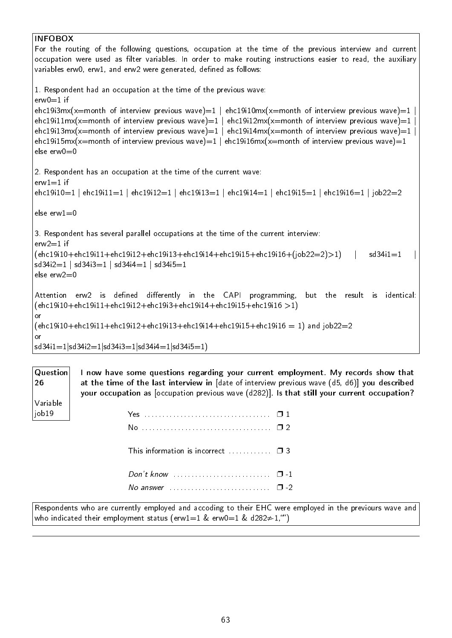### INFOBOX For the routing of the following questions, occupation at the time of the previous interview and current occupation were used as filter variables. In order to make routing instructions easier to read, the auxiliary variables erw0, erw1, and erw2 were generated, defined as follows: 1. Respondent had an occupation at the time of the previous wave:  $e$ rw $0=1$  if ehc19i3mx(x=month of interview previous wave)=1 | ehc19i10mx(x=month of interview previous wave)=1 ehc19i11mx(x=month of interview previous wave)=1 | ehc19i12mx(x=month of interview previous wave)=1 ehc19i13mx(x=month of interview previous wave)=1 | ehc19i14mx(x=month of interview previous wave)=1 | ehc19i15mx(x=month of interview previous wave)=1 | ehc19i16mx(x=month of interview previous wave)=1 else  $env0=0$ 2. Respondent has an occupation at the time of the current wave:  $erw1=1$  if ehc19i10=1 | ehc19i11=1 | ehc19i12=1 | ehc19i13=1 | ehc19i14=1 | ehc19i15=1 | ehc19i16=1 | job22=2 else erw $1=0$ 3. Respondent has several parallel occupations at the time of the current interview:  $e$ rw $2=1$  if  $(ehc19i10+ehc19i11+ehc19i12+ehc19i13+ehc19i14+ehc19i15+ehc19i16+(job22=2)>1)$  | sd34i1=1  $sd34i2=1$  |  $sd34i3=1$  |  $sd34i4=1$  |  $sd34i5=1$ else erw2=0 Attention erw2 is defined differently in the CAPI programming, but the result is identical:  $(ehc19i10+ehc19i11+ehc19i12+ehc19i3+ehc19i14+ehc19i15+ehc19i16)$ or  $(ehc19i10+ehc19i11+ehc19i12+ehc19i13+ehc19i14+ehc19i15+ehc19i16 = 1)$  and  $job22=2$ or  $sd34i1=1|sd34i2=1|sd34i3=1|sd34i4=1|sd34i5=1)$

Question 26 Variable job19 I now have some questions regarding your current employment. My records show that at the time of the last interview in [date of interview previous wave (d5, d6)] you described your occupation as [occupation previous wave (d282)]. Is that still your current occupation? Yes . . . . . . . . . . . . . . . . . . . . . . . . . . . . . . . . . . . ❐ 1 No . . . . . . . . . . . . . . . . . . . . . . . . . . . . . . . . . . . . ❐ 2 This information is incorrect  $\ldots$ . . . . . .  $\Box$  3 Don't know . . . . . . . . . . . . . . . . . . . . . . . . . . . ❐ -1 No answer . . . . . . . . . . . . . . . . . . . . . . . . . . . . ❐ -2

Respondents who are currently employed and accoding to their EHC were employed in the previours wave and who indicated their employment status (erw1=1 & erw0=1 & d282 $\neq$ -1, "")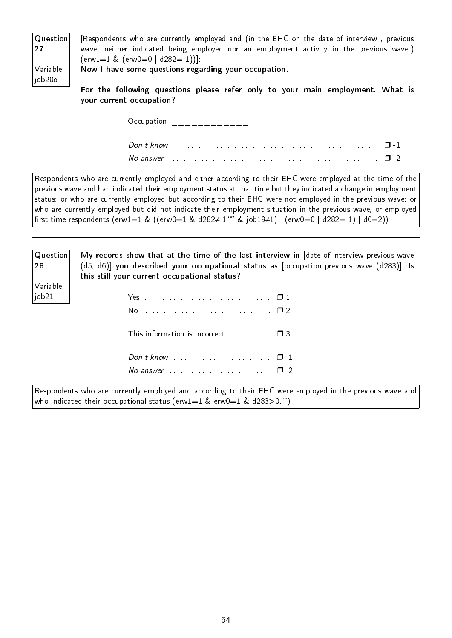| $\mid$ Question $\mid$ | [Respondents who are currently employed and (in the EHC on the date of interview, previous |
|------------------------|--------------------------------------------------------------------------------------------|
| 27                     | wave, neither indicated being employed nor an employment activity in the previous wave.)   |
|                        | $(\text{erw1}=1 \& (\text{erw0}=0   d282=1))]$                                             |
| $\sqrt{}$ Variable     | Now I have some questions regarding your occupation.                                       |
| job20o                 |                                                                                            |
|                        | For the following questions please refer only to your main employment. What is             |

For the following questions please refer only to your main employment. What is your current occupation?

 $Occupation:$  \_\_\_\_\_\_\_\_\_\_\_\_\_

Respondents who are currently employed and either according to their EHC were employed at the time of the previous wave and had indicated their employment status at that time but they indicated a change in employment status; or who are currently employed but according to their EHC were not employed in the previous wave; or who are currently employed but did not indicate their employment situation in the previous wave, or employed first-time respondents (erw1=1 & ((erw0=1 & d282≠-1, "" & job19≠1) | (erw0=0 | d282=-1) | d0=2))

| Question<br>28                |
|-------------------------------|
| Variable<br>job <sub>21</sub> |

| My records show that at the time of the last interview in [date of interview previous wave<br>(d5, d6)] you described your occupational status as [occupation previous wave (d283)]. Is<br>this still your current occupational status? |  |
|-----------------------------------------------------------------------------------------------------------------------------------------------------------------------------------------------------------------------------------------|--|
|                                                                                                                                                                                                                                         |  |
|                                                                                                                                                                                                                                         |  |
| This information is incorrect $\Box$ $\Box$ 3                                                                                                                                                                                           |  |

|  | No answer $\Box$ 2 |  |
|--|--------------------|--|

Respondents who are currently employed and according to their EHC were employed in the previous wave and who indicated their occupational status (erw1=1 & erw0=1 & d283>0,"")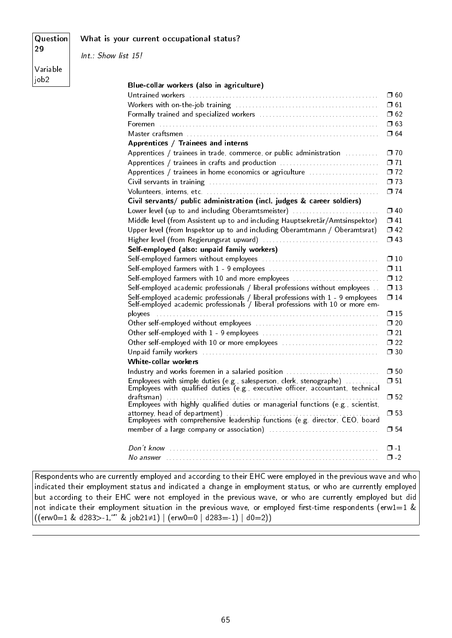#### What is your current occupational status?

Question 29

Int.: Show list 15!

Variable  $|i$ ob2

| Blue-collar workers (also in agriculture)                                                                                                                         |               |
|-------------------------------------------------------------------------------------------------------------------------------------------------------------------|---------------|
|                                                                                                                                                                   | $\square$ 60  |
|                                                                                                                                                                   | $\square$ 61  |
|                                                                                                                                                                   | $\square$ 62  |
|                                                                                                                                                                   | $\Box$ 63     |
|                                                                                                                                                                   | $\square$ 64  |
| Apprentices / Trainees and interns                                                                                                                                |               |
| Apprentices / trainees in trade, commerce, or public administration                                                                                               | $\Box$ 70     |
| Apprentices / trainees in crafts and production                                                                                                                   | $\Box$ 71     |
| Apprentices / trainees in home economics or agriculture                                                                                                           | $\Box$ 72     |
|                                                                                                                                                                   | $\Pi$ 73      |
|                                                                                                                                                                   | $\square$ 74  |
| Civil servants/ public administration (incl. judges & career soldiers)                                                                                            |               |
| Lower level (up to and including Oberamtsmeister)                                                                                                                 | $\Box$ 40     |
| Middle level (from Assistent up to and including Hauptsekretär/Amtsinspektor)                                                                                     | $\Box$ 41     |
| Upper level (from Inspektor up to and including Oberamtmann / Oberamtsrat)                                                                                        | $\Box$ 42     |
|                                                                                                                                                                   | $\Box$ 43     |
| Self-employed (also: unpaid family workers)                                                                                                                       |               |
|                                                                                                                                                                   | $\square$ 10  |
|                                                                                                                                                                   | $\Box$ 11     |
| Self-employed farmers with 10 and more employees                                                                                                                  | $\Box$ 12     |
| Self-employed academic professionals / liberal professions without employees                                                                                      | $\square$ 13  |
| Self-employed academic professionals / liberal professions with 1 - 9 employees<br>Self-employed academic professionals / liberal professions with 10 or more em- | $\Box$ 14     |
|                                                                                                                                                                   | $\Box$ 15     |
|                                                                                                                                                                   | $\square$ 20  |
|                                                                                                                                                                   | $\Box$ 21     |
| Other self-employed with 10 or more employees                                                                                                                     | $\square$ 22  |
|                                                                                                                                                                   | $\square$ 30  |
| White-collar workers                                                                                                                                              |               |
| Industry and works foremen in a salaried position                                                                                                                 | $\Box$ 50     |
| Employees with simple duties (e.g., salesperson, clerk, stenographe)<br>Employees with qualified duties (e.g., executive officer, accountant, technical           | $\square$ 51  |
| draftsman)<br>Employees with highly qualified duties or managerial functions (e.g., scientist,                                                                    | $\square$ 52  |
|                                                                                                                                                                   | $\square$ 53  |
|                                                                                                                                                                   |               |
|                                                                                                                                                                   | $\square$ 54  |
|                                                                                                                                                                   | $\Box$ $\Box$ |
|                                                                                                                                                                   | $\Box$ -2     |
|                                                                                                                                                                   |               |

Respondents who are currently employed and according to their EHC were employed in the previous wave and who indicated their employment status and indicated a change in employment status, or who are currently employed but according to their EHC were not employed in the previous wave, or who are currently employed but did not indicate their employment situation in the previous wave, or employed first-time respondents (erw1=1 &  $((\text{erw0=1 \& d283>–1}, \text{``'} \& \text{job21}\neq 1) | (\text{erw0=0} | d283=–1) | d0=2))$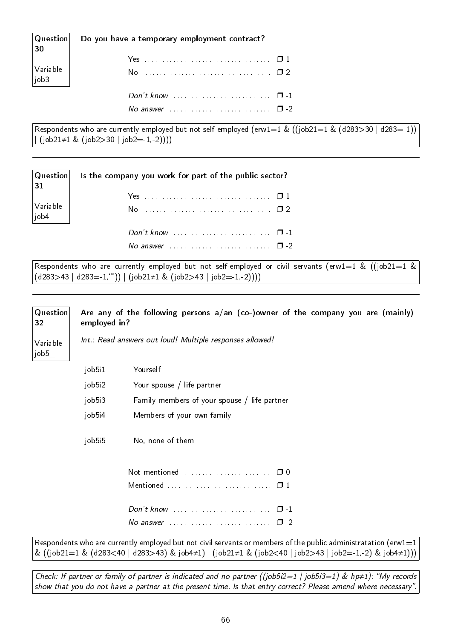| $\begin{vmatrix} \text{Question} \ \text{30} \end{vmatrix}$    | Do you have a temporary employment contract? |  |
|----------------------------------------------------------------|----------------------------------------------|--|
| $\begin{vmatrix} \text{Variable} \\ \text{job3} \end{vmatrix}$ |                                              |  |
|                                                                |                                              |  |

Respondents who are currently employed but not self-employed (erw1=1 & ((job21=1 & (d283>30 | d283=-1))  $(job21\neq1 \& (job2>30 | job2=1,-2))))$ 

No answer . . . . . . . . . . . . . . . . . . . . . . . . . . . . ❐ -2

| 31                                                                          | $ $ Question $ $ is the company you work for part of the public sector? |  |
|-----------------------------------------------------------------------------|-------------------------------------------------------------------------|--|
|                                                                             |                                                                         |  |
| $\left  \begin{array}{c} \text{Variable} \ \text{job4} \end{array} \right $ |                                                                         |  |
|                                                                             |                                                                         |  |
|                                                                             |                                                                         |  |

Respondents who are currently employed but not self-employed or civil servants (erw1=1 & ((job21=1 &  $(d283>43 | d283=1,"') | (job21 \neq 1 \& (job2>43 | job2=1,-2))))$ 

#### **Question** 32 Variable job5\_ Are any of the following persons a/an (co-)owner of the company you are (mainly) employed in? Int.: Read answers out loud! Multiple responses allowed! job5i1 Yourself job5i2 Your spouse / life partner job5i3 Family members of your spouse / life partner job5i4 Members of your own family job5i5 No, none of them

| Mentioned $\ldots$ , $\ldots$ , $\ldots$ , $\Box$ 1  |  |
|------------------------------------------------------|--|
| Don't know $\ldots$ $\ldots$ $\ldots$                |  |
| No answer $\ldots$ , $\ldots$ , $\ldots$ , $\Box$ -2 |  |

Respondents who are currently employed but not civil servants or members of the public administratation (erw1=1 & ((job21=1 & (d283<40 | d283>43) & job4≠1) | (job21≠1 & (job2<40 | job2>43 | job2=-1,-2) & job4≠1)))

Check: If partner or family of partner is indicated and no partner ((job5i2=1 | job5i3=1) & hp≠1): "My records show that you do not have a partner at the present time. Is that entry correct? Please amend where necessary"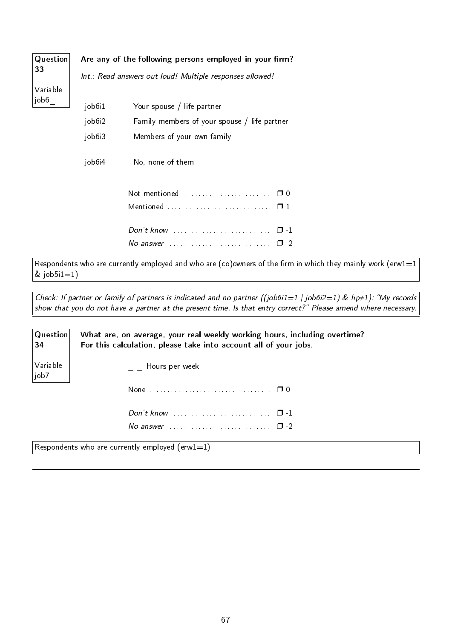| Question<br>33 |        | Are any of the following persons employed in your firm?<br>Int.: Read answers out loud! Multiple responses allowed! |
|----------------|--------|---------------------------------------------------------------------------------------------------------------------|
| Variable       |        |                                                                                                                     |
| job6           | job6i1 | Your spouse / life partner                                                                                          |
|                | job6i2 | Family members of your spouse / life partner                                                                        |
|                | job6i3 | Members of your own family                                                                                          |
|                | job6i4 | No, none of them                                                                                                    |
|                |        | Not mentioned<br>$\Box$ 0                                                                                           |
|                |        |                                                                                                                     |
|                |        | $Don't know \dots \dots \dots \dots \dots \dots \dots \dots \dots$<br>$\Box$ 1                                      |
|                |        | No answer $\ldots \ldots \ldots \ldots \ldots \ldots \ldots$<br>$\Box$ 2                                            |

Respondents who are currently employed and who are (co)owners of the firm in which they mainly work (erw1=1  $&$  job5i1=1)

Check: If partner or family of partners is indicated and no partner ((job6i1=1 | job6i2=1) & hp≠1): "My records show that you do not have a partner at the present time. Is that entry correct? Please amend where necessary.

| Question <br>34            | What are, on average, your real weekly working hours, including overtime?<br>For this calculation, please take into account all of your jobs. |
|----------------------------|-----------------------------------------------------------------------------------------------------------------------------------------------|
| Variable<br>$ _{\rm job7}$ | Hours per week                                                                                                                                |
|                            |                                                                                                                                               |
|                            | Don't know $\dots\dots\dots\dots\dots\dots\dots\dots \quad \Box$ -1                                                                           |
|                            | No answer $\cdots$ $\cdots$ $\cdots$                                                                                                          |
|                            | the contract of the contract of the                                                                                                           |

Respondents who are currently employed (erw1=1)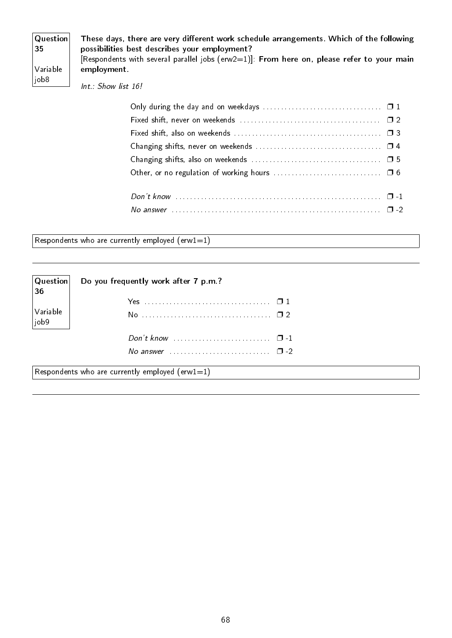| <b>Question</b><br> 35 | These days, there are very different work schedule arrangements. Which of the following<br>possibilities best describes your employment? |  |  |  |
|------------------------|------------------------------------------------------------------------------------------------------------------------------------------|--|--|--|
| Variable<br> job8      | [Respondents with several parallel jobs ( $e\text{rw2=1}$ ]: From here on, please refer to your main<br>employment.                      |  |  |  |
|                        | Int.: Show list 16!                                                                                                                      |  |  |  |

Respondents who are currently employed  $(e\mathsf{rw1}=1)$ 

| $ $ Question $ $<br>36 | Do you frequently work after 7 p.m.?            |
|------------------------|-------------------------------------------------|
|                        |                                                 |
| Variable<br> job9      |                                                 |
|                        |                                                 |
|                        | No answer $\cdots$ $\cdots$                     |
|                        | Respondents who are currently employed (erw1=1) |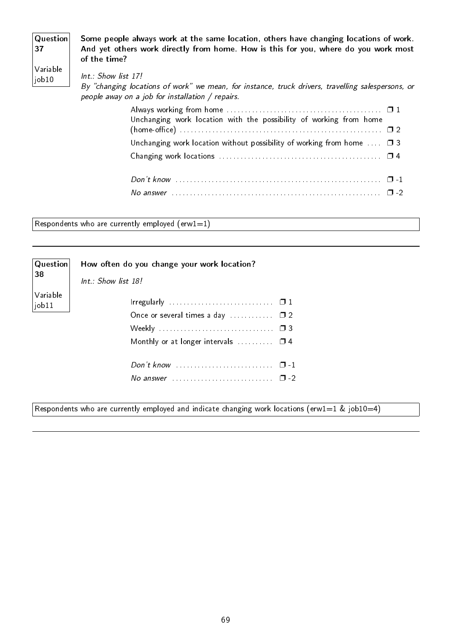| Question <br> 37                       | Some people always work at the same location, others have changing locations of work.<br>And yet others work directly from home. How is this for you, where do you work most<br>of the time? |
|----------------------------------------|----------------------------------------------------------------------------------------------------------------------------------------------------------------------------------------------|
| $\sqrt{}$ Variable<br>$\vert$ job $10$ | Int.: Show list 17!<br>By "changing locations of work" we mean, for instance, truck drivers, travelling salespersons, or<br>people away on a job for installation / repairs.                 |
|                                        | Unchanging work location with the possibility of working from home                                                                                                                           |

| Unchanging work location without possibility of working from home $\ldots$ $\Box$ 3                                            |  |
|--------------------------------------------------------------------------------------------------------------------------------|--|
|                                                                                                                                |  |
|                                                                                                                                |  |
|                                                                                                                                |  |
| No answer $\ldots$ $\ldots$ $\ldots$ $\ldots$ $\ldots$ $\ldots$ $\ldots$ $\ldots$ $\ldots$ $\ldots$ $\ldots$ $\ldots$ $\ldots$ |  |

Respondents who are currently employed  $(erw1=1)$ 

| Question                     | How often do you change your work location?              |  |
|------------------------------|----------------------------------------------------------|--|
| 38                           | $Int : Show$ list 18!                                    |  |
| Variable<br>$\vert$ job $11$ |                                                          |  |
|                              | Once or several times a day $\Box$ $\Box$ $\Box$ 2       |  |
|                              |                                                          |  |
|                              | Monthly or at longer intervals $\ldots \ldots \square$ 4 |  |
|                              |                                                          |  |
|                              | No answer $\cdots$ $\cdots$ $\cdots$                     |  |
|                              |                                                          |  |

Respondents who are currently employed and indicate changing work locations (erw1=1 & job10=4)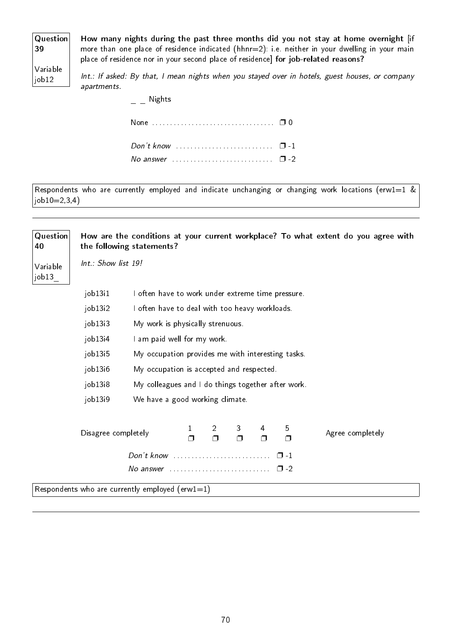| <b>Question</b> |
|-----------------|
| 39              |
|                 |
|                 |

How many nights during the past three months did you not stay at home overnight [if more than one place of residence indicated (hhnr=2): i.e. neither in your dwelling in your main place of residence nor in your second place of residence] for job-related reasons?

Variable  $|$ job $12$ 

Int.: If asked: By that, I mean nights when you stayed over in hotels, guest houses, or company apartments.

 $\overline{\phantom{a}}$  \_ Nights

Respondents who are currently employed and indicate unchanging or changing work locations (erw1=1  $\&$  $job10=2,3,4)$ 

| Question<br>40     |                     | the following statements?                                    |                                  |             |             |             |             | How are the conditions at your current workplace? To what extent do you agree with |  |  |
|--------------------|---------------------|--------------------------------------------------------------|----------------------------------|-------------|-------------|-------------|-------------|------------------------------------------------------------------------------------|--|--|
| Variable<br> job13 | Int.: Show list 19! |                                                              |                                  |             |             |             |             |                                                                                    |  |  |
|                    | job13i1             | I often have to work under extreme time pressure.            |                                  |             |             |             |             |                                                                                    |  |  |
|                    | job13i2             | I often have to deal with too heavy workloads.               |                                  |             |             |             |             |                                                                                    |  |  |
|                    | job13 <sub>13</sub> |                                                              | My work is physically strenuous. |             |             |             |             |                                                                                    |  |  |
|                    | job13 <sub>i4</sub> |                                                              | I am paid well for my work.      |             |             |             |             |                                                                                    |  |  |
|                    | job13i5             | My occupation provides me with interesting tasks.            |                                  |             |             |             |             |                                                                                    |  |  |
|                    | job13i6             | My occupation is accepted and respected.                     |                                  |             |             |             |             |                                                                                    |  |  |
|                    | job13i8             | My colleagues and I do things together after work.           |                                  |             |             |             |             |                                                                                    |  |  |
|                    | job13i9             | We have a good working climate.                              |                                  |             |             |             |             |                                                                                    |  |  |
|                    | Disagree completely |                                                              | 1<br>$\Box$                      | 2<br>$\Box$ | 3<br>$\Box$ | 4<br>$\Box$ | 5<br>$\Box$ | Agree completely                                                                   |  |  |
|                    |                     | Don't know                                                   |                                  |             |             |             | $\Box$ 1    |                                                                                    |  |  |
|                    |                     | No answer $\ldots \ldots \ldots \ldots \ldots \ldots \ldots$ |                                  |             |             |             | $\Box$      |                                                                                    |  |  |
|                    |                     | Respondents who are currently employed (erw1=1)              |                                  |             |             |             |             |                                                                                    |  |  |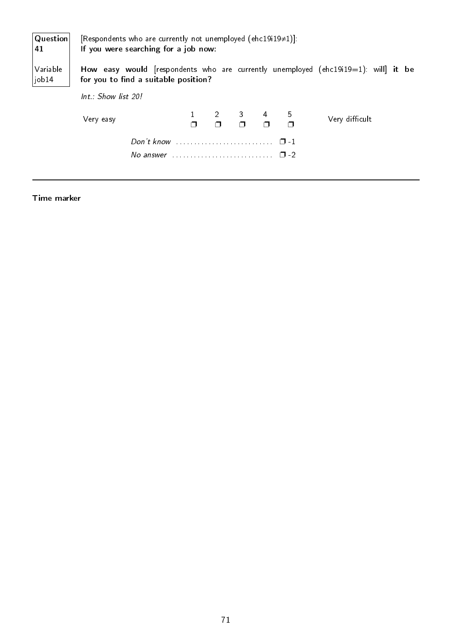| Question<br>41    | [Respondents who are currently not unemployed (ehc19i19 $\neq$ 1)].<br>If you were searching for a job now:                                    |  |                                                                  |  |                |
|-------------------|------------------------------------------------------------------------------------------------------------------------------------------------|--|------------------------------------------------------------------|--|----------------|
| Variable<br>job14 | How easy would [respondents who are currently unemployed (ehc19i19=1): will] it be<br>for you to find a suitable position?                     |  |                                                                  |  |                |
|                   | Int.: Show list 20!                                                                                                                            |  |                                                                  |  |                |
|                   | Very easy                                                                                                                                      |  | $\begin{array}{ccccccccc}\n2 & 3 & 4 & 5 \\ \hline\n\end{array}$ |  | Very difficult |
|                   | Don't know $\ldots \ldots \ldots \ldots \ldots \ldots \ldots \quad \Box$ -1<br>No answer $\ldots$ , $\ldots$ , $\ldots$ , $\ldots$ , $\Box$ -2 |  |                                                                  |  |                |

#### Time marker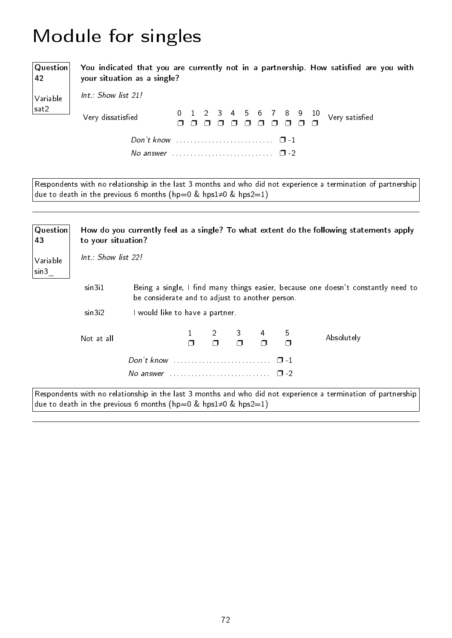# Module for singles

Question 42 Variable sat2

You indicated that you are currently not in a partnership. How satisfied are you with your situation as a single?

Int.: Show list 21!

| Very dissatisfied                                               |  |  |  |  |  |  |
|-----------------------------------------------------------------|--|--|--|--|--|--|
|                                                                 |  |  |  |  |  |  |
| No answer $\cdots$ , $\cdots$ , $\cdots$ , $\cdots$ , $\Box$ -2 |  |  |  |  |  |  |

Respondents with no relationship in the last 3 months and who did not experience a termination of partnership due to death in the previous 6 months (hp=0 & hps1≠0 & hps2=1)

| Question<br>43   | to your situation?  |                                                                         |  |          |   |   | How do you currently feel as a single? To what extent do the following statements apply                       |
|------------------|---------------------|-------------------------------------------------------------------------|--|----------|---|---|---------------------------------------------------------------------------------------------------------------|
| Variable<br>sin3 | Int.: Show list 22! |                                                                         |  |          |   |   |                                                                                                               |
|                  | sin3i1              | be considerate and to adjust to another person.                         |  |          |   |   | Being a single, I find many things easier, because one doesn't constantly need to                             |
|                  | sin3i2              | I would like to have a partner.                                         |  |          |   |   |                                                                                                               |
|                  | Not at all          |                                                                         |  | $\sim$ 3 | 4 | 5 | Absolutely                                                                                                    |
|                  |                     |                                                                         |  |          |   |   |                                                                                                               |
|                  |                     | No answer $\ldots \ldots \ldots \ldots \ldots \ldots \ldots \square$ -2 |  |          |   |   |                                                                                                               |
|                  |                     | due to death in the previous 6 months (hp=0 & hps1 $\neq$ 0 & hps2=1)   |  |          |   |   | Respondents with no relationship in the last 3 months and who did not experience a termination of partnership |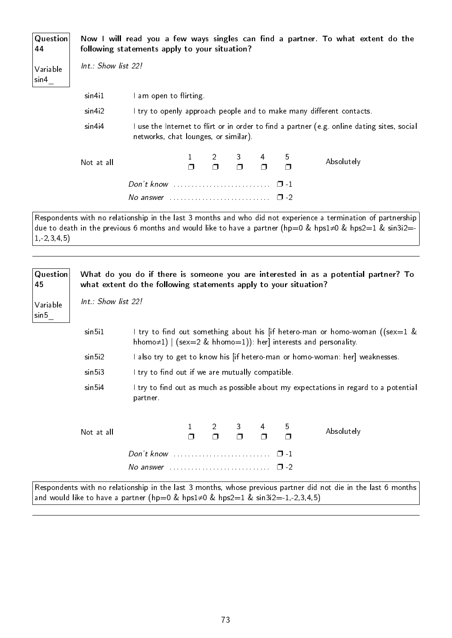| Question<br>44    |                     | following statements apply to your situation?                           |                                                                      |  |              |   |   | Now I will read you a few ways singles can find a partner. To what extent do the            |  |
|-------------------|---------------------|-------------------------------------------------------------------------|----------------------------------------------------------------------|--|--------------|---|---|---------------------------------------------------------------------------------------------|--|
| Variable<br>sin 4 | Int.: Show list 22! |                                                                         |                                                                      |  |              |   |   |                                                                                             |  |
|                   | sin4 <sub>1</sub> 1 | I am open to flirting.                                                  |                                                                      |  |              |   |   |                                                                                             |  |
|                   | sin4i2              |                                                                         | I try to openly approach people and to make many different contacts. |  |              |   |   |                                                                                             |  |
|                   | sin4i4              | networks, chat lounges, or similar).                                    |                                                                      |  |              |   |   | I use the Internet to flirt or in order to find a partner (e.g. online dating sites, social |  |
|                   | Not at all          |                                                                         |                                                                      |  | $2 \qquad 3$ | 4 | 5 | Absolutely                                                                                  |  |
|                   |                     | Don't know $\ldots \ldots \ldots \ldots \ldots \ldots \square -1$       |                                                                      |  |              |   |   |                                                                                             |  |
|                   |                     | No answer $\ldots \ldots \ldots \ldots \ldots \ldots \ldots \square$ -2 |                                                                      |  |              |   |   |                                                                                             |  |

Respondents with no relationship in the last 3 months and who did not experience a termination of partnership due to death in the previous 6 months and would like to have a partner (hp=0 & hps1≠0 & hps2=1 & sin3i2=-1,-2,3,4,5)

| Question<br>45    |                     | what extent do the following statements apply to your situation? |                                                                              |  |  |                                                                               |   | What do you do if there is someone you are interested in as a potential partner? To                                                                   |  |  |  |
|-------------------|---------------------|------------------------------------------------------------------|------------------------------------------------------------------------------|--|--|-------------------------------------------------------------------------------|---|-------------------------------------------------------------------------------------------------------------------------------------------------------|--|--|--|
| Variable<br>sin 5 | Int.: Show list 22! |                                                                  |                                                                              |  |  |                                                                               |   |                                                                                                                                                       |  |  |  |
|                   | sin 5i1             |                                                                  |                                                                              |  |  |                                                                               |   | I try to find out something about his [if hetero-man or homo-woman ((sex=1 &<br>hhomo $\neq$ 1)   (sex=2 & hhomo=1)): her] interests and personality. |  |  |  |
|                   | sin 5i2             |                                                                  | I also try to get to know his [if hetero-man or homo-woman: her] weaknesses. |  |  |                                                                               |   |                                                                                                                                                       |  |  |  |
|                   | sin5i3              | I try to find out if we are mutually compatible.                 |                                                                              |  |  |                                                                               |   |                                                                                                                                                       |  |  |  |
|                   | sin 5i4             | partner.                                                         |                                                                              |  |  |                                                                               |   | I try to find out as much as possible about my expectations in regard to a potential                                                                  |  |  |  |
|                   | Not at all          |                                                                  |                                                                              |  |  | $\begin{array}{ccccccc}\n2 & 3 & 4 \\ \Box & \Box & \Box & \Box\n\end{array}$ | 5 | Absolutely                                                                                                                                            |  |  |  |
|                   |                     |                                                                  |                                                                              |  |  |                                                                               |   |                                                                                                                                                       |  |  |  |
|                   |                     |                                                                  |                                                                              |  |  |                                                                               |   |                                                                                                                                                       |  |  |  |
|                   |                     |                                                                  |                                                                              |  |  |                                                                               |   | Respondents with no relationship in the last 3 months, whose previous partner did not die in the last 6 months                                        |  |  |  |

and would like to have a partner (hp=0 & hps1≠0 & hps2=1 & sin3i2=-1,-2,3,4,5)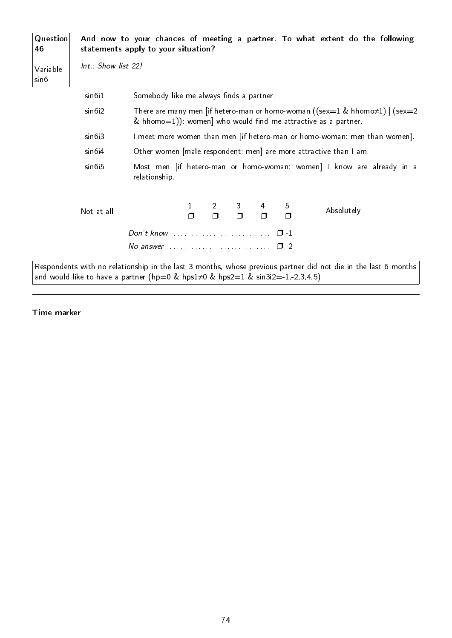| Question<br>46    |                     | statements apply to your situation?                                                   |                                                                                                                                                      |                          |                          |        |             | And now to your chances of meeting a partner. To what extent do the following                                  |  |
|-------------------|---------------------|---------------------------------------------------------------------------------------|------------------------------------------------------------------------------------------------------------------------------------------------------|--------------------------|--------------------------|--------|-------------|----------------------------------------------------------------------------------------------------------------|--|
| Variable<br>sin 6 | Int.: Show list 22! |                                                                                       |                                                                                                                                                      |                          |                          |        |             |                                                                                                                |  |
|                   | sin6i1              | Somebody like me always finds a partner.                                              |                                                                                                                                                      |                          |                          |        |             |                                                                                                                |  |
|                   | sin6i2              |                                                                                       | There are many men [if hetero-man or homo-woman ((sex=1 & hhomo $\neq$ 1)   (sex=2<br>& hhomo=1)): women] who would find me attractive as a partner. |                          |                          |        |             |                                                                                                                |  |
|                   | sin6i3              |                                                                                       | I meet more women than men [if hetero-man or homo-woman: men than women].                                                                            |                          |                          |        |             |                                                                                                                |  |
|                   | sin6i4              |                                                                                       | Other women [male respondent: men] are more attractive than I am.                                                                                    |                          |                          |        |             |                                                                                                                |  |
|                   | sin6i5              | relationship.                                                                         |                                                                                                                                                      |                          |                          |        |             | Most men <i>if</i> hetero-man or homo-woman: women] I know are already in a                                    |  |
|                   | Not at all          |                                                                                       | 1                                                                                                                                                    | $\overline{2}$<br>$\Box$ | 3 <sup>1</sup><br>$\Box$ | 4<br>Π | 5<br>$\Box$ | Absolutely                                                                                                     |  |
|                   |                     | $Don't know \dots \dots \dots \dots \dots \dots \dots \dots \dots \dots$              |                                                                                                                                                      |                          |                          |        | $\Box$ 1    |                                                                                                                |  |
|                   |                     | $\Delta$ No answer $\ldots$ , $\ldots$ , $\ldots$ , $\ldots$                          |                                                                                                                                                      |                          |                          |        | $\Box$ -2   |                                                                                                                |  |
|                   |                     | and would like to have a partner (hp=0 & hps1 $\neq$ 0 & hps2=1 & sin3i2=-1,-2,3,4,5) |                                                                                                                                                      |                          |                          |        |             | Respondents with no relationship in the last 3 months, whose previous partner did not die in the last 6 months |  |

Time marker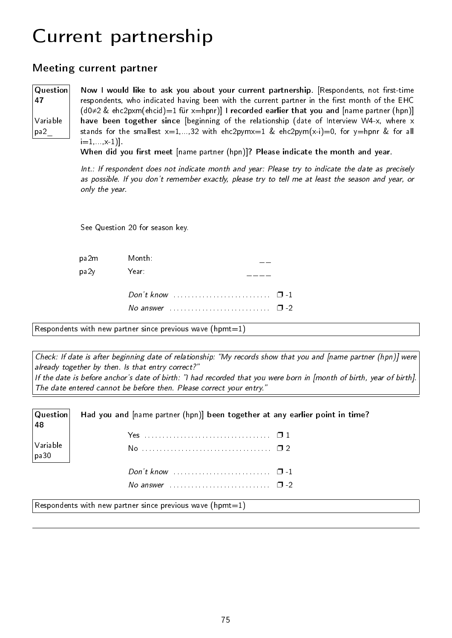# Current partnership

#### Meeting current partner

Question 47 Variable pa2\_

Now I would like to ask you about your current partnership. [Respondents, not first-time respondents, who indicated having been with the current partner in the first month of the EHC  $(d0\neq 2 \& \text{ ehc2pxm(ehcid)}=1 \text{ für } x=\text{hpnr})$  I recorded earlier that you and  $[\text{name partner (hpn)}]$ have been together since [beginning of the relationship (date of Interview W4-x, where x stands for the smallest  $x=1,...,32$  with  $ehc2pymx=1$  &  $ehc2pym(x-i)=0$ , for  $y=hpnr$  & for all  $i=1, \ldots, x-1$ ].

When did you first meet [name partner (hpn)]? Please indicate the month and year.

Int.: If respondent does not indicate month and year: Please try to indicate the date as precisely as possible. If you don't remember exactly, please try to tell me at least the season and year, or only the year.

See Question 20 for season key.

| pa2m | Month:                                                                  |  |
|------|-------------------------------------------------------------------------|--|
| pa2y | Year:                                                                   |  |
|      | Don't know $\cdots$ $\cdots$ $\cdots$                                   |  |
|      | No answer $\ldots \ldots \ldots \ldots \ldots \ldots \ldots \square$ -2 |  |

Respondents with new partner since previous wave (hpmt=1)

Check: If date is after beginning date of relationship: "My records show that you and [name partner (hpn)] were already together by then. Is that entry correct?" If the date is before anchor's date of birth: "I had recorded that you were born in [month of birth, year of birth]. The date entered cannot be before then. Please correct your entry."

| $ $ Question $ $<br>48 | Had you and [name partner (hpn)] been together at any earlier point in time? |
|------------------------|------------------------------------------------------------------------------|
|                        |                                                                              |
| Variable<br> pa30      |                                                                              |
|                        |                                                                              |
|                        | No answer $\ldots$ $\ldots$ $\ldots$ $\ldots$ $\ldots$ $\ldots$ $\Box$ -2    |

Respondents with new partner since previous wave (hpmt=1)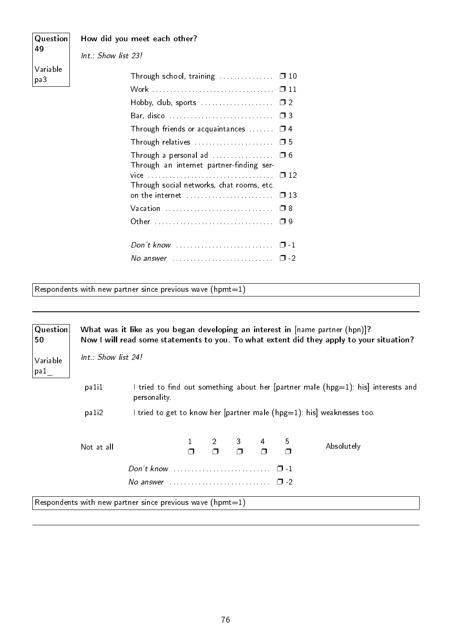| Question        | How did you meet each other?                                                        |
|-----------------|-------------------------------------------------------------------------------------|
| 49              | $Int.:$ Show list 23!                                                               |
| Variable<br>pa3 | Through school, training $\ldots \ldots \ldots \square 10$                          |
|                 |                                                                                     |
|                 | Hobby, club, sports $\ldots \ldots \ldots \ldots \ldots \square 2$                  |
|                 |                                                                                     |
|                 | Through friends or acquaintances $\Box$ $\Box$ 4                                    |
|                 |                                                                                     |
|                 | Through a personal ad $\ldots$ $\Box$ 6<br>Through an internet partner-finding ser- |
|                 | Through social networks, chat rooms, etc.                                           |
|                 |                                                                                     |
|                 |                                                                                     |
|                 |                                                                                     |
|                 |                                                                                     |

No answer . . . . . . . . . . . . . . . . . . . . . . . . . . . . ❐ -2

Respondents with new partner since previous wave  $(hpm=1)$ 

| Question<br>50   | What was it like as you began developing an interest in [name partner (hpn)]?<br>Now I will read some statements to you. To what extent did they apply to your situation? |                                                                           |  |  |                                                                                               |                                                                                   |
|------------------|---------------------------------------------------------------------------------------------------------------------------------------------------------------------------|---------------------------------------------------------------------------|--|--|-----------------------------------------------------------------------------------------------|-----------------------------------------------------------------------------------|
| Variable<br>pa 1 | Int.: Show list 24!                                                                                                                                                       |                                                                           |  |  |                                                                                               |                                                                                   |
|                  | pali1                                                                                                                                                                     | personality.                                                              |  |  |                                                                                               | I tried to find out something about her [partner male (hpg=1): his] interests and |
|                  | pa <sub>1</sub> <sup>2</sup>                                                                                                                                              |                                                                           |  |  |                                                                                               | I tried to get to know her [partner male (hpg=1): his] weaknesses too.            |
|                  | Not at all                                                                                                                                                                |                                                                           |  |  | $\begin{array}{cccccccc}\n1 & 2 & 3 & 4 & 5 \\ \Box & \Box & \Box & \Box & \Box\n\end{array}$ | Absolutely                                                                        |
|                  |                                                                                                                                                                           |                                                                           |  |  |                                                                                               |                                                                                   |
|                  |                                                                                                                                                                           | No answer $\ldots$ $\ldots$ $\ldots$ $\ldots$ $\ldots$ $\ldots$ $\Box$ -2 |  |  |                                                                                               |                                                                                   |
|                  |                                                                                                                                                                           | Respondents with new partner since previous wave (hpmt=1)                 |  |  |                                                                                               |                                                                                   |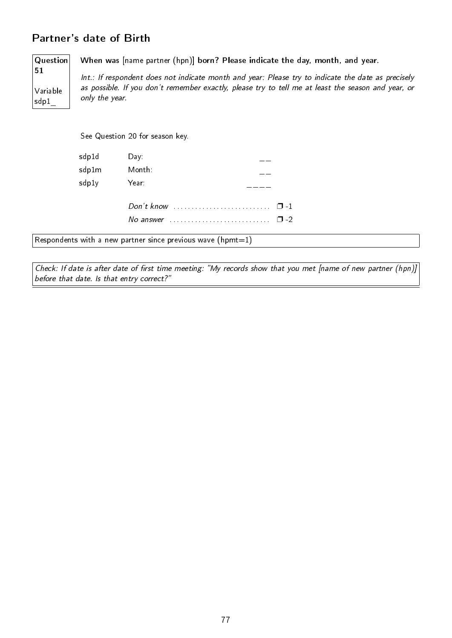### Partner's date of Birth

Question 51 Variable

sdp1\_

When was [name partner (hpn)] born? Please indicate the day, month, and year.

Int.: If respondent does not indicate month and year: Please try to indicate the date as precisely as possible. If you don't remember exactly, please try to tell me at least the season and year, or only the year.

See Question 20 for season key.

| sdp1d | Day:      |          |
|-------|-----------|----------|
| sdp1m | Month:    |          |
| sdp1y | Year:     |          |
|       |           | $\Box$ 1 |
|       | No answer | י −      |

Respondents with a new partner since previous wave  $(hpm=1)$ 

Check: If date is after date of first time meeting: "My records show that you met [name of new partner (hpn)] before that date. Is that entry correct?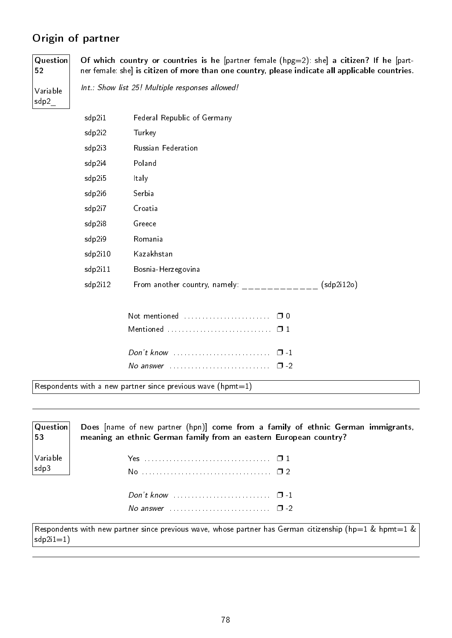# Origin of partner

Question 52 Variable

Of which country or countries is he [partner female (hpg=2): she] a citizen? If he [partner female: she] is citizen of more than one country, please indicate all applicable countries.

Int.: Show list 25! Multiple responses allowed!

sdp2\_

| sdp2i1  | Federal Republic of Germany                                                     |            |
|---------|---------------------------------------------------------------------------------|------------|
| sdp2i2  | Turkey                                                                          |            |
| sdp2i3  | Russian Federation                                                              |            |
| sdp2i4  | Poland                                                                          |            |
| sdp2i5  | Italy                                                                           |            |
| sdp2i6  | Serbia                                                                          |            |
| sdp2i7  | Croatia                                                                         |            |
| sdp2i8  | Greece                                                                          |            |
| sdp2i9  | Romania                                                                         |            |
| sdp2i10 | Kazakhstan                                                                      |            |
| sdp2i11 | Bosnia-Herzegovina                                                              |            |
| sdp2i12 | From another country, namely:                                                   | (sdp2i12o) |
|         |                                                                                 |            |
|         | Not mentioned<br>$\Box$ 0                                                       |            |
|         |                                                                                 |            |
|         | $Don't know \dots \dots \dots \dots \dots \dots \dots \dots \dots$<br>$\Box$ -1 |            |

Respondents with a new partner since previous wave  $(hpm=1)$ 

Question 53 Variable sdp3 Does [name of new partner (hpn)] come from a family of ethnic German immigrants, meaning an ethnic German family from an eastern European country? Yes . . . . . . . . . . . . . . . . . . . . . . . . . . . . . . . . . . . ❐ 1 No . . . . . . . . . . . . . . . . . . . . . . . . . . . . . . . . . . . . ❐ 2 Don't know . . . . . . . . . . . . . . . . . . . . . . . . . . . ❐ -1 No answer  $\dots \dots \dots \dots \dots \dots \dots \square$  -2

No answer  $\dots \dots \dots \dots \dots \dots \dots \square$  -2

Respondents with new partner since previous wave, whose partner has German citizenship (hp=1 & hpmt=1 &  $sdp2i1=1)$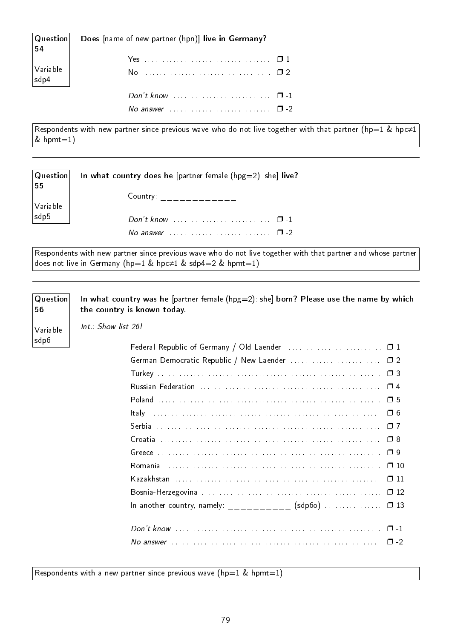| $ \mathsf{Question} $<br>$\vert$ 54                                                                                                                                                                                                                                                                                                                                                                                                                                                                                                                           | Does [name of new partner (hpn)] live in Germany? |  |
|---------------------------------------------------------------------------------------------------------------------------------------------------------------------------------------------------------------------------------------------------------------------------------------------------------------------------------------------------------------------------------------------------------------------------------------------------------------------------------------------------------------------------------------------------------------|---------------------------------------------------|--|
|                                                                                                                                                                                                                                                                                                                                                                                                                                                                                                                                                               |                                                   |  |
| $\begin{array}{ l } \hline \text{Variable} \\ \text{sdp4} \end{array} \Bigg  % \begin{array}{ l } \hline \text{Single} & \text{Multi} \\ \hline \text{Subject} & \text{Multi} \\ \hline \end{array} % \begin{array}{ l } \hline \text{Single} & \text{Multi} \\ \hline \text{Subject} & \text{Multi} \\ \hline \end{array} % \begin{array}{ l } \hline \text{Single} & \text{Multi} \\ \hline \text{Subject} & \text{Multi} \\ \hline \end{array} % \begin{array}{ l } \hline \text{Single} & \text{Multi} \\ \hline \text{Subject} & \text{Multi} \\ \hline$ |                                                   |  |
|                                                                                                                                                                                                                                                                                                                                                                                                                                                                                                                                                               | Don't know $\cdots$ $\cdots$ $\cdots$ $\cdots$    |  |
|                                                                                                                                                                                                                                                                                                                                                                                                                                                                                                                                                               | No answer $\cdots$ $\cdots$ $\cdots$              |  |

Respondents with new partner since previous wave who do not live together with that partner (hp=1 & hpc≠1  $&$  hpmt=1)

| Question <br>55                                                 | In what country does he [partner female ( $hpg=2$ ): she] live?            |
|-----------------------------------------------------------------|----------------------------------------------------------------------------|
|                                                                 | Country: $\qquad \qquad \_ \_ \_ \_ \_ \_ \_ \_ \_ \_ \_ \_ \_ \_ \_$      |
| $\begin{array}{ l } \text{Variable} \\ \text{sdp5} \end{array}$ |                                                                            |
|                                                                 | Don't know $\ldots$ $\ldots$ $\ldots$ $\ldots$ $\ldots$ $\ldots$ $\Box$ -1 |
|                                                                 | No answer $\cdots$ $\cdots$ $\cdots$                                       |
|                                                                 |                                                                            |

Respondents with new partner since previous wave who do not live together with that partner and whose partner does not live in Germany (hp=1 & hpc≠1 & sdp4=2 & hpmt=1)

**Question** 56 In what country was he [partner female ( $hpg=2$ ): she] born? Please use the name by which the country is known today.

Int.: Show list 26!

Variable sdp6

|                                                          | $\Box$ 7  |
|----------------------------------------------------------|-----------|
|                                                          | $\Box$ 8  |
|                                                          |           |
|                                                          | $\Box$ 10 |
|                                                          | $\Box$ 11 |
|                                                          | $\Box$ 12 |
| In another country, namely: __________ (sdp60) $\Box$ 13 |           |
|                                                          |           |
|                                                          |           |
|                                                          |           |

Respondents with a new partner since previous wave ( $hp=1$  & hpmt=1)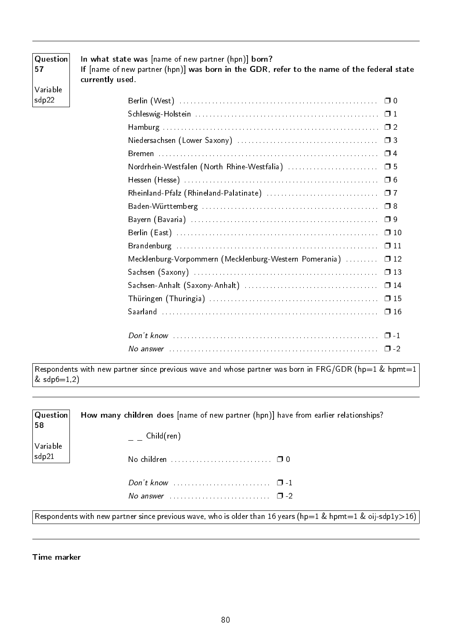| Question<br>57    | In what state was [name of new partner (hpn)] born?<br>If [name of new partner (hpn)] was born in the GDR, refer to the name of the federal state<br>currently used. |
|-------------------|----------------------------------------------------------------------------------------------------------------------------------------------------------------------|
| Variable<br>sdp22 |                                                                                                                                                                      |
|                   |                                                                                                                                                                      |
|                   |                                                                                                                                                                      |
|                   |                                                                                                                                                                      |
|                   |                                                                                                                                                                      |
|                   | Nordrhein-Westfalen (North Rhine-Westfalia)<br>□ 5                                                                                                                   |
|                   |                                                                                                                                                                      |
|                   | $\Box$ 7                                                                                                                                                             |
|                   |                                                                                                                                                                      |
|                   |                                                                                                                                                                      |
|                   |                                                                                                                                                                      |
|                   | $\Box$ 11                                                                                                                                                            |
|                   | Mecklenburg-Vorpommern (Mecklenburg-Western Pomerania)<br>$\square$ 12                                                                                               |
|                   |                                                                                                                                                                      |
|                   | $\Box$ 14                                                                                                                                                            |
|                   |                                                                                                                                                                      |
|                   |                                                                                                                                                                      |
|                   |                                                                                                                                                                      |
|                   |                                                                                                                                                                      |

Respondents with new partner since previous wave and whose partner was born in FRG/GDR (hp=1 & hpmt=1  $\&$  sdp $6{=}1,2)$ 

| $ $ Question $ $<br>58 | How many children does [name of new partner (hpn)] have from earlier relationships?                         |
|------------------------|-------------------------------------------------------------------------------------------------------------|
|                        | Child(ren)                                                                                                  |
| Variable<br>sdp21      | No children $\ldots \ldots \ldots \ldots \ldots \ldots \ldots \quad \Box$ 0                                 |
|                        |                                                                                                             |
|                        | No answer $\cdots$ $\cdots$                                                                                 |
|                        | Respondents with new partner since previous wave, who is older than 16 years (hp=1 & hpmt=1 & oij-sdp1y>16) |

Time marker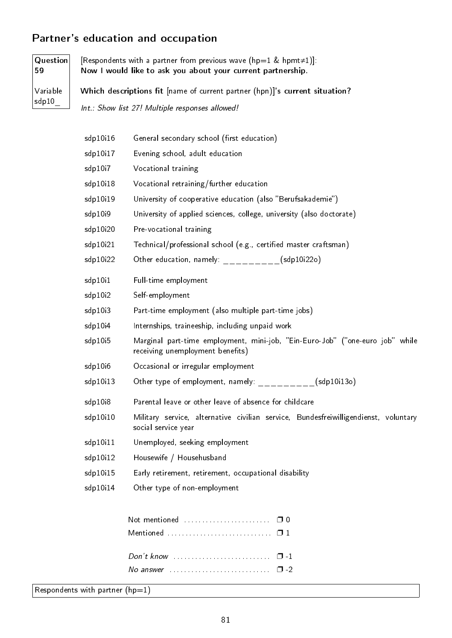# Partner's education and occupation

| <b>Question</b><br>59 |                                                                             | [Respondents with a partner from previous wave ( $hp=1$ & hpmt $\neq$ 1)].<br>Now I would like to ask you about your current partnership. |  |  |  |
|-----------------------|-----------------------------------------------------------------------------|-------------------------------------------------------------------------------------------------------------------------------------------|--|--|--|
| Variable              | Which descriptions fit [name of current partner (hpn)]'s current situation? |                                                                                                                                           |  |  |  |
| $\mathsf{sdp10}_{-}$  |                                                                             | Int.: Show list 27! Multiple responses allowed!                                                                                           |  |  |  |
|                       | sdp10i16                                                                    | General secondary school (first education)                                                                                                |  |  |  |
|                       | sdp10i17                                                                    | Evening school, adult education                                                                                                           |  |  |  |
|                       | sdp10i7                                                                     | Vocational training                                                                                                                       |  |  |  |
|                       | sdp10i18                                                                    | Vocational retraining/further education                                                                                                   |  |  |  |
|                       | sdp10i19                                                                    | University of cooperative education (also "Berufsakademie")                                                                               |  |  |  |
|                       | sdp10i9                                                                     | University of applied sciences, college, university (also doctorate)                                                                      |  |  |  |
|                       | sdp10i20                                                                    | Pre-vocational training                                                                                                                   |  |  |  |
|                       | sdp10i21                                                                    | Technical/professional school (e.g., certified master craftsman)                                                                          |  |  |  |
|                       | sdp10i22                                                                    | Other education, namely: $\frac{1}{2}$ = $\frac{1}{2}$ = $\frac{1}{2}$ = $\frac{1}{2}$ (sdp10i22o)                                        |  |  |  |
|                       | sdp10i1                                                                     | Full-time employment                                                                                                                      |  |  |  |
|                       | sdp10i2                                                                     | Self-employment                                                                                                                           |  |  |  |
|                       | sdp10i3                                                                     | Part-time employment (also multiple part-time jobs)                                                                                       |  |  |  |
|                       | sdp10i4                                                                     | Internships, traineeship, including unpaid work                                                                                           |  |  |  |
|                       | sdp10i5                                                                     | Marginal part-time employment, mini-job, "Ein-Euro-Job" ("one-euro job" while<br>receiving unemployment benefits)                         |  |  |  |
|                       | sdp10i6                                                                     | Occasional or irregular employment                                                                                                        |  |  |  |
|                       | sdp10i13                                                                    | Other type of employment, namely: $\frac{1}{2}$ ________(sdp10i13o)                                                                       |  |  |  |
|                       | sdp10i8                                                                     | Parental leave or other leave of absence for childcare                                                                                    |  |  |  |
|                       | sdp10i10                                                                    | Military service, alternative civilian service, Bundesfreiwilligendienst, voluntary<br>social service year                                |  |  |  |
|                       | sdp10i11                                                                    | Unemployed, seeking employment                                                                                                            |  |  |  |
|                       | sdp10i12                                                                    | Housewife / Househusband                                                                                                                  |  |  |  |
|                       | sdp10i15                                                                    | Early retirement, retirement, occupational disability                                                                                     |  |  |  |
|                       | sdp10i14                                                                    | Other type of non-employment                                                                                                              |  |  |  |
|                       |                                                                             | $\Box$ 1<br>$\Box$ -2                                                                                                                     |  |  |  |
|                       | Respondents with partner ( $hp=1$ )                                         |                                                                                                                                           |  |  |  |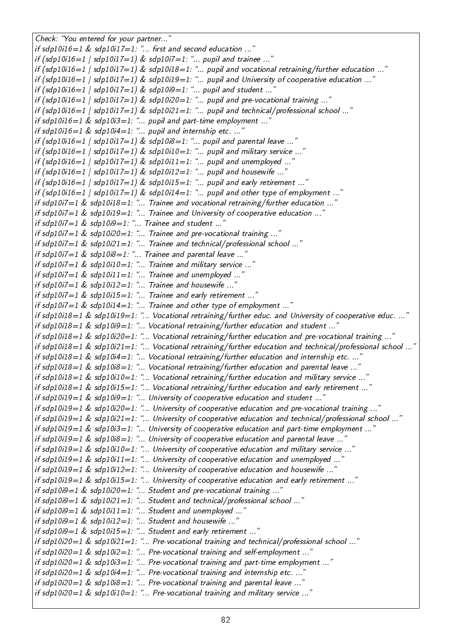Check: "You entered for your partner..." if sdp10i16=1 & sdp10i17=1: "... first and second education ..." if  $(sdp10i16=1 / sdp10i17=1)$  &  $sdp10i7=1$ : "... pupil and trainee ..." if (sdp10i16=1 | sdp10i17=1) & sdp10i18=1: "... pupil and vocational retraining/further education ..." if (sdp10i16=1 | sdp10i17=1) & sdp10i19=1: "... pupil and University of cooperative education ..." if  $(sdp10i16=1$  |  $sdp10i17=1$  &  $sdp10i9=1$ : "... pupil and student ..." if (sdp10i16=1 | sdp10i17=1) & sdp10i20=1: "... pupil and pre-vocational training ..." if  $(sdp10i16=1$   $|$  sdp10i17=1) & sdp10i21=1: "... pupil and technical/professional school ..." if sdp10i16=1 & sdp10i3=1: "... pupil and part-time employment ..." if  $sdp10i16=1$  &  $sdp10i4=1$ : "... pupil and internship etc. ..." if  $(sdp10i16=1$  | sdp10i17=1) & sdp10i8=1: "... pupil and parental leave ..." if (sdp10i16=1 | sdp10i17=1) & sdp10i10=1: "... pupil and military service ..." if  $(sdp10i16=1$   $|$   $sdp10i17=1$ ) &  $sdp10i11=1$ : "... pupil and unemployed ..." if  $(sdp10i16=1$  | sdp10i17=1) & sdp10i12=1: "... pupil and housewife ..." if  $(sdp10i16=1$  |  $sdp10i17=1$ ) &  $sdp10i15=1$ : "... pupil and early retirement ..." if (sdp10i16=1 | sdp10i17=1) & sdp10i14=1: "... pupil and other type of employment ..." if sdp10i7=1 & sdp10i18=1: "... Trainee and vocational retraining/further education ..." if sdp10i7=1 & sdp10i19=1: "... Trainee and University of cooperative education ..." if sdp10i7=1 & sdp10i9=1: "... Trainee and student ..." if sdp10i7 $=$ 1 & sdp10i20 $=$ 1: "... Trainee and pre-vocational training ...' if sdp10i7=1 & sdp10i21=1: "... Trainee and technical/professional school ...' if sdp10i7=1 & sdp10i8=1: "... Trainee and parental leave ..." if sdp10i7=1  $\&$  sdp10i10=1: "... Trainee and military service ...' if sdp10i7=1  $\&$  sdp10i11=1: "... Trainee and unemployed ...' if sdp10i7=1 & sdp10i12=1: "... Trainee and housewife ...' if sdp10i7=1  $&$  sdp10i15=1: "... Trainee and early retirement ..." if sdp10i7=1  $\&$  sdp10i14=1: "... Trainee and other type of employment ...' if sdp10i18=1 & sdp10i19=1: "... Vocational retraining/further educ. and University of cooperative educ. ...' if sdp10i18=1 & sdp10i9=1: "... Vocational retraining/further education and student ..." if sdp10i18=1 & sdp10i20=1: "... Vocational retraining/further education and pre-vocational training ..." if sdp10i18=1 & sdp10i21=1: "... Vocational retraining/further education and technical/professional school ...' if sdp10i18=1 & sdp10i4=1: "... Vocational retraining/further education and internship etc. ...' if sdp10i18=1 & sdp10i8=1: "... Vocational retraining/further education and parental leave ...' if sdp10i18=1 & sdp10i10=1: "... Vocational retraining/further education and military service ..." if sdp10i18=1 & sdp10i15=1: "... Vocational retraining/further education and early retirement ..." if sdp10i19=1 & sdp10i9=1: "... University of cooperative education and student ..." if sdp10i19=1 & sdp10i20=1: "... University of cooperative education and pre-vocational training ...' if sdp10i19=1 & sdp10i21=1: "... University of cooperative education and technical/professional school ..." if sdp10i19=1 & sdp10i3=1: "... University of cooperative education and part-time employment ..." if sdp10i19=1 & sdp10i8=1: "... University of cooperative education and parental leave ..." if sdp10i19=1 & sdp10i10=1: "... University of cooperative education and military service ..." if sdp10i19=1 & sdp10i11=1: "... University of cooperative education and unemployed ...' if sdp10i19=1 & sdp10i12=1: "... University of cooperative education and housewife ..." if sdp10i19=1 & sdp10i15=1: "... University of cooperative education and early retirement ...' if sdp10i9=1 & sdp10i20=1: "... Student and pre-vocational training ...' if sdp10i9=1 & sdp10i21=1: "... Student and technical/professional school ..." if sdp10i9=1 & sdp10i11=1: "... Student and unemployed ...' if sdp10i9=1 & sdp10i12=1: "... Student and housewife ...' if  $sdp10i9=1$  &  $sdp10i15=1$ : "... Student and early retirement ..." if sdp10i20=1 & sdp10i21=1: "... Pre-vocational training and technical/professional school ..." if sdp10i20=1 & sdp10i2=1: "... Pre-vocational training and self-employment ..." if sdp10i20=1 & sdp10i3=1: "... Pre-vocational training and part-time employment ..." if  $sdp10i20=1$  &  $sdp10i4=1$ : "... Pre-vocational training and internship etc. ..." if  $sdp10i20=1$  &  $sdp10i8=1$ : "... Pre-vocational training and parental leave ..." if  $sdp10i20=1$  &  $sdp10i10=1$ : "... Pre-vocational training and military service ..."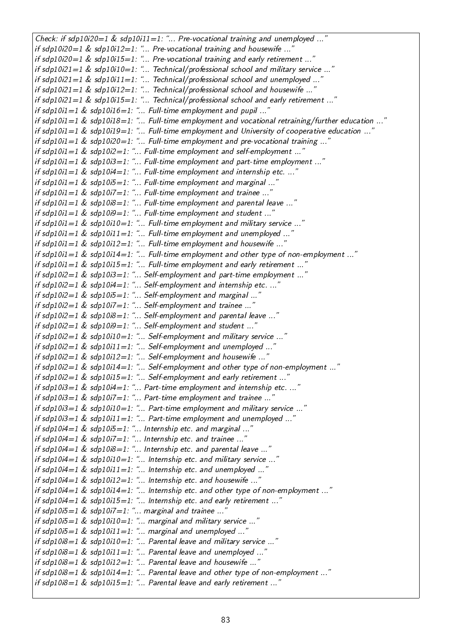Check: if sdp10i20=1 & sdp10i11=1: "... Pre-vocational training and unemployed ..." if sdp10i20=1 & sdp10i12=1: "... Pre-vocational training and housewife ..." if sdp10i20=1 & sdp10i15=1: "... Pre-vocational training and early retirement ...' if sdp10i21=1 & sdp10i10=1: "... Technical/professional school and military service ...' if sdp10i21=1 & sdp10i11=1: "... Technical/professional school and unemployed ..." if  $sdp10i21=1$  &  $sdp10i12=1$ : "... Technical/professional school and housewife ..." if sdp10i21=1 & sdp10i15=1: "... Technical/professional school and early retirement ..." if sdp10i1=1 & sdp10i16=1: "... Full-time employment and pupil ...' if sdp10i1=1 & sdp10i18=1: "... Full-time employment and vocational retraining/further education ...' if sdp10i1=1 & sdp10i19=1: "... Full-time employment and University of cooperative education ... if sdp10i1=1 & sdp10i20=1: ... Full-time employment and pre-vocational training ... if  $sdp10i1=1$  &  $sdp10i2=1$ : "... Full-time employment and self-employment ..." if sdp10i1=1 & sdp10i3=1: "... Full-time employment and part-time employment ..." if  $sdp10i1=1$  &  $sdp10i4=1$ : "... Full-time employment and internship etc. ..." if  $sdp10i1=1$  &  $sdp10i5=1$ : "... Full-time employment and marginal ..." if sdp10i1=1  $&$  sdp10i7=1: "... Full-time employment and trainee ..." if sdp10i1=1 & sdp10i8=1: "... Full-time employment and parental leave ..." if sdp10i1=1 & sdp10i9=1: "... Full-time employment and student ..." if  $sdp10i1=1$  &  $sdp10i10=1$ : "... Full-time employment and military service ..." if  $sdp10i1=1$  &  $sdp10i11=1$ : "... Full-time employment and unemployed ... if sdp10i1=1 & sdp10i12=1: "... Full-time employment and housewife ..." if sdp10i1=1 & sdp10i14=1: "... Full-time employment and other type of non-employment ..." if sdp10i1=1  $\&$  sdp10i15=1: "... Full-time employment and early retirement ...' if sdp10i2=1  $\&$  sdp10i3=1: "... Self-employment and part-time employment ...' if  $sdp10i2=1$  &  $sdp10i4=1$ : "... Self-employment and internship etc. ...' if sdp10i2=1 & sdp10i5=1: "... Self-employment and marginal ..." if sdp10i2=1  $\&$  sdp10i7=1: "... Self-employment and trainee ...' if sdp10i2=1 & sdp10i8=1: "... Self-employment and parental leave ...' if sdp10i2=1 & sdp10i9=1: "... Self-employment and student ..." if sdp10i2=1 & sdp10i10=1: "... Self-employment and military service ..." if  $sdp10i2=1$  &  $sdp10i11=1$ : "... Self-employment and unemployed ..." if sdp10i2=1 & sdp10i12=1: "... Self-employment and housewife ...' if sdp10i2=1 & sdp10i14=1: "... Self-employment and other type of non-employment ...' if sdp10i2=1  $\&$  sdp10i15=1: "... Self-employment and early retirement ...' if sdp10i3=1 & sdp10i4=1: "... Part-time employment and internship etc. ...' if sdp10i3=1  $\&$  sdp10i7=1: "... Part-time employment and trainee ..." if  $sdp10i3=1$  &  $sdp10i10=1$ : "... Part-time employment and military service ..." if sdp10i3=1 & sdp10i11=1: "... Part-time employment and unemployed ..." if sdp10i4=1 & sdp10i5=1: "... Internship etc. and marginal ... if  $sdp10i4=1$  &  $sdp10i7=1$ : "... Internship etc. and trainee ..." if sdp10i4=1  $&$  sdp10i8=1: "... Internship etc. and parental leave ..." if sdp10i4=1 & sdp10i10=1: "... Internship etc. and military service ..." if sdp10i4=1 & sdp10i11=1: "... Internship etc. and unemployed ..." if sdp10i4=1 & sdp10i12=1: "... Internship etc. and housewife ..." if sdp10i4=1 & sdp10i14=1: "... Internship etc. and other type of non-employment ..." if sdp10i4=1  $\&$  sdp10i15=1: "... Internship etc. and early retirement ...' if sdp10i5 $=$ 1 & sdp10i7 $=$ 1: "... marginal and trainee ...' if  $sdp10i5=1$  &  $sdp10i10=1$ : "... marginal and military service ..." if sdp10i5=1 & sdp10i11=1: "... marginal and unemployed ..." if sdp10i8=1 & sdp10i10=1: "... Parental leave and military service ..." if sdp10i8=1 & sdp10i11=1: "... Parental leave and unemployed ..." if sdp10i8=1 & sdp10i12=1: ... Parental leave and housewife ... if sdp10i8=1 & sdp10i14=1: "... Parental leave and other type of non-employment ..." if sdp10i8=1 & sdp10i15=1: "... Parental leave and early retirement ..."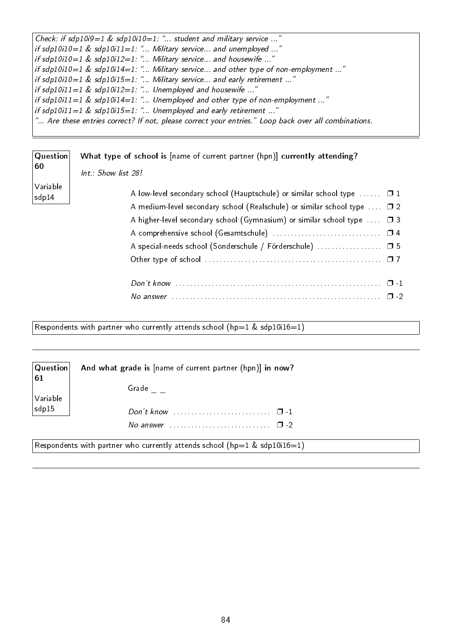| Check: if sdp10i9=1 & sdp10i10=1: " student and military service "                                          |
|-------------------------------------------------------------------------------------------------------------|
| $\mid$ if sdp10i10=1 & sdp10i11=1: " Military service and unemployed "                                      |
| if sdp10i10=1 & sdp10i12=1: " Military service and housewife "                                              |
| if sdp10i10=1 & sdp10i14=1: " Military service and other type of non-employment "                           |
| if sdp10i10=1 & sdp10i15=1: " Military service and early retirement "                                       |
| $ $ if sdp10i11=1 & sdp10i12=1: " Unemployed and housewife "                                                |
| if sdp10i11=1 & sdp10i14=1: " Unemployed and other type of non-employment "                                 |
| if sdp10i11=1 & sdp10i15=1: " Unemployed and early retirement "                                             |
| $\vert$ " Are these entries correct? If not, please correct your entries." Loop back over all combinations. |

| Question          | What type of school is [name of current partner (hpn)] currently attending?               |
|-------------------|-------------------------------------------------------------------------------------------|
| 60                | Int.: Show list 28!                                                                       |
| Variable<br>sdp14 | A low-level secondary school (Hauptschule) or similar school type $\dots \dots \square 1$ |
|                   | A medium-level secondary school (Realschule) or similar school type $\ldots$ $\Box$ 2     |
|                   | A higher-level secondary school (Gymnasium) or similar school type $\ldots$ $\Box$ 3      |
|                   |                                                                                           |
|                   | A special-needs school (Sonderschule / Förderschule)  0 5                                 |
|                   |                                                                                           |
|                   |                                                                                           |
|                   |                                                                                           |

Respondents with partner who currently attends school  $(hp=1 \& sdp10i16=1)$ 

| Question<br>61 | And what grade is [name of current partner (hpn)] in now?                    |
|----------------|------------------------------------------------------------------------------|
| Variable       | Grade                                                                        |
| sdp15          |                                                                              |
|                | No answer $\ldots$ $\ldots$ $\ldots$ $\ldots$ $\ldots$ $\ldots$ $\Box$ -2    |
|                | Respondents with partner who currently attends school ( $hp=1$ & sdp10i16=1) |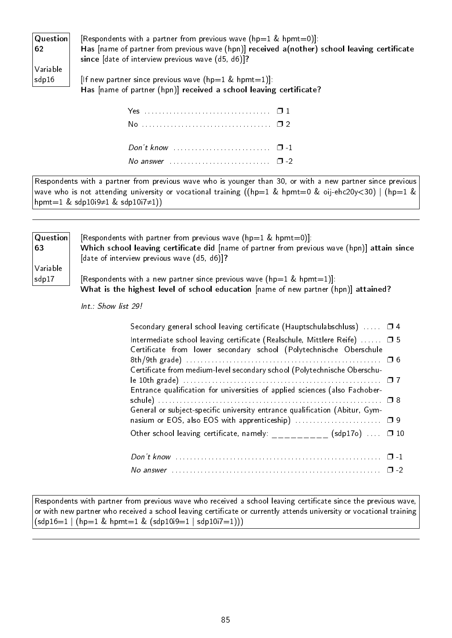| Question | [Re                                  |
|----------|--------------------------------------|
| 62       | Ha:                                  |
|          | sino                                 |
| Variable |                                      |
| sdp16    | $\mathsf{I} \mathsf{I} \mathsf{f}$ r |

spondents with a partner from previous wave (hp=1 & hpmt=0)]: s [name of partner from previous wave (hpn)] received a(nother) school leaving certificate  $ce$  [date of interview previous wave (d5, d6)]?

ew partner since previous wave (hp=1 & hpmt=1)]: Has [name of partner (hpn)] received a school leaving certificate?

| Don't know $\ldots \ldots \ldots \ldots \ldots \ldots \ldots \quad \Box -1$ |  |
|-----------------------------------------------------------------------------|--|
| No answer $\cdots$ $\cdots$ $\cdots$                                        |  |
|                                                                             |  |

Respondents with a partner from previous wave who is younger than 30, or with a new partner since previous wave who is not attending university or vocational training ((hp=1 & hpmt=0 & oij-ehc20y<30) | (hp=1 & hpmt=1 & sdp10i9≠1 & sdp10i7≠1))

| [Respondents with partner from previous wave ( $hp=1$ & hpmt=0)]:                            |
|----------------------------------------------------------------------------------------------|
| Which school leaving certificate did [name of partner from previous wave (hpn)] attain since |
| [date of interview previous wave (d5, d6)]?                                                  |
|                                                                                              |
| [Respondents with a new partner since previous wave ( $hp=1$ & $hpm=1$ )]:                   |
| What is the highest level of school education [name of new partner (hpn)] attained?          |
|                                                                                              |

Int.: Show list 29!

| Secondary general school leaving certificate (Hauptschulabschluss) $\dots$ $\Box$ 4                                            |  |
|--------------------------------------------------------------------------------------------------------------------------------|--|
| Intermediate school leaving certificate (Realschule, Mittlere Reife)  □ 5                                                      |  |
| Certificate from lower secondary school (Polytechnische Oberschule                                                             |  |
|                                                                                                                                |  |
| Certificate from medium-level secondary school (Polytechnische Oberschu-                                                       |  |
|                                                                                                                                |  |
| Entrance qualification for universities of applied sciences (also Fachober-                                                    |  |
|                                                                                                                                |  |
| General or subject-specific university entrance qualification (Abitur, Gym-                                                    |  |
|                                                                                                                                |  |
| Other school leaving certificate, namely: $\frac{1}{2}$ $\frac{1}{2}$ $\frac{1}{2}$ $\frac{1}{2}$ (sdp170) $\cdots$ $\Box$ 10  |  |
|                                                                                                                                |  |
|                                                                                                                                |  |
| No answer $\ldots$ $\ldots$ $\ldots$ $\ldots$ $\ldots$ $\ldots$ $\ldots$ $\ldots$ $\ldots$ $\ldots$ $\ldots$ $\ldots$ $\ldots$ |  |

Respondents with partner from previous wave who received a school leaving certificate since the previous wave, or with new partner who received a school leaving certificate or currently attends university or vocational training  $(sdp16=1 | (hp=1 \& hpm1=1 \& (sdp10i9=1 | sdp10i7=1)))$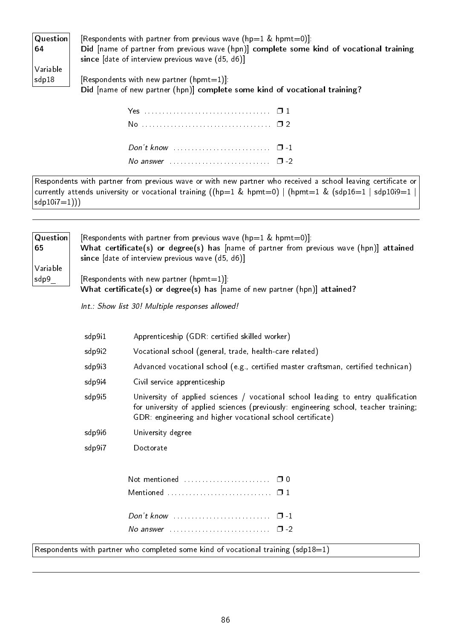| $ $ Question $ $ | [Respondents with partner from previous wave ( $hp=1$ & $hpm=0$ )]:                      |
|------------------|------------------------------------------------------------------------------------------|
| 64               | Did [name of partner from previous wave (hpn)] complete some kind of vocational training |
|                  | since [date of interview previous wave (d5, d6)]                                         |
| Variable         |                                                                                          |
| $ $ sdp $18$     | [Respondents with new partner (hpmt=1)]:                                                 |
|                  | Did [name of new partner (hpn)] complete some kind of vocational training?               |

| No answer $\cdots$ $\cdots$ $\cdots$ |  |
|--------------------------------------|--|

Respondents with partner from previous wave or with new partner who received a school leaving certificate or currently attends university or vocational training ((hp=1 & hpmt=0) | (hpmt=1 & (sdp16=1 | sdp10i9=1 |  $sdp10i7=1))$ 

| Question <br>65  | [Respondents with partner from previous wave ( $hp=1$ & $hpm=0$ )]:<br>What certificate(s) or degree(s) has [name of partner from previous wave (hpn)] attained<br>since [date of interview previous wave (d5, d6)] |
|------------------|---------------------------------------------------------------------------------------------------------------------------------------------------------------------------------------------------------------------|
| Variable<br>sdp9 | [Respondents with new partner (hpmt=1)]:<br>What certificate(s) or degree(s) has [name of new partner (hpn)] attained?                                                                                              |
|                  | Int.: Show list 30! Multiple responses allowed!                                                                                                                                                                     |

| sdp9i1 | Apprenticeship (GDR: certified skilled worker) |  |  |
|--------|------------------------------------------------|--|--|
|        |                                                |  |  |

- sdp9i2 Vocational school (general, trade, health-care related)
- sdp9i3 Advanced vocational school (e.g., certified master craftsman, certified technican)
- sdp9i4 Civil service apprenticeship
- sdp9i5 University of applied sciences / vocational school leading to entry qualification for university of applied sciences (previously: engineering school, teacher training; GDR: engineering and higher vocational school certificate)
- sdp9i6 University degree
- sdp9i7 Doctorate

| No answer $\ldots$ $\ldots$ $\ldots$ $\ldots$ $\ldots$ $\ldots$ $\Box$ -2 |  |
|---------------------------------------------------------------------------|--|

Respondents with partner who completed some kind of vocational training (sdp18=1)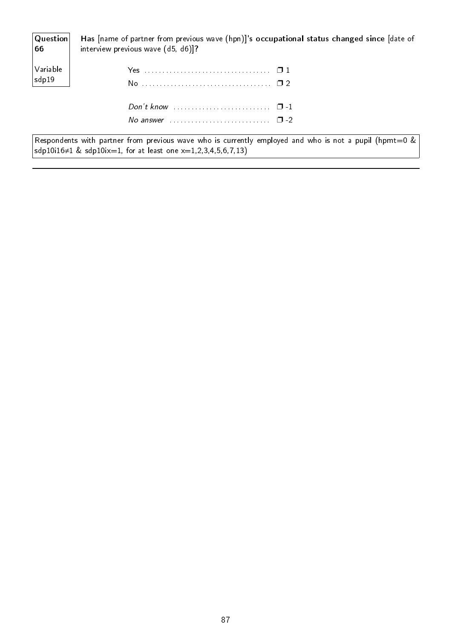| Question<br>$\begin{vmatrix} 66 \end{vmatrix}$ | Has [name of partner from previous wave (hpn)]'s occupational status changed since [date of<br>interview previous wave (d5, d6)]? |
|------------------------------------------------|-----------------------------------------------------------------------------------------------------------------------------------|
| Variable<br>sdp19                              |                                                                                                                                   |
|                                                | No answer $\cdots$ $\cdots$ $\cdots$                                                                                              |

Respondents with partner from previous wave who is currently employed and who is not a pupil (hpmt=0 &  $\mathsf{sdp}$ 10i16≠1  $\&$   $\mathsf{sdp}$ 10ix $=$ 1, for at least one x $=$ 1,2,3,4,5,6,7,13)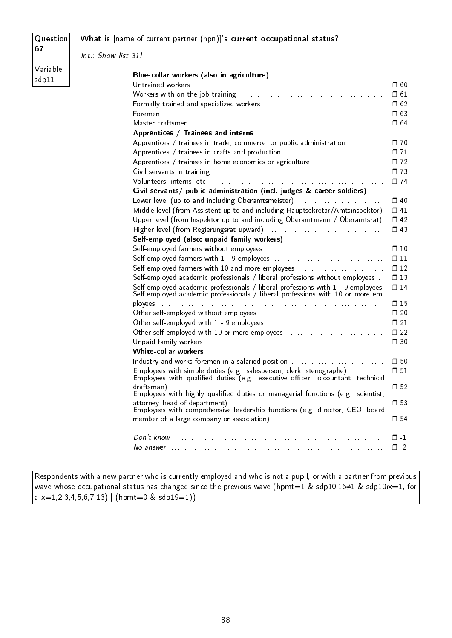#### Question 67

 $sdp11$ 

#### What is [name of current partner (hpn)]'s current occupational status?

Variable Int.: Show list 31!

| Blue-collar workers (also in agriculture)                                                                                                                                      |                           |
|--------------------------------------------------------------------------------------------------------------------------------------------------------------------------------|---------------------------|
|                                                                                                                                                                                | $\square$ 60              |
|                                                                                                                                                                                | $\Box$ 61                 |
|                                                                                                                                                                                | $\square$ 62              |
|                                                                                                                                                                                | □ 63                      |
|                                                                                                                                                                                | $\Box$ 64                 |
| Apprentices / Trainees and interns                                                                                                                                             |                           |
| Apprentices / trainees in trade, commerce, or public administration                                                                                                            | $\Box$ 70                 |
| Apprentices / trainees in crafts and production                                                                                                                                | $\Box$ 71                 |
| Apprentices / trainees in home economics or agriculture                                                                                                                        | $\square$ 72              |
|                                                                                                                                                                                | $\square$ 73              |
|                                                                                                                                                                                | $\Box$ 74                 |
| Civil servants/ public administration (incl. judges & career soldiers)                                                                                                         |                           |
| Lower level (up to and including Oberamtsmeister)                                                                                                                              | $\Box$ 40                 |
| Middle level (from Assistent up to and including Hauptsekretär/Amtsinspektor)                                                                                                  | $\Box$ 41                 |
| Upper level (from Inspektor up to and including Oberamtmann / Oberamtsrat)                                                                                                     | $\Box$ 42                 |
|                                                                                                                                                                                | $\Box$ 43                 |
| Self-employed (also: unpaid family workers)                                                                                                                                    |                           |
|                                                                                                                                                                                | $\Box$ 10                 |
|                                                                                                                                                                                | $\Box$ 11                 |
| Self-employed farmers with 10 and more employees                                                                                                                               | $\square$ 12              |
| Self-employed academic professionals / liberal professions without employees                                                                                                   | $\square$ 13              |
| Self-employed academic professionals / liberal professions with 1 - 9 employees<br>Self-employed academic professionals / liberal professions with 10 or more em-              | $\Box$ 14                 |
| ployees                                                                                                                                                                        | $\square$ 15              |
|                                                                                                                                                                                | $\square$ 20              |
|                                                                                                                                                                                | $\square$ 21              |
| Other self-employed with 10 or more employees                                                                                                                                  | $\Box$ 22                 |
|                                                                                                                                                                                | $\square$ 30              |
| White-collar workers                                                                                                                                                           |                           |
| Industry and works foremen in a salaried position                                                                                                                              | $\square$ 50<br>$\Box$ 51 |
| Employees with simple duties (e.g., salesperson, clerk, stenographe) $\ldots \ldots \ldots$<br>Employees with qualified duties (e.g., executive officer, accountant, technical |                           |
| draftsman)                                                                                                                                                                     | $\square$ 52              |
|                                                                                                                                                                                | $\square$ 53              |
|                                                                                                                                                                                | □ 54                      |
|                                                                                                                                                                                |                           |
|                                                                                                                                                                                | $\Box -1$                 |
|                                                                                                                                                                                | $\Box$ -2                 |
|                                                                                                                                                                                |                           |

Respondents with a new partner who is currently employed and who is not a pupil, or with a partner from previous wave whose occupational status has changed since the previous wave (hpmt=1 & sdp10i16≠1 & sdp10ix=1, for  $a \times = 1, 2, 3, 4, 5, 6, 7, 13$  | (hpmt=0 & sdp19=1))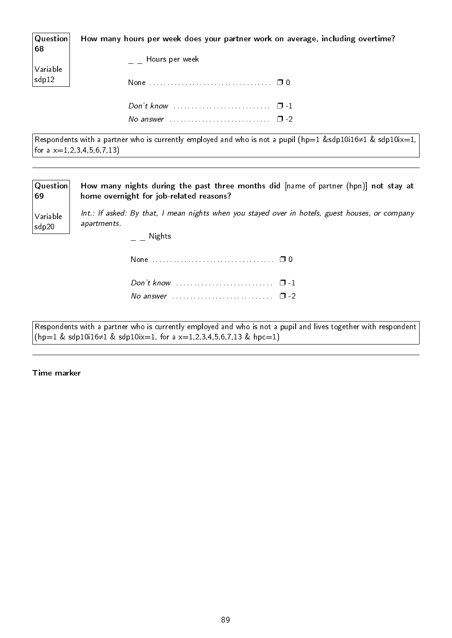| $ $ Question $ $<br>68                                                         | How many hours per week does your partner work on average, including overtime? |
|--------------------------------------------------------------------------------|--------------------------------------------------------------------------------|
|                                                                                | Hours per week                                                                 |
| $\begin{array}{ l } \hline \text{Variable} \\ \text{sdp12} \hline \end{array}$ |                                                                                |
|                                                                                |                                                                                |
|                                                                                | No answer $\ldots \ldots \ldots \ldots \ldots \ldots \ldots \quad \Box$ -2     |

Respondents with a partner who is currently employed and who is not a pupil (hp=1 &sdp10i16≠1 & sdp10ix=1, for a  $x=1,2,3,4,5,6,7,13$ 

| Question<br>69    | How many nights during the past three months did $[name of pattern]$ (hpn) not stay at<br>home overnight for job-related reasons? |
|-------------------|-----------------------------------------------------------------------------------------------------------------------------------|
| Variable<br>sdp20 | Int.: If asked: By that, I mean nights when you stayed over in hotels, guest houses, or company<br>apartments.<br>Nights          |
|                   |                                                                                                                                   |
|                   | No answer $\ldots \ldots \ldots \ldots \ldots \ldots \ldots \square$ -2                                                           |

Respondents with a partner who is currently employed and who is not a pupil and lives together with respondent  $(hp=1 \&$  sdp10i16≠1 & sdp10ix=1, for a x=1,2,3,4,5,6,7,13 & hpc=1)

Time marker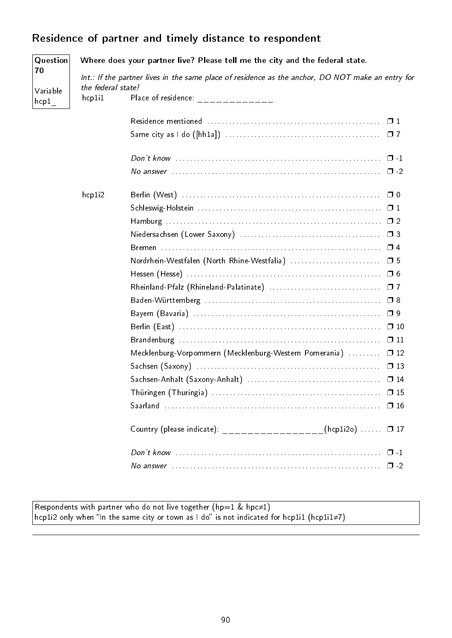# Residence of partner and timely distance to respondent

| Question              | Where does your partner live? Please tell me the city and the federal state.                                            |                                                                                                                   |  |  |  |  |  |  |  |  |  |  |  |
|-----------------------|-------------------------------------------------------------------------------------------------------------------------|-------------------------------------------------------------------------------------------------------------------|--|--|--|--|--|--|--|--|--|--|--|
| 70                    | Int.: If the partner lives in the same place of residence as the anchor, DO NOT make an entry for<br>the federal state! |                                                                                                                   |  |  |  |  |  |  |  |  |  |  |  |
| Variable<br>$^{hcp1}$ | hcp1i1                                                                                                                  | Place of residence: $\frac{1}{2}$ = $\frac{1}{2}$ = $\frac{1}{2}$ = $\frac{1}{2}$ = $\frac{1}{2}$ = $\frac{1}{2}$ |  |  |  |  |  |  |  |  |  |  |  |
|                       |                                                                                                                         |                                                                                                                   |  |  |  |  |  |  |  |  |  |  |  |
|                       |                                                                                                                         |                                                                                                                   |  |  |  |  |  |  |  |  |  |  |  |
|                       |                                                                                                                         |                                                                                                                   |  |  |  |  |  |  |  |  |  |  |  |
|                       |                                                                                                                         |                                                                                                                   |  |  |  |  |  |  |  |  |  |  |  |
|                       | hcp1i2                                                                                                                  | $\Box$ 0                                                                                                          |  |  |  |  |  |  |  |  |  |  |  |
|                       |                                                                                                                         |                                                                                                                   |  |  |  |  |  |  |  |  |  |  |  |
|                       |                                                                                                                         |                                                                                                                   |  |  |  |  |  |  |  |  |  |  |  |
|                       |                                                                                                                         |                                                                                                                   |  |  |  |  |  |  |  |  |  |  |  |
|                       |                                                                                                                         |                                                                                                                   |  |  |  |  |  |  |  |  |  |  |  |
|                       |                                                                                                                         |                                                                                                                   |  |  |  |  |  |  |  |  |  |  |  |
|                       |                                                                                                                         |                                                                                                                   |  |  |  |  |  |  |  |  |  |  |  |
|                       |                                                                                                                         |                                                                                                                   |  |  |  |  |  |  |  |  |  |  |  |
|                       |                                                                                                                         |                                                                                                                   |  |  |  |  |  |  |  |  |  |  |  |
|                       |                                                                                                                         |                                                                                                                   |  |  |  |  |  |  |  |  |  |  |  |
|                       |                                                                                                                         |                                                                                                                   |  |  |  |  |  |  |  |  |  |  |  |
|                       |                                                                                                                         | $\Box$ 11                                                                                                         |  |  |  |  |  |  |  |  |  |  |  |
|                       |                                                                                                                         | Mecklenburg-Vorpommern (Mecklenburg-Western Pomerania)<br>$\Box$ 12                                               |  |  |  |  |  |  |  |  |  |  |  |
|                       |                                                                                                                         | $\Box$ 13                                                                                                         |  |  |  |  |  |  |  |  |  |  |  |
|                       |                                                                                                                         |                                                                                                                   |  |  |  |  |  |  |  |  |  |  |  |
|                       |                                                                                                                         |                                                                                                                   |  |  |  |  |  |  |  |  |  |  |  |
|                       |                                                                                                                         |                                                                                                                   |  |  |  |  |  |  |  |  |  |  |  |
|                       |                                                                                                                         | Country (please indicate): __________________(hcp1i2o)  0 17                                                      |  |  |  |  |  |  |  |  |  |  |  |
|                       |                                                                                                                         |                                                                                                                   |  |  |  |  |  |  |  |  |  |  |  |
|                       |                                                                                                                         |                                                                                                                   |  |  |  |  |  |  |  |  |  |  |  |

Respondents with partner who do not live together (hp=1 & hpc≠1) <code>hcp1</code>i<code>2</code> only when "In the same city or town as I do" is not indicated for <code>hcp1i1</code> (<code>hcp1i1≠7</code> )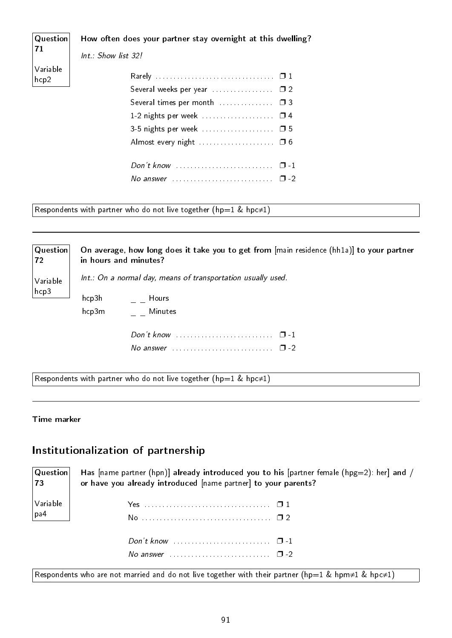| $\vert$ Question $\vert$<br> 71 | How often does your partner stay overnight at this dwelling?<br>Int.: Show list 32! |  |
|---------------------------------|-------------------------------------------------------------------------------------|--|
| Variable<br>hcp2                |                                                                                     |  |
|                                 | Several times per month  03<br>1-2 nights per week  0 4                             |  |
|                                 | 3-5 nights per week  0 5                                                            |  |
|                                 | No answer $\ldots \ldots \ldots \ldots \ldots \ldots \ldots \quad \Box$ -2          |  |

Respondents with partner who do not live together (hp=1 & hpc $\neq$ 1)

**Question** 72 Variable hcp3 On average, how long does it take you to get from [main residence (hh1a)] to your partner in hours and minutes? Int.: On a normal day, means of transportation usually used.

 $hcp3h$  \_  $L$  Hours hcp3m Minutes

| No answer $\ldots$ $\ldots$ $\ldots$ $\ldots$ $\ldots$ $\ldots$ $\Box$ -2 |  |  |  |  |  |  |  |  |  |  |  |  |  |  |  |  |  |
|---------------------------------------------------------------------------|--|--|--|--|--|--|--|--|--|--|--|--|--|--|--|--|--|

Respondents with partner who do not live together (hp=1 & hpc≠1)

#### Time marker

#### Institutionalization of partnership

| 73                                                                    | $ {\bf Question} $ Has [name partner (hpn)] already introduced you to his [partner female (hpg=2): her] and /<br>or have you already introduced [name partner] to your parents? |
|-----------------------------------------------------------------------|---------------------------------------------------------------------------------------------------------------------------------------------------------------------------------|
| $\bigg \begin{array}{c} \textsf{Variable} \ \textsf{pa4} \end{array}$ |                                                                                                                                                                                 |
|                                                                       | Don't know $\ldots \ldots \ldots \ldots \ldots \ldots \ldots \square -1$<br>No answer $\ldots$ $\ldots$ $\ldots$ $\ldots$ $\ldots$ $\ldots$ $\Box$ -2                           |

Respondents who are not married and do not live together with their partner (hp=1 & hpm≠1 & hpc≠1)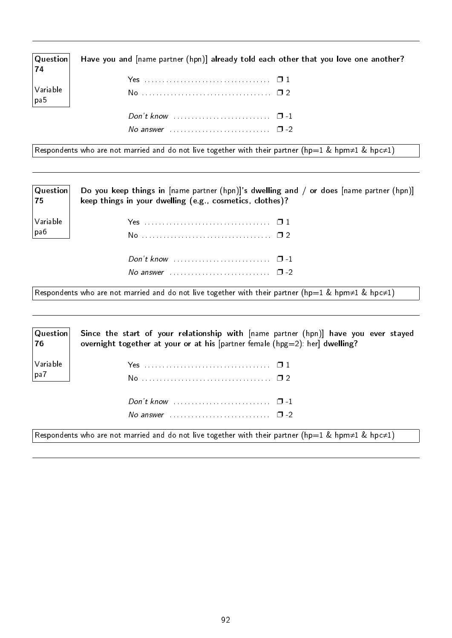| $\mid$ Question $\mid$<br>74           | Have you and [name partner (hpn)] already told each other that you love one another? |
|----------------------------------------|--------------------------------------------------------------------------------------|
|                                        |                                                                                      |
| $\sqrt{}$ Variable<br>$ _{\text{pa5}}$ |                                                                                      |
|                                        |                                                                                      |
|                                        | No answer $\ldots \ldots \ldots \ldots \ldots \ldots \ldots \square$ -2              |

Respondents who are not married and do not live together with their partner (hp=1 & hpm≠1 & hpc≠1)

| Question <br> 75                                                   | Do you keep things in [name partner (hpn)]'s dwelling and / or does [name partner (hpn)]<br>keep things in your dwelling (e.g., cosmetics, clothes)? |
|--------------------------------------------------------------------|------------------------------------------------------------------------------------------------------------------------------------------------------|
| $\begin{array}{c} \big  \text{Variable} \\ \text{pa6} \end{array}$ |                                                                                                                                                      |
|                                                                    |                                                                                                                                                      |

Respondents who are not married and do not live together with their partner (hp=1 & hpm≠1 & hpc≠1)

No answer  $\dots \dots \dots \dots \dots \dots \square$  -2

| $ $ Question $ $<br>76 | Since the start of your relationship with [name partner (hpn)] have you ever stayed<br>overnight together at your or at his [partner female (hpg=2): her] dwelling? |
|------------------------|---------------------------------------------------------------------------------------------------------------------------------------------------------------------|
| Variable<br>  pa7      |                                                                                                                                                                     |
|                        |                                                                                                                                                                     |
|                        | No answer $\cdots$ $\cdots$ $\cdots$                                                                                                                                |
|                        | Respondents who are not married and do not live together with their partner (hp=1 & hpm≠1 & hpc≠1)                                                                  |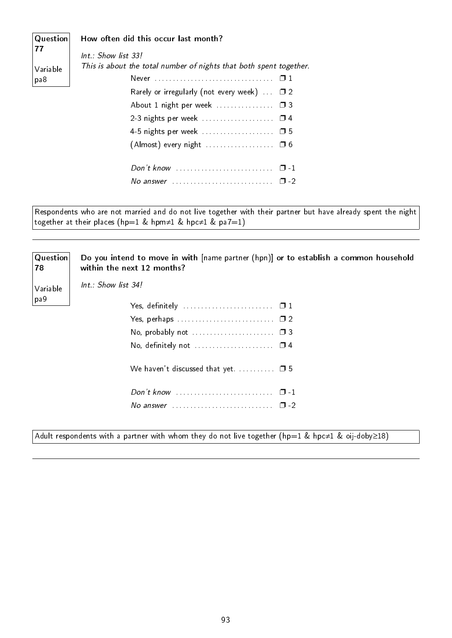| $\vert$ Question $\vert$ | How often did this occur last month?                                       |
|--------------------------|----------------------------------------------------------------------------|
| 77                       | Int.: Show list 33!                                                        |
| Variable                 | This is about the total number of nights that both spent together.         |
| pa8                      |                                                                            |
|                          | Rarely or irregularly (not every week) $\Box$ 2                            |
|                          | About 1 night per week  03                                                 |
|                          |                                                                            |
|                          |                                                                            |
|                          |                                                                            |
|                          |                                                                            |
|                          | No answer $\ldots \ldots \ldots \ldots \ldots \ldots \ldots \quad \Box$ -2 |

Respondents who are not married and do not live together with their partner but have already spent the night together at their places (hp=1 & hpm≠1 & hpc≠1 & pa7=1)

Question 78 Variable pa9 Do you intend to move in with [name partner (hpn)] or to establish a common household within the next 12 months? Int.: Show list 34! Yes, definitely  $\dots\dots\dots\dots\dots\dots\dots\quad\Box$  1 Yes, perhaps . . . . . . . . . . . . . . . . . . . . . . . . . . . ❐ 2 No, probably not  $\dots\dots\dots\dots\dots\dots \Box$  3 No, definitely not  $\dots\dots\dots\dots\dots\dots\quad\Box$  4 We haven't discussed that yet. . . . . . . . .  $\Box$  5 Don't know . . . . . . . . . . . . . . . . . . . . . . . . . . . ❐ -1 No answer  $\dots\dots\dots\dots\dots\dots\dots\dots$   $\Box$  -2

Adult respondents with a partner with whom they do not live together (hp=1 & hpc≠1 & oij-doby≥18)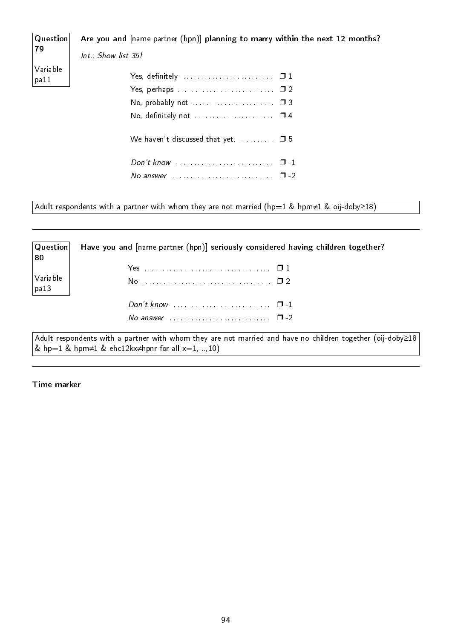#### Question Are you and [name partner (hpn)] planning to marry within the next 12 months?

79 Variable pa11

Int.: Show list 35!

| No, probably not $\ldots \ldots \ldots \ldots \ldots \ldots \square$ 3 |  |
|------------------------------------------------------------------------|--|
|                                                                        |  |
|                                                                        |  |
|                                                                        |  |
|                                                                        |  |
|                                                                        |  |

Adult respondents with a partner with whom they are not married (hp=1 & hpm≠1 & oij-doby≥18)

**Question** 80 Variable pa13 Have you and [name partner (hpn)] seriously considered having children together? Yes . . . . . . . . . . . . . . . . . . . . . . . . . . . . . . . . . . . ❐ 1 No . . . . . . . . . . . . . . . . . . . . . . . . . . . . . . . . . . . . ❐ 2 Don't know . . . . . . . . . . . . . . . . . . . . . . . . . . . ❐ -1 No answer . . . . . . . . . . . . . . . . . . . . . . . . . . . . ❐ -2 Adult respondents with a partner with whom they are not married and have no children together (oij-doby≥18 & hp=1 & hpm≠1 & ehc12kx≠hpnr for all  $x=1,...,10$ )

Time marker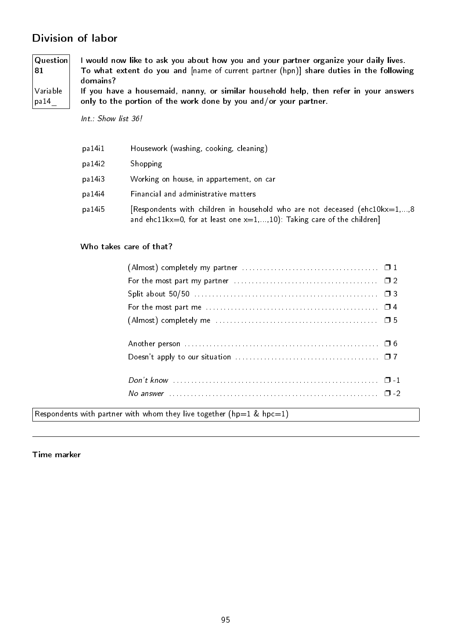### Division of labor

Question 81 Variable pa14\_ I would now like to ask you about how you and your partner organize your daily lives. To what extent do you and [name of current partner (hpn)] share duties in the following domains? If you have a housemaid, nanny, or similar household help, then refer in your answers only to the portion of the work done by you and/or your partner.

Int.: Show list 36!

| pa 14 i 1 | Housework (washing, cooking, cleaning)                                                                                                                       |
|-----------|--------------------------------------------------------------------------------------------------------------------------------------------------------------|
| pa 14i2   | Shopping                                                                                                                                                     |
| pa 14i3   | Working on house, in appartement, on car                                                                                                                     |
| pa 14i4   | Financial and administrative matters                                                                                                                         |
| pa 14i5   | [Respondents with children in household who are not deceased (ehc10kx=1,,8)<br>and ehc11 $kx=0$ , for at least one $x=1,,10$ ): Taking care of the children] |

#### Who takes care of that?

| For the most part my partner $\ldots \ldots \ldots \ldots \ldots \ldots \ldots \ldots \ldots \ldots \square 2$ |  |
|----------------------------------------------------------------------------------------------------------------|--|
|                                                                                                                |  |
| For the most part me $\dots\dots\dots\dots\dots\dots\dots\dots\dots\dots\dots\dots\dots\Box 4$                 |  |
|                                                                                                                |  |
|                                                                                                                |  |
|                                                                                                                |  |
|                                                                                                                |  |
|                                                                                                                |  |
|                                                                                                                |  |
|                                                                                                                |  |
| No answer $\ldots$ $\ldots$ $\ldots$ $\ldots$ $\ldots$ $\ldots$ $\ldots$ $\ldots$ $\ldots$ $\ldots$            |  |

Respondents with partner with whom they live together (hp=1 & hpc=1)

Time marker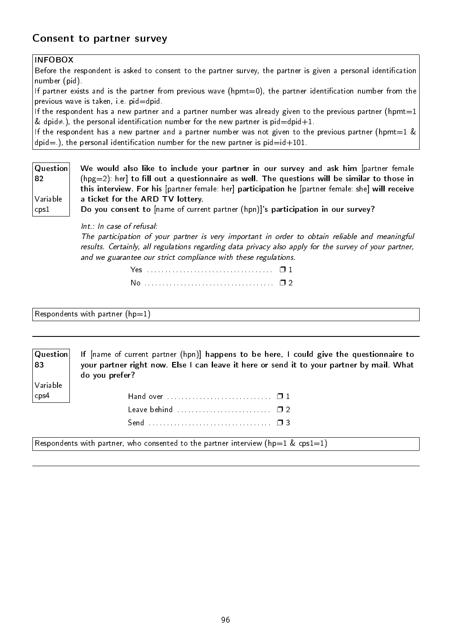#### Consent to partner survey

#### INFOBOX

Before the respondent is asked to consent to the partner survey, the partner is given a personal identification number (pid).

If partner exists and is the partner from previous wave (hpmt=0), the partner identification number from the previous wave is taken, i.e. pid=dpid.

If the respondent has a new partner and a partner number was already given to the previous partner (hpmt=1) & dpid $\neq$ ), the personal identification number for the new partner is pid=dpid+1.

If the respondent has a new partner and a partner number was not given to the previous partner (hpmt=1  $\&$  $dpid=$ .), the personal identification number for the new partner is  $pid=id+101$ .

| Question           | We would also like to include your partner in our survey and ask him [partner female              |
|--------------------|---------------------------------------------------------------------------------------------------|
| ∣82                | $(hpg=2)$ : her] to fill out a questionnaire as well. The questions will be similar to those in   |
|                    | this interview. For his [partner female: her] participation he [partner female: she] will receive |
| $\sqrt{}$ Variable | a ticket for the ARD TV lottery.                                                                  |
| $\sqrt{2}$ cps $1$ | Do you consent to [name of current partner (hpn)]'s participation in our survey?                  |

Int.: In case of refusal:

The participation of your partner is very important in order to obtain reliable and meaningful results. Certainly, all regulations regarding data privacy also apply for the survey of your partner, and we guarantee our strict compliance with these regulations.

 $Respondents$  with partner (hp=1)

83

Variable cps4

Question If [name of current partner (hpn)] happens to be here, I could give the questionnaire to your partner right now. Else I can leave it here or send it to your partner by mail. What do you prefer?

| Leave behind $\ldots \ldots \ldots \ldots \ldots \ldots \ldots \square 2$ |  |
|---------------------------------------------------------------------------|--|
|                                                                           |  |

Respondents with partner, who consented to the partner interview (hp=1 & cps1=1)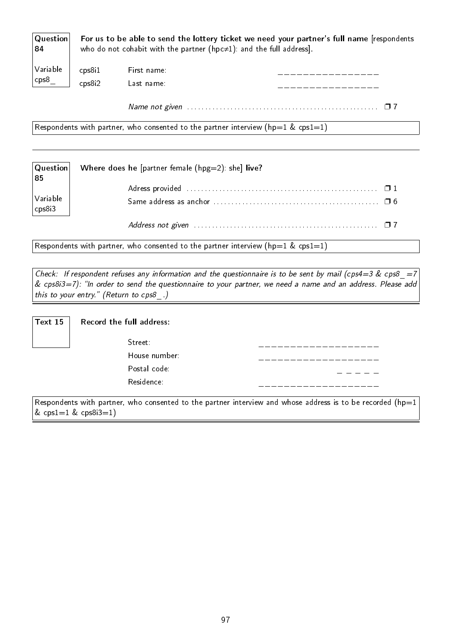| $\mid$ Question $\mid$<br> 84 |                 |             | For us to be able to send the lottery ticket we need your partner's full name [respondents<br>who do not cohabit with the partner ( $hpc\neq1$ ): and the full address]. |
|-------------------------------|-----------------|-------------|--------------------------------------------------------------------------------------------------------------------------------------------------------------------------|
| Variable                      | $\text{cps8i1}$ | First name: |                                                                                                                                                                          |
| $ $ cps8 $ $                  | $\text{cps8i2}$ | Last name:  |                                                                                                                                                                          |

Name not given . . . . . . . . . . . . . . . . . . . . . . . . . . . . . . . . . . . . . . . . . . . . . . . . . . . . . ❐ 7

Respondents with partner, who consented to the partner interview (hp=1 & cps1=1)

| Question<br>85                                                   | Where does he [partner female $(hpg=2)$ : she] live?                                                              |
|------------------------------------------------------------------|-------------------------------------------------------------------------------------------------------------------|
| $\begin{vmatrix} \text{Variable} \\ \text{cps8i3} \end{vmatrix}$ |                                                                                                                   |
|                                                                  | Address not given $\ldots \ldots \ldots \ldots \ldots \ldots \ldots \ldots \ldots \ldots \ldots \ldots \square$ 7 |

Respondents with partner, who consented to the partner interview (hp=1 & cps1=1)

Check: If respondent refuses any information and the questionnaire is to be sent by mail (cps4=3 & cps8 =7  $\&$  cps8i3=7): "In order to send the questionnaire to your partner, we need a name and an address. Please add this to your entry." (Return to cps8.)

| Text 15 | Reco |
|---------|------|
|         |      |

| Text 15 $\parallel$ | Record the full address: |  |
|---------------------|--------------------------|--|
|                     | Street:                  |  |
|                     | House number:            |  |
|                     | Postal code:             |  |
|                     | Residence:               |  |

Respondents with partner, who consented to the partner interview and whose address is to be recorded (hp=1  $& \text{cps1} = 1 & \text{cps8i3} = 1)$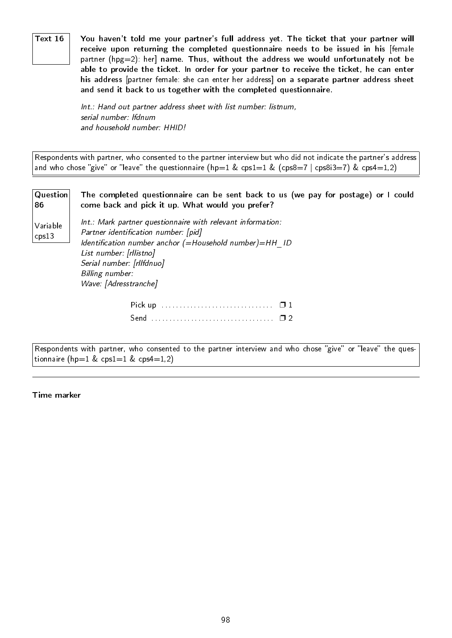Text 16  $\parallel$   $\,$  You haven't told me your partner's full address yet. The ticket that your partner will receive upon returning the completed questionnaire needs to be issued in his [female partner ( $hpg=2$ ): her] name. Thus, without the address we would unfortunately not be able to provide the ticket. In order for your partner to receive the ticket, he can enter his address [partner female: she can enter her address] on a separate partner address sheet and send it back to us together with the completed questionnaire.

> Int.: Hand out partner address sheet with list number: listnum, serial number: lfdnum and household number: HHID!

Respondents with partner, who consented to the partner interview but who did not indicate the partner's address and who chose "give" or "leave" the questionnaire (hp=1 & cps1=1 & (cps8=7 | cps8i3=7) & cps4=1,2)

Question 86 Variable cps13 The completed questionnaire can be sent back to us (we pay for postage) or I could come back and pick it up. What would you prefer? Int.: Mark partner questionnaire with relevant information: Partner identification number: [pid] Identification number anchor  $(=\text{Household number})=\text{HH}-\text{ID}$ List number: [rllistno] Serial number: [rllfdnuo] Billing number: Wave: [Adresstranche] Pick up . . . . . . . . . . . . . . . . . . . . . . . . . . . . . . . ❐ 1 Send . . . . . . . . . . . . . . . . . . . . . . . . . . . . . . . . . . ❐ 2

Respondents with partner, who consented to the partner interview and who chose "give" or "leave" the questionnaire (hp=1 & cps1=1 & cps4=1,2)

Time marker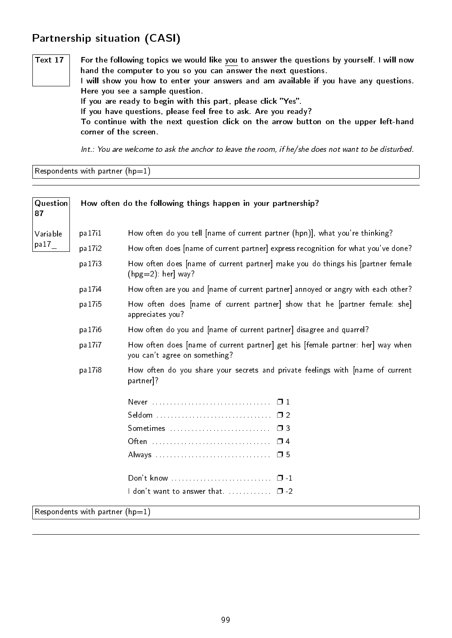### Partnership situation (CASI)

Text  $17$  For the following topics we would like you to answer the questions by yourself. I will now hand the computer to you so you can answer the next questions. I will show you how to enter your answers and am available if you have any questions. Here you see a sample question. If you are ready to begin with this part, please click "Yes". If you have questions, please feel free to ask. Are you ready? To continue with the next question click on the arrow button on the upper left-hand corner of the screen.

Int.: You are welcome to ask the anchor to leave the room, if he/she does not want to be disturbed.

Respondents with partner  $(hp=1)$ 

| Question<br>87 |                                     | How often do the following things happen in your partnership?                                                    |
|----------------|-------------------------------------|------------------------------------------------------------------------------------------------------------------|
| Variable       | pa17i1                              | How often do you tell [name of current partner (hpn)], what you're thinking?                                     |
| pa17           | pa 17 <sub>12</sub>                 | How often does [name of current partner] express recognition for what you've done?                               |
|                | pa 17 <sub>13</sub>                 | How often does [name of current partner] make you do things his [partner female<br>$(hpg=2)$ : her] way?         |
|                | pa 17 <sub>14</sub>                 | How often are you and [name of current partner] annoyed or angry with each other?                                |
|                | pa 17 <sub>15</sub>                 | How often does [name of current partner] show that he [partner female: she]<br>appreciates you?                  |
|                | pa 17i6                             | How often do you and [name of current partner] disagree and quarrel?                                             |
|                | pa 17 <sub>1</sub> 7                | How often does [name of current partner] get his [female partner: her] way when<br>you can't agree on something? |
|                | pa 17 <sub>18</sub>                 | How often do you share your secrets and private feelings with [name of current<br>partner <sup>1?</sup>          |
|                |                                     |                                                                                                                  |
|                |                                     |                                                                                                                  |
|                |                                     |                                                                                                                  |
|                |                                     |                                                                                                                  |
|                |                                     |                                                                                                                  |
|                |                                     |                                                                                                                  |
|                |                                     | I don't want to answer that $\Box$ $\Box$ -2                                                                     |
|                | Respondents with partner ( $hp=1$ ) |                                                                                                                  |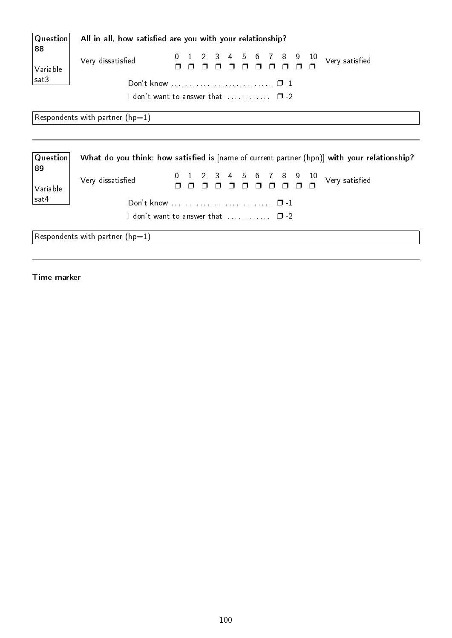| Question       | All in all, how satisfied are you with your relationship?                                   |
|----------------|---------------------------------------------------------------------------------------------|
| 88<br>Variable | $3 \quad 4$<br>6 7 8 9<br>5<br>10<br>1 2<br>Very dissatisfied<br>Very satisfied             |
| sat3           |                                                                                             |
|                | I don't want to answer that $\Box$ $\Box$ -2                                                |
|                | Respondents with partner ( $hp=1$ )                                                         |
|                |                                                                                             |
| Question<br>89 | What do you think: how satisfied is [name of current partner (hpn)] with your relationship? |
| Variable       | 1 2 3 4 5 6 7 8 9<br>$10\,$<br>Very satisfied<br>Very dissatisfied                          |
| sat4           |                                                                                             |
|                | <code>ldon't</code> want to answer that $\qquad \qquad \Box$ -2 $\qquad$                    |
|                | Respondents with partner ( $hp=1$ )                                                         |

Time marker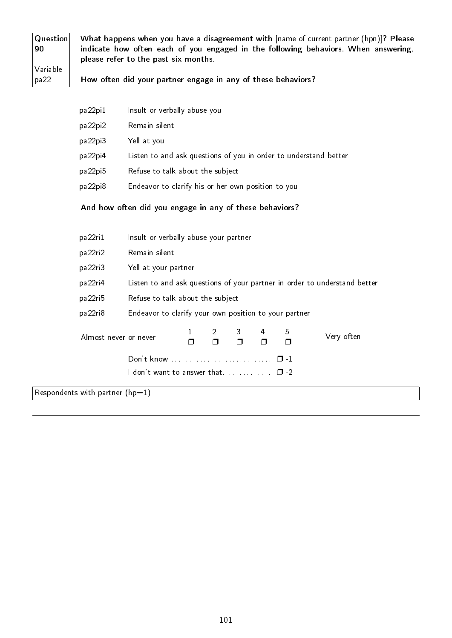Question 90 Variable pa22\_

What happens when you have a disagreement with [name of current partner (hpn)]? Please indicate how often each of you engaged in the following behaviors. When answering, please refer to the past six months.

How often did your partner engage in any of these behaviors?

| pa22pi1 | Insult or verbally abuse you                                     |
|---------|------------------------------------------------------------------|
| pa22pi2 | Remain silent                                                    |
| pa22pi3 | Yell at you                                                      |
| pa22pi4 | Listen to and ask questions of you in order to understand better |
| pa22pi5 | Refuse to talk about the subject                                 |
| pa22pi8 | Endeavor to clarify his or her own position to you               |
|         |                                                                  |

#### And how often did you engage in any of these behaviors?

| pa22ri1                             | Insult or verbally abuse your partner                                                                         |                                                                           |  |  |  |        |  |  |  |  |  |  |
|-------------------------------------|---------------------------------------------------------------------------------------------------------------|---------------------------------------------------------------------------|--|--|--|--------|--|--|--|--|--|--|
| pa22ri2                             | Remain silent                                                                                                 |                                                                           |  |  |  |        |  |  |  |  |  |  |
| pa22ri3                             |                                                                                                               | Yell at your partner                                                      |  |  |  |        |  |  |  |  |  |  |
| pa22ri4                             |                                                                                                               | Listen to and ask questions of your partner in order to understand better |  |  |  |        |  |  |  |  |  |  |
| pa22ri5                             | Refuse to talk about the subject                                                                              |                                                                           |  |  |  |        |  |  |  |  |  |  |
| pa22ri8                             | Endeavor to clarify your own position to your partner                                                         |                                                                           |  |  |  |        |  |  |  |  |  |  |
|                                     | $2 \quad 3$<br>$5\overline{)}$<br>4<br>Very often<br>Almost never or never<br>$\Box$<br>$\Box$<br>$\Box$<br>⊓ |                                                                           |  |  |  |        |  |  |  |  |  |  |
| Don't know<br>$\Box$ 1              |                                                                                                               |                                                                           |  |  |  |        |  |  |  |  |  |  |
|                                     | $\sf I$ don't want to answer that. $\ldots \ldots \ldots \ldots$                                              |                                                                           |  |  |  | $\Box$ |  |  |  |  |  |  |
| Respondents with partner ( $hp=1$ ) |                                                                                                               |                                                                           |  |  |  |        |  |  |  |  |  |  |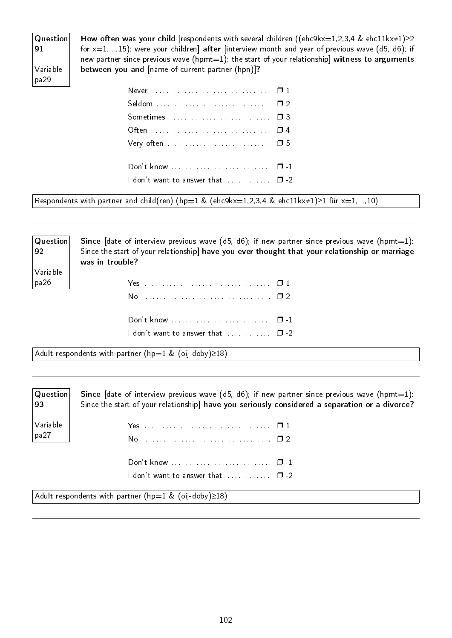### Question 91 Variable pa29

How often was your child [respondents with several children ((ehc9kx=1,2,3,4 & ehc11kx≠1)≥2 for  $x=1,...,15$ ): were your children] after [interview month and year of previous wave (d5, d6); if new partner since previous wave (hpmt=1): the start of your relationship] witness to arguments between you and [name of current partner (hpn)]?

| I don't want to answer that  □ -2 |  |
|-----------------------------------|--|
|                                   |  |

Respondents with partner and child(ren) (hp=1 & (ehc9kx=1,2,3,4 & ehc11kx≠1)≥1 für x=1,...,10)

| Question<br>$\sqrt{92}$ | <b>Since</b> [date of interview previous wave $(d5, d6)$ ; if new partner since previous wave $(hpm=1)$ :<br>Since the start of your relationship] have you ever thought that your relationship or marriage<br>was in trouble? |
|-------------------------|--------------------------------------------------------------------------------------------------------------------------------------------------------------------------------------------------------------------------------|
| $ $ Variable<br> pa26   |                                                                                                                                                                                                                                |
|                         |                                                                                                                                                                                                                                |
|                         |                                                                                                                                                                                                                                |

I don't want to answer that  $\dots\dots\dots \square$ -2

Adult respondents with partner (hp=1 & (oij-doby)≥18)

| $\vert$ Question $\vert$<br> 93       | Since [date of interview previous wave $(d5, d6)$ ; if new partner since previous wave $(hpm=1)$ :<br>Since the start of your relationship] have you seriously considered a separation or a divorce? |
|---------------------------------------|------------------------------------------------------------------------------------------------------------------------------------------------------------------------------------------------------|
| $\mathsf{Variable}$<br>$ pa27\rangle$ |                                                                                                                                                                                                      |
|                                       |                                                                                                                                                                                                      |
|                                       | I don't want to answer that $\ldots \ldots \ldots \quad \Box$ -2                                                                                                                                     |
|                                       | $ $ Adult respondents with partner (hp=1 & (oij-doby) $\geq$ 18)                                                                                                                                     |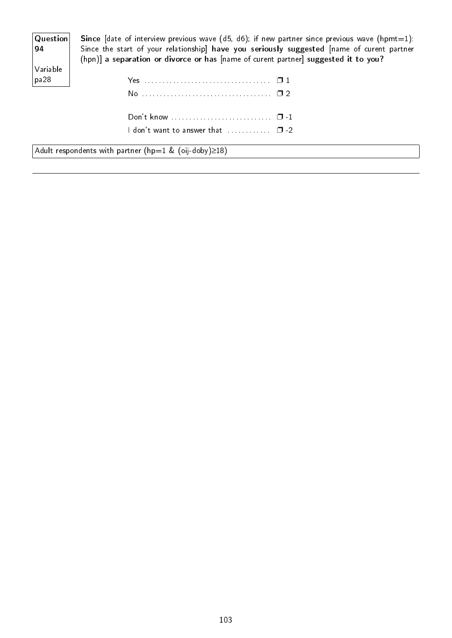| Question <br>$\begin{vmatrix} 94 \end{vmatrix}$ | <b>Since</b> [date of interview previous wave (d5, d6); if new partner since previous wave (hpmt=1):<br>Since the start of your relationship] have you seriously suggested [name of curent partner<br>(hpn)] a separation or divorce or has [name of curent partner] suggested it to you? |
|-------------------------------------------------|-------------------------------------------------------------------------------------------------------------------------------------------------------------------------------------------------------------------------------------------------------------------------------------------|
| Variable                                        |                                                                                                                                                                                                                                                                                           |
| pa28                                            |                                                                                                                                                                                                                                                                                           |
|                                                 |                                                                                                                                                                                                                                                                                           |
|                                                 |                                                                                                                                                                                                                                                                                           |
|                                                 | I don't want to answer that $\qquad \qquad \Box$ -2 $\qquad$                                                                                                                                                                                                                              |

Adult respondents with partner (hp=1 & (oij-doby)≥18)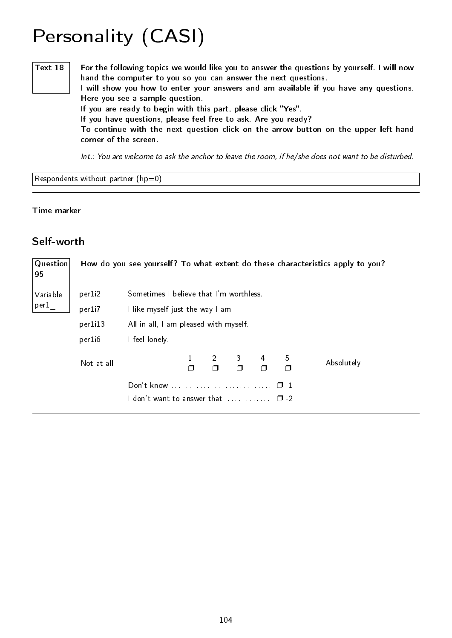# Personality (CASI)

Text  $18$  For the following topics we would like you to answer the questions by yourself. I will now hand the computer to you so you can answer the next questions. I will show you how to enter your answers and am available if you have any questions. Here you see a sample question. If you are ready to begin with this part, please click "Yes". If you have questions, please feel free to ask. Are you ready? To continue with the next question click on the arrow button on the upper left-hand corner of the screen.

Int.: You are welcome to ask the anchor to leave the room, if he/she does not want to be disturbed.

Respondents without partner  $(hp=0)$ 

#### Time marker

#### Self-worth

| Question<br>95 |                                                                |                                         | How do you see yourself? To what extent do these characteristics apply to you? |  |               |   |             |            |  |  |  |
|----------------|----------------------------------------------------------------|-----------------------------------------|--------------------------------------------------------------------------------|--|---------------|---|-------------|------------|--|--|--|
| Variable       | per1 <sub>i2</sub>                                             | Sometimes I believe that I'm worthless. |                                                                                |  |               |   |             |            |  |  |  |
| per1           | per1i7                                                         | I like myself just the way I am.        |                                                                                |  |               |   |             |            |  |  |  |
|                | per1i13                                                        |                                         | All in all, I am pleased with myself.                                          |  |               |   |             |            |  |  |  |
|                | per1i6                                                         | I feel lonely.                          |                                                                                |  |               |   |             |            |  |  |  |
|                | Not at all                                                     |                                         | $\Box$                                                                         |  | $\frac{3}{5}$ | 4 | 5<br>$\Box$ | Absolutely |  |  |  |
|                | Don't know<br>$\Box$<br>don't want to answer that<br>$\Box$ -2 |                                         |                                                                                |  |               |   |             |            |  |  |  |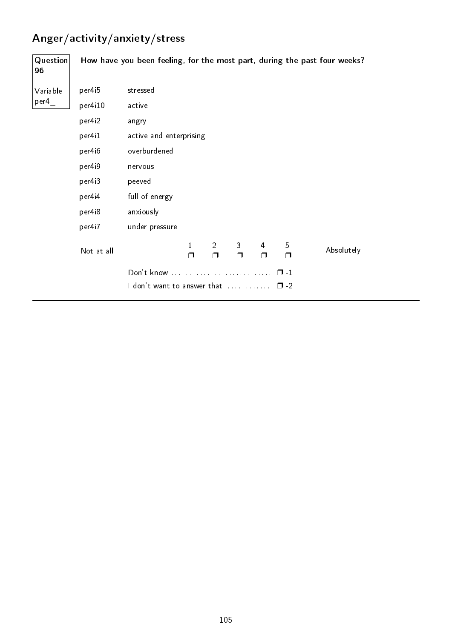## Anger/activity/anxiety/stress

| Question<br>96 |            |                                           |                        |                          |                        |             |                        | How have you been feeling, for the most part, during the past four weeks? |
|----------------|------------|-------------------------------------------|------------------------|--------------------------|------------------------|-------------|------------------------|---------------------------------------------------------------------------|
| Variable       | per4i5     | stressed                                  |                        |                          |                        |             |                        |                                                                           |
| per4           | per4i10    | active                                    |                        |                          |                        |             |                        |                                                                           |
|                | per4i2     | angry                                     |                        |                          |                        |             |                        |                                                                           |
|                | per4i1     | active and enterprising                   |                        |                          |                        |             |                        |                                                                           |
|                | per4i6     | overburdened                              |                        |                          |                        |             |                        |                                                                           |
|                | per4i9     | nervous                                   |                        |                          |                        |             |                        |                                                                           |
|                | per4i3     | peeved                                    |                        |                          |                        |             |                        |                                                                           |
|                | per4i4     | full of energy                            |                        |                          |                        |             |                        |                                                                           |
|                | per4i8     | anxiously                                 |                        |                          |                        |             |                        |                                                                           |
|                | per4i7     | under pressure                            |                        |                          |                        |             |                        |                                                                           |
|                | Not at all |                                           | $\mathbf{1}$<br>$\Box$ | $\overline{2}$<br>$\Box$ | $\mathbf{3}$<br>$\Box$ | 4<br>$\Box$ | 5<br>$\Box$            | Absolutely                                                                |
|                |            | Don't know<br>I don't want to answer that |                        |                          |                        |             | $\Box$ -1<br>$\Box$ -2 |                                                                           |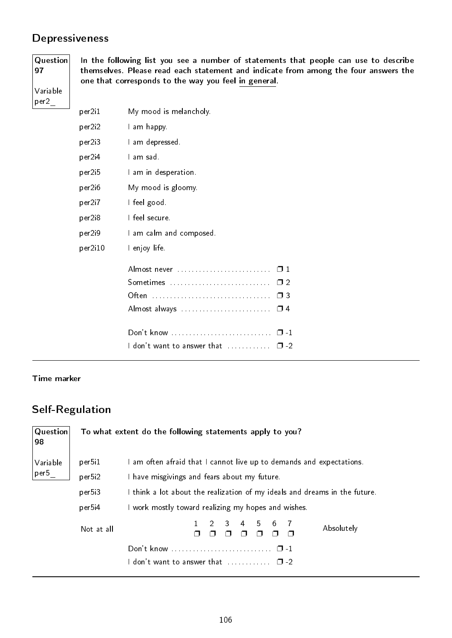### **Depressiveness**

Question 97

Variable per2\_

In the following list you see a number of statements that people can use to describe themselves. Please read each statement and indicate from among the four answers the one that corresponds to the way you feel in general.

| per2i1  | My mood is melancholy.                                                                                              |          |
|---------|---------------------------------------------------------------------------------------------------------------------|----------|
| per2i2  | I am happy                                                                                                          |          |
| per2i3  | I am depressed.                                                                                                     |          |
| per2i4  | Lam sad.                                                                                                            |          |
| per2i5  | I am in desperation.                                                                                                |          |
| per2i6  | My mood is gloomy.                                                                                                  |          |
| per2i7  | I feel good.                                                                                                        |          |
| per2i8  | I feel secure.                                                                                                      |          |
| per2i9  | I am calm and composed.                                                                                             |          |
| per2i10 | I enjoy life.                                                                                                       |          |
|         | Almost never                                                                                                        | $\Box$ 1 |
|         | Sometimes                                                                                                           | $\Box$   |
|         | Often<br>. The contract is a contract of the contract of the contract of the contract of $\mathcal{L}(\mathcal{L})$ | $\Box$ 3 |
|         |                                                                                                                     |          |
|         |                                                                                                                     |          |
|         | <code>ldon't</code> want to answer that $\,\ldots\ldots\ldots\,\,\,\Box$ -2                                         |          |
|         |                                                                                                                     |          |

#### Time marker

#### Self-Regulation

| Question<br>98 |            |                                                                            | To what extent do the following statements apply to you? |  |  |  |  |  |          |                                                                    |  |
|----------------|------------|----------------------------------------------------------------------------|----------------------------------------------------------|--|--|--|--|--|----------|--------------------------------------------------------------------|--|
| Variable       | per5i1     |                                                                            |                                                          |  |  |  |  |  |          | am often afraid that I cannot live up to demands and expectations. |  |
| per5           | per5i2     | I have misgivings and fears about my future.                               |                                                          |  |  |  |  |  |          |                                                                    |  |
|                | per5i3     | I think a lot about the realization of my ideals and dreams in the future. |                                                          |  |  |  |  |  |          |                                                                    |  |
|                | per5i4     | I work mostly toward realizing my hopes and wishes.                        |                                                          |  |  |  |  |  |          |                                                                    |  |
|                | Not at all | $1 \t2 \t3 \t4 \t5 \t6 \t7$<br>Absolutely                                  |                                                          |  |  |  |  |  |          |                                                                    |  |
|                |            | Don't know<br>$\Box$ -1                                                    |                                                          |  |  |  |  |  |          |                                                                    |  |
|                |            | don't want to answer that                                                  |                                                          |  |  |  |  |  | $\Box$ 2 |                                                                    |  |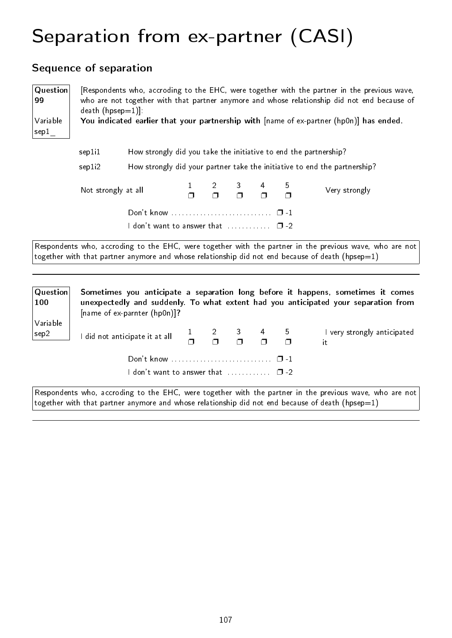# Separation from ex-partner (CASI)

### Sequence of separation

[name of ex-parnter (hp0n)]?

| Question<br>99<br>Variable<br>sep1 | $death (hpsep=1)$                                                                                                        |                                                                  |  |  |  |  |  | [Respondents who, accroding to the EHC, were together with the partner in the previous wave,<br>who are not together with that partner anymore and whose relationship did not end because of<br>You indicated earlier that your partnership with $[name of ex-partner (hp0n)]$ has ended. |  |
|------------------------------------|--------------------------------------------------------------------------------------------------------------------------|------------------------------------------------------------------|--|--|--|--|--|-------------------------------------------------------------------------------------------------------------------------------------------------------------------------------------------------------------------------------------------------------------------------------------------|--|
|                                    | sep1i1                                                                                                                   | How strongly did you take the initiative to end the partnership? |  |  |  |  |  |                                                                                                                                                                                                                                                                                           |  |
|                                    | How strongly did your partner take the initiative to end the partnership?<br>sep1i2                                      |                                                                  |  |  |  |  |  |                                                                                                                                                                                                                                                                                           |  |
|                                    | $\begin{array}{cccc} 2 & 3 & 4 \\ \Box & \Box & \Box \end{array}$<br>5<br>Not strongly at all<br>Very strongly<br>$\Box$ |                                                                  |  |  |  |  |  |                                                                                                                                                                                                                                                                                           |  |
|                                    |                                                                                                                          |                                                                  |  |  |  |  |  |                                                                                                                                                                                                                                                                                           |  |
|                                    |                                                                                                                          | I don't want to answer that $\ldots \ldots \ldots \square$ -2    |  |  |  |  |  |                                                                                                                                                                                                                                                                                           |  |
|                                    |                                                                                                                          |                                                                  |  |  |  |  |  | Respondents who, accroding to the EHC, were together with the partner in the previous wave, who are not<br>together with that partner anymore and whose relationship did not end because of death (hpsep=1)                                                                               |  |
|                                    |                                                                                                                          |                                                                  |  |  |  |  |  |                                                                                                                                                                                                                                                                                           |  |
| Question<br>100                    |                                                                                                                          |                                                                  |  |  |  |  |  | Sometimes you anticipate a separation long before it happens, sometimes it comes<br>unexpectedly and suddenly. To what extent had you anticipated your separation from                                                                                                                    |  |

| Variable<br>sep2 | I did not anticipate it at all $\begin{array}{ccc} 1 & 2 & 3 & 4 & 5 \\ \Box & \Box & \Box & \Box \end{array}$ |  |  | I very strongly anticipated |
|------------------|----------------------------------------------------------------------------------------------------------------|--|--|-----------------------------|
|                  |                                                                                                                |  |  |                             |
|                  | <code>l</code> don't want to answer that $\qquad \qquad \Box$ -2 $\qquad$                                      |  |  |                             |

Respondents who, accroding to the EHC, were together with the partner in the previous wave, who are not together with that partner anymore and whose relationship did not end because of death (hpsep=1)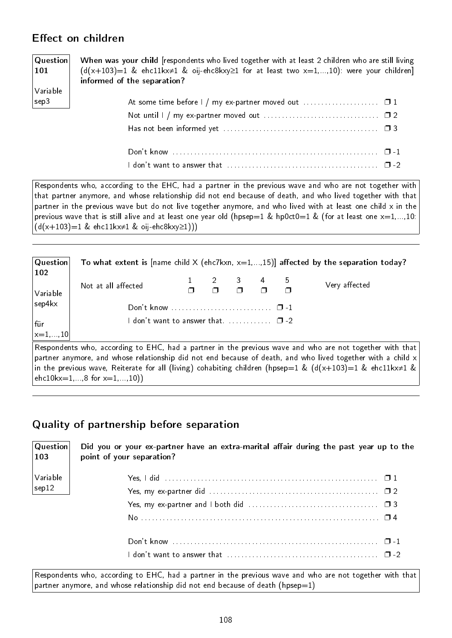### Effect on children

#### **Question** 101 Variable sep3 When was your child [respondents who lived together with at least 2 children who are still living  $(d(x+103)=1$  & ehc11kx≠1 & oij-ehc8kxy≥1 for at least two x=1,...,10): were your children] informed of the separation? At some time before  $1 / mg$  ex-partner moved out  $\ldots$ . . . . . . . . . . . . .  $\Box$  1 Not until  $1 / mx$  ex-partner moved out  $\ldots \ldots \ldots \ldots \ldots \ldots \ldots \square 2$ Has not been informed yet . . . . . . . . . . . . . . . . . . . . . . . . . . . . . . . . . . . . . . . . . . . ❐ 3 Don't know . . . . . . . . . . . . . . . . . . . . . . . . . . . . . . . . . . . . . . . . . . . . . . . . . . . . . . . . . ❐ -1 I don't want to answer that . . . . . . . . . . . . . . . . . . . . . . . . . . . . . . . . . . . . . . . . . . ❐ -2

Respondents who, according to the EHC, had a partner in the previous wave and who are not together with that partner anymore, and whose relationship did not end because of death, and who lived together with that partner in the previous wave but do not live together anymore, and who lived with at least one child x in the previous wave that is still alive and at least one year old (hpsep=1 & hp0ct0=1 & (for at least one  $x=1,...,10$ :  $(d(x+103)=1 \& \text{ehc11kx≠1} \& \text{oij-ehc8kxy≥1)))$ 

| $ $ Question $ $          |                                          |                                                                                 |  | To what extent is [name child X (ehc7kxn, $x=1,,15$ )] affected by the separation today? |
|---------------------------|------------------------------------------|---------------------------------------------------------------------------------|--|------------------------------------------------------------------------------------------|
| $ 102\rangle$<br>Variable | Not at all affected                      | $\begin{array}{ccccccccc}\n1 & 2 & 3 & 4 & 5 \\ 7 & 7 & 7 & 7 & 7\n\end{array}$ |  | Very affected                                                                            |
| $ $ sep4 $kx$             |                                          |                                                                                 |  |                                                                                          |
| ∣für                      | I don't want to answer that $\square$ -2 |                                                                                 |  |                                                                                          |
| $\vert_{x=1,,10}\vert$    |                                          |                                                                                 |  |                                                                                          |

Respondents who, according to EHC, had a partner in the previous wave and who are not together with that partner anymore, and whose relationship did not end because of death, and who lived together with a child x in the previous wave, Reiterate for all (living) cohabiting children (hpsep=1 &  $(d(x+103))=1$  & ehc11kx $\neq 1$  &  $ehc10kx=1,...8$  for  $x=1,...,10)$ 

### Quality of partnership before separation

Question 103 Did you or your ex-partner have an extra-marital affair during the past year up to the point of your separation?

| Variable |
|----------|
| sep12    |

| I don't want to answer that $\ldots \ldots \ldots \ldots \ldots \ldots \ldots \ldots \ldots \ldots \ldots \square$ -2 |  |
|-----------------------------------------------------------------------------------------------------------------------|--|
|                                                                                                                       |  |

Respondents who, according to EHC, had a partner in the previous wave and who are not together with that partner anymore, and whose relationship did not end because of death (hpsep=1)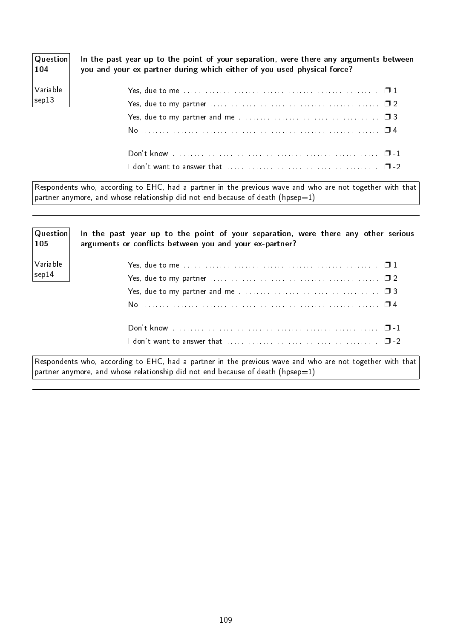| $ $ Question $ $<br>$\vert$ 104 $\vert$ | In the past year up to the point of your separation, were there any arguments between<br>you and your ex-partner during which either of you used physical force? |  |
|-----------------------------------------|------------------------------------------------------------------------------------------------------------------------------------------------------------------|--|
| Variable                                |                                                                                                                                                                  |  |
| $\vert$ sep13                           |                                                                                                                                                                  |  |
|                                         |                                                                                                                                                                  |  |
|                                         |                                                                                                                                                                  |  |
|                                         |                                                                                                                                                                  |  |
|                                         |                                                                                                                                                                  |  |

Respondents who, according to EHC, had a partner in the previous wave and who are not together with that partner anymore, and whose relationship did not end because of death (hpsep=1)

| Question<br>105 | In the past year up to the point of your separation, were there any other serious<br>arguments or conflicts between you and your ex-partner? |
|-----------------|----------------------------------------------------------------------------------------------------------------------------------------------|
| Variable        |                                                                                                                                              |
| $ $ sep14       |                                                                                                                                              |
|                 |                                                                                                                                              |
|                 |                                                                                                                                              |
|                 |                                                                                                                                              |
|                 |                                                                                                                                              |

Respondents who, according to EHC, had a partner in the previous wave and who are not together with that partner anymore, and whose relationship did not end because of death (hpsep=1)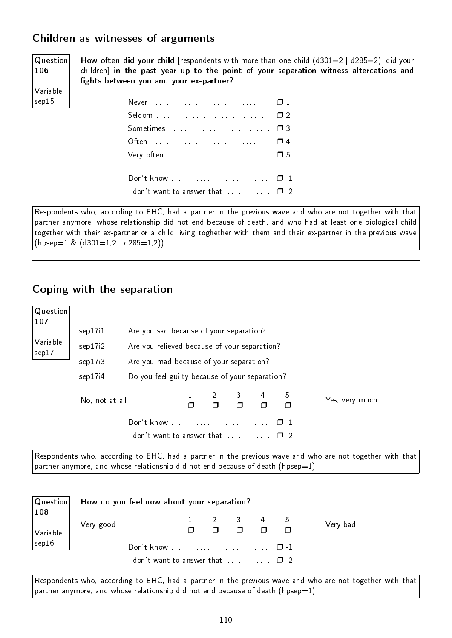### Children as witnesses of arguments

Question 106 Variable sep15

How often did your child [respondents with more than one child  $(d301=2 | d285=2)$ : did your children] in the past year up to the point of your separation witness altercations and fights between you and your ex-partner?

| 1 don't want to answer that  0 -2 |  |
|-----------------------------------|--|

Respondents who, according to EHC, had a partner in the previous wave and who are not together with that partner anymore, whose relationship did not end because of death, and who had at least one biological child together with their ex-partner or a child living toghether with them and their ex-partner in the previous wave  $(hpsep=1 \& (d301=1,2 | d285=1,2))$ 

#### Coping with the separation

| Question<br>107   |                |                                                |  |           |                |   |             |                |  |  |
|-------------------|----------------|------------------------------------------------|--|-----------|----------------|---|-------------|----------------|--|--|
|                   | sep17i1        | Are you sad because of your separation?        |  |           |                |   |             |                |  |  |
| Variable<br>sep17 | sep17i2        | Are you relieved because of your separation?   |  |           |                |   |             |                |  |  |
|                   | sep17i3        | Are you mad because of your separation?        |  |           |                |   |             |                |  |  |
|                   | sep17i4        | Do you feel guilty because of your separation? |  |           |                |   |             |                |  |  |
|                   | No, not at all |                                                |  | $2 \quad$ | 3 <sup>7</sup> | 4 | 5<br>$\Box$ | Yes, very much |  |  |
|                   |                |                                                |  |           |                |   |             |                |  |  |
|                   |                | don't want to answer that<br>$\Box$            |  |           |                |   |             |                |  |  |

Respondents who, according to EHC, had a partner in the previous wave and who are not together with that partner anymore, and whose relationship did not end because of death (hpsep=1)

| Question                          | How do you feel now about your separation?                                                                                                                     |  |  |                                                                                                  |  |  |          |  |  |  |
|-----------------------------------|----------------------------------------------------------------------------------------------------------------------------------------------------------------|--|--|--------------------------------------------------------------------------------------------------|--|--|----------|--|--|--|
| $\vert$ 108<br>$\sqrt{}$ Variable | Very good                                                                                                                                                      |  |  | $\begin{array}{ccccccccccc}\n1 & 2 & 3 & 4 & 5 \\ \Box & \Box & \Box & \Box & \Box\n\end{array}$ |  |  | Very bad |  |  |  |
| sep16                             | Don't know $\ldots \ldots \ldots \ldots \ldots \ldots \ldots \ldots \quad \Box -1$<br><code>ldon't</code> want to answer that $\qquad \qquad \Box$ -2 $\qquad$ |  |  |                                                                                                  |  |  |          |  |  |  |

Respondents who, according to EHC, had a partner in the previous wave and who are not together with that partner anymore, and whose relationship did not end because of death (hpsep=1)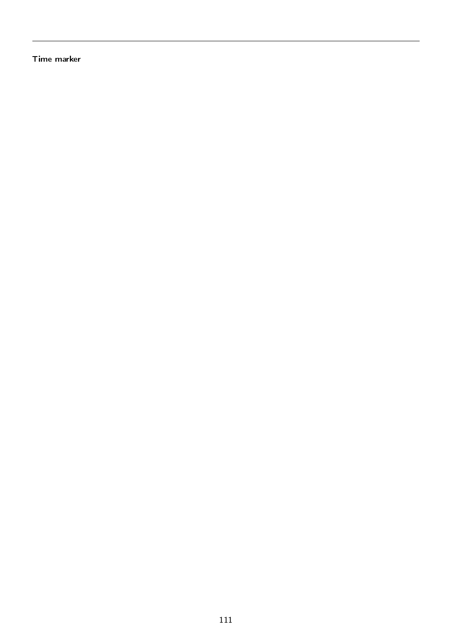Time marker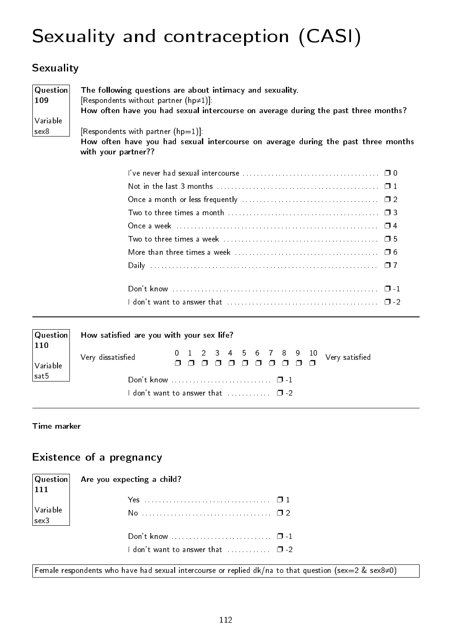# Sexuality and contraception (CASI)

## **Sexuality**

| Question | The following questions are about intimacy and sexuality.                                                |
|----------|----------------------------------------------------------------------------------------------------------|
| 109      | [Respondents without partner $(hp\neq 1)$ ]:                                                             |
|          | How often have you had sexual intercourse on average during the past three months?                       |
| Variable |                                                                                                          |
| sex8     | [Respondents with partner $(hp=1)$ ]:                                                                    |
|          | How often have you had sexual intercourse on average during the past three months<br>with your partner?? |
|          |                                                                                                          |

| Question                                         | How satisfied are you with your sex life? |  |  |  |  |  |  |  |  |  |  |  |  |
|--------------------------------------------------|-------------------------------------------|--|--|--|--|--|--|--|--|--|--|--|--|
| 110<br>$\vert_{\mathsf{Variable}}$               | Very dissatisfied                         |  |  |  |  |  |  |  |  |  |  |  |  |
| sat5                                             |                                           |  |  |  |  |  |  |  |  |  |  |  |  |
| I don't want to answer that $\ldots$ , $\Box$ -2 |                                           |  |  |  |  |  |  |  |  |  |  |  |  |

Time marker

### Existence of a pregnancy

| $\vert$ 111                                                                 | Question  Are you expecting a child?                              |  |
|-----------------------------------------------------------------------------|-------------------------------------------------------------------|--|
|                                                                             |                                                                   |  |
| $\begin{array}{ c c }\n\hline\n\text{Variable} \\ \text{sex3}\n\end{array}$ |                                                                   |  |
|                                                                             | Don't know $\dots \dots \dots \dots \dots \dots \dots \square -1$ |  |
|                                                                             | I don't want to answer that $\ldots \ldots \ldots \square$ -2     |  |

Female respondents who have had sexual intercourse or replied dk/na to that question (sex=2 & sex8≠0)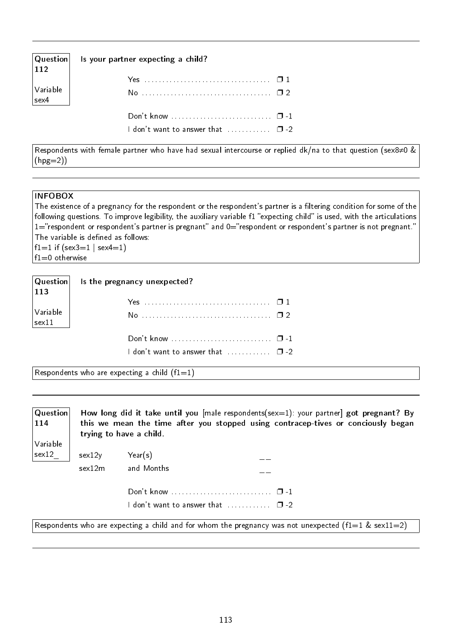| $\vert$ Question $\vert$<br>112 | Is your partner expecting a child?                                   |  |
|---------------------------------|----------------------------------------------------------------------|--|
| Variable<br>sex4                |                                                                      |  |
|                                 | I don't want to answer that $\ldots \ldots \ldots$ $\blacksquare$ -2 |  |

Respondents with female partner who have had sexual intercourse or replied dk/na to that question (sex8≠0 &  $(hpg=2)$ 

#### INFOBOX

The existence of a pregnancy for the respondent or the respondent's partner is a filtering condition for some of the following questions. To improve legibility, the auxiliary variable f1 "expecting child" is used, with the articulations  $1=$ "respondent or respondent's partner is pregnant" and  $0=$ "respondent or respondent's partner is not pregnant." The variable is defined as follows: f1=1 if  $(sex3=1 | sex4=1)$ f1=0 otherwise

| 113                                                 | $ $ Question $ $ is the pregnancy unexpected? |  |
|-----------------------------------------------------|-----------------------------------------------|--|
|                                                     |                                               |  |
| $\left \frac{\text{Variable}}{\text{sex}11}\right $ |                                               |  |
|                                                     |                                               |  |
|                                                     | I don't want to answer that  □ -2             |  |

Respondents who are expecting a child  $(f1=1)$ 

| Question<br>$ 114\rangle$ | How long did it take until you $[male$ respondents $(sex=1)$ : your partner got pregnant? By<br>this we mean the time after you stopped using contracep-tives or conciously began<br>trying to have a child. |                                                                              |  |
|---------------------------|--------------------------------------------------------------------------------------------------------------------------------------------------------------------------------------------------------------|------------------------------------------------------------------------------|--|
| Variable                  |                                                                                                                                                                                                              |                                                                              |  |
| sex12                     | sex12y                                                                                                                                                                                                       | Year(s)                                                                      |  |
|                           | sex12m                                                                                                                                                                                                       | and Months                                                                   |  |
|                           |                                                                                                                                                                                                              |                                                                              |  |
|                           |                                                                                                                                                                                                              | $\blacksquare$ don't want to answer that $\ldots\ldots\ldots\blacksquare$ -2 |  |

Respondents who are expecting a child and for whom the pregnancy was not unexpected (f1=1 & sex11=2)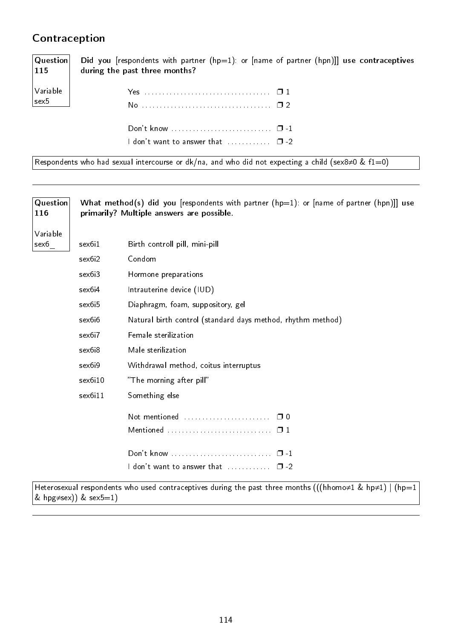### Contraception

Question 115 Variable sex5 Did you [respondents with partner  $(hp=1)$ : or [name of partner  $(hpn)$ ]] use contraceptives during the past three months? Yes . . . . . . . . . . . . . . . . . . . . . . . . . . . . . . . . . . . ❐ 1

| I don't want to answer that $\Box$ $\Box$ -2 |  |
|----------------------------------------------|--|

Respondents who had sexual intercourse or dk/na, and who did not expecting a child (sex8≠0 & f1=0)

| <b>Question</b><br>116 |                    | What method(s) did you [respondents with partner ( $hp=1$ ): or [name of partner ( $hpn$ )]] use<br>primarily? Multiple answers are possible. |
|------------------------|--------------------|-----------------------------------------------------------------------------------------------------------------------------------------------|
| Variable               |                    |                                                                                                                                               |
| sex6                   | sex6i1             | Birth controll pill, mini-pill                                                                                                                |
|                        | sex6i2             | Condom                                                                                                                                        |
|                        | sex6i3             | Hormone preparations                                                                                                                          |
|                        | sex6i4             | Intrauterine device (IUD)                                                                                                                     |
|                        | sex6i5             | Diaphragm, foam, suppository, gel                                                                                                             |
|                        | sex6i6             | Natural birth control (standard days method, rhythm method)                                                                                   |
|                        | sex6i7             | Female sterilization                                                                                                                          |
|                        | sex <sub>6i8</sub> | Male sterilization                                                                                                                            |
|                        | sex6i9             | Withdrawal method, coitus interruptus                                                                                                         |
|                        | sex6i10            | "The morning after pill"                                                                                                                      |
|                        | sex6i11            | Something else                                                                                                                                |
|                        |                    |                                                                                                                                               |
|                        |                    |                                                                                                                                               |
|                        |                    |                                                                                                                                               |
|                        |                    | I don't want to answer that $\ldots \ldots \ldots \square$ -2                                                                                 |
|                        |                    | Heterosexual respondents who used contraceptives during the past three months (((hhomo $\neq$ 1 & hp $\neq$ 1)   (hp=1                        |

& hpg $\neq$ sex)) & sex $5=1$ )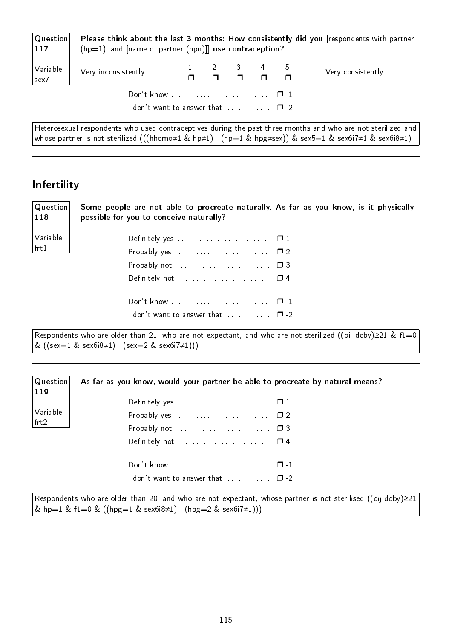| $ $ Question $ $<br> 117 | $(hp=1)$ : and [name of partner (hpn)]] use contraception?                |  |                                                |  | Please think about the last 3 months: How consistently did you [respondents with partner                            |
|--------------------------|---------------------------------------------------------------------------|--|------------------------------------------------|--|---------------------------------------------------------------------------------------------------------------------|
| Variable<br>sex7         | Very inconsistently                                                       |  | $1 \t2 \t3 \t4 \t5$<br>$1 \t1 \t1 \t1 \t1 \t1$ |  | Very consistently                                                                                                   |
|                          |                                                                           |  |                                                |  |                                                                                                                     |
|                          | <code>l</code> don't want to answer that $\qquad \qquad \Box$ -2 $\qquad$ |  |                                                |  |                                                                                                                     |
|                          |                                                                           |  |                                                |  | $\mid$ Heterosexual respondents who used contraceptives during the past three months and who are not sterilized and |

whose partner is not sterilized (((hhomo≠1 & hp≠1) | (hp=1 & hpg≠sex)) & sex5=1 & sex6i7≠1 & sex6i8≠1)

### Infertility

119

Variable frt2

| Question<br>118 | Some people are not able to procreate naturally. As far as you know, is it physically<br>possible for you to conceive naturally?                                              |
|-----------------|-------------------------------------------------------------------------------------------------------------------------------------------------------------------------------|
| Variable        | Definitely yes $\ldots$ $\ldots$ $\ldots$ $\ldots$ $\ldots$ $\ldots$ $\Box$ 1                                                                                                 |
| frt1            |                                                                                                                                                                               |
|                 |                                                                                                                                                                               |
|                 | Definitely not $\dots\dots\dots\dots\dots\dots\dots\dots\quad \Box$ 4                                                                                                         |
|                 |                                                                                                                                                                               |
|                 | <code>ldon't</code> want to answer that $\qquad \qquad \Box$ -2 $\qquad$                                                                                                      |
|                 | Respondents who are older than 21, who are not expectant, and who are not sterilized ((oij-doby) $\geq$ 21 & f1=0<br>& $((sex=1 & sex6.8 \neq 1)   (sex=2 & sex6.7 \neq 1)))$ |

**Question** As far as you know, would your partner be able to procreate by natural means?

| Definitely yes $\ldots$ $\ldots$ $\ldots$ $\ldots$ $\ldots$ $\Box$ 1      |  |
|---------------------------------------------------------------------------|--|
| Probably yes $\ldots \ldots \ldots \ldots \ldots \ldots \ldots \square 2$ |  |
| Probably not $\ldots \ldots \ldots \ldots \ldots \ldots \square$ 3        |  |
|                                                                           |  |
|                                                                           |  |
|                                                                           |  |
| I don't want to answer that $\ldots$ $\Box$ -2                            |  |
|                                                                           |  |

Respondents who are older than 20, and who are not expectant, whose partner is not sterilised ((oij-doby)≥21 & hp=1 & f1=0 & ((hpg=1 & sex6i8≠1) | (hpg=2 & sex6i7≠1)))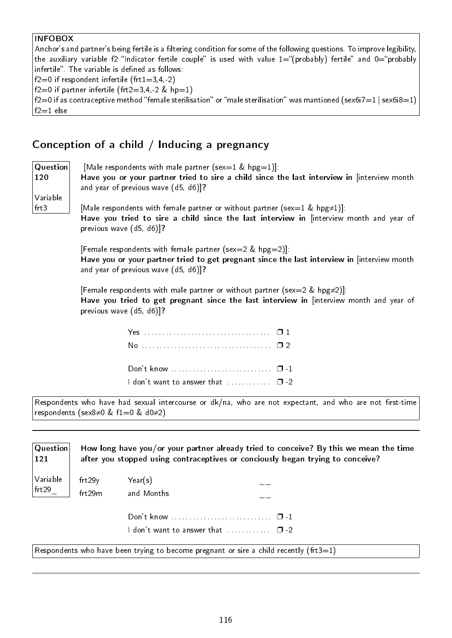#### INFOBOX

Anchor's and partner's being fertile is a filtering condition for some of the following questions. To improve legibility, the auxiliary variable f2 "Indicator fertile couple" is used with value  $1=$ "(probably) fertile" and  $0=$ "probably infertile". The variable is defined as follows:  $f2=0$  if respondent infertile (frt1=3,4,-2)

f2=0 if partner infertile (frt2=3,4,-2 & hp=1)

f2=0 if as contraceptive method "female sterilisation" or "male sterilisation" was mantioned (sex6i7=1 | sex6i8=1)  $f2=1$  else

#### Conception of a child / Inducing a pregnancy

| Question<br>120  | [Male respondents with male partner (sex=1 & hpg=1)]:<br>Have you or your partner tried to sire a child since the last interview in [interview month<br>and year of previous wave (d5, d6)]?             |  |  |  |  |
|------------------|----------------------------------------------------------------------------------------------------------------------------------------------------------------------------------------------------------|--|--|--|--|
| Variable<br>frt3 | [Male respondents with female partner or without partner (sex=1 & hpg $\neq$ 1)]:<br>Have you tried to sire a child since the last interview in [interview month and year of<br>previous wave (d5, d6)]? |  |  |  |  |
|                  | [Female respondents with female partner (sex=2 & hpg=2)]:<br>Have you or your partner tried to get pregnant since the last interview in [interview month<br>and year of previous wave (d5, d6)]?         |  |  |  |  |
|                  | [Female respondents with male partner or without partner (sex=2 & hpg $\neq$ 2)]:<br>Have you tried to get pregnant since the last interview in [interview month and year of<br>previous wave (d5, d6)]? |  |  |  |  |
|                  |                                                                                                                                                                                                          |  |  |  |  |
|                  |                                                                                                                                                                                                          |  |  |  |  |
|                  |                                                                                                                                                                                                          |  |  |  |  |
|                  | I don't want to answer that  0 -2                                                                                                                                                                        |  |  |  |  |
|                  | Respondents who have had sexual intercourse or dk/na, who are not expectant, and who are not first-time<br>respondents (sex8 $\neq$ 0 & f1=0 & d0 $\neq$ 2)                                              |  |  |  |  |
| Question         | How long have you/or your partner already tried to conceive? By this we mean the time                                                                                                                    |  |  |  |  |

| -------- |                                                                                |
|----------|--------------------------------------------------------------------------------|
|          | after you stopped using contraceptives or conciously began trying to conceive? |
|          |                                                                                |

Variable frt29\_ frt29y Year(s) \_\_ frt29m and Months \_\_

121

I don't want to answer that  $\dots\dots\dots \quad \Box$  -2

Respondents who have been trying to become pregnant or sire a child recently (frt $3=1$ )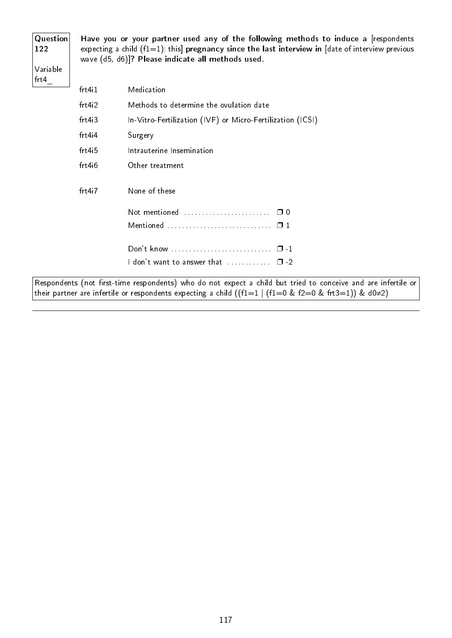| Question<br>122    |
|--------------------|
| Variable<br>$fr-4$ |

Have you or your partner used any of the following methods to induce a [respondents expecting a child (f1=1): this] pregnancy since the last interview in [date of interview previous wave (d5, d6)]? Please indicate all methods used.

| frt411                | Medication                                                       |
|-----------------------|------------------------------------------------------------------|
| frt4i2                | Methods to determine the ovulation date                          |
| frt4i3                | In-Vitro-Fertilization (IVF) or Micro-Fertilization (ICSI)       |
| $frt4$ <sub>i</sub> 4 | Surgery                                                          |
| frt4i5                | Intrauterine Insemination                                        |
| frt4i6                | Other treatment                                                  |
| frt4i7                | None of these                                                    |
|                       | Not mentioned<br>⊓ 0                                             |
|                       | Mentioned  0 1                                                   |
|                       |                                                                  |
|                       | I don't want to answer that $\ldots \ldots \ldots \quad \Box$ -2 |

Respondents (not first-time respondents) who do not expect a child but tried to conceive and are infertile or their partner are infertile or respondents expecting a child ((f1=1 | (f1=0 & f2=0 & frt3=1)) & d0≠2)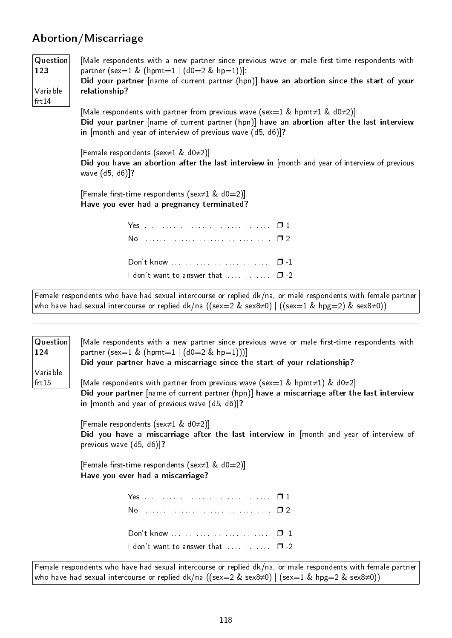### Abortion/Miscarriage

| <b>Question</b><br>123<br>Variable<br>frt14 | [Male respondents with a new partner since previous wave or male first-time respondents with<br>partner (sex=1 & (hpmt=1 $ $ (d0=2 & hp=1))].<br>Did your partner [name of current partner (hpn)] have an abortion since the start of your<br>relationship? |
|---------------------------------------------|-------------------------------------------------------------------------------------------------------------------------------------------------------------------------------------------------------------------------------------------------------------|
|                                             | [Male respondents with partner from previous wave (sex=1 & hpmt $\neq$ 1 & d0 $\neq$ 2)]:<br>Did your partner [name of current partner (hpn)] have an abortion after the last interview<br>in [month and year of interview of previous wave (d5, d6)]?      |
|                                             | [Female respondents (sex $\neq$ 1 & d0 $\neq$ 2)]:<br>Did you have an abortion after the last interview in [month and year of interview of previous<br>wave (d5, d6)]?                                                                                      |
|                                             | [Female first-time respondents (sex $\neq$ 1 & d0=2)].<br>Have you ever had a pregnancy terminated?                                                                                                                                                         |
|                                             |                                                                                                                                                                                                                                                             |
|                                             |                                                                                                                                                                                                                                                             |
|                                             |                                                                                                                                                                                                                                                             |

I don't want to answer that  $\ldots$ ........  $\Box$  -2

Female respondents who have had sexual intercourse or replied dk/na, or male respondents with female partner who have had sexual intercourse or replied dk/na ((sex=2 & sex8≠0) | ((sex=1 & hpg=2) & sex8≠0))

| Question<br>124   | [Male respondents with a new partner since previous wave or male first-time respondents with<br>partner (sex=1 & (hpmt=1   $(d0=2 \& hp=1))$ ).<br>Did your partner have a miscarriage since the start of your relationship?                       |  |  |  |  |
|-------------------|----------------------------------------------------------------------------------------------------------------------------------------------------------------------------------------------------------------------------------------------------|--|--|--|--|
| Variable<br>frt15 | [Male respondents with partner from previous wave (sex=1 & hpmt $\neq$ 1) & d0 $\neq$ 2]:<br>Did your partner [name of current partner (hpn)] have a miscarriage after the last interview<br>in $[month \tand year \tof previous wave (d5, d6)]$ ? |  |  |  |  |
|                   | [Female respondents (sex $\neq$ 1 & d0 $\neq$ 2)]:<br>Did you have a miscarriage after the last interview in [month and year of interview of<br>previous wave (d5, d6)]?                                                                           |  |  |  |  |
|                   | [Female first-time respondents (sex $\neq$ 1 & d0=2)].<br>Have you ever had a miscarriage?                                                                                                                                                         |  |  |  |  |
|                   |                                                                                                                                                                                                                                                    |  |  |  |  |
|                   |                                                                                                                                                                                                                                                    |  |  |  |  |
|                   |                                                                                                                                                                                                                                                    |  |  |  |  |
|                   | I don't want to answer that $\ldots \ldots \ldots \square$ -2                                                                                                                                                                                      |  |  |  |  |
|                   | Female respondents who have had sexual intercourse or replied dk/na, or male respondents with female partner<br>who have had sexual intercourse or replied dk/na ((sex=2 & sex8≠0)   (sex=1 & hpg=2 & sex8≠0))                                     |  |  |  |  |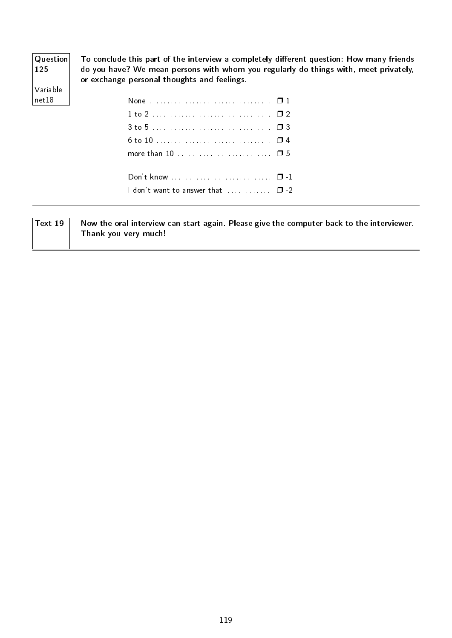| Question<br><b>125</b> | To conclude this part of the interview a completely different question: How many friends<br>do you have? We mean persons with whom you regularly do things with, meet privately,<br>or exchange personal thoughts and feelings. |  |  |  |
|------------------------|---------------------------------------------------------------------------------------------------------------------------------------------------------------------------------------------------------------------------------|--|--|--|
| Variable               |                                                                                                                                                                                                                                 |  |  |  |
| net 18                 |                                                                                                                                                                                                                                 |  |  |  |
|                        |                                                                                                                                                                                                                                 |  |  |  |
|                        | 3 to 5 ………………………………… □ 3                                                                                                                                                                                                        |  |  |  |
|                        |                                                                                                                                                                                                                                 |  |  |  |
|                        |                                                                                                                                                                                                                                 |  |  |  |
|                        |                                                                                                                                                                                                                                 |  |  |  |
|                        | I don't want to answer that $\ldots$ $\Box$ -2                                                                                                                                                                                  |  |  |  |
|                        |                                                                                                                                                                                                                                 |  |  |  |

| $^{\circ}$ Text 19 | Now the oral interview can start again. Please give the computer back to the interviewer. |
|--------------------|-------------------------------------------------------------------------------------------|
|                    | Thank you very much!                                                                      |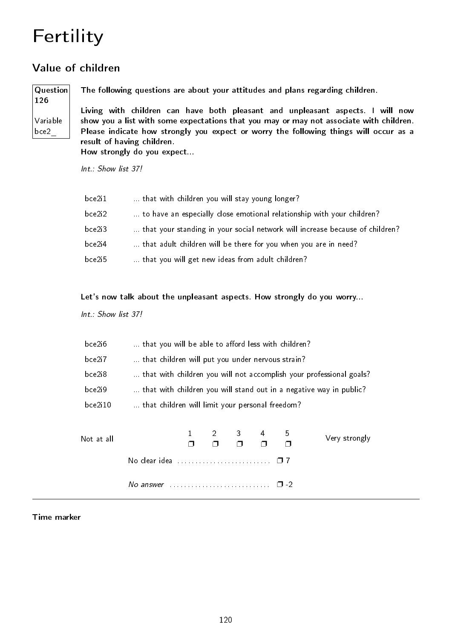## Fertility

### Value of children

### Question 126 Variable

bce2\_

The following questions are about your attitudes and plans regarding children.

Living with children can have both pleasant and unpleasant aspects. I will now show you a list with some expectations that you may or may not associate with children. Please indicate how strongly you expect or worry the following things will occur as a result of having children.

How strongly do you expect...

Int.: Show list 37!

| bce2i1 | that with children you will stay young longer?                               |
|--------|------------------------------------------------------------------------------|
| bce2i2 | to have an especially close emotional relationship with your children?       |
| bce2i3 | that your standing in your social network will increase because of children? |
| bce2i4 | that adult children will be there for you when you are in need?              |
| bce2i5 | that you will get new ideas from adult children?                             |

Let's now talk about the unpleasant aspects. How strongly do you worry...

Int.: Show list 37!

| bce2i6  | that you will be able to afford less with children?                 |
|---------|---------------------------------------------------------------------|
| bce2i7  | that children will put you under nervous strain?                    |
| bce2i8  | that with children you will not accomplish your professional goals? |
| bce2i9  | that with children you will stand out in a negative way in public?  |
| bce2i10 | that children will limit your personal freedom?                     |

| Not at all |                                                                     | $1 \quad 2 \quad 3 \quad 4$<br>$\Box$ |  | 5 | Very strongly |
|------------|---------------------------------------------------------------------|---------------------------------------|--|---|---------------|
|            | No clear idea $\ldots \ldots \ldots \ldots \ldots \ldots \square 7$ |                                       |  |   |               |
|            |                                                                     |                                       |  |   |               |

#### Time marker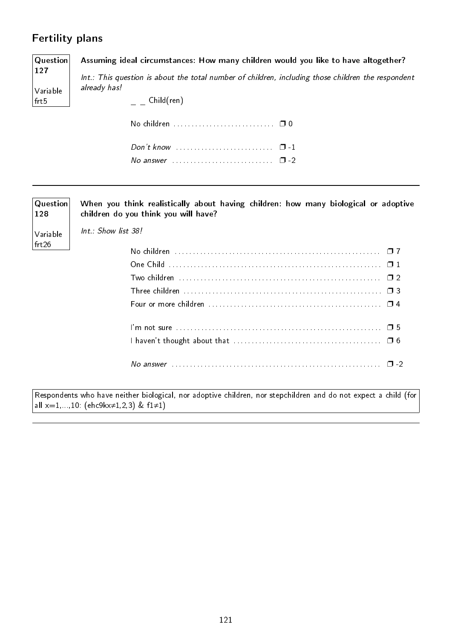### Fertility plans

| ı cıcılıcı pialis |                                                                                                                             |  |  |  |
|-------------------|-----------------------------------------------------------------------------------------------------------------------------|--|--|--|
| Question<br>127   | Assuming ideal circumstances: How many children would you like to have altogether?                                          |  |  |  |
| Variable          | Int.: This question is about the total number of children, including those children the respondent<br>already has!          |  |  |  |
| frt5              | Child(ren)                                                                                                                  |  |  |  |
|                   |                                                                                                                             |  |  |  |
|                   |                                                                                                                             |  |  |  |
|                   | No answer $\ldots$ , $\ldots$ , $\ldots$ , $\Box$ -2                                                                        |  |  |  |
|                   |                                                                                                                             |  |  |  |
| Question<br>128   | When you think realistically about having children: how many biological or adoptive<br>children do you think you will have? |  |  |  |
| Variable<br>frt26 | Int.: Show list 38!                                                                                                         |  |  |  |
|                   |                                                                                                                             |  |  |  |
|                   |                                                                                                                             |  |  |  |
|                   | Two children $\dots\dots\dots\dots\dots\dots\dots\dots\dots\dots\dots\dots\dots\dots\dots\dots\Box$ 2                       |  |  |  |
|                   |                                                                                                                             |  |  |  |
|                   |                                                                                                                             |  |  |  |
|                   |                                                                                                                             |  |  |  |
|                   |                                                                                                                             |  |  |  |
|                   |                                                                                                                             |  |  |  |

Respondents who have neither biological, nor adoptive children, nor stepchildren and do not expect a child (for  $|$ all x=1,...,10: (ehc9kx≠1,2,3) & f1≠1)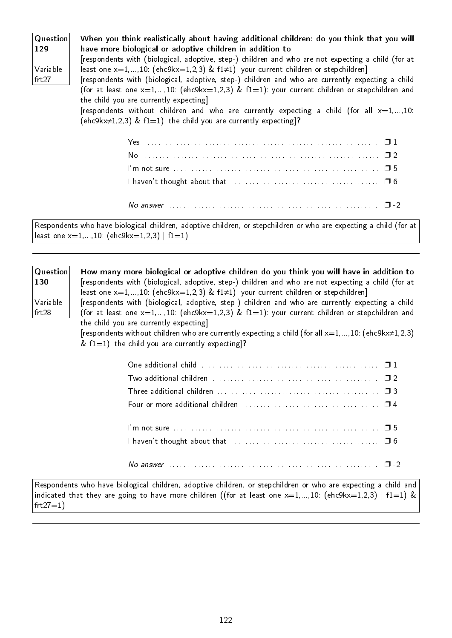| Question<br>129 | When you think realistically about having additional children: do you think that you will<br>have more biological or adoptive children in addition to                                                          |  |  |  |
|-----------------|----------------------------------------------------------------------------------------------------------------------------------------------------------------------------------------------------------------|--|--|--|
| Variable        | [respondents with (biological, adoptive, step-) children and who are not expecting a child (for at<br>least one $x=1,,10$ : (ehc9kx=1,2,3) & f1 $\neq$ 1): your current children or stepchildren]              |  |  |  |
| frt27           | [respondents with (biological, adoptive, step-) children and who are currently expecting a child<br>(for at least one $x=1,,10$ : (ehc9k $x=1,2,3$ ) & f1=1): your current children or stepchildren and        |  |  |  |
|                 | the child you are currently expecting]<br>[respondents without children and who are currently expecting a child (for all $x=1,,10$ :<br>(ehc9kx $\neq$ 1,2,3) & f1=1): the child you are currently expecting]? |  |  |  |
|                 |                                                                                                                                                                                                                |  |  |  |
|                 |                                                                                                                                                                                                                |  |  |  |
|                 |                                                                                                                                                                                                                |  |  |  |
|                 |                                                                                                                                                                                                                |  |  |  |
|                 |                                                                                                                                                                                                                |  |  |  |

Respondents who have biological children, adoptive children, or stepchildren or who are expecting a child (for at least one  $x=1,...,10$ : (ehc9kx=1,2,3) | f1=1)

| $\mid$ Question $\mid$ | How many more biological or adoptive children do you think you will have in addition to                      |
|------------------------|--------------------------------------------------------------------------------------------------------------|
| 130                    | [respondents with (biological, adoptive, step-) children and who are not expecting a child (for at           |
|                        | least one $x=1,,10$ : (ehc9kx=1,2,3) & f1≠1): your current children or stepchildren]                         |
| Variable               | [respondents with (biological, adoptive, step-) children and who are currently expecting a child             |
| frt28                  | (for at least one $x=1,,10$ : (ehc9kx=1,2,3) & f1=1): your current children or stepchildren and              |
|                        | the child you are currently expecting]                                                                       |
|                        | [respondents without children who are currently expecting a child (for all $x=1,,10$ : (ehc9kx $\neq$ 1,2,3) |
|                        | & $f1=1$ ): the child you are currently expecting?                                                           |
|                        |                                                                                                              |
|                        |                                                                                                              |

| Two additional children $\ldots, \ldots, \ldots, \ldots, \ldots, \ldots, \ldots, \ldots, \square$ 2           |  |
|---------------------------------------------------------------------------------------------------------------|--|
| Three additional children $\ldots, \ldots, \ldots, \ldots, \ldots, \ldots, \ldots, \ldots, \ldots, \square$ 3 |  |
|                                                                                                               |  |
|                                                                                                               |  |
|                                                                                                               |  |
| I haven't thought about that $\ldots, \ldots, \ldots, \ldots, \ldots, \ldots, \ldots, \ldots, \Box$ 6         |  |
|                                                                                                               |  |
| No answer $\ldots$ $\ldots$ $\ldots$ $\ldots$ $\ldots$ $\ldots$ $\ldots$ $\ldots$ $\ldots$ $\ldots$           |  |

Respondents who have biological children, adoptive children, or stepchildren or who are expecting a child and indicated that they are going to have more children ((for at least one  $x=1,...,10$ : (ehc9kx=1,2,3) | f1=1) &  $frt27=1)$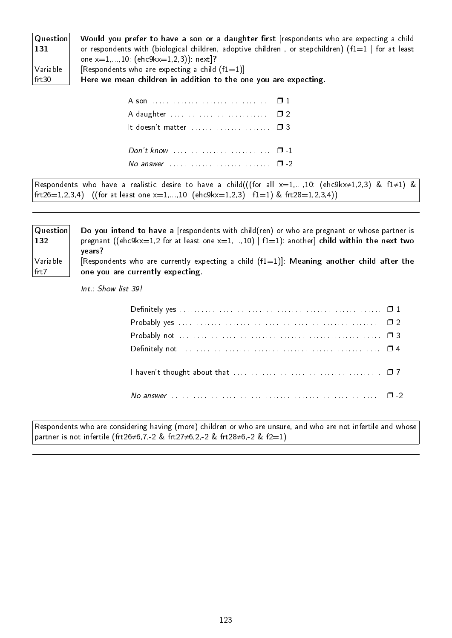| Question           | Would you prefer to have a son or a daughter first [respondents who are expecting a child             |
|--------------------|-------------------------------------------------------------------------------------------------------|
| $ 131\rangle$      | or respondents with (biological children, adoptive children, or stepchildren) ( $f1=1$   for at least |
|                    | one $x=1,,10$ : (ehc9kx=1,2,3)): next ?                                                               |
| $\sqrt{}$ Variable | [Respondents who are expecting a child $(f1=1)$ ]:                                                    |
| $ $ frt $30$       | Here we mean children in addition to the one you are expecting.                                       |
|                    |                                                                                                       |

| No answer $\ldots$ , $\ldots$ , $\ldots$ , $\Box$ -2 |  |
|------------------------------------------------------|--|

Respondents who have a realistic desire to have a child(((for all  $x=1,...,10$ : (ehc9kx≠1,2,3) & f1≠1) & frt26=1,2,3,4) | ((for at least one  $x=1,...,10$ : (ehc9kx=1,2,3) | f1=1) & frt28=1,2,3,4))

| $\mid$ Question $\mid$<br>$ 132\rangle$ | Do you intend to have a [respondents with child(ren) or who are pregnant or whose partner is<br>pregnant ((ehc9kx=1,2 for at least one x=1,,10)   $f1=1$ ): another child within the next two<br>years? |
|-----------------------------------------|---------------------------------------------------------------------------------------------------------------------------------------------------------------------------------------------------------|
| Variable                                | [Respondents who are currently expecting a child $(f1=1)$ ]: Meaning another child after the                                                                                                            |
| $ $ frt $7$                             | one you are currently expecting                                                                                                                                                                         |

Int.: Show list 39!

| I haven't thought about that $\ldots$ , $\ldots$ , $\ldots$ , $\ldots$ , $\ldots$ , $\ldots$ , $\ldots$ |  |
|---------------------------------------------------------------------------------------------------------|--|
|                                                                                                         |  |

Respondents who are considering having (more) children or who are unsure, and who are not infertile and whose partner is not infertile (frt26≠6,7,-2 & frt27≠6,2,-2 & frt28≠6,-2 & f2=1)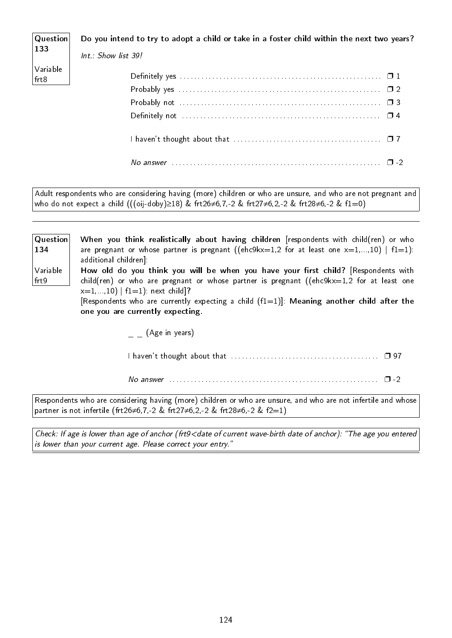| $ $ Question                                                        | Do you intend to try to adopt a child or take in a foster child within the next two years? |
|---------------------------------------------------------------------|--------------------------------------------------------------------------------------------|
| $\begin{array}{ c } \hline 133 \\ \hline \end{array}$               | Int.: Show list 39!                                                                        |
| $\begin{array}{c} \big  \text{Variable} \\ \text{frt8} \end{array}$ |                                                                                            |
|                                                                     |                                                                                            |
|                                                                     |                                                                                            |
|                                                                     |                                                                                            |
|                                                                     |                                                                                            |

| ,,,, |  |
|------|--|
|      |  |

I haven't thought about that  $\dots\dots\dots\dots\dots\dots\dots\dots\dots\dots\dots\dots\quad \Box$  7

Adult respondents who are considering having (more) children or who are unsure, and who are not pregnant and who do not expect a child (((oij-doby)≥18) & frt26≠6,7,-2 & frt27≠6,2,-2 & frt28≠6,-2 & f1=0)

| Question<br>134  | When you think realistically about having children [respondents with child(ren) or who<br>are pregnant or whose partner is pregnant ((ehc9kx=1,2 for at least one $x=1,,10$ )   f1=1):<br>additional children]:                                                                                                                                        |
|------------------|--------------------------------------------------------------------------------------------------------------------------------------------------------------------------------------------------------------------------------------------------------------------------------------------------------------------------------------------------------|
| Variable<br>frt9 | How old do you think you will be when you have your first child? [Respondents with<br>child(ren) or who are pregnant or whose partner is pregnant ((ehc9kx=1,2 for at least one<br>$x=1,,10$   f1=1): next child]?<br>[Respondents who are currently expecting a child $(f1=1)$ ]: Meaning another child after the<br>one you are currently expecting. |
|                  | $\overline{\phantom{a}}$ (Age in years)                                                                                                                                                                                                                                                                                                                |
|                  |                                                                                                                                                                                                                                                                                                                                                        |
|                  | $\Box$                                                                                                                                                                                                                                                                                                                                                 |

Respondents who are considering having (more) children or who are unsure, and who are not infertile and whose partner is not infertile (frt26≠6,7,-2 & frt27≠6,2,-2 & frt28≠6,-2 & f2=1)

Check: If age is lower than age of anchor (frt9<date of current wave-birth date of anchor): "The age you entered is lower than your current age. Please correct your entry.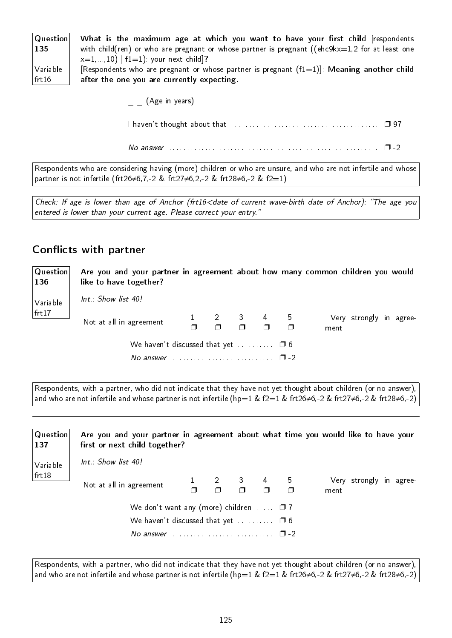| $\vert$ Question $\vert$ | What is the maximum age at which you want to have your first child [respondents                   |
|--------------------------|---------------------------------------------------------------------------------------------------|
| $\vert$ 135              | with child(ren) or who are pregnant or whose partner is pregnant (( $ehc9kx=1,2$ for at least one |
|                          | $x=1,,10$   f1=1): your next child]?                                                              |
| Variable                 | [Respondents who are pregnant or whose partner is pregnant $(f1=1)$ ]: Meaning another child      |
| $ $ frt 16               | after the one you are currently expecting.                                                        |

(Age in years)

I haven't thought about that . . . . . . . . . . . . . . . . . . . . . . . . . . . . . . . . . . . . . . . . . ❐ 97

No answer  $\dots\dots\dots\dots\dots\dots\dots\dots\dots\dots\dots\dots\dots\dots\dots\Box$ -2

Respondents who are considering having (more) children or who are unsure, and who are not infertile and whose partner is not infertile (frt26≠6,7,-2 & frt27≠6,2,-2 & frt28≠6,-2 & f2=1)

Check: If age is lower than age of Anchor (frt16<date of current wave-birth date of Anchor): "The age you entered is lower than your current age. Please correct your entry."

#### Conflicts with partner

Question 136 Variable frt17 Are you and your partner in agreement about how many common children you would like to have together? Int.: Show list 40! Not at all in agreement  $\frac{1}{4}$  $\Box$  $\mathfrak{D}$  $\Box$ 3  $\Box$ 4  $\Box$ 5  $\Box$ Very strongly in agreement We haven't discussed that yet  $\dots\dots\dots \Box$  6 No answer . . . . . . . . . . . . . . . . . . . . . . . . . . . . ❐ -2

Respondents, with a partner, who did not indicate that they have not yet thought about children (or no answer), and who are not infertile and whose partner is not infertile (hp=1 & f2=1 & frt26≠6,-2 & frt27≠6,-2 & frt28≠6,-2)

**Question** 137 Variable frt18 Are you and your partner in agreement about what time you would like to have your first or next child together?  $Int \cdot$  Show list 40! Not at all in agreement  $\Box$ 2  $\Box$ 3  $\Box$ 4  $\Box$ 5  $\Box$ Very strongly in agreement We don't want any (more) children  $\dots$   $\Box$  7 We haven't discussed that yet  $\dots \dots \square$  6 No answer . . . . . . . . . . . . . . . . . . . . . . . . . . . . ❐ -2

Respondents, with a partner, who did not indicate that they have not yet thought about children (or no answer), and who are not infertile and whose partner is not infertile (hp=1 & f2=1 & frt26≠6,-2 & frt27≠6,-2 & frt28≠6,-2)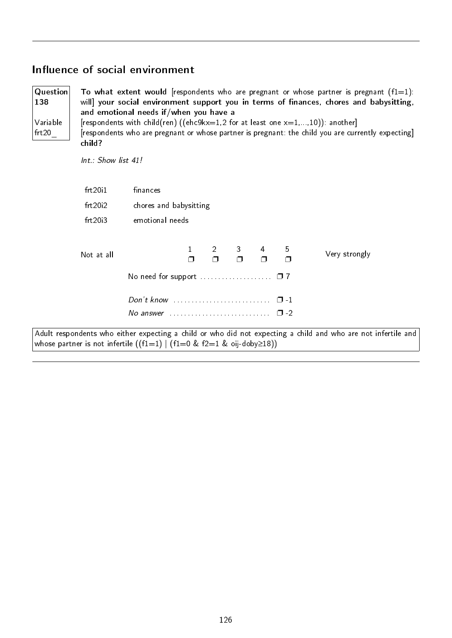### Influence of social environment

| Question<br>138<br>Variable<br>frt20 | child?                | To what extent would [respondents who are pregnant or whose partner is pregnant $(f1=1)$ :<br>will] your social environment support you in terms of finances, chores and babysitting,<br>and emotional needs if/when you have a<br>[respondents with child(ren) ((ehc9kx=1,2 for at least one $x=1,,10$ )): another]<br>[respondents who are pregnant or whose partner is pregnant: the child you are currently expecting] |  |  |  |  |  |
|--------------------------------------|-----------------------|----------------------------------------------------------------------------------------------------------------------------------------------------------------------------------------------------------------------------------------------------------------------------------------------------------------------------------------------------------------------------------------------------------------------------|--|--|--|--|--|
|                                      | $Int.:$ Show list 41! |                                                                                                                                                                                                                                                                                                                                                                                                                            |  |  |  |  |  |
|                                      | frt20i1<br>frt20i2    | finances<br>chores and babysitting                                                                                                                                                                                                                                                                                                                                                                                         |  |  |  |  |  |
|                                      | frt20i3               | emotional needs                                                                                                                                                                                                                                                                                                                                                                                                            |  |  |  |  |  |
|                                      | Not at all            | 3<br>$\overline{2}$<br>$\mathbf{1}$<br>5<br>4<br>Very strongly<br>$\Box$<br>$\Box$<br>$\Box$<br>$\Box$                                                                                                                                                                                                                                                                                                                     |  |  |  |  |  |
|                                      |                       | $\Box$ 1<br>No answer $\cdots$ $\cdots$ $\cdots$                                                                                                                                                                                                                                                                                                                                                                           |  |  |  |  |  |
|                                      |                       | Adult respondents who either expecting a child or who did not expecting a child and who are not infertile and<br>whose partner is not infertile $((f1=1)   (f1=0 \& f2=1 \& oij-doby\geq 18))$                                                                                                                                                                                                                             |  |  |  |  |  |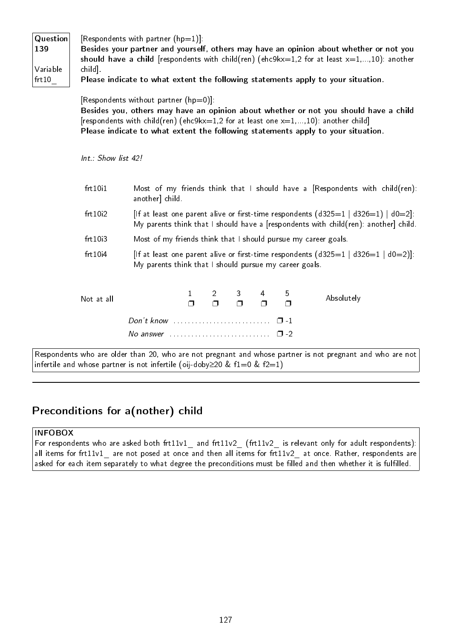| Question<br>139<br>Variable<br>frt10 | [Respondents with partner $(hp=1)$ ]:<br>Besides your partner and yourself, others may have an opinion about whether or not you<br>should have a child [respondents with child(ren) (ehc9kx=1,2 for at least $x=1,,10$ ): another<br>child].<br>Please indicate to what extent the following statements apply to your situation. |                                                                                                                                                                              |  |  |  |  |  |  |
|--------------------------------------|----------------------------------------------------------------------------------------------------------------------------------------------------------------------------------------------------------------------------------------------------------------------------------------------------------------------------------|------------------------------------------------------------------------------------------------------------------------------------------------------------------------------|--|--|--|--|--|--|
|                                      | [Respondents without partner $(hp=0)$ ]:<br>Besides you, others may have an opinion about whether or not you should have a child<br>[respondents with child(ren) (ehc9kx=1,2 for at least one $x=1,,10$ ): another child]<br>Please indicate to what extent the following statements apply to your situation.                    |                                                                                                                                                                              |  |  |  |  |  |  |
|                                      | $Int : Show$ list 42!                                                                                                                                                                                                                                                                                                            |                                                                                                                                                                              |  |  |  |  |  |  |
|                                      | frt10i1<br>Most of my friends think that I should have a [Respondents with child(ren):<br>another] child.                                                                                                                                                                                                                        |                                                                                                                                                                              |  |  |  |  |  |  |
|                                      | frt10i2                                                                                                                                                                                                                                                                                                                          | [If at least one parent alive or first-time respondents $(d325=1   d326=1)   d0=2$ ]:<br>My parents think that I should have a [respondents with child(ren): another] child. |  |  |  |  |  |  |
|                                      | frt10i3<br>Most of my friends think that I should pursue my career goals.                                                                                                                                                                                                                                                        |                                                                                                                                                                              |  |  |  |  |  |  |
|                                      | frt10i4                                                                                                                                                                                                                                                                                                                          | [If at least one parent alive or first-time respondents $(d325=1   d326=1   d0=2)$ ]:<br>My parents think that I should pursue my career goals.                              |  |  |  |  |  |  |

| Not at all |                                                |  | $1 \quad 2 \quad 3 \quad 4 \quad 5$<br>$\Box$ $\Box$ $\Box$ $\Box$ $\Box$ |  | Absolutely |
|------------|------------------------------------------------|--|---------------------------------------------------------------------------|--|------------|
|            | Don't know $\cdots$ $\cdots$ $\cdots$ $\cdots$ |  |                                                                           |  |            |
|            |                                                |  |                                                                           |  |            |

Respondents who are older than 20, who are not pregnant and whose partner is not pregnant and who are not infertile and whose partner is not infertile (oij-doby≥20 & f1=0 & f2=1)

### Preconditions for a(nother) child

#### INFOBOX

For respondents who are asked both frt11v1 and frt11v2 (frt11v2 is relevant only for adult respondents): all items for frt11v1 are not posed at once and then all items for frt11v2 at once. Rather, respondents are asked for each item separately to what degree the preconditions must be filled and then whether it is fulfilled.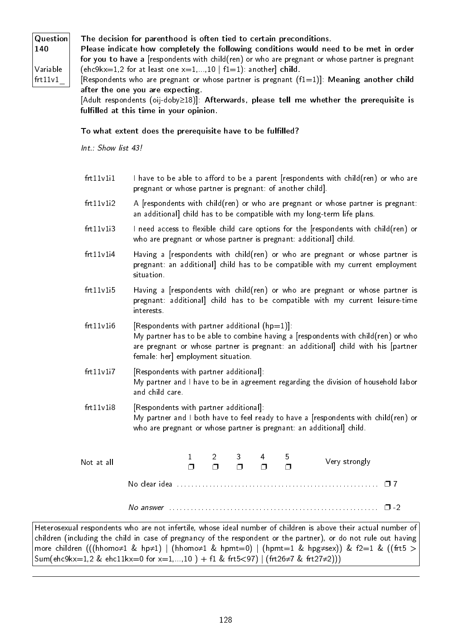Question 140 Variable

#### The decision for parenthood is often tied to certain preconditions.

Please indicate how completely the following conditions would need to be met in order for you to have a [respondents with child(ren) or who are pregnant or whose partner is pregnant (ehc9kx=1,2 for at least one  $x=1,...,10$  | f1=1): another child.

frt11v1\_ [Respondents who are pregnant or whose partner is pregnant  $(f1=1)$ ]: Meaning another child after the one you are expecting.

[Adult respondents (oij-doby≥18)]: Afterwards, please tell me whether the prerequisite is fulfilled at this time in your opinion.

#### To what extent does the prerequisite have to be fulfilled?

Int.: Show list 43!

- frt11v1i1 I have to be able to afford to be a parent [respondents with child(ren) or who are pregnant or whose partner is pregnant: of another child].
- frt11v1i2 A [respondents with child(ren) or who are pregnant or whose partner is pregnant: an additional] child has to be compatible with my long-term life plans.
- frt11v1i3 I need access to flexible child care options for the [respondents with child(ren) or who are pregnant or whose partner is pregnant: additional] child.
- frt11v1i4 Having a [respondents with child(ren) or who are pregnant or whose partner is pregnant: an additional] child has to be compatible with my current employment situation.
- frt11v1i5 Having a [respondents with child(ren) or who are pregnant or whose partner is pregnant: additional] child has to be compatible with my current leisure-time interests.
- frt11v1i6 [Respondents with partner additional  $(hp=1)$ ]: My partner has to be able to combine having a [respondents with child(ren) or who are pregnant or whose partner is pregnant: an additional] child with his [partner female: her] employment situation.
- frt11v1i7 [Respondents with partner additional]: My partner and I have to be in agreement regarding the division of household labor and child care.
- frt11v1i8 [Respondents with partner additional]: My partner and I both have to feel ready to have a [respondents with child(ren) or who are pregnant or whose partner is pregnant: an additional] child.

| Not at all |           |  | $1 \quad 2 \quad 3 \quad 4 \quad 5$<br>$\begin{array}{ccccccccccccccccc} \cap & \cap & \cap & \cap & \cap & \cap \end{array}$ |  | Very strongly |
|------------|-----------|--|-------------------------------------------------------------------------------------------------------------------------------|--|---------------|
|            |           |  |                                                                                                                               |  |               |
|            | No answer |  |                                                                                                                               |  | $\Box$        |

Heterosexual respondents who are not infertile, whose ideal number of children is above their actual number of children (including the child in case of pregnancy of the respondent or the partner), or do not rule out having more children (((hhomo≠1 & hp≠1) | (hhomo≠1 & hpmt=0) | (hpmt=1 & hpg≠sex)) & f2=1 & ((frt5 > Sum(ehc9kx=1,2 & ehc11kx=0 for x=1,...,10) + f1 & frt5<97) | (frt26≠7 & frt27≠2)))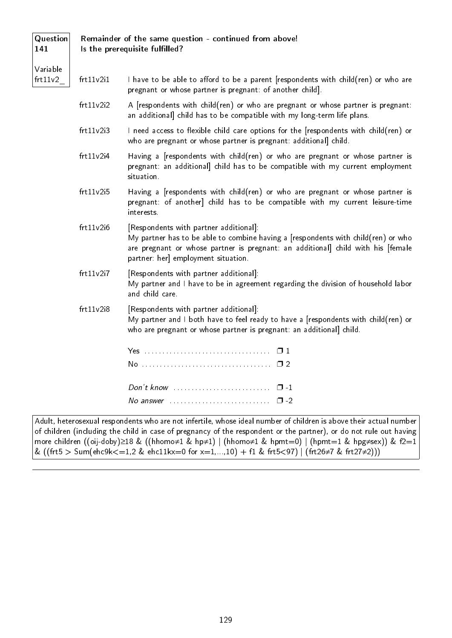#### Remainder of the same question - continued from above! Is the prerequisite fulfilled?

141

**Question** 

- Variable frt11v2\_
- $frt11v2i1$  I have to be able to afford to be a parent [respondents with child(ren) or who are pregnant or whose partner is pregnant: of another child].
	- frt11v2i2 A [respondents with child(ren) or who are pregnant or whose partner is pregnant: an additional] child has to be compatible with my long-term life plans.
	- $f$ rt11v2i3 I need access to flexible child care options for the [respondents with child(ren) or who are pregnant or whose partner is pregnant: additional] child.
	- frt11v2i4 Having a [respondents with child(ren) or who are pregnant or whose partner is pregnant: an additional] child has to be compatible with my current employment situation.
	- frt11v2i5 Having a [respondents with child(ren) or who are pregnant or whose partner is pregnant: of another] child has to be compatible with my current leisure-time interests.
	- frt11v2i6 [Respondents with partner additional]: My partner has to be able to combine having a [respondents with child(ren) or who are pregnant or whose partner is pregnant: an additional] child with his [female partner: her] employment situation.
	- frt11v2i7 [Respondents with partner additional]: My partner and I have to be in agreement regarding the division of household labor and child care.
	- frt11v2i8 [Respondents with partner additional]: My partner and I both have to feel ready to have a [respondents with child(ren) or who are pregnant or whose partner is pregnant: an additional] child.

Adult, heterosexual respondents who are not infertile, whose ideal number of children is above their actual number of children (including the child in case of pregnancy of the respondent or the partner), or do not rule out having more children ((oij-doby)≥18 & ((hhomo≠1 & hp≠1) | (hhomo≠1 & hpmt=0) | (hpmt=1 & hpg≠sex)) & f2=1 & ((frt5 > Sum(ehc9k<=1,2 & ehc11kx=0 for x=1,...,10) + f1 & frt5<97) | (frt26≠7 & frt27≠2)))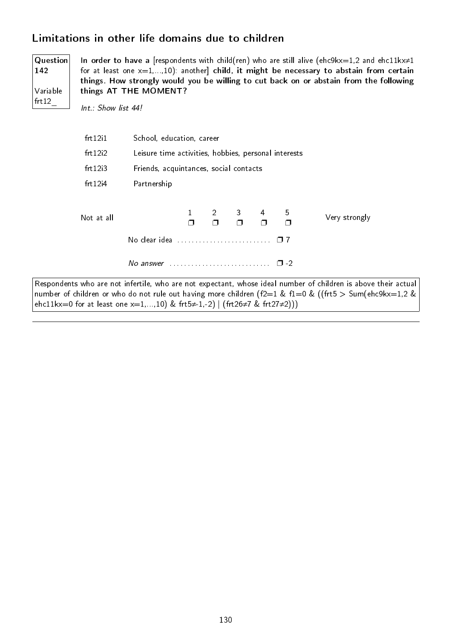### Limitations in other life domains due to children

Question 142 Variable frt12\_

In order to have a [respondents with child(ren) who are still alive (ehc9kx=1,2 and ehc11kx≠1 for at least one  $x=1,...,10$ ): another] child, it might be necessary to abstain from certain things. How strongly would you be willing to cut back on or abstain from the following things AT THE MOMENT?

Int.: Show list 44!

| frt12 <sub>i</sub> 1 | School, education, career                                     |  |  |                     |  |                         |               |
|----------------------|---------------------------------------------------------------|--|--|---------------------|--|-------------------------|---------------|
| frt12i2              | Leisure time activities, hobbies, personal interests          |  |  |                     |  |                         |               |
| frt12i3              | Friends, acquintances, social contacts                        |  |  |                     |  |                         |               |
| frt12i4              | Partnership                                                   |  |  |                     |  |                         |               |
| Not at all           | No clear idea                                                 |  |  | $1 \t2 \t3 \t4 \t5$ |  | $\Box$<br>$\Box$ $\Box$ | Very strongly |
|                      | No answer $\ldots$ , $\ldots$ , $\ldots$ , $\ldots$<br>$\Box$ |  |  |                     |  |                         |               |

Respondents who are not infertile, who are not expectant, whose ideal number of children is above their actual number of children or who do not rule out having more children (f2=1 & f1=0 & ((frt5 > Sum(ehc9kx=1,2 & ehc11kx=0 for at least one  $x=1,...,10$ ) & frt5 $\neq$ 1,-2) | (frt26 $\neq$ 7 & frt27 $\neq$ 2)))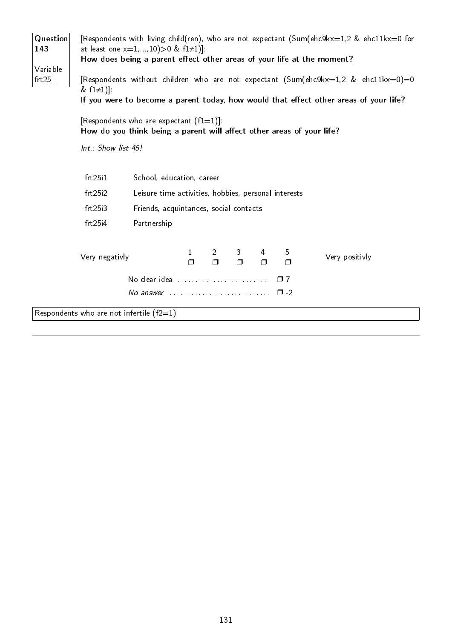| Question<br>143<br>Variable<br>frt25 | & $f1≠1$ ].                                | at least one $x=1,,10) > 0$ & $f1\neq 1$ ]:<br>How does being a parent effect other areas of your life at the moment?<br>[Respondents who are expectant $(f1=1)$ ].<br>How do you think being a parent will affect other areas of your life? |                        |                             |             |             |             | [Respondents with living child(ren), who are not expectant (Sum(ehc9kx=1,2 & ehc11kx=0 for<br>[Respondents without children who are not expectant (Sum(ehc9kx=1,2 & ehc11kx=0)=0<br>If you were to become a parent today, how would that effect other areas of your life? |
|--------------------------------------|--------------------------------------------|----------------------------------------------------------------------------------------------------------------------------------------------------------------------------------------------------------------------------------------------|------------------------|-----------------------------|-------------|-------------|-------------|---------------------------------------------------------------------------------------------------------------------------------------------------------------------------------------------------------------------------------------------------------------------------|
|                                      | Int.: Show list 45!                        |                                                                                                                                                                                                                                              |                        |                             |             |             |             |                                                                                                                                                                                                                                                                           |
|                                      | frt25i1<br>frt25i2<br>frt25i3<br>frt25i4   | School, education, career<br>Leisure time activities, hobbies, personal interests<br>Friends, acquintances, social contacts<br>Partnership                                                                                                   |                        |                             |             |             |             |                                                                                                                                                                                                                                                                           |
|                                      | Very negativly                             |                                                                                                                                                                                                                                              | $\mathbf{1}$<br>$\Box$ | $2 \qquad \qquad$<br>$\Box$ | 3<br>$\Box$ | 4<br>$\Box$ | 5<br>$\Box$ | Very positivly                                                                                                                                                                                                                                                            |
|                                      |                                            | No answer $\ldots$ $\ldots$ $\ldots$ $\ldots$ $\ldots$ $\ldots$ $\Box$ -2                                                                                                                                                                    |                        |                             |             |             |             |                                                                                                                                                                                                                                                                           |
|                                      | Respondents who are not infertile $(f2=1)$ |                                                                                                                                                                                                                                              |                        |                             |             |             |             |                                                                                                                                                                                                                                                                           |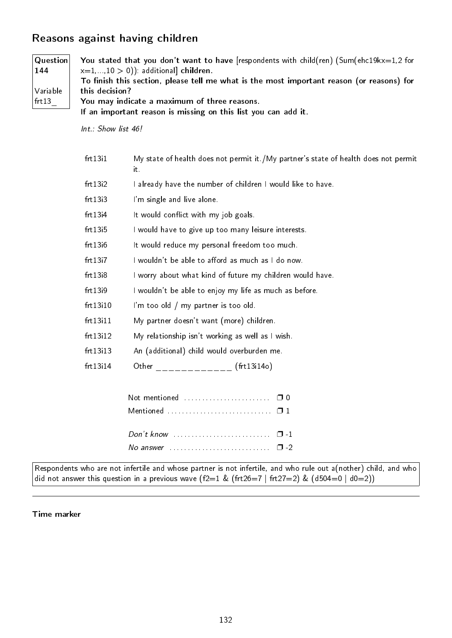# Reasons against having children

| <b>Question</b><br>144<br>Variable<br>frt13 | You stated that you don't want to have [respondents with child(ren) (Sum(ehc19kx=1,2 for<br>$x=1,,10>0)$ additional children.<br>To finish this section, please tell me what is the most important reason (or reasons) for<br>this decision?<br>You may indicate a maximum of three reasons.<br>If an important reason is missing on this list you can add it. |                                                                                            |  |  |  |  |  |
|---------------------------------------------|----------------------------------------------------------------------------------------------------------------------------------------------------------------------------------------------------------------------------------------------------------------------------------------------------------------------------------------------------------------|--------------------------------------------------------------------------------------------|--|--|--|--|--|
|                                             | Int.: Show list 46!                                                                                                                                                                                                                                                                                                                                            |                                                                                            |  |  |  |  |  |
|                                             | frt1311                                                                                                                                                                                                                                                                                                                                                        | My state of health does not permit it./My partner's state of health does not permit<br>it. |  |  |  |  |  |
|                                             | frt13i2                                                                                                                                                                                                                                                                                                                                                        | I already have the number of children I would like to have.                                |  |  |  |  |  |
|                                             | frt13i3                                                                                                                                                                                                                                                                                                                                                        | I'm single and live alone.                                                                 |  |  |  |  |  |
|                                             | frt13i4                                                                                                                                                                                                                                                                                                                                                        | It would conflict with my job goals.                                                       |  |  |  |  |  |
|                                             | frt13i5                                                                                                                                                                                                                                                                                                                                                        | I would have to give up too many leisure interests.                                        |  |  |  |  |  |
|                                             | frt13i6                                                                                                                                                                                                                                                                                                                                                        | It would reduce my personal freedom too much.                                              |  |  |  |  |  |
|                                             | frt1317                                                                                                                                                                                                                                                                                                                                                        | I wouldn't be able to afford as much as I do now.                                          |  |  |  |  |  |
|                                             | frt13i8                                                                                                                                                                                                                                                                                                                                                        | I worry about what kind of future my children would have.                                  |  |  |  |  |  |
|                                             | frt13i9                                                                                                                                                                                                                                                                                                                                                        | I wouldn't be able to enjoy my life as much as before.                                     |  |  |  |  |  |
|                                             | frt13i10                                                                                                                                                                                                                                                                                                                                                       | I'm too old / my partner is too old.                                                       |  |  |  |  |  |
|                                             | frt13i11                                                                                                                                                                                                                                                                                                                                                       | My partner doesn't want (more) children.                                                   |  |  |  |  |  |
|                                             | frt13i12                                                                                                                                                                                                                                                                                                                                                       | My relationship isn't working as well as I wish.                                           |  |  |  |  |  |
|                                             | frt13i13                                                                                                                                                                                                                                                                                                                                                       | An (additional) child would overburden me.                                                 |  |  |  |  |  |
|                                             | frt13i14                                                                                                                                                                                                                                                                                                                                                       |                                                                                            |  |  |  |  |  |
|                                             |                                                                                                                                                                                                                                                                                                                                                                | Not mentioned $\ldots, \ldots, \ldots, \ldots, \ldots$<br>$\Box$ 0                         |  |  |  |  |  |
|                                             |                                                                                                                                                                                                                                                                                                                                                                | Mentioned  □ 1                                                                             |  |  |  |  |  |
|                                             |                                                                                                                                                                                                                                                                                                                                                                | $Don't know \dots \dots \dots \dots \dots \dots \dots \dots \dots$<br>$\Box$ -1            |  |  |  |  |  |
|                                             |                                                                                                                                                                                                                                                                                                                                                                | No answer $\cdots$ $\cdots$                                                                |  |  |  |  |  |

Respondents who are not infertile and whose partner is not infertile, and who rule out a(nother) child, and who  $\vert$  did not answer this question in a previous wave (f2=1 & (frt26=7 | frt27=2) & (d504=0 | d0=2))

Time marker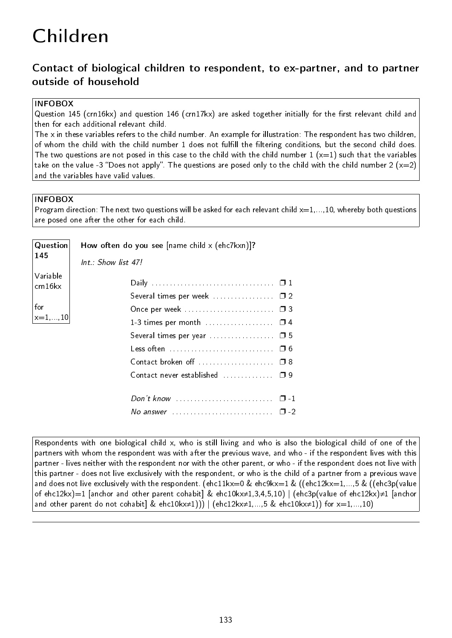# Children

# Contact of biological children to respondent, to ex-partner, and to partner outside of household

#### INFOBOX

Question 145 (crn16kx) and question 146 (crn17kx) are asked together initially for the first relevant child and then for each additional relevant child.

The x in these variables refers to the child number. An example for illustration: The respondent has two children, of whom the child with the child number 1 does not fulfill the filtering conditions, but the second child does. The two questions are not posed in this case to the child with the child number  $1 (x=1)$  such that the variables take on the value -3 "Does not apply". The questions are posed only to the child with the child number 2 ( $x=2$ ) and the variables have valid values.

#### INFOBOX

Program direction: The next two questions will be asked for each relevant child  $x=1,...,10$ , whereby both questions are posed one after the other for each child.

| Question            | How often do you see $[name child x (ehc7kxn)]$ ?                                 |  |
|---------------------|-----------------------------------------------------------------------------------|--|
| 145                 | $Int.$ : Show list 47!                                                            |  |
| Variable<br>crn16kx |                                                                                   |  |
|                     |                                                                                   |  |
| for                 |                                                                                   |  |
| $ x=1,,10 $         |                                                                                   |  |
|                     |                                                                                   |  |
|                     |                                                                                   |  |
|                     |                                                                                   |  |
|                     | Contact never established  09                                                     |  |
|                     |                                                                                   |  |
|                     |                                                                                   |  |
|                     | No answer $\ldots \ldots \ldots \ldots \ldots \ldots \ldots \ldots \quad \Box -2$ |  |
|                     |                                                                                   |  |

Respondents with one biological child x, who is still living and who is also the biological child of one of the partners with whom the respondent was with after the previous wave, and who - if the respondent lives with this partner - lives neither with the respondent nor with the other parent, or who - if the respondent does not live with this partner - does not live exclusively with the respondent, or who is the child of a partner from a previous wave and does not live exclusively with the respondent. (ehc11kx=0 & ehc9kx=1 & ((ehc12kx=1,...,5 & ((ehc3p(value of ehc12kx)=1 [anchor and other parent cohabit] & ehc10kx≠1,3,4,5,10) | (ehc3p(value of ehc12kx)≠1 [anchor and other parent do not cohabit] & ehc10kx≠1))) | (ehc12kx≠1,...,5 & ehc10kx≠1)) for  $x=1,...,10$ )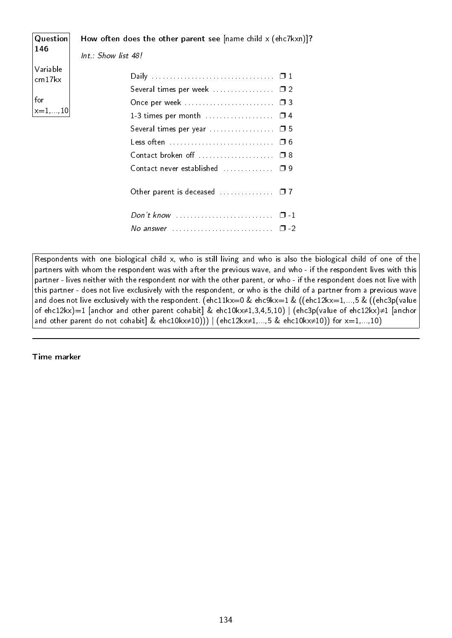| <b>Question</b>     | How often does the other parent see $[name child x (ehc7kxn)]$ ? |
|---------------------|------------------------------------------------------------------|
| 146                 | $Int.$ : Show list 48!                                           |
| Variable<br>crn17kx |                                                                  |
| for<br>$x=1, 10$    | Once per week  0 3                                               |
|                     | Several times per year $\ldots \ldots \ldots \ldots \square$ 5   |
|                     | Less often<br>$\Box$ 6                                           |
|                     | Contact broken off  08                                           |
|                     | Contact never established  09                                    |
|                     | Other parent is deceased $\Box$ $\Box$ 7                         |
|                     | $\Box$<br>No answer                                              |
|                     |                                                                  |

Respondents with one biological child x, who is still living and who is also the biological child of one of the partners with whom the respondent was with after the previous wave, and who - if the respondent lives with this partner - lives neither with the respondent nor with the other parent, or who - if the respondent does not live with this partner - does not live exclusively with the respondent, or who is the child of a partner from a previous wave and does not live exclusively with the respondent. (ehc11kx=0 & ehc9kx=1 & ((ehc12kx=1,...,5 & ((ehc3p(value of ehc12kx)=1 [anchor and other parent cohabit] & ehc10kx≠1,3,4,5,10) | (ehc3p(value of ehc12kx)≠1 [anchor and other parent do not cohabit] & ehc10kx≠10))) | (ehc12kx≠1,...,5 & ehc10kx≠10)) for x=1,...,10)

Time marker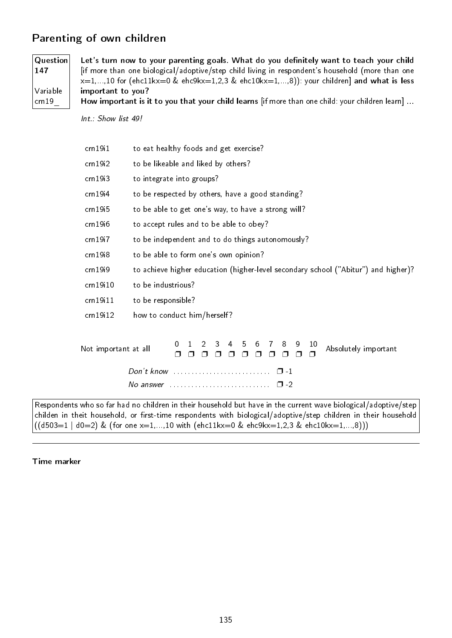# Parenting of own children

Question 147 Variable crn19\_

Let's turn now to your parenting goals. What do you definitely want to teach your child [if more than one biological/adoptive/step child living in respondent's household (more than one  $x=1,...,10$  for (ehc11kx=0 & ehc9kx=1,2,3 & ehc10kx=1,...,8)): your children] and what is less important to you?

How important is it to you that your child learns [if more than one child: your children learn] ...

Int.: Show list 49!

| cm19 <sub>i</sub> 1  | to eat healthy foods and get exercise?                                                                                                                                        |
|----------------------|-------------------------------------------------------------------------------------------------------------------------------------------------------------------------------|
| cm19i2               | to be likeable and liked by others?                                                                                                                                           |
| crn19i3              | to integrate into groups?                                                                                                                                                     |
| cm19i4               | to be respected by others, have a good standing?                                                                                                                              |
| crn 19 <sub>15</sub> | to be able to get one's way, to have a strong will?                                                                                                                           |
| crn 19 <sub>16</sub> | to accept rules and to be able to obey?                                                                                                                                       |
| cm19i7               | to be independent and to do things autonomously?                                                                                                                              |
| crn19i8              | to be able to form one's own opinion?                                                                                                                                         |
| crn19i9              | to achieve higher education (higher-level secondary school ("Abitur") and higher)?                                                                                            |
| crn 19i10            | to be industrious?                                                                                                                                                            |
| cm19i11              | to be responsible?                                                                                                                                                            |
| cm19i12              | how to conduct him/herself?                                                                                                                                                   |
| Not important at all | 3<br>8<br>9<br>$\mathcal{P}$<br>$\overline{5}$<br>6<br>$\mathbf{7}$<br>10<br>4<br>0<br>Absolutely important<br>⊓                                                              |
|                      | $Don't know \dots \dots \dots \dots \dots \dots \dots \dots \dots$<br>$\Box$ 1<br>$\mathsf{\Pi}$ 2<br>$\Delta$ No answer $\ldots$ , $\ldots$ , $\ldots$ , $\ldots$ , $\ldots$ |

Respondents who so far had no children in their household but have in the current wave biological/adoptive/step childen in theit household, or first-time respondents with biological/adoptive/step children in their household  $((d503=1 | d0=2) \& (for one x=1,...,10 with (ehc11kx=0 \& ehc9kx=1,2,3 \& ehc10kx=1,...,8)))$ 

#### Time marker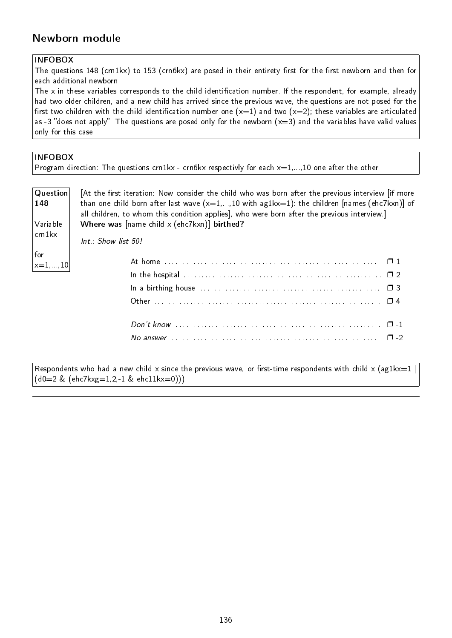# Newborn module

### INFOBOX

The questions 148 (crn1kx) to 153 (crn6kx) are posed in their entirety first for the first newborn and then for each additional newborn.

The x in these variables corresponds to the child identification number. If the respondent, for example, already had two older children, and a new child has arrived since the previous wave, the questions are not posed for the first two children with the child identification number one  $(x=1)$  and two  $(x=2)$ ; these variables are articulated as -3 "does not apply". The questions are posed only for the newborn  $(x=3)$  and the variables have valid values only for this case.

#### INFOBOX

|  |  |  | Program direction: The questions crn1kx - crn6kx respectivly for each $x=1,,10$ one after the other |  |  |
|--|--|--|-----------------------------------------------------------------------------------------------------|--|--|
|  |  |  |                                                                                                     |  |  |

| Question<br>148<br>Variable | [At the first iteration: Now consider the child who was born after the previous interview [if more]<br>than one child born after last wave $(x=1,,10$ with ag1kx=1): the children [names (ehc7kxn)] of<br>all children, to whom this condition applies], who were born after the previous interview.]<br>Where was $[name child \times (ehc7kxn)]$ birthed? |
|-----------------------------|-------------------------------------------------------------------------------------------------------------------------------------------------------------------------------------------------------------------------------------------------------------------------------------------------------------------------------------------------------------|
| crn1kx                      | $Int : Show$ list $50!$                                                                                                                                                                                                                                                                                                                                     |
| for<br>$ x=1,,10 $          |                                                                                                                                                                                                                                                                                                                                                             |
|                             |                                                                                                                                                                                                                                                                                                                                                             |
|                             |                                                                                                                                                                                                                                                                                                                                                             |
|                             |                                                                                                                                                                                                                                                                                                                                                             |
|                             |                                                                                                                                                                                                                                                                                                                                                             |
|                             |                                                                                                                                                                                                                                                                                                                                                             |

Respondents who had a new child x since the previous wave, or first-time respondents with child x (ag1kx=1 | (d0=2 & (ehc7kxg=1,2,-1 & ehc11kx=0)))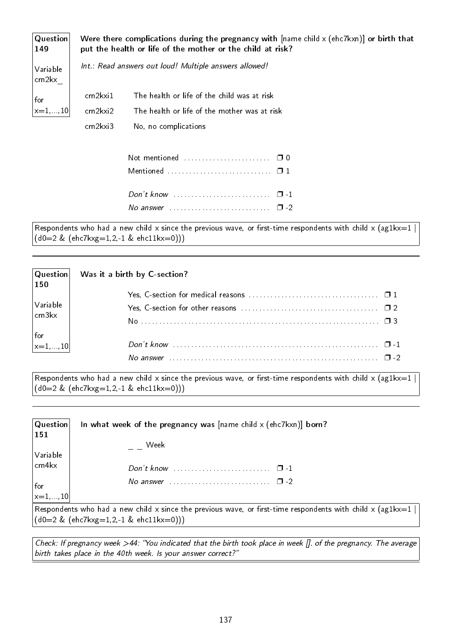|          | Were there complications during the pregnancy with $[name child \times (ehc7kxn)]$ or birth that<br>put the health or life of the mother or the child at risk? |
|----------|----------------------------------------------------------------------------------------------------------------------------------------------------------------|
|          | Int.: Read answers out loud! Multiple answers allowed!                                                                                                         |
| cm2kxi1  | The health or life of the child was at risk                                                                                                                    |
| crn2kxi2 | The health or life of the mother was at risk                                                                                                                   |
| cm2kxi3  | No, no complications                                                                                                                                           |
|          |                                                                                                                                                                |
|          | Mentioned $\ldots \ldots \ldots \ldots \ldots \ldots \ldots \square 1$                                                                                         |
|          | $\Box$ $\Box$                                                                                                                                                  |
|          | No answer $\qquad \qquad \Box$                                                                                                                                 |
|          |                                                                                                                                                                |

Respondents who had a new child x since the previous wave, or first-time respondents with child x (ag1kx=1 |  $(d0=2 \& (ehc7kxg=1,2,-1 \& ehc11kx=0)))$ 

| Question<br>$\vert$ 150                               | Was it a birth by C-section?                                                                                                    |  |
|-------------------------------------------------------|---------------------------------------------------------------------------------------------------------------------------------|--|
|                                                       |                                                                                                                                 |  |
| $\vert$ Variable<br>$\vert$ crn3kx $\vert$            |                                                                                                                                 |  |
|                                                       |                                                                                                                                 |  |
| $\begin{vmatrix} \text{for} \\ x=1,,10 \end{vmatrix}$ |                                                                                                                                 |  |
|                                                       |                                                                                                                                 |  |
|                                                       | No answer $\ldots$ $\ldots$ $\ldots$ $\ldots$ $\ldots$ $\ldots$ $\ldots$ $\ldots$ $\ldots$ $\ldots$ $\ldots$ $\ldots$ $\Box$ -2 |  |

Respondents who had a new child x since the previous wave, or first-time respondents with child x  $(ag1kx=1 |$ (d0=2 & (ehc7kxg=1,2,-1 & ehc11kx=0)))

| $\mid$ Question $\mid$<br>151 | In what week of the pregnancy was $[name child \times (ehc7kxn)]$ born?                            |
|-------------------------------|----------------------------------------------------------------------------------------------------|
|                               | Week                                                                                               |
| Variable                      |                                                                                                    |
| $ $ crn4 $kx$                 |                                                                                                    |
| for<br>$\vert x=1,,10 \vert$  | $\Box$                                                                                             |
|                               |                                                                                                    |
|                               | $\Box$ Respondents who had a new child x since the previous wave or first-time respondents with ch |

who had a new child x since the previous wave, or first-time respondents with child x (ag1kx=1  $\overline{\phantom{a}}$ (d0=2 & (ehc7kxg=1,2,-1 & ehc11kx=0)))

Check: If pregnancy week >44: You indicated that the birth took place in week []. of the pregnancy. The average birth takes place in the 40th week. Is your answer correct?"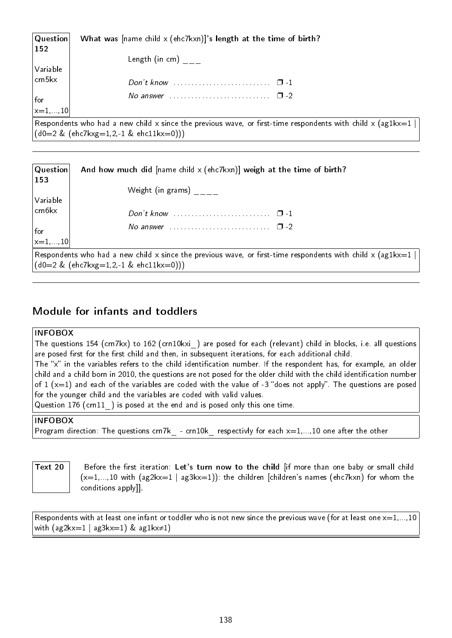| Question<br>$ 152\rangle$           | What was $[name child \times (ehc7kxn)]$ 's length at the time of birth?                                                 |
|-------------------------------------|--------------------------------------------------------------------------------------------------------------------------|
| Variable                            | Length (in cm)                                                                                                           |
| $ $ crn5 $kx$                       |                                                                                                                          |
| for<br>$\vert_{x=1,\ldots,10}\vert$ | No answer $\ldots \ldots \ldots \ldots \ldots \ldots \ldots \quad \Box -2$                                               |
|                                     |                                                                                                                          |
|                                     | $\mid$ Respondents who had a new child x since the previous wave, or first-time respondents with child x (ag1kx=1 $\mid$ |
|                                     | $( d0=2 \& (ehc7kxg=1,2,-1 \& ehc11kx=0)))$                                                                              |

| $ $ Question $ $<br>$\vert$ 153                                                    | And how much did [name child x (ehc7kxn)] weigh at the time of birth?                                                                                      |
|------------------------------------------------------------------------------------|------------------------------------------------------------------------------------------------------------------------------------------------------------|
| Variable                                                                           | Weight (in grams)                                                                                                                                          |
| $ $ crn $6kx$                                                                      |                                                                                                                                                            |
| $\left  \begin{smallmatrix} \text{for} \ \text{x}=1,,10 \end{smallmatrix} \right $ | No answer $\ldots \ldots \ldots \ldots \ldots \ldots \ldots \square$ -2                                                                                    |
|                                                                                    |                                                                                                                                                            |
|                                                                                    | Respondents who had a new child x since the previous wave, or first-time respondents with child x (ag1kx=1  <br>$(d0=2 \& (ehc7kxg=1,2,-1 \& ehc11kx=0)))$ |

# Module for infants and toddlers

#### INFOBOX

The questions 154 (crn7kx) to 162 (crn10kxi) are posed for each (relevant) child in blocks, i.e. all questions are posed first for the first child and then, in subsequent iterations, for each additional child.

The "x" in the variables refers to the child identification number. If the respondent has, for example, an older child and a child born in 2010, the questions are not posed for the older child with the child identication number of 1 ( $x=1$ ) and each of the variables are coded with the value of -3 "does not apply". The questions are posed for the younger child and the variables are coded with valid values.

Question 176 (crn11) is posed at the end and is posed only this one time.

#### INFOBOX

Program direction: The questions crn7k - crn10k respectivly for each  $x=1,...,10$  one after the other

Text 20  $\parallel$  Before the first iteration: Let's turn now to the child [if more than one baby or small child  $(x=1,...,10$  with  $(ag2kx=1 | ag3kx=1)$ : the children [children's names (ehc7kxn) for whom the conditions apply]].

Respondents with at least one infant or toddler who is not new since the previous wave (for at least one  $x=1,...,10$ with  $(ag2kx=1 | ag3kx=1)$  & ag1kx $\neq$ 1)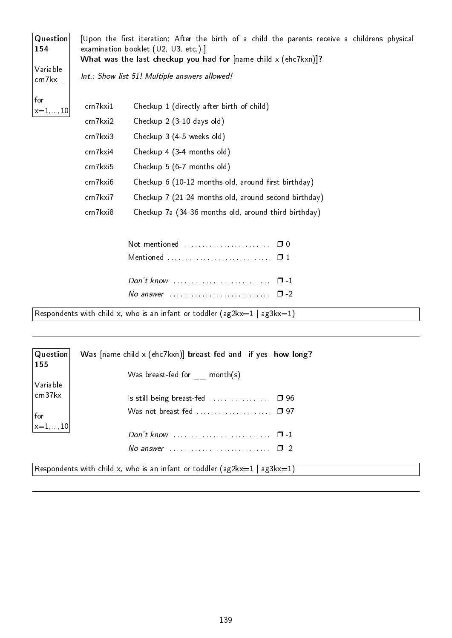| Question<br>154     |                      | [Upon the first iteration: After the birth of a child the parents receive a childrens physical<br>examination booklet (U2, U3, etc.)]<br>What was the last checkup you had for [name child $x$ (ehc7kxn)]? |  |  |  |  |  |  |
|---------------------|----------------------|------------------------------------------------------------------------------------------------------------------------------------------------------------------------------------------------------------|--|--|--|--|--|--|
| Variable<br>crn7kx  |                      | Int.: Show list 51! Multiple answers allowed!                                                                                                                                                              |  |  |  |  |  |  |
| for<br>$x=1, 10$    | crn7kxi1<br>crn7kxi2 | Checkup 1 (directly after birth of child)<br>Checkup 2 (3-10 days old)                                                                                                                                     |  |  |  |  |  |  |
|                     | crn7kxi3             | Checkup 3 (4-5 weeks old)                                                                                                                                                                                  |  |  |  |  |  |  |
|                     | cm7kxi4              | Checkup 4 (3-4 months old)                                                                                                                                                                                 |  |  |  |  |  |  |
|                     | crn7kxi5             | Checkup 5 (6-7 months old)                                                                                                                                                                                 |  |  |  |  |  |  |
|                     | crn7kxi6             | Checkup 6 (10-12 months old, around first birthday)                                                                                                                                                        |  |  |  |  |  |  |
|                     | crn7kxi7             | Checkup 7 (21-24 months old, around second birthday)                                                                                                                                                       |  |  |  |  |  |  |
|                     | crn7kxi8             | Checkup 7a (34-36 months old, around third birthday)                                                                                                                                                       |  |  |  |  |  |  |
|                     |                      |                                                                                                                                                                                                            |  |  |  |  |  |  |
|                     |                      |                                                                                                                                                                                                            |  |  |  |  |  |  |
|                     |                      |                                                                                                                                                                                                            |  |  |  |  |  |  |
|                     |                      |                                                                                                                                                                                                            |  |  |  |  |  |  |
|                     |                      | Respondents with child x, who is an infant or toddler ( $ag2kx=1$   $ag3kx=1$ )                                                                                                                            |  |  |  |  |  |  |
|                     |                      |                                                                                                                                                                                                            |  |  |  |  |  |  |
| Question<br>155     |                      | Was [name child x (ehc7kxn)] breast-fed and -if yes- how long?                                                                                                                                             |  |  |  |  |  |  |
|                     |                      | Was breast-fed for $month(s)$                                                                                                                                                                              |  |  |  |  |  |  |
| Variable<br>crn37kx |                      |                                                                                                                                                                                                            |  |  |  |  |  |  |
|                     |                      |                                                                                                                                                                                                            |  |  |  |  |  |  |
| for                 |                      | Was not breast-fed  0 97                                                                                                                                                                                   |  |  |  |  |  |  |

Don't know  $\dots\dots\dots\dots\dots\dots\dots\dots\dots$ No answer  $\dots \dots \dots \dots \dots \dots \dots \dots \dots \dots \dots \dots \dots \dots$ 

Respondents with child x, who is an infant or toddler (ag2kx=1 | ag3kx=1)

 $x=1, . . ., 10$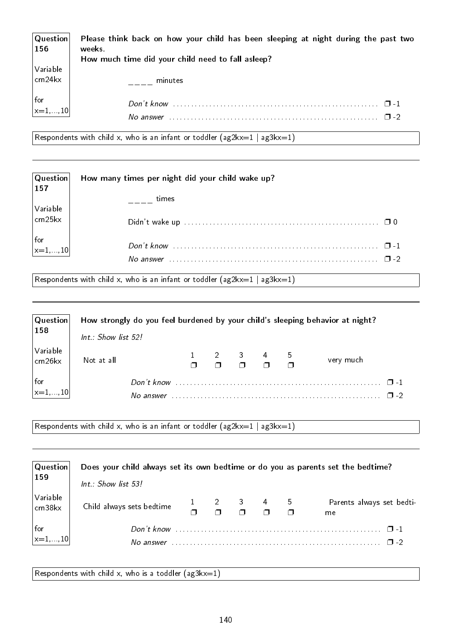| Question <br>156                                                                | Please think back on how your child has been sleeping at night during the past two<br>weeks.<br>How much time did your child need to fall asleep? |
|---------------------------------------------------------------------------------|---------------------------------------------------------------------------------------------------------------------------------------------------|
| $\begin{array}{c} \big  \text{Variable} \\ \text{cm} 24 \text{kx} \end{array}$  | minutes                                                                                                                                           |
| $\left  \begin{matrix} \text{for} \\ \text{x}=1,\ldots,10 \end{matrix} \right $ | Don't know<br>$\Box$ -1                                                                                                                           |
|                                                                                 | No answer                                                                                                                                         |

Respondents with child x, who is an infant or toddler  $(ag2kx=1 | ag3kx=1)$ 

| Question<br>157                                         | How many times per night did your child wake up? |  |
|---------------------------------------------------------|--------------------------------------------------|--|
| $\sqrt{}$ Variable                                      | times                                            |  |
| $\vert$ crn25kx                                         |                                                  |  |
| $\begin{vmatrix} \text{for} \\ x=1, , 10 \end{vmatrix}$ |                                                  |  |

Respondents with child x, who is an infant or toddler  $(ag2kx=1 | ag3kx=1)$ 

| <b>Question</b>                | How strongly do you feel burdened by your child's sleeping behavior at night? |  |                              |  |           |
|--------------------------------|-------------------------------------------------------------------------------|--|------------------------------|--|-----------|
| $\vert$ 158                    | Int.: Show list 52!                                                           |  |                              |  |           |
| Variable<br>$ $ crn26 $kx$     | Not at all                                                                    |  | $1 2 3 4 5$<br>$1 1 2 3 4 5$ |  | very much |
| for<br>$\vert_{x=1,\ldots,10}$ |                                                                               |  |                              |  | $\Box$    |
|                                | No answer                                                                     |  |                              |  |           |

Respondents with child x, who is an infant or toddler  $(ag2kx=1 | ag3kx=1)$ 

| $\mid$ Question $\mid$                                                            | Does your child always set its own bedtime or do you as parents set the bedtime? |  |  |  |                                                                       |  |                                 |
|-----------------------------------------------------------------------------------|----------------------------------------------------------------------------------|--|--|--|-----------------------------------------------------------------------|--|---------------------------------|
| $\vert$ 159                                                                       | $Int.$ : Show list 53!                                                           |  |  |  |                                                                       |  |                                 |
| Variable<br>$\vert$ crn38 $kx$                                                    | Child always sets bedtime                                                        |  |  |  | $\frac{1}{2}$ $\frac{2}{2}$ $\frac{3}{2}$ $\frac{4}{2}$ $\frac{5}{2}$ |  | Parents always set bedti-<br>me |
| $\left  \begin{matrix} \text{for} \\ \mathsf{x}=1,\ldots,10 \end{matrix} \right $ | Don't know<br>No answer                                                          |  |  |  |                                                                       |  | $\Box$ -1<br>$\Box$             |

Respondents with child x, who is a toddler  $(ag3kx=1)$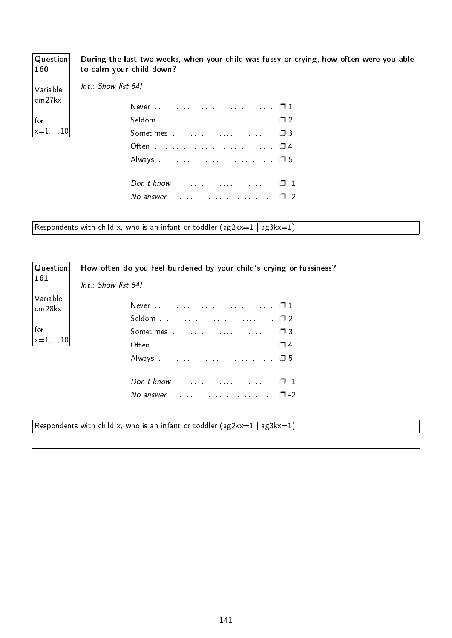| $\mid$ Question $\mid$<br>160 | During the last two weeks, when your child was fussy or crying, how often were you able<br>to calm your child down? |
|-------------------------------|---------------------------------------------------------------------------------------------------------------------|
| Variable<br>$ $ crn27 $kx$    | $Int : Show$ list $54!$                                                                                             |
|                               |                                                                                                                     |
| $ $ for                       |                                                                                                                     |
| $\vert_{x=1,\ldots,10}\vert$  |                                                                                                                     |
|                               |                                                                                                                     |
|                               |                                                                                                                     |
|                               | Don't know $\dots\dots\dots\dots\dots\dots\dots\dots \quad \Box$ -1                                                 |
|                               | No answer $\ldots$ $\ldots$ $\ldots$ $\ldots$ $\ldots$ $\ldots$ $\Box$ -2                                           |

Respondents with child x, who is an infant or toddler  $(ag2kx=1 | ag3kx=1)$ 

| Question            | How often do you feel burdened by your child's crying or fussiness?     |  |  |  |  |  |  |
|---------------------|-------------------------------------------------------------------------|--|--|--|--|--|--|
| 161                 | Int.: Show list 54!                                                     |  |  |  |  |  |  |
| Variable<br>crn28kx |                                                                         |  |  |  |  |  |  |
|                     |                                                                         |  |  |  |  |  |  |
| for<br>$ x=1,,10 $  |                                                                         |  |  |  |  |  |  |
|                     |                                                                         |  |  |  |  |  |  |
|                     |                                                                         |  |  |  |  |  |  |
|                     |                                                                         |  |  |  |  |  |  |
|                     | No answer $\ldots \ldots \ldots \ldots \ldots \ldots \ldots \square$ -2 |  |  |  |  |  |  |
|                     |                                                                         |  |  |  |  |  |  |

Respondents with child x, who is an infant or toddler  $(ag2kx=1 | ag3kx=1)$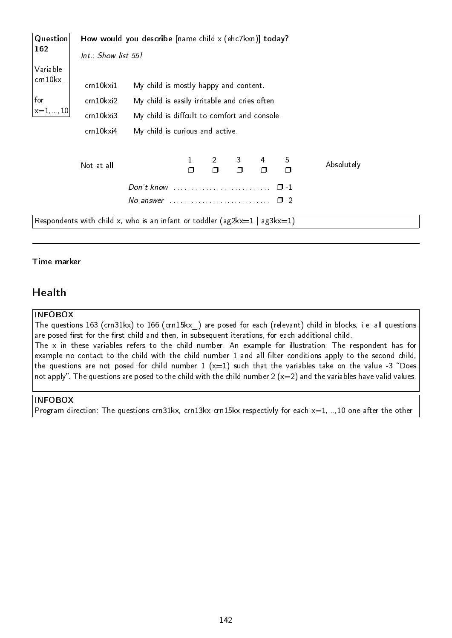| Question  | How would you describe $[name\ child \times (ehc7kxn)]$ today? |                                                                               |        |                          |   |   |               |            |
|-----------|----------------------------------------------------------------|-------------------------------------------------------------------------------|--------|--------------------------|---|---|---------------|------------|
| 162       | $Int.:$ Show list 55!                                          |                                                                               |        |                          |   |   |               |            |
| Variable  |                                                                |                                                                               |        |                          |   |   |               |            |
| crn 10 kx | crn10kxi1                                                      | My child is mostly happy and content.                                         |        |                          |   |   |               |            |
| for       | cm10kxi2                                                       | My child is easily irritable and cries often.                                 |        |                          |   |   |               |            |
| $x=1, 10$ | crn10kxi3                                                      | My child is diffcult to comfort and console.                                  |        |                          |   |   |               |            |
|           | crn10kxi4                                                      | My child is curious and active.                                               |        |                          |   |   |               |            |
|           | Not at all                                                     |                                                                               | $\Box$ | $\overline{2}$<br>$\Box$ | 3 | 4 | 5<br>$\Box$   | Absolutely |
|           |                                                                | Don't know                                                                    |        |                          |   |   | $\Box$ 1      |            |
|           |                                                                | No answer $\ldots \ldots \ldots \ldots \ldots \ldots \ldots$                  |        |                          |   |   | $\square$ - 2 |            |
|           |                                                                | Respondents with child x, who is an infant or toddler ( $ag2kx=1   ag3kx=1$ ) |        |                          |   |   |               |            |

#### Time marker

## Health

#### INFOBOX

The questions 163 (crn31kx) to 166 (crn15kx\_) are posed for each (relevant) child in blocks, i.e. all questions are posed first for the first child and then, in subsequent iterations, for each additional child. The x in these variables refers to the child number. An example for illustration: The respondent has for example no contact to the child with the child number 1 and all filter conditions apply to the second child, the questions are not posed for child number 1  $(x=1)$  such that the variables take on the value -3 "Does not apply". The questions are posed to the child with the child number 2 (x=2) and the variables have valid values.

#### INFOBOX

Program direction: The questions crn31kx, crn13kx-crn15kx respectivly for each  $x=1,...,10$  one after the other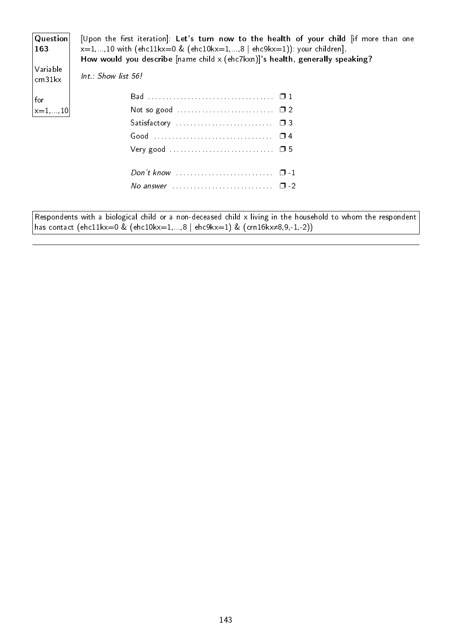| Question<br>163<br>Variable | [Upon the first iteration]: Let's turn now to the health of your child if more than one<br>$x=1,,10$ with (ehc11kx=0 & (ehc10kx=1,,8   ehc9kx=1)): your children].<br>How would you describe $[name\ child \times (ehc7kxn)]$ 's health, generally speaking?<br>Int.: Show list 56! |
|-----------------------------|-------------------------------------------------------------------------------------------------------------------------------------------------------------------------------------------------------------------------------------------------------------------------------------|
| cn31kx                      |                                                                                                                                                                                                                                                                                     |
| for                         |                                                                                                                                                                                                                                                                                     |
| $ x=1,,10 $                 | Not so good $\ldots \ldots \ldots \ldots \ldots \ldots \ldots \square 2$                                                                                                                                                                                                            |
|                             |                                                                                                                                                                                                                                                                                     |
|                             |                                                                                                                                                                                                                                                                                     |
|                             |                                                                                                                                                                                                                                                                                     |
|                             | Don't know $\ldots \ldots \ldots \ldots \ldots \ldots \ldots \quad \Box -1$                                                                                                                                                                                                         |
|                             | No answer $\ldots$ $\ldots$ $\ldots$ $\ldots$ $\ldots$ $\ldots$ $\Box$ -2                                                                                                                                                                                                           |
|                             |                                                                                                                                                                                                                                                                                     |
|                             | Respondents with a biological child or a non-deceased child x living in the household to whom the respondent                                                                                                                                                                        |
|                             | has contact (ehc11kx=0 & (ehc10kx=1,,8   ehc9kx=1) & (crn16kx $\neq 8,9,-1,-2$ ))                                                                                                                                                                                                   |

143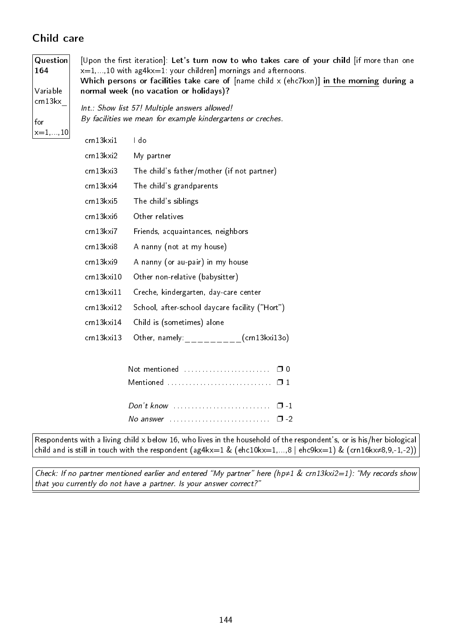# Child care

| Question<br>164       | [Upon the first iteration]: Let's turn now to who takes care of your child [if more than one<br>$x=1,,10$ with ag4 $kx=1$ : your children] mornings and afternoons. |                                                                                                                   |  |  |  |  |  |  |
|-----------------------|---------------------------------------------------------------------------------------------------------------------------------------------------------------------|-------------------------------------------------------------------------------------------------------------------|--|--|--|--|--|--|
| Variable              | Which persons or facilities take care of $[name child \times (ehc7kxn)]$ in the morning during a<br>normal week (no vacation or holidays)?                          |                                                                                                                   |  |  |  |  |  |  |
| cn13kx<br>for         |                                                                                                                                                                     | Int.: Show list 57! Multiple answers allowed!<br>By facilities we mean for example kindergartens or creches.      |  |  |  |  |  |  |
| $x\!=\!1,\ldots\!,10$ | crn13kxi1                                                                                                                                                           | I do                                                                                                              |  |  |  |  |  |  |
|                       | crn13kxi2                                                                                                                                                           | My partner                                                                                                        |  |  |  |  |  |  |
|                       | crn13kxi3                                                                                                                                                           | The child's father/mother (if not partner)                                                                        |  |  |  |  |  |  |
|                       | crn13kxi4                                                                                                                                                           | The child's grandparents                                                                                          |  |  |  |  |  |  |
|                       | crn13kxi5                                                                                                                                                           | The child's siblings                                                                                              |  |  |  |  |  |  |
|                       | crn13kxi6                                                                                                                                                           | Other relatives                                                                                                   |  |  |  |  |  |  |
|                       | crn13kxi7<br>Friends, acquaintances, neighbors                                                                                                                      |                                                                                                                   |  |  |  |  |  |  |
|                       | crn13kxi8                                                                                                                                                           | A nanny (not at my house)                                                                                         |  |  |  |  |  |  |
|                       | crn13kxi9                                                                                                                                                           | A nanny (or au-pair) in my house                                                                                  |  |  |  |  |  |  |
|                       | crn13kxi10                                                                                                                                                          | Other non-relative (babysitter)                                                                                   |  |  |  |  |  |  |
|                       | crn13kxi11                                                                                                                                                          | Creche, kindergarten, day-care center                                                                             |  |  |  |  |  |  |
|                       | crn13kxi12                                                                                                                                                          | School, after-school daycare facility ("Hort")                                                                    |  |  |  |  |  |  |
|                       | crn13kxi14                                                                                                                                                          | Child is (sometimes) alone                                                                                        |  |  |  |  |  |  |
|                       | crn13kxi13                                                                                                                                                          | Other, namely: _ (crn13kxi13o)                                                                                    |  |  |  |  |  |  |
|                       |                                                                                                                                                                     |                                                                                                                   |  |  |  |  |  |  |
|                       |                                                                                                                                                                     | $Don't know       $<br>$\Box$ -1<br>No answer $\ldots \ldots \ldots \ldots \ldots \ldots \ldots$<br>$\square$ - 2 |  |  |  |  |  |  |

Respondents with a living child x below 16, who lives in the household of the respondent's, or is his/her biological child and is still in touch with the respondent (ag4kx=1 & (ehc10kx=1,...,8 | ehc9kx=1) & (crn16kx≠8,9,-1,-2))

Check: If no partner mentioned earlier and entered "My partner" here (hp≠1 & crn13kxi2=1): "My records show that you currently do not have a partner. Is your answer correct?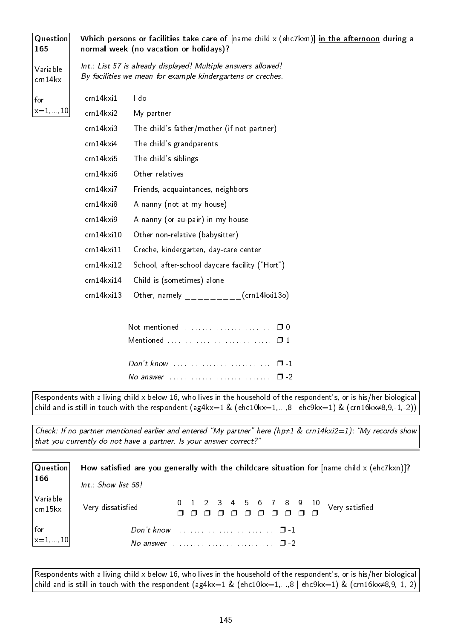| <b>Question</b><br>165 | Which persons or facilities take care of $[name child \times (ehc7kxn)]$ in the afternoon during a<br>normal week (no vacation or holidays)? |                                                                                                                              |  |  |  |  |
|------------------------|----------------------------------------------------------------------------------------------------------------------------------------------|------------------------------------------------------------------------------------------------------------------------------|--|--|--|--|
| Variable<br>crn 14 kx  |                                                                                                                                              | Int.: List 57 is already displayed! Multiple answers allowed!<br>By facilities we mean for example kindergartens or creches. |  |  |  |  |
| for                    | crn14kxi1                                                                                                                                    | I do                                                                                                                         |  |  |  |  |
| $x\!=\!1,\ldots\!,10$  | cm14kxi2                                                                                                                                     | My partner                                                                                                                   |  |  |  |  |
|                        | crn14kxi3                                                                                                                                    | The child's father/mother (if not partner)                                                                                   |  |  |  |  |
|                        | crn14kxi4                                                                                                                                    | The child's grandparents                                                                                                     |  |  |  |  |
|                        | crn14kxi5                                                                                                                                    | The child's siblings                                                                                                         |  |  |  |  |
|                        | crn14kxi6<br>Other relatives                                                                                                                 |                                                                                                                              |  |  |  |  |
|                        | cm14kxi7                                                                                                                                     | Friends, acquaintances, neighbors                                                                                            |  |  |  |  |
|                        | crn14kxi8                                                                                                                                    | A nanny (not at my house)                                                                                                    |  |  |  |  |
|                        | crn14kxi9                                                                                                                                    | A nanny (or au-pair) in my house                                                                                             |  |  |  |  |
|                        | crn14kxi10                                                                                                                                   | Other non-relative (babysitter)                                                                                              |  |  |  |  |
|                        | $cm14$ kxi $11$                                                                                                                              | Creche, kindergarten, day-care center                                                                                        |  |  |  |  |
|                        | cm14kxi12                                                                                                                                    | School, after-school daycare facility ("Hort")                                                                               |  |  |  |  |
|                        | crn14kxi14                                                                                                                                   | Child is (sometimes) alone                                                                                                   |  |  |  |  |
|                        | $cm14k$ xi $13$                                                                                                                              | Other, namely: $\rule{1em}{0.15mm}$ (crn14kxi13o)                                                                            |  |  |  |  |
|                        |                                                                                                                                              |                                                                                                                              |  |  |  |  |
|                        |                                                                                                                                              | Not mentioned<br>$\Box$ 0                                                                                                    |  |  |  |  |
|                        |                                                                                                                                              | Mentioned  01                                                                                                                |  |  |  |  |
|                        |                                                                                                                                              |                                                                                                                              |  |  |  |  |

Respondents with a living child x below 16, who lives in the household of the respondent's, or is his/her biological child and is still in touch with the respondent (ag4kx=1 & (ehc10kx=1,...,8 | ehc9kx=1) & (crn16kx≠8,9,-1,-2))

No answer  $\dots \dots \dots \dots \dots \dots \dots \square$  -2

Check: If no partner mentioned earlier and entered "My partner" here (hp≠1 & crn14kxi2=1): "My records show that you currently do not have a partner. Is your answer correct?

| $ $ Question $ $                                        | How satisfied are you generally with the childcare situation for $[name child \times (ehc7kxn)]$ ? |
|---------------------------------------------------------|----------------------------------------------------------------------------------------------------|
| $\vert$ 166                                             | Int.: Show list 58!                                                                                |
| Variable<br>$ $ crn 15 kx                               | Very dissatisfied                                                                                  |
| $\begin{vmatrix} \text{for} \\ x=1, , 10 \end{vmatrix}$ |                                                                                                    |
|                                                         |                                                                                                    |

Respondents with a living child x below 16, who lives in the household of the respondent's, or is his/her biological child and is still in touch with the respondent (ag4kx=1 & (ehc10kx=1,...,8 | ehc9kx=1) & (crn16kx≠8,9,-1,-2)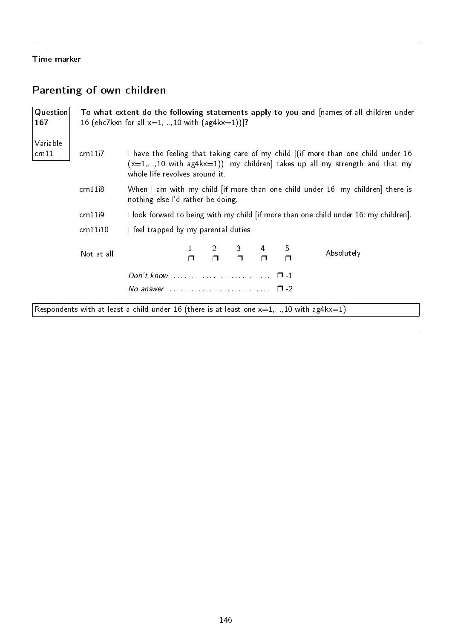#### Time marker

# Parenting of own children

| Question<br>167  |            | To what extent do the following statements apply to you and [names of all children under<br>16 (ehc7kxn for all $x=1,,10$ with (ag4kx=1))]?                                                         |  |  |  |  |  |  |  |  |  |
|------------------|------------|-----------------------------------------------------------------------------------------------------------------------------------------------------------------------------------------------------|--|--|--|--|--|--|--|--|--|
| Variable<br>cn11 | cm11i7     | I have the feeling that taking care of my child [(if more than one child under 16<br>$(x=1,,10$ with ag4kx=1)): my children] takes up all my strength and that my<br>whole life revolves around it. |  |  |  |  |  |  |  |  |  |
|                  | cm11i8     | When I am with my child [if more than one child under 16: my children] there is<br>nothing else l'd rather be doing.                                                                                |  |  |  |  |  |  |  |  |  |
|                  | cm11i9     | I look forward to being with my child [if more than one child under 16: my children].                                                                                                               |  |  |  |  |  |  |  |  |  |
|                  | cm11i10    | I feel trapped by my parental duties.                                                                                                                                                               |  |  |  |  |  |  |  |  |  |
|                  | Not at all | $\begin{array}{ccc} 2 & 3 & 4 \\ \Box & \Box & \Box \end{array}$<br>$\frac{5}{\Box}$<br>Absolutely                                                                                                  |  |  |  |  |  |  |  |  |  |
|                  |            |                                                                                                                                                                                                     |  |  |  |  |  |  |  |  |  |
|                  |            | No answer $\ldots \ldots \ldots \ldots \ldots \ldots \ldots \quad \Box$ -2                                                                                                                          |  |  |  |  |  |  |  |  |  |

Respondents with at least a child under 16 (there is at least one  $x=1,...,10$  with ag4kx=1)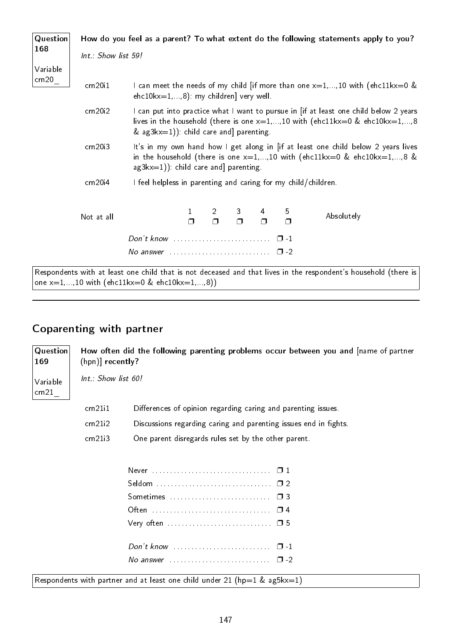| Question         |                     |                                                                                                                                                                                                               |        |                                          |   |             |   | How do you feel as a parent? To what extent do the following statements apply to you?                                                                                   |  |  |  |  |
|------------------|---------------------|---------------------------------------------------------------------------------------------------------------------------------------------------------------------------------------------------------------|--------|------------------------------------------|---|-------------|---|-------------------------------------------------------------------------------------------------------------------------------------------------------------------------|--|--|--|--|
| 168              | Int.: Show list 59! |                                                                                                                                                                                                               |        |                                          |   |             |   |                                                                                                                                                                         |  |  |  |  |
| Variable<br>cn20 | cm20i1              | I can meet the needs of my child [if more than one $x=1,,10$ with (ehc11kx=0 &<br>$ehc10kx=1,,8)$ : my children] very well.                                                                                   |        |                                          |   |             |   |                                                                                                                                                                         |  |  |  |  |
|                  | cm20i2              | & $a$ g3kx=1)): child care and parenting.                                                                                                                                                                     |        |                                          |   |             |   | I can put into practice what I want to pursue in [if at least one child below 2 years<br>lives in the household (there is one $x=1,,10$ with (ehc11kx=0 & ehc10kx=1,,8) |  |  |  |  |
|                  | cm20i3              | It's in my own hand how I get along in [if at least one child below 2 years lives<br>in the household (there is one $x=1,,10$ with (ehc11kx=0 & ehc10kx=1,,8 &<br>$a$ g $3kx=1$ )) child care and] parenting. |        |                                          |   |             |   |                                                                                                                                                                         |  |  |  |  |
|                  | cm20i4              | I feel helpless in parenting and caring for my child/children.                                                                                                                                                |        |                                          |   |             |   |                                                                                                                                                                         |  |  |  |  |
|                  | Not at all          |                                                                                                                                                                                                               | $\Box$ | $2 \left( \frac{1}{2} \right)$<br>$\Box$ | 3 | 4<br>$\Box$ | 5 | Absolutely                                                                                                                                                              |  |  |  |  |
|                  |                     | No answer $\cdots$ $\cdots$ $\cdots$                                                                                                                                                                          |        |                                          |   |             |   |                                                                                                                                                                         |  |  |  |  |

Respondents with at least one child that is not deceased and that lives in the respondent's household (there is one  $x=1,...,10$  with (ehc11kx=0 & ehc10kx=1,...,8))

# Coparenting with partner

Question 169 Variable crn21\_ How often did the following parenting problems occur between you and [name of partner (hpn)] recently? Int.: Show list 60! crn21i1 Differences of opinion regarding caring and parenting issues. crn21i2 Discussions regarding caring and parenting issues end in fights. crn21i3 One parent disregards rules set by the other parent. Never . . . . . . . . . . . . . . . . . . . . . . . . . . . . . . . . . ❐ 1 Seldom . . . . . . . . . . . . . . . . . . . . . . . . . . . . . . . . ❐ 2 Sometimes . . . . . . . . . . . . . . . . . . . . . . . . . . . . ❐ 3 Often . . . . . . . . . . . . . . . . . . . . . . . . . . . . . . . . . ❐ 4 Very often ................................. □ 5

Respondents with partner and at least one child under 21 (hp=1 & ag5kx=1)

Don't know  $\ldots$  . . . . . . . . . . . . . . . . . .  $\Box$  -1 No answer  $\dots \dots \dots \dots \dots \dots \dots \square$  -2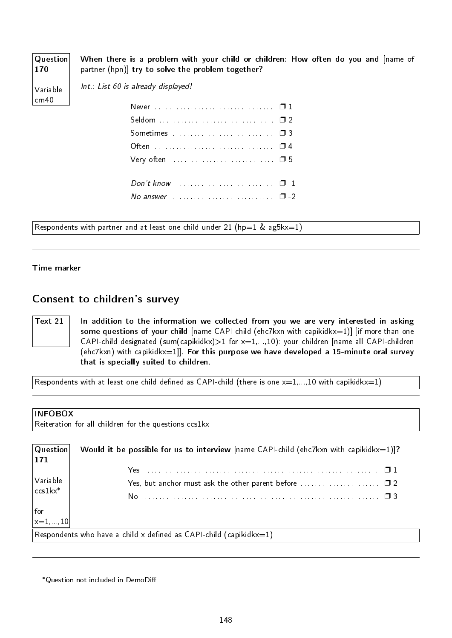| Question<br>170  | When there is a problem with your child or children: How often do you and [name of<br>partner (hpn)] try to solve the problem together? |
|------------------|-----------------------------------------------------------------------------------------------------------------------------------------|
| Variable         | Int.: List 60 is already displayed!                                                                                                     |
| $\lfloor$ crn 40 |                                                                                                                                         |
|                  |                                                                                                                                         |
|                  |                                                                                                                                         |
|                  |                                                                                                                                         |
|                  |                                                                                                                                         |
|                  |                                                                                                                                         |
|                  | No answer $\ldots \ldots \ldots \ldots \ldots \ldots \ldots \quad \Box$ -2                                                              |

Respondents with partner and at least one child under 21 (hp=1 & ag5kx=1)

Time marker

# Consent to children's survey

Text 21  $\parallel$  In addition to the information we collected from you we are very interested in asking some questions of your child [name CAPI-child (ehc7kxn with capikidkx=1)] [if more than one CAPI-child designated (sum(capikidkx) $>1$  for  $x=1,...,10$ ): your children [name all CAPI-children (ehc7kxn) with capikidkx=1]]. For this purpose we have developed a 15-minute oral survey that is specially suited to children.

Respondents with at least one child defined as CAPI-child (there is one  $x=1,...,10$  with capikidkx=1)

#### INFOBOX

Reiteration for all children for the questions ccs1kx

| Question<br> 171                                                                   | Would it be possible for us to interview $[name CAPI-child (ehc7kxn with capikidkx=1)]$ ? |
|------------------------------------------------------------------------------------|-------------------------------------------------------------------------------------------|
|                                                                                    |                                                                                           |
| $\bigg \text{Variable}\atop \text{ccslkx*}$                                        |                                                                                           |
|                                                                                    |                                                                                           |
| for<br>$\left  \begin{matrix} \text{for} \\ \text{x=1}, , 10 \end{matrix} \right $ |                                                                                           |
|                                                                                    |                                                                                           |
|                                                                                    | Respondents who have a child x defined as CAPI-child (capikidkx=1)                        |

<sup>\*</sup>Question not included in DemoDiff.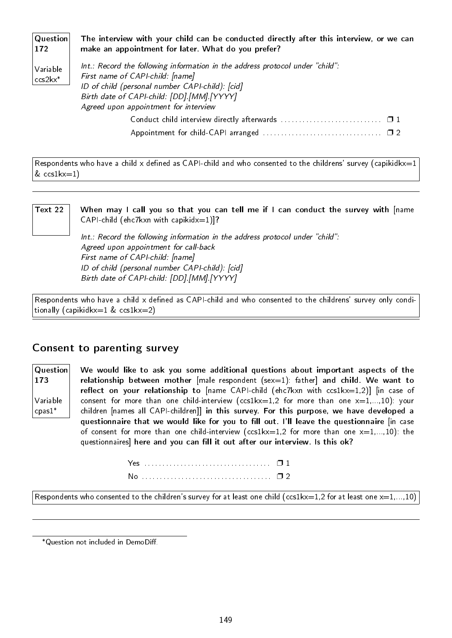**Question** 172 Variable ccs2kx\* The interview with your child can be conducted directly after this interview, or we can make an appointment for later. What do you prefer?  $Int.:$  Record the following information in the address protocol under "child": First name of CAPI-child: [name]

ID of child (personal number CAPI-child): [cid] Birth date of CAPI-child: [DD].[MM].[YYYY] Agreed upon appointment for interview Conduct child interview directly afterwards ................................... 0 1 Appointment for child-CAPI arranged . . . . . . . . . . . . . . . . . . . . . . . . . . . . . . . . . ❐ 2

Respondents who have a child x defined as CAPI-child and who consented to the childrens' survey (capikidkx=1  $& \text{ccslk}x=1)$ 

Text 22  $\parallel$  When may I call you so that you can tell me if I can conduct the survey with [name CAPI-child (ehc7kxn with capikidx=1)]?

> $Int.:$  Record the following information in the address protocol under "child": Agreed upon appointment for call-back First name of CAPI-child: [name] ID of child (personal number CAPI-child): [cid] Birth date of CAPI-child: [DD].[MM].[YYYY]

Respondents who have a child  $x$  defined as CAPI-child and who consented to the childrens' survey only conditionally (capikidkx=1  $& \text{ccs1kx=2)}$ 

### Consent to parenting survey

Question 173 Variable cpas1\*

We would like to ask you some additional questions about important aspects of the relationship between mother  $[male$  respondent  $(sex=1)$ : father and child. We want to reflect on your relationship to  $[name\ CAPI-child\ (ehc7kxn\ with\ ccs1kx=1,2)]$   $[in\ case\ of$ consent for more than one child-interview (ccs1kx=1,2 for more than one  $x=1,...,10$ ): your children [names all CAPI-children]] in this survey. For this purpose, we have developed a questionnaire that we would like for you to fill out. I'll leave the questionnaire [in case of consent for more than one child-interview (ccs1kx=1,2 for more than one  $x=1,...,10$ ): the questionnaires] here and you can fill it out after our interview. Is this ok?

Respondents who consented to the children's survey for at least one child (ccs1kx=1,2 for at least one  $x=1,...,10$ )

\*Question not included in DemoDiff.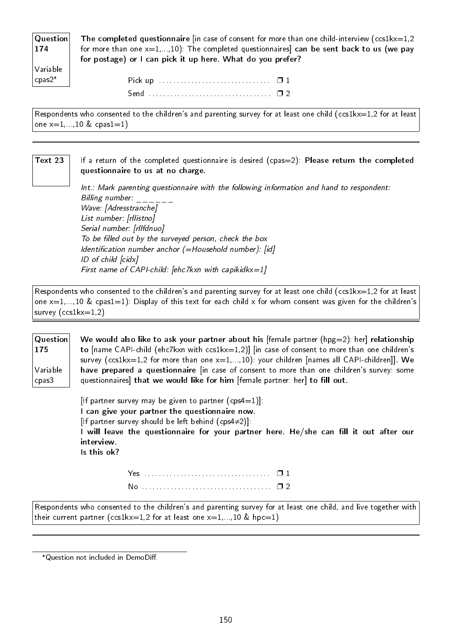| Question | The completed questionnaire [in case of consent for more than one child-interview (ccs1kx=1,2) |
|----------|------------------------------------------------------------------------------------------------|
| 174      | for more than one $x=1,,10$ ): The completed questionnaires] can be sent back to us (we pay    |
|          | for postage) or I can pick it up here. What do you prefer?                                     |
| Variable |                                                                                                |

Respondents who consented to the children's and parenting survey for at least one child (ccs1kx=1,2 for at least one  $x=1,...,10$  & cpas1=1)

#### Text 23  $\parallel$  If a return of the completed questionnaire is desired (cpas=2): Please return the completed questionnaire to us at no charge.

Int.: Mark parenting questionnaire with the following information and hand to respondent: Billing number: Wave: [Adresstranche] List number: [rllistno] Serial number: [rllfdnuo] To be filled out by the surveyed person, check the box Identification number anchor  $(=\text{Household number})$ : [id] ID of child [cidx] First name of CAPI-child: [ehc7kxn with capikidkx=1]

Respondents who consented to the children's and parenting survey for at least one child (ccs1 $kx=1,2$  for at least one  $x=1,...,10$  & cpas1=1): Display of this text for each child x for whom consent was given for the children's survey (ccs1kx=1,2)

Question 175 Variable cpas3 We would also like to ask your partner about his [female partner (hpg=2): her] relationship to [name CAPI-child (ehc7kxn with ccs1kx=1,2)] [in case of consent to more than one children's survey (ccs1kx=1,2 for more than one  $x=1,...,10$ ): your children [names all CAPI-children]]. We have prepared a questionnaire [in case of consent to more than one children's survey: some questionnaires] that we would like for him [female partner: her] to fill out.

> [If partner survey may be given to partner  $(cps4=1)$ ]: I can give your partner the questionnaire now. [If partner survey should be left behind (cps4≠2)]: I will leave the questionnaire for your partner here. He/she can fill it out after our interview. Is this ok?

Respondents who consented to the children's and parenting survey for at least one child, and live together with their current partner (ccs1kx=1,2 for at least one  $x=1,...,10$  & hpc=1)

cpas2\*

<sup>\*</sup>Question not included in DemoDiff.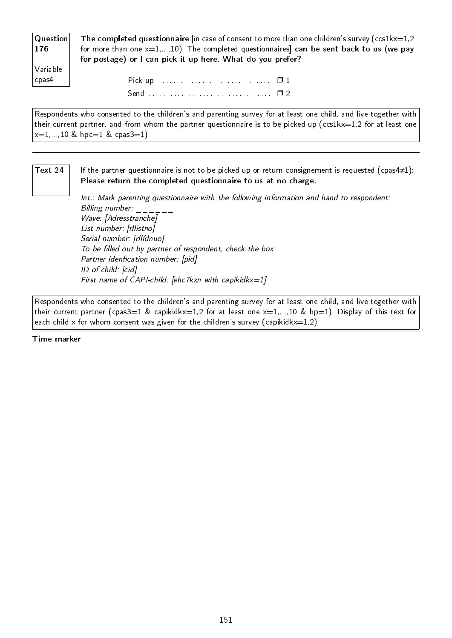| The completed questionnaire $\left  \right $ in case of consent to more than one children's survey (ccs1kx=1,2<br>for more than one $x=1,,10$ ). The completed questionnaires can be sent back to us (we pay |
|--------------------------------------------------------------------------------------------------------------------------------------------------------------------------------------------------------------|
| for postage) or I can pick it up here. What do you prefer?                                                                                                                                                   |
|                                                                                                                                                                                                              |
|                                                                                                                                                                                                              |
|                                                                                                                                                                                                              |
|                                                                                                                                                                                                              |

Respondents who consented to the children's and parenting survey for at least one child, and live together with their current partner, and from whom the partner questionnaire is to be picked up (ccs1kx=1,2 for at least one  $x=1,...,10$  & hpc=1 & cpas3=1)

Text 24  $\parallel$  If the partner questionnaire is not to be picked up or return consignement is requested (cpas4≠1): Please return the completed questionnaire to us at no charge.

> Int.: Mark parenting questionnaire with the following information and hand to respondent: Billing number:  $\frac{1}{1-\frac{1}{1-\frac{1}{1-\frac{1}{1-\frac{1}{1-\frac{1}{1-\frac{1}{1-\frac{1}{1-\frac{1}{1-\frac{1}{1-\frac{1}{1-\frac{1}{1-\frac{1}{1-\frac{1}{1-\frac{1}{1-\frac{1}{1-\frac{1}{1-\frac{1}{1-\frac{1}{1-\frac{1}{1-\frac{1}{1-\frac{1}{1-\frac{1}{1-\frac{1}{1-\frac{1}{1-\frac{1}{1-\frac{1}{1-\frac{1}{1-\frac{1}{1-\frac{1}{1-\frac{1}{1-\frac{1}{1-\frac{1}{1-\frac{1}{1$ Wave: [Adresstranche] List number: [rllistno] Serial number: [rllfdnuo] To be filled out by partner of respondent, check the box Partner idenfication number: [pid] ID of child: [cid] First name of CAPI-child: [ehc7kxn with capikidkx=1]

Respondents who consented to the children's and parenting survey for at least one child, and live together with their current partner (cpas3=1 & capikidkx=1,2 for at least one  $x=1,...,10$  & hp=1): Display of this text for each child x for whom consent was given for the children's survey (capikidkx=1,2)

Time marker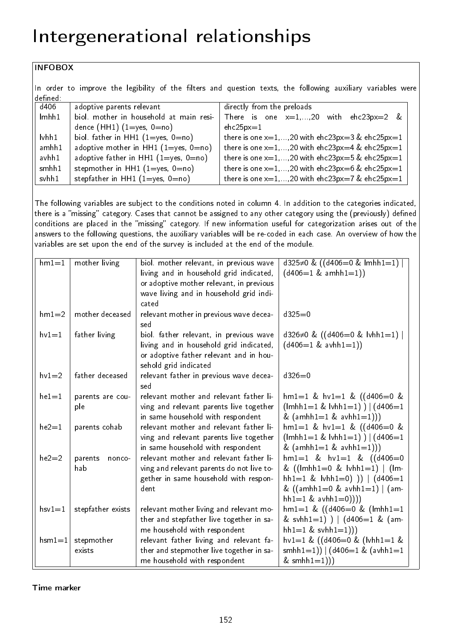# Intergenerational relationships

### INFOBOX

In order to improve the legibility of the filters and question texts, the following auxiliary variables were defined:

| d406             | adoptive parents relevant                  | directly from the preloads                            |
|------------------|--------------------------------------------|-------------------------------------------------------|
| lmhh1            | biol. mother in household at main resi-    | There is one $x=1,,20$ with $ehc23px=2$ &             |
|                  | dence $(HH1)$ $(1=$ yes, $0=$ no)          | $ehc25px=1$                                           |
| $\mathsf{lvhh1}$ | biol. father in HH1 $(1 = yes, 0 = no)$    | there is one $x=1,,20$ with ehc23px=3 & ehc25px=1     |
| ambh1            | adoptive mother in HH1 $(1 = yes, 0 = no)$ | there is one $x=1,,20$ with ehc23px=4 & ehc25px=1     |
| avhh1            | adoptive father in HH1 $(1 = yes, 0 = no)$ | there is one $x=1,,20$ with ehc23px=5 & ehc25px=1     |
| smhh1            | stepmother in HH1 $(1=yes, 0=no)$          | there is one $x=1,,20$ with ehc23px=6 & ehc25px=1     |
| svhh1            | stepfather in HH1 $(1 = yes, 0 = no)$      | there is one $x=1,,20$ with $ehc23px=7$ & $ehc25px=1$ |

The following variables are subject to the conditions noted in column 4. In addition to the categories indicated, there is a "missing" category. Cases that cannot be assigned to any other category using the (previously) defined conditions are placed in the "missing" category. If new information useful for categorization arises out of the answers to the following questions, the auxiliary variables will be re-coded in each case. An overview of how the variables are set upon the end of the survey is included at the end of the module.

| $hm1=1$   | mother living     | biol. mother relevant, in previous wave                          | d325 $\neq$ 0 & ((d406=0 & lmhh1=1)                   |
|-----------|-------------------|------------------------------------------------------------------|-------------------------------------------------------|
|           |                   | living and in household grid indicated,                          | $(d406=1 \& \text{amhh1}=1))$                         |
|           |                   | or adoptive mother relevant, in previous                         |                                                       |
|           |                   | wave living and in household grid indi-                          |                                                       |
|           |                   | cated                                                            |                                                       |
| $hm1=2$   | mother deceased   | relevant mother in previous wave decea-<br>sed                   | $d325=0$                                              |
| $hv1=1$   | father living     | biol father relevant, in previous wave                           | d326 $\neq$ 0 & ((d406=0 & lvhh1=1)                   |
|           |                   | living and in household grid indicated,                          | $(d406=1 \& \text{avhh1}=1))$                         |
|           |                   | or adoptive father relevant and in hou-<br>sehold grid indicated |                                                       |
| $hv1=2$   | father deceased   | relevant father in previous wave decea-<br>sed                   | $d326 = 0$                                            |
| $he1 = 1$ | parents are cou-  | relevant mother and relevant father li-                          | $hm1=1$ & $hv1=1$ & $((d406=0$ &                      |
|           | ple               | ving and relevant parents live together                          | $(lmhh1=1 \& bmh1=1)$ $(ld406=1)$                     |
|           |                   | in same household with respondent                                | & $(amhh1=1 & avhh1=1))$                              |
| $he2=1$   | parents cohab     | relevant mother and relevant father li-                          | $hm1=1$ & $hv1=1$ & $((d406=0$ &                      |
|           |                   | ving and relevant parents live together                          | $(lmhh1=1 \& bmh1=1)$ $(ld406=1)$                     |
|           |                   | in same household with respondent                                | & $(amhh1=1 & avhh1=1))$                              |
| $he2=2$   | parents<br>nonco- | relevant mother and relevant father li-                          | $hm1=1$ & $hv1=1$ & $((d406=0$                        |
|           | hab               | ving and relevant parents do not live to-                        | & $((\text{lmhh1=0 \& \text{lvhh1=1})   (\text{lm-})$ |
|           |                   | gether in same household with respon-                            | hh1=1 & $\text{lbh1}=0$ ) )   $\text{d406}=1$         |
|           |                   | dent                                                             | & $((amhh1=0 \&avhh1=1)   (am-1))$                    |
|           |                   |                                                                  | hh1=1 & avhh1=0))))                                   |
| $hsv1=1$  | stepfather exists | relevant mother living and relevant mo-                          | $hm1=1$ & ((d406=0 & (lmhh1=1)                        |
|           |                   | ther and stepfather live together in sa-                         | & svhh1=1) )   $(d406=1 \& (am-$                      |
|           |                   | me household with respondent                                     | $hh1=1$ & svh $h1=1$ )))                              |
| $hsm1=1$  | stepmother        | relevant father living and relevant fa-                          | $hv1=1$ & ((d406=0 & (lvhh1=1 &                       |
|           | exists            | ther and stepmother live together in sa-                         | smhh1=1)) $ $ (d406=1 & (avhh1=1                      |
|           |                   | me household with respondent                                     | & $smhh1=1$ )))                                       |

Time marker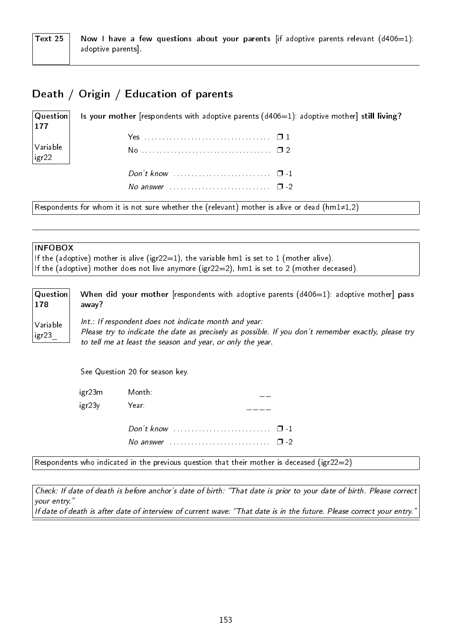# Death / Origin / Education of parents

**Question** 177 Variable igr22 Is your mother [respondents with adoptive parents  $(d406=1)$ : adoptive mother] still living? Yes . . . . . . . . . . . . . . . . . . . . . . . . . . . . . . . . . . . ❐ 1 No . . . . . . . . . . . . . . . . . . . . . . . . . . . . . . . . . . . . ❐ 2 Don't know . . . . . . . . . . . . . . . . . . . . . . . . . . . ❐ -1 No answer  $\dots \dots \dots \dots \dots \dots \dots \square$  -2

Respondents for whom it is not sure whether the (relevant) mother is alive or dead (hm1≠1,2)

#### INFOBOX

If the (adoptive) mother is alive (igr22=1), the variable hm1 is set to 1 (mother alive). If the (adoptive) mother does not live anymore (igr22=2), hm1 is set to 2 (mother deceased).

| Question          | When did your mother [respondents with adoptive parents $(d406=1)$ : adoptive mother] pass                                                                                                                                 |
|-------------------|----------------------------------------------------------------------------------------------------------------------------------------------------------------------------------------------------------------------------|
| 178               | away?                                                                                                                                                                                                                      |
| Variable<br>igr23 | Int.: If respondent does not indicate month and year:<br>Please try to indicate the date as precisely as possible. If you don't remember exactly, please try<br>to tell me at least the season and year, or only the year. |

See Question 20 for season key.

| igr23m | Month:                                                                  |  |
|--------|-------------------------------------------------------------------------|--|
| igr23y | Year:                                                                   |  |
|        | Don't know $\cdots$ $\cdots$ $\cdots$                                   |  |
|        | No answer $\ldots \ldots \ldots \ldots \ldots \ldots \ldots \square$ -2 |  |

Respondents who indicated in the previous question that their mother is deceased (igr22=2)

Check: If date of death is before anchor's date of birth: That date is prior to your date of birth. Please correct your entry. If date of death is after date of interview of current wave: "That date is in the future. Please correct your entry.'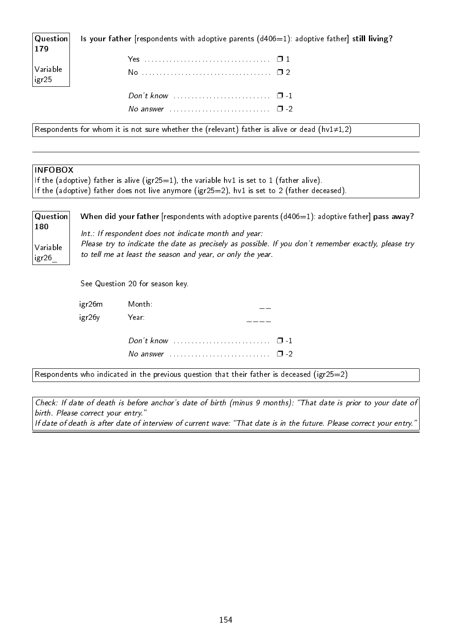Question 179 Is your father [respondents with adoptive parents  $(d406=1)$ : adoptive father] still living?

| Don't know $\ldots \ldots \ldots \ldots \ldots \ldots \ldots \quad \Box -1$ |  |
|-----------------------------------------------------------------------------|--|
|                                                                             |  |

Respondents for whom it is not sure whether the (relevant) father is alive or dead (hv1≠1,2)

#### **INFOBOX**

Variable igr25

If the (adoptive) father is alive (igr25=1), the variable hv1 is set to 1 (father alive). If the (adoptive) father does not live anymore (igr25=2), hv1 is set to 2 (father deceased).

| Question          | When did your father [respondents with adoptive parents $(d406=1)$ : adoptive father] pass away?                                                                  |
|-------------------|-------------------------------------------------------------------------------------------------------------------------------------------------------------------|
| 180               | Int.: If respondent does not indicate month and year:                                                                                                             |
| Variable<br>igr26 | Please try to indicate the date as precisely as possible. If you don't remember exactly, please try<br>to tell me at least the season and year, or only the year. |
|                   | See Question 20 for season key.                                                                                                                                   |

| igr26m | Month:                                                                  |  |
|--------|-------------------------------------------------------------------------|--|
| igr26y | Year:                                                                   |  |
|        | Don't know $\cdots$ $\cdots$ $\cdots$                                   |  |
|        | No answer $\ldots \ldots \ldots \ldots \ldots \ldots \ldots \square$ -2 |  |
|        |                                                                         |  |

Respondents who indicated in the previous question that their father is deceased (igr25=2)

Check: If date of death is before anchor's date of birth (minus 9 months): That date is prior to your date of birth. Please correct your entry."

If date of death is after date of interview of current wave: "That date is in the future. Please correct your entry."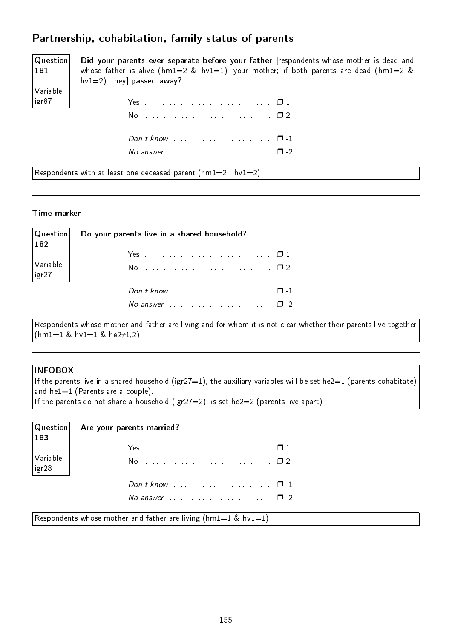# Partnership, cohabitation, family status of parents

Question 181 Variable igr87

Did your parents ever separate before your father [respondents whose mother is dead and whose father is alive (hm1=2 & hv1=1): your mother; if both parents are dead (hm1=2 &  $hv1=2$ ): they] **passed away?** 

| No answer $\ldots$ $\ldots$ $\ldots$ $\ldots$ $\ldots$ $\ldots$ $\Box$ -2 |  |
|---------------------------------------------------------------------------|--|
|                                                                           |  |

Respondents with at least one deceased parent  $(hm1=2 | hv1=2)$ 

#### Time marker

| $\vert$ 182                                                    | $ {\sf Question} $ Do your parents live in a shared household? |  |
|----------------------------------------------------------------|----------------------------------------------------------------|--|
|                                                                |                                                                |  |
| $\vert$ Variable $\vert$<br>$\left  \frac{1}{1} \right $ igr27 |                                                                |  |
|                                                                | Don't know $\cdots$ $\cdots$ $\cdots$                          |  |
|                                                                | No answer $\cdots$ , $\cdots$ , $\cdots$ , $\Box$ -2           |  |

Respondents whose mother and father are living and for whom it is not clear whether their parents live together (hm1=1 & hv1=1 & he2≠1,2)

#### INFOBOX

If the parents live in a shared household (igr27=1), the auxiliary variables will be set he2=1 (parents cohabitate) and he1=1 (Parents are a couple).

| $\overline{\phantom{a}}$ 183     | $ $ Question $ $ Are your parents married?                                                    |  |
|----------------------------------|-----------------------------------------------------------------------------------------------|--|
| $\vert$ Variable<br>$ $ igr $28$ |                                                                                               |  |
|                                  | Don't know $\ldots$ , $\ldots$ , $\ldots$ , $\Box$ -1<br>No answer $\cdots$ $\cdots$ $\cdots$ |  |

Respondents whose mother and father are living ( $hml=1$  &  $hvl=1$ )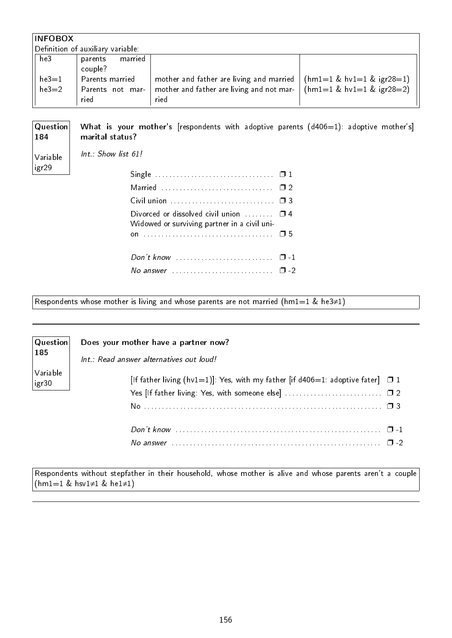| <b>INFOBOX</b>                    |                    |                                           |                               |
|-----------------------------------|--------------------|-------------------------------------------|-------------------------------|
| Definition of auxiliary variable: |                    |                                           |                               |
| he3                               | married<br>parents |                                           |                               |
|                                   | couple?            |                                           |                               |
| $he3=1$                           | Parents married    | mother and father are living and married  | $(hm1=1 \& hvl=1 \& igr28=1)$ |
| $he3=2$                           | Parents not mar-   | mother and father are living and not mar- | $(hm1=1 \& hvl=1 \& igr28=2)$ |
|                                   | ried               | ried                                      |                               |

Question 184 Variable igr29 What is your mother's [respondents with adoptive parents  $(d406=1)$ : adoptive mother's] marital status? Int.: Show list 61!

| Married  02                                                                                       |  |
|---------------------------------------------------------------------------------------------------|--|
|                                                                                                   |  |
| Divorced or dissolved civil union $\Box$ $\Box$ 4<br>Widowed or surviving partner in a civil uni- |  |
|                                                                                                   |  |
| Don't know $\cdots$ $\cdots$ $\cdots$                                                             |  |
| No answer $\ldots \ldots \ldots \ldots \ldots \ldots \ldots \square -2$                           |  |

Respondents whose mother is living and whose parents are not married (hm1=1 & he3≠1)

| $\vert$ Question $\vert$<br>$\vert$ 185 | Does your mother have a partner now?<br>Int.: Read answer alternatives out loud!     |
|-----------------------------------------|--------------------------------------------------------------------------------------|
| Variable<br>$\vdash$ igr30              | [If father living (hv1=1)]: Yes, with my father [if d406=1: adoptive fater] $\Box$ 1 |
|                                         | No answer                                                                            |

Respondents without stepfather in their household, whose mother is alive and whose parents aren't a couple (hm1=1 & hsv1≠1 & he1≠1)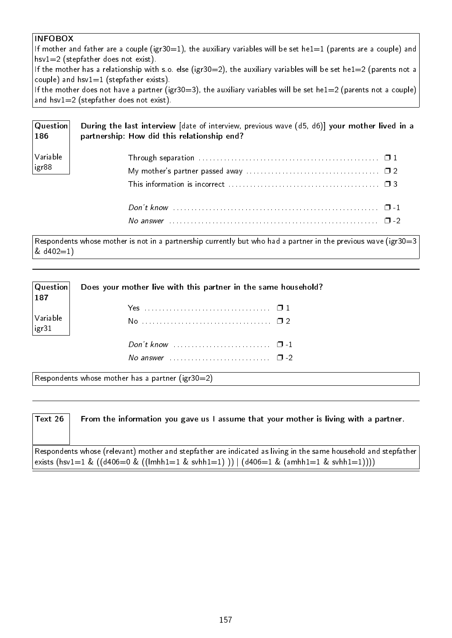#### INFOBOX

If mother and father are a couple (igr30=1), the auxiliary variables will be set he1=1 (parents are a couple) and hsv1=2 (stepfather does not exist).

If the mother has a relationship with s.o. else (igr30=2), the auxiliary variables will be set he1=2 (parents not a couple) and  $hsv1=1$  (stepfather exists).

If the mother does not have a partner (igr30=3), the auxiliary variables will be set he1=2 (parents not a couple) and hsv1=2 (stepfather does not exist).

| $ $ Question $ $<br>  186 | During the last interview [date of interview, previous wave (d5, d6)] your mother lived in a<br>partnership: How did this relationship end? |
|---------------------------|---------------------------------------------------------------------------------------------------------------------------------------------|
| Variable<br>igr88         | Through separation $\ldots \ldots \ldots \ldots \ldots \ldots \ldots \ldots \ldots \ldots \ldots \ldots \square 1$                          |
|                           | No answer $\cdots$ $\cdots$ $\cdots$ $\cdots$ $\cdots$ $\cdots$ $\cdots$ $\cdots$ $\cdots$ $\cdots$ $\cdots$ $\cdots$ $\Box$ -2             |

Respondents whose mother is not in a partnership currently but who had a partner in the previous wave (igr30=3 & d402=1)

| $\begin{vmatrix} \text{Question} \ 187 \end{vmatrix}$ | Does your mother live with this partner in the same household? |  |  |  |  |  |  |  |  |  |  |  |  |  |
|-------------------------------------------------------|----------------------------------------------------------------|--|--|--|--|--|--|--|--|--|--|--|--|--|
|                                                       |                                                                |  |  |  |  |  |  |  |  |  |  |  |  |  |
| Variable<br>  igr31                                   |                                                                |  |  |  |  |  |  |  |  |  |  |  |  |  |
|                                                       |                                                                |  |  |  |  |  |  |  |  |  |  |  |  |  |
|                                                       |                                                                |  |  |  |  |  |  |  |  |  |  |  |  |  |

Respondents whose mother has a partner (igr30=2)

| Text 26 | From the information you gave us I assume that your mother is living with a partner.                                                                                                                              |
|---------|-------------------------------------------------------------------------------------------------------------------------------------------------------------------------------------------------------------------|
|         | $\mid$ Respondents whose (relevant) mother and stepfather are indicated as living in the same household and stepfather<br> exists (hsv1=1 & ((d406=0 & ((lmhh1=1 & svhh1=1) ))   (d406=1 & (amhh1=1 & svhh1=1)))) |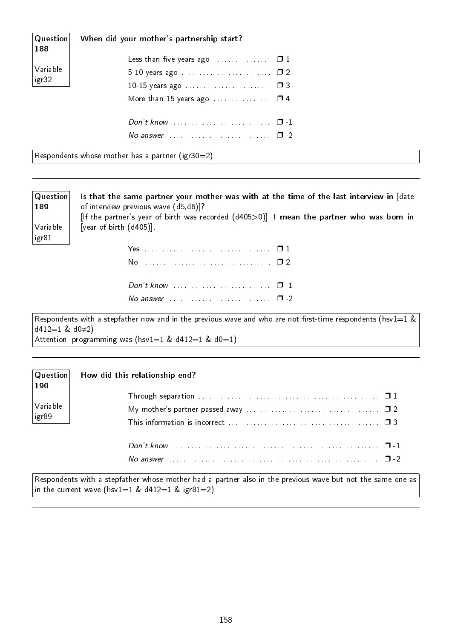| $\mid$ Question $\mid$<br>188 | When did your mother's partnership start?                               |  |
|-------------------------------|-------------------------------------------------------------------------|--|
|                               | Less than five years ago $\ldots \ldots \ldots \ldots \square 1$        |  |
| Variable                      |                                                                         |  |
| $ $ igr $32 $                 |                                                                         |  |
|                               | More than 15 years ago $\ldots \ldots \ldots \ldots \square$ 4          |  |
|                               |                                                                         |  |
|                               |                                                                         |  |
|                               | No answer $\ldots \ldots \ldots \ldots \ldots \ldots \ldots \square$ -2 |  |

Respondents whose mother has a partner (igr30=2)

Question 189

Variable igr81

Is that the same partner your mother was with at the time of the last interview in [date of interview previous wave (d5,d6)]? [If the partner's year of birth was recorded (d405>0)]: I mean the partner who was born in [year of birth (d405)].

Respondents with a stepfather now and in the previous wave and who are not first-time respondents (hsv1=1  $\&$ d412=1 & d0≠2) Attention: programming was (hsv1=1 &  $d412=1$  &  $d0=1$ )

| $\boxed{190}$           | $ \mathsf{Question} $ How did this relationship end?                                                               |  |
|-------------------------|--------------------------------------------------------------------------------------------------------------------|--|
|                         | Through separation $\ldots \ldots \ldots \ldots \ldots \ldots \ldots \ldots \ldots \ldots \ldots \ldots \square 1$ |  |
| Variable<br> <br> igr89 |                                                                                                                    |  |
|                         | This information is incorrect $\ldots$ , $\ldots$ , $\ldots$ , $\ldots$ , $\ldots$ , $\ldots$ , $\Box$ 3           |  |
|                         | Don't know                                                                                                         |  |

| No answer |  |  |  |
|-----------|--|--|--|

Respondents with a stepfather whose mother had a partner also in the previous wave but not the same one as in the current wave (hsv1=1 &  $d412=1$  & igr81=2)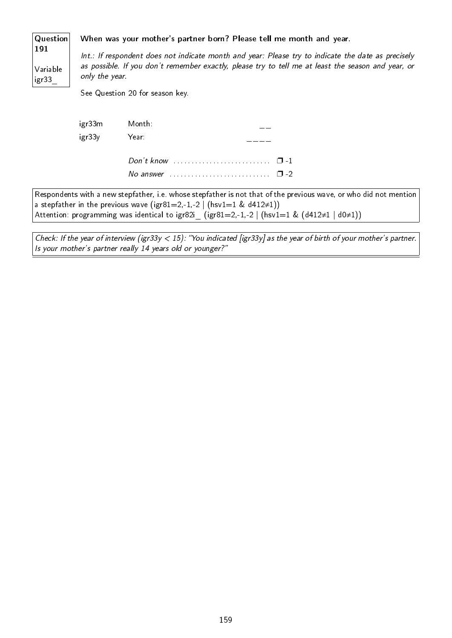| Question                 |                                                                                                                                                                                                                            | When was your mother's partner born? Please tell me month and year. |  |  |  |  |  |  |  |  |  |
|--------------------------|----------------------------------------------------------------------------------------------------------------------------------------------------------------------------------------------------------------------------|---------------------------------------------------------------------|--|--|--|--|--|--|--|--|--|
| 191<br>Variable<br>igr33 | Int.: If respondent does not indicate month and year: Please try to indicate the date as precisely<br>as possible. If you don't remember exactly, please try to tell me at least the season and year, or<br>only the year. |                                                                     |  |  |  |  |  |  |  |  |  |
|                          |                                                                                                                                                                                                                            | See Question 20 for season key.                                     |  |  |  |  |  |  |  |  |  |
|                          | igr33m                                                                                                                                                                                                                     | Month:                                                              |  |  |  |  |  |  |  |  |  |

| Year:                                                           |  |
|-----------------------------------------------------------------|--|
| Don't know $\cdots$ $\cdots$ $\cdots$                           |  |
| No answer $\cdots$ , $\cdots$ , $\cdots$ , $\cdots$ , $\Box$ -2 |  |

igr33y

Respondents with a new stepfather, i.e. whose stepfather is not that of the previous wave, or who did not mention a stepfather in the previous wave (igr81=2,-1,-2 | (hsv1=1 & d412≠1)) Attention: programming was identical to igr82i\_ (igr81=2,-1,-2 | (hsv1=1 & (d412≠1 | d0≠1))

Check: If the year of interview (igr33y < 15): "You indicated [igr33y] as the year of birth of your mother's partner. Is your mother's partner really 14 years old or younger?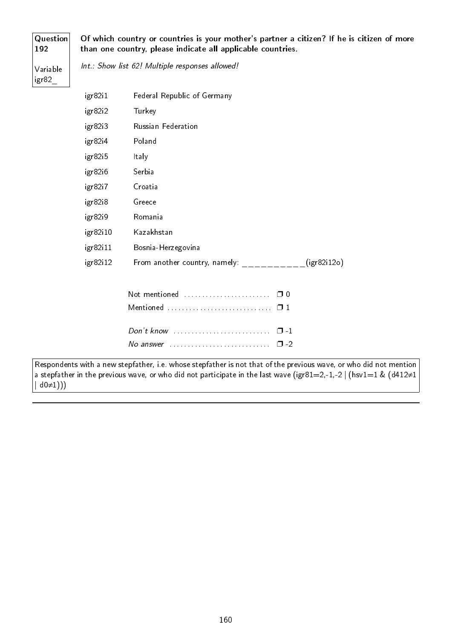#### Question 192

Of which country or countries is your mother's partner a citizen? If he is citizen of more than one country, please indicate all applicable countries.

Variable igr82\_

Int.: Show list 62! Multiple responses allowed!

| igr82i1  | Federal Republic of Germany                  |  |
|----------|----------------------------------------------|--|
| igr82i2  | Turkey                                       |  |
| igr82i3  | Russian Federation                           |  |
| igr82i4  | Poland                                       |  |
| igr82i5  | Italy                                        |  |
| igr82i6  | Serbia                                       |  |
| igr82i7  | Croatia                                      |  |
| igr82i8  | Greece                                       |  |
| igr82i9  | Romania                                      |  |
| igr82i10 | Kazakhstan                                   |  |
| igr82i11 | Bosnia-Herzegovina                           |  |
| igr82i12 | From another country, namely:<br>(igr82i12o) |  |
|          | Not mentioned<br>∩ ∩                         |  |
|          | Mentioned<br>$\Box$ 1                        |  |

| No answer $\ldots$ , $\ldots$ , $\ldots$ , $\Box$ -2 |  |
|------------------------------------------------------|--|

Respondents with a new stepfather, i.e. whose stepfather is not that of the previous wave, or who did not mention a stepfather in the previous wave, or who did not participate in the last wave (igr81=2,-1,-2 | (hsv1=1 & (d412≠1  $| d0\neq 1))$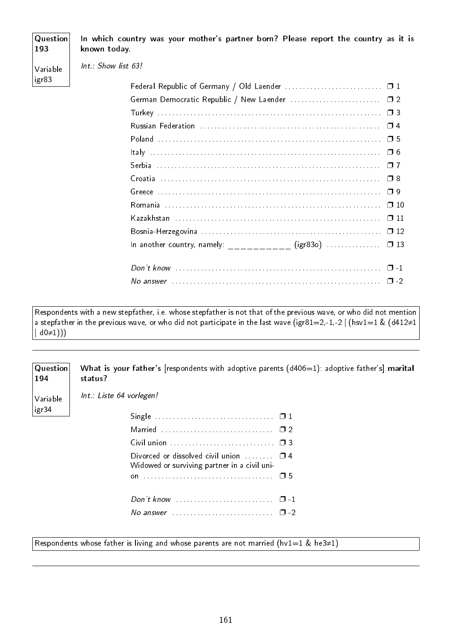### **Question** 193 Variable igr83 In which country was your mother's partner born? Please report the country as it is known today. Int.: Show list 63! Federal Republic of Germany / Old Laender .................................. 01 German Democratic Republic / New Laender . . . . . . . . . . . . . . . . . . . . . . . . . ❐ 2 Turkey . . . . . . . . . . . . . . . . . . . . . . . . . . . . . . . . . . . . . . . . . . . . . . . . . . . . . . . . . . . . . . ❐ 3 Russian Federation . . . . . . . . . . . . . . . . . . . . . . . . . . . . . . . . . . . . . . . . . . . . . . . . . . ❐ 4 Poland . . . . . . . . . . . . . . . . . . . . . . . . . . . . . . . . . . . . . . . . . . . . . . . . . . . . . . . . . . . . . . ❐ 5 Italy . . . . . . . . . . . . . . . . . . . . . . . . . . . . . . . . . . . . . . . . . . . . . . . . . . . . . . . . . . . . . . . . ❐ 6 Serbia . . . . . . . . . . . . . . . . . . . . . . . . . . . . . . . . . . . . . . . . . . . . . . . . . . . . . . . . . . . . . . ❐ 7 Croatia . . . . . . . . . . . . . . . . . . . . . . . . . . . . . . . . . . . . . . . . . . . . . . . . . . . . . . . . . . . . . ❐ 8 Greece . . . . . . . . . . . . . . . . . . . . . . . . . . . . . . . . . . . . . . . . . . . . . . . . . . . . . . . . . . . . . . ❐ 9 Romania . . . . . . . . . . . . . . . . . . . . . . . . . . . . . . . . . . . . . . . . . . . . . . . . . . . . . . . . . . . . ❐ 10 Kazakhstan . . . . . . . . . . . . . . . . . . . . . . . . . . . . . . . . . . . . . . . . . . . . . . . . . . . . . . . . . ❐ 11 Bosnia-Herzegovina . . . . . . . . . . . . . . . . . . . . . . . . . . . . . . . . . . . . . . . . . . . . . . . . . . ❐ 12

In another country, namely:  $(igr83o)$  . . . . . . . . . . . .  $\Box$  13

Respondents with a new stepfather, i.e. whose stepfather is not that of the previous wave, or who did not mention a stepfather in the previous wave, or who did not participate in the last wave (igr81=2,-1,-2 | (hsv1=1 & (d412≠1  $|$  d0 $\neq$ 1))

**Question** What is your father's [respondents with adoptive parents  $(d406=1)$ : adoptive father's] marital status?

Variable igr34

194

Int.: Liste 64 vorlegen!

| Divorced or dissolved civil union $\Box$ $\Box$ 4<br>Widowed or surviving partner in a civil uni- |  |
|---------------------------------------------------------------------------------------------------|--|
|                                                                                                   |  |
|                                                                                                   |  |
|                                                                                                   |  |

Respondents whose father is living and whose parents are not married (hv1=1 & he3≠1)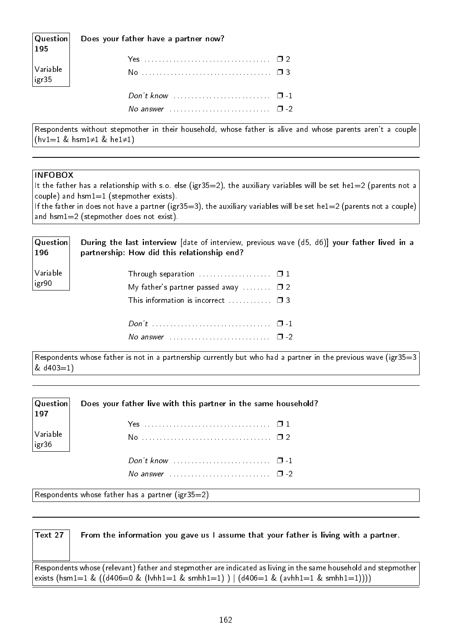| Question <br>195                                                               | Does your father have a partner now?  |  |
|--------------------------------------------------------------------------------|---------------------------------------|--|
|                                                                                |                                       |  |
| $\begin{array}{ l } \hline \text{Variable} \\ \text{igr35} \hline \end{array}$ |                                       |  |
|                                                                                | Don't know $\cdots$ $\cdots$ $\cdots$ |  |
|                                                                                | No answer $\cdots$ $\cdots$           |  |

Respondents without stepmother in their household, whose father is alive and whose parents aren't a couple (hv1=1 & hsm1≠1 & he1≠1)

#### INFOBOX

It the father has a relationship with s.o. else (igr35=2), the auxiliary variables will be set he1=2 (parents not a couple) and hsm1=1 (stepmother exists).

If the father in does not have a partner (igr35=3), the auxiliary variables will be set he1=2 (parents not a couple) and hsm1=2 (stepmother does not exist).

| <b>Question</b><br> 196 | During the last interview [date of interview, previous wave (d5, d6)] your father lived in a<br>partnership: How did this relationship end? |
|-------------------------|---------------------------------------------------------------------------------------------------------------------------------------------|
| Variable                |                                                                                                                                             |
| igr90                   | My father's partner passed away $\square$ 2                                                                                                 |
|                         | This information is incorrect $\Box$ $\Box$ 3                                                                                               |
|                         |                                                                                                                                             |
|                         |                                                                                                                                             |

Respondents whose father is not in a partnership currently but who had a partner in the previous wave (igr35=3 & d403=1)

| $ $ Question $ $<br> 197 | Does your father live with this partner in the same household? |
|--------------------------|----------------------------------------------------------------|
|                          |                                                                |
| Variable<br> igr36       |                                                                |
|                          |                                                                |
|                          | No answer $\cdots$ $\cdots$ $\cdots$                           |

Respondents whose father has a partner (igr35=2)

| Text 27 | From the information you gave us I assume that your father is living with a partner.                                                                                                                         |
|---------|--------------------------------------------------------------------------------------------------------------------------------------------------------------------------------------------------------------|
|         | $ $ Respondents whose (relevant) father and stepmother are indicated as living in the same household and stepmother<br> exists (hsm1=1 & ((d406=0 & (lvhh1=1 & smhh1=1) )   (d406=1 & (avhh1=1 & smhh1=1)))) |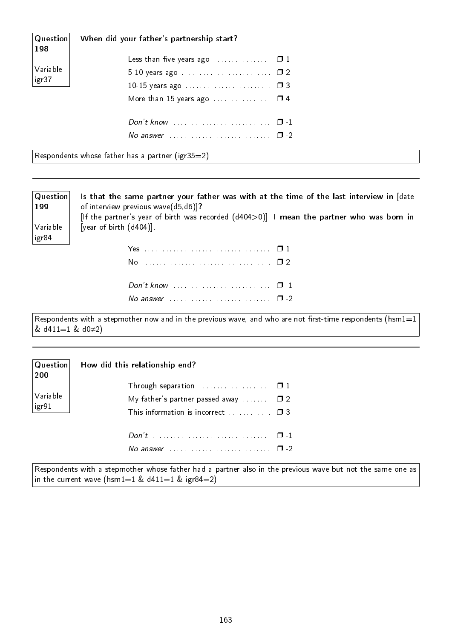| $\mid$ Question $\mid$<br>198 | When did your father's partnership start?                                |  |
|-------------------------------|--------------------------------------------------------------------------|--|
|                               | Less than five years ago $\ldots \ldots \ldots \ldots \square 1$         |  |
| Variable                      |                                                                          |  |
| $ $ igr $37$                  | 10-15 years ago $\ldots \ldots \ldots \ldots \ldots \ldots \quad \Box$ 3 |  |
|                               | More than 15 years ago $\ldots \ldots \ldots \ldots \square$ 4           |  |
|                               |                                                                          |  |
|                               |                                                                          |  |

Respondents whose father has a partner (igr35=2)

199

igr84

Question Variable Is that the same partner your father was with at the time of the last interview in [date of interview previous wave(d5,d6)]? [If the partner's year of birth was recorded (d404>0)]: I mean the partner who was born in [year of birth (d404)].

Respondents with a stepmother now and in the previous wave, and who are not first-time respondents (hsm1=1 & d411=1 & d0≠2)

| $\mid$ Question $\mid$<br> 200 | How did this relationship end?                               |        |
|--------------------------------|--------------------------------------------------------------|--------|
|                                |                                                              |        |
| Variable<br>$\vert$ igr $91$   | My father's partner passed away $\square$ 2                  |        |
|                                | This information is incorrect $\Box$                         |        |
|                                |                                                              |        |
|                                | No answer $\ldots \ldots \ldots \ldots \ldots \ldots \ldots$ | $\Box$ |

Respondents with a stepmother whose father had a partner also in the previous wave but not the same one as in the current wave (hsm1=1 &  $d411=1$  & igr84=2)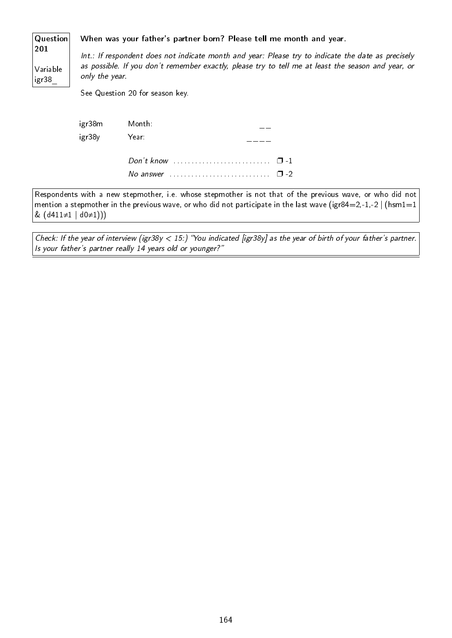#### Question When was your father's partner born? Please tell me month and year.

201 Variable igr38\_

Int.: If respondent does not indicate month and year: Please try to indicate the date as precisely as possible. If you don't remember exactly, please try to tell me at least the season and year, or only the year.

See Question 20 for season key.

|             | igr38m Month:                         |  |
|-------------|---------------------------------------|--|
| igr38y Year |                                       |  |
|             | Don't know $\cdots$ $\cdots$ $\cdots$ |  |
|             | No answer $\cdots$ $\cdots$ $\cdots$  |  |

Respondents with a new stepmother, i.e. whose stepmother is not that of the previous wave, or who did not mention a stepmother in the previous wave, or who did not participate in the last wave (igr84=2,-1,-2 | (hsm1=1 & (d411≠1 | d0≠1)))

Check: If the year of interview (igr38y < 15:) "You indicated [igr38y] as the year of birth of your father's partner. Is your father's partner really 14 years old or younger?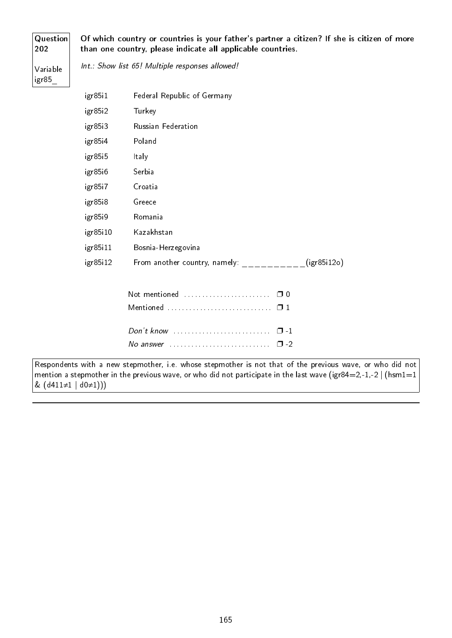#### Question 202

Of which country or countries is your father's partner a citizen? If she is citizen of more than one country, please indicate all applicable countries.

Variable igr85\_

Int.: Show list 65! Multiple responses allowed!

| igr85i1  | Federal Republic of Germany                        |
|----------|----------------------------------------------------|
| igr85i2  | Turkey                                             |
| igr85i3  | Russian Federation                                 |
| igr85i4  | Poland                                             |
| igr85i5  | Italy                                              |
| igr85i6  | Serbia                                             |
| igr85i7  | Croatia                                            |
| igr85i8  | Greece                                             |
| igr85i9  | Romania                                            |
| igr85i10 | Kazakhstan                                         |
| igr85i11 | Bosnia-Herzegovina                                 |
| igr85i12 | From another country, namely: The same (igr85i12o) |
|          | Not mentioned<br>$\Box$ 0                          |

| Don't know |  |
|------------|--|
|            |  |

Respondents with a new stepmother, i.e. whose stepmother is not that of the previous wave, or who did not mention a stepmother in the previous wave, or who did not participate in the last wave (igr84=2,-1,-2 | (hsm1=1 &  $(d411≠1 | d0≠1)))$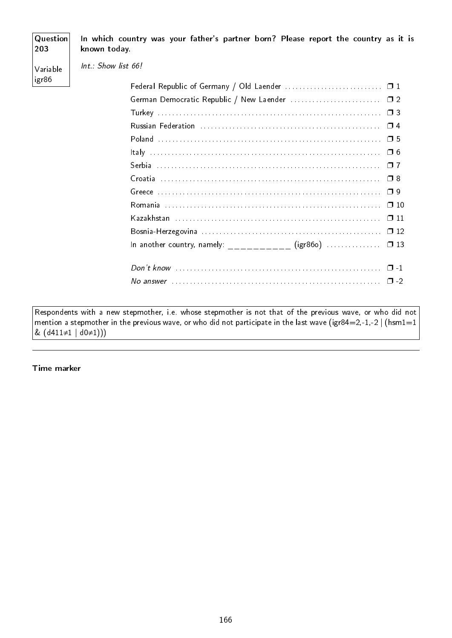## **Question** 203 Variable igr86 In which country was your father's partner born? Please report the country as it is known today. Int.: Show list 66! Federal Republic of Germany / Old Laender .................................. 01 German Democratic Republic / New Laender ............................... 02 Turkey . . . . . . . . . . . . . . . . . . . . . . . . . . . . . . . . . . . . . . . . . . . . . . . . . . . . . . . . . . . . . . ❐ 3 Russian Federation . . . . . . . . . . . . . . . . . . . . . . . . . . . . . . . . . . . . . . . . . . . . . . . . . . ❐ 4 Poland . . . . . . . . . . . . . . . . . . . . . . . . . . . . . . . . . . . . . . . . . . . . . . . . . . . . . . . . . . . . . . ❐ 5 Italy . . . . . . . . . . . . . . . . . . . . . . . . . . . . . . . . . . . . . . . . . . . . . . . . . . . . . . . . . . . . . . . . ❐ 6 Serbia . . . . . . . . . . . . . . . . . . . . . . . . . . . . . . . . . . . . . . . . . . . . . . . . . . . . . . . . . . . . . . ❐ 7 Croatia . . . . . . . . . . . . . . . . . . . . . . . . . . . . . . . . . . . . . . . . . . . . . . . . . . . . . . . . . . . . . ❐ 8 Greece . . . . . . . . . . . . . . . . . . . . . . . . . . . . . . . . . . . . . . . . . . . . . . . . . . . . . . . . . . . . . . ❐ 9 Romania . . . . . . . . . . . . . . . . . . . . . . . . . . . . . . . . . . . . . . . . . . . . . . . . . . . . . . . . . . . . ❐ 10 Kazakhstan . . . . . . . . . . . . . . . . . . . . . . . . . . . . . . . . . . . . . . . . . . . . . . . . . . . . . . . . . ❐ 11 Bosnia-Herzegovina . . . . . . . . . . . . . . . . . . . . . . . . . . . . . . . . . . . . . . . . . . . . . . . . . . ❐ 12 In another country, namely:  $(igr860)$  . . . . . . . . . . . .  $\Box$  13 Don't know . . . . . . . . . . . . . . . . . . . . . . . . . . . . . . . . . . . . . . . . . . . . . . . . . . . . . . . . . ❐ -1 No answer . . . . . . . . . . . . . . . . . . . . . . . . . . . . . . . . . . . . . . . . . . . . . . . . . . . . . . . . . . ❐ -2

Respondents with a new stepmother, i.e. whose stepmother is not that of the previous wave, or who did not mention a stepmother in the previous wave, or who did not participate in the last wave (igr84=2,-1,-2 | (hsm1=1  $& (d411\neq1 | d0\neq1))$ 

Time marker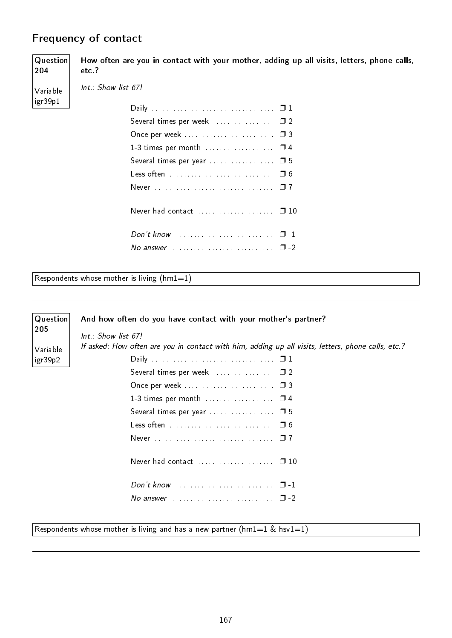# Frequency of contact

Question 204 Variable igr39p1 How often are you in contact with your mother, adding up all visits, letters, phone calls, etc.? Int.: Show list 67! Daily . . . . . . . . . . . . . . . . . . . . . . . . . . . . . . . . . . ❐ 1 Several times per week . . . . . . . . . . . . . . . . 0 2 Once per week . . . . . . . . . . . . . . . . . . . . . . . . . ❐ 3 1-3 times per month . . . . . . . . . . . . . . . . . 0 4 Several times per year . . . . . . . . . . . . . . . . . . ❐ 5 Less often . . . . . . . . . . . . . . . . . . . . . . . . . . . . . ❐ 6 Never . . . . . . . . . . . . . . . . . . . . . . . . . . . . . . . . . ❐ 7 Never had contact . . . . . . . . . . . . . . . . . . □ 10 Don't know . . . . . . . . . . . . . . . . . . . . . . . . . . . ❐ -1 No answer . . . . . . . . . . . . . . . . . . . . . . . . . . . . ❐ -2

Respondents whose mother is living  $(hm1=1)$ 

| Question | And how often do you have contact with your mother's partner?                                      |
|----------|----------------------------------------------------------------------------------------------------|
| 205      | $Int.:$ Show list 67!                                                                              |
| Variable | If asked: How often are you in contact with him, adding up all visits, letters, phone calls, etc.? |
| igr39p2  |                                                                                                    |
|          | Several times per week  02                                                                         |
|          |                                                                                                    |
|          |                                                                                                    |
|          |                                                                                                    |
|          |                                                                                                    |
|          |                                                                                                    |
|          |                                                                                                    |
|          | Don't know $\ldots \ldots \ldots \ldots \ldots \ldots \ldots \square -1$                           |
|          | No answer $\ldots \ldots \ldots \ldots \ldots \ldots \ldots \quad \Box$ -2                         |
|          |                                                                                                    |

Respondents whose mother is living and has a new partner ( $hml=1$  &  $hsv1=1$ )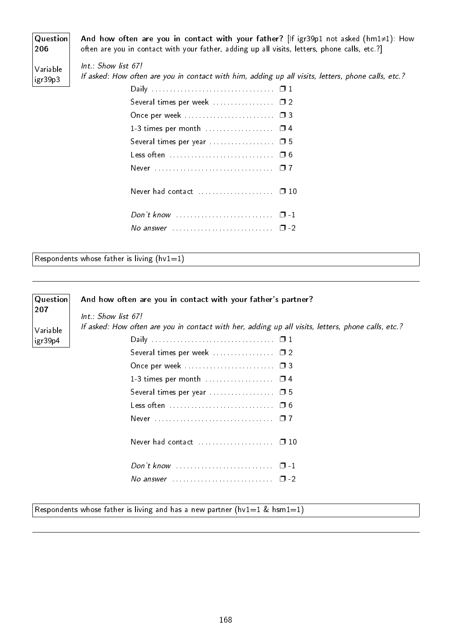Question 206 Variable igr39p3 And how often are you in contact with your father? [If igr39p1 not asked (hm1≠1): How often are you in contact with your father, adding up all visits, letters, phone calls, etc.?] Int.: Show list 67! If asked: How often are you in contact with him, adding up all visits, letters, phone calls, etc.? Daily . . . . . . . . . . . . . . . . . . . . . . . . . . . . . . . . . . ❐ 1 Several times per week . . . . . . . . . . . . . . . . 0 2 Once per week . . . . . . . . . . . . . . . . . . . . . . . . . ❐ 3 1-3 times per month . . . . . . . . . . . . . . . . □ 4 Several times per year . . . . . . . . . . . . . . . . . . ❐ 5 Less often . . . . . . . . . . . . . . . . . . . . . . . . . . . . . ❐ 6 Never . . . . . . . . . . . . . . . . . . . . . . . . . . . . . . . . . ❐ 7 Never had contact . . . . . . . . . . . . . . . . . . □ 10

Respondents whose father is living  $(hv1=1)$ 

| Question | And how often are you in contact with your father's partner?                                       |
|----------|----------------------------------------------------------------------------------------------------|
| 207      | $Int.:$ Show list 67!                                                                              |
| Variable | If asked: How often are you in contact with her, adding up all visits, letters, phone calls, etc.? |
| igr39p4  |                                                                                                    |
|          |                                                                                                    |
|          |                                                                                                    |
|          | 1-3 times per month  0 4                                                                           |
|          |                                                                                                    |
|          |                                                                                                    |
|          |                                                                                                    |
|          | Never had contact  □ 10                                                                            |
|          | Don't know $\ldots \ldots \ldots \ldots \ldots \ldots \ldots \square -1$                           |
|          | No answer $\ldots \ldots \ldots \ldots \ldots \ldots \ldots \square$ -2                            |
|          |                                                                                                    |

Respondents whose father is living and has a new partner (hv1=1 & hsm1=1)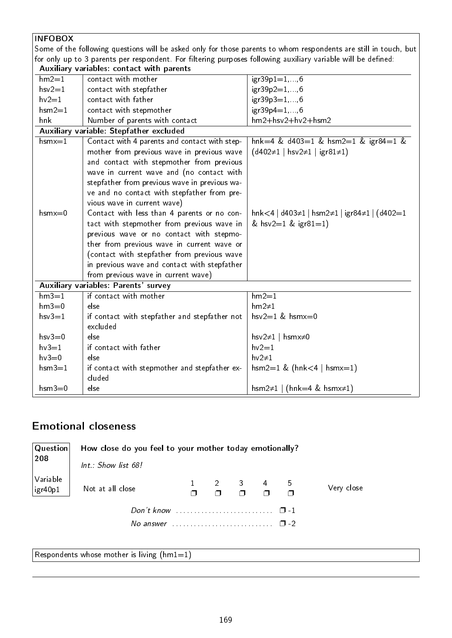| <b>INFOBOX</b> |                                                                                                               |                                                                                                                  |
|----------------|---------------------------------------------------------------------------------------------------------------|------------------------------------------------------------------------------------------------------------------|
|                |                                                                                                               | Some of the following questions will be asked only for those parents to whom respondents are still in touch, but |
|                | for only up to 3 parents per respondent. For filtering purposes following auxiliary variable will be defined: |                                                                                                                  |
|                | Auxiliary variables: contact with parents                                                                     |                                                                                                                  |
| $hm2=1$        | contact with mother                                                                                           | $igr39p1=1,, 6$                                                                                                  |
| $hsv2=1$       | contact with stepfather                                                                                       | $igr39p2=1,, 6$                                                                                                  |
| $hv2=1$        | contact with father                                                                                           | $igr39p3=1,, 6$                                                                                                  |
| $hsm2=1$       | contact with stepmother                                                                                       | $igr39p4=1,, 6$                                                                                                  |
| hnk            | Number of parents with contact                                                                                | $hm2+hsv2+hv2+hsm2$                                                                                              |
|                | Auxiliary variable: Stepfather excluded                                                                       |                                                                                                                  |
| $h$ sm $x = 1$ | Contact with 4 parents and contact with step-                                                                 | hnk=4 & d403=1 & hsm2=1 & igr84=1 &                                                                              |
|                | mother from previous wave in previous wave                                                                    | $(d402\neq1 \mid hsv2\neq1 \mid igr81\neq1)$                                                                     |
|                | and contact with stepmother from previous                                                                     |                                                                                                                  |
|                | wave in current wave and (no contact with                                                                     |                                                                                                                  |
|                | stepfather from previous wave in previous wa-                                                                 |                                                                                                                  |
|                | ve and no contact with stepfather from pre-                                                                   |                                                                                                                  |
|                | vious wave in current wave)                                                                                   |                                                                                                                  |
| $h$ sm $x=0$   | Contact with less than 4 parents or no con-                                                                   | hnk<4   d403 $\neq$ 1   hsm2 $\neq$ 1   igr84 $\neq$ 1   (d402=1                                                 |
|                | tact with stepmother from previous wave in                                                                    | & hsv2=1 & igr81=1)                                                                                              |
|                | previous wave or no contact with stepmo-                                                                      |                                                                                                                  |
|                | ther from previous wave in current wave or                                                                    |                                                                                                                  |
|                | (contact with stepfather from previous wave                                                                   |                                                                                                                  |
|                | in previous wave and contact with stepfather                                                                  |                                                                                                                  |
|                | from previous wave in current wave)                                                                           |                                                                                                                  |
|                | Auxiliary variables: Parents' survey                                                                          |                                                                                                                  |
| $hm3=1$        | if contact with mother                                                                                        | $hm2=1$                                                                                                          |
| $hm3=0$        | else                                                                                                          | $hm2\neq 1$                                                                                                      |
| $hsv3=1$       | if contact with stepfather and stepfather not                                                                 | hsv $2=1$ & hsmx=0                                                                                               |
|                | excluded                                                                                                      |                                                                                                                  |
| $hsv3=0$       | else                                                                                                          | hsv $2\neq 1$   hsmx $\neq 0$                                                                                    |
| $hv3=1$        | if contact with father                                                                                        | $hv2=1$                                                                                                          |
| $hv3=0$        | else                                                                                                          | $hv2\neq 1$                                                                                                      |
| $hsm3=1$       | if contact with stepmother and stepfather ex-<br>cluded                                                       | $hsm2=1$ & ( $hnk<4$   $hsmx=1$ )                                                                                |
| $h$ sm $3=0$   | else                                                                                                          | hsm2 $\neq$ 1   (hnk=4 & hsmx $\neq$ 1)                                                                          |

# Emotional closeness

| Question                    | How close do you feel to your mother today emotionally?                 |  |                                                                  |        |            |
|-----------------------------|-------------------------------------------------------------------------|--|------------------------------------------------------------------|--------|------------|
| 208                         | $Int.:$ Show list 68!                                                   |  |                                                                  |        |            |
| Variable<br>$\vert$ igr40p1 | Not at all close                                                        |  | $\begin{array}{cccc} 2 & 3 & 4 & 5 \\ - & - & - & - \end{array}$ | $\Box$ | Very close |
|                             | No answer $\ldots \ldots \ldots \ldots \ldots \ldots \ldots \square$ -2 |  |                                                                  |        |            |

Respondents whose mother is living  $(hm1=1)$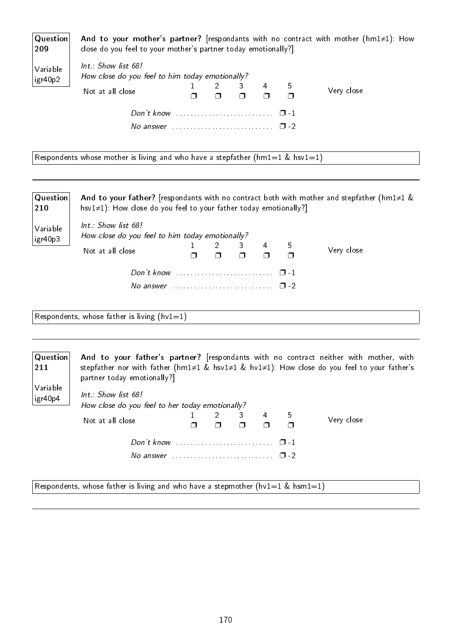| $\mid$ Question $\mid$<br>209 | close do you feel to your mother's partner today emotionally?]                             |  |   |   |   | And to your mother's partner? [respondants with no contract with mother ( $hml\neq1$ ): How |
|-------------------------------|--------------------------------------------------------------------------------------------|--|---|---|---|---------------------------------------------------------------------------------------------|
| Variable<br>igr40p2           | Int.: Show list 68!<br>How close do you feel to him today emotionally?<br>Not at all close |  | 3 | 4 | 5 | Very close                                                                                  |
|                               |                                                                                            |  |   |   |   |                                                                                             |
|                               | No answer $\ldots \ldots \ldots \ldots \ldots \ldots \ldots \square$ -2                    |  |   |   |   |                                                                                             |

Respondents whose mother is living and who have a stepfather (hm1=1 & hsv1=1)

| Question<br>210     | hsv $1\neq 1$ ): How close do you feel to your father today emotionally?                   |  |   |    | And to your father? [respondants with no contract both with mother and stepfather (hm1 $\neq$ 1 & |
|---------------------|--------------------------------------------------------------------------------------------|--|---|----|---------------------------------------------------------------------------------------------------|
| Variable<br>igr40p3 | Int.: Show list 68!<br>How close do you feel to him today emotionally?<br>Not at all close |  | 4 | -5 | Very close                                                                                        |
|                     |                                                                                            |  |   |    |                                                                                                   |

Respondents, whose father is living  $(hv1=1)$ 

Variable igr40p4

Question 211 And to your father's partner? [respondants with no contract neither with mother, with stepfather nor with father (hm1≠1 & hsv1≠1 & hv1≠1): How close do you feel to your father's partner today emotionally?]

> Int.: Show list 68! How close do you feel to her today emotionally? Not at all close  $\overline{1}$  $\Box$ 2  $\Box$ 3 ❐ 4 ❐ 5 ❐

> > Don't know . . . . . . . . . . . . . . . . . . . . . . . . . . . ❐ -1 No answer  $\dots \dots \dots \dots \dots \dots \dots \square$  -2

Very close

Respondents, whose father is living and who have a stepmother (hv1=1 & hsm1=1)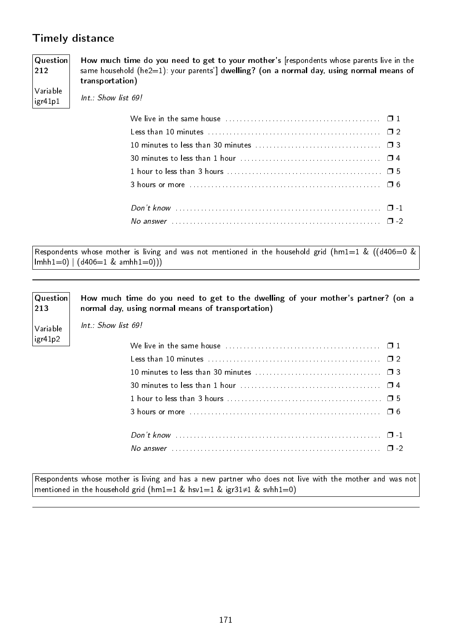# Timely distance

#### Question 212 How much time do you need to get to your mother's [respondents whose parents live in the same household (he2=1): your parents'] dwelling? (on a normal day, using normal means of transportation)

Variable igr41p1 Int.: Show list 69!

| We live in the same house $\ldots, \ldots, \ldots, \ldots, \ldots, \ldots, \ldots, \ldots, \square$ 1 |  |
|-------------------------------------------------------------------------------------------------------|--|
|                                                                                                       |  |
|                                                                                                       |  |
|                                                                                                       |  |
|                                                                                                       |  |
|                                                                                                       |  |
|                                                                                                       |  |
|                                                                                                       |  |
|                                                                                                       |  |
|                                                                                                       |  |

Respondents whose mother is living and was not mentioned in the household grid (hm1=1 & ((d406=0 &  $lmhh1=0)$  |  $(d406=1 & amhh1=0))$ 

| Question<br>213 | How much time do you need to get to the dwelling of your mother's partner? (on a<br>normal day, using normal means of transportation) |
|-----------------|---------------------------------------------------------------------------------------------------------------------------------------|
| Variable        | $Int.:$ Show list 69!                                                                                                                 |
| igr41p2         | We live in the same house $\ldots$ , $\ldots$ , $\ldots$ , $\ldots$ , $\ldots$ , $\ldots$ , $\ldots$ , $\Box$ 1                       |
|                 |                                                                                                                                       |
|                 |                                                                                                                                       |
|                 |                                                                                                                                       |
|                 |                                                                                                                                       |
|                 |                                                                                                                                       |
|                 |                                                                                                                                       |
|                 |                                                                                                                                       |

Respondents whose mother is living and has a new partner who does not live with the mother and was not mentioned in the household grid (hm1=1 & hsv1=1 & igr31≠1 & svhh1=0)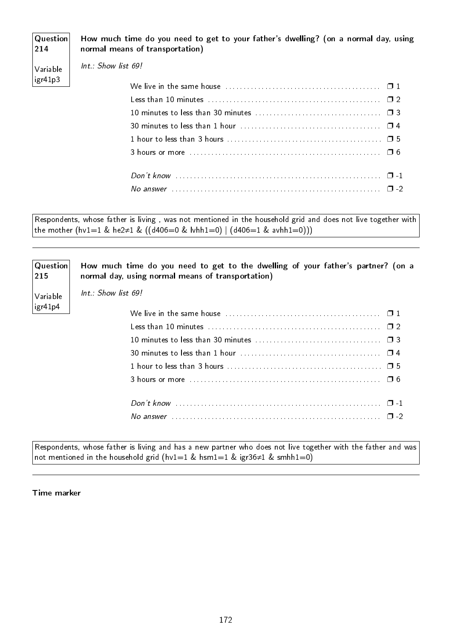| $ $ Question $ $<br> 214 | How much time do you need to get to your father's dwelling? (on a normal day, using<br>normal means of transportation) |
|--------------------------|------------------------------------------------------------------------------------------------------------------------|
| Variable                 | $Int.:$ Show list 69!                                                                                                  |
| ligr41p3                 | We live in the same house $\ldots, \ldots, \ldots, \ldots, \ldots, \ldots, \ldots, \ldots, \square$ 1                  |
|                          |                                                                                                                        |
|                          |                                                                                                                        |
|                          |                                                                                                                        |
|                          |                                                                                                                        |
|                          |                                                                                                                        |
|                          |                                                                                                                        |
|                          |                                                                                                                        |

Respondents, whose father is living , was not mentioned in the household grid and does not live together with the mother (hv1=1 & he2≠1 & ((d406=0 & lvhh1=0) | (d406=1 & avhh1=0)))

| $\mid$ Question $\mid$<br> 215 | How much time do you need to get to the dwelling of your father's partner? (on a<br>normal day, using normal means of transportation) |
|--------------------------------|---------------------------------------------------------------------------------------------------------------------------------------|
| Variable                       | $Int.:$ Show list 69!                                                                                                                 |
| $ $ igr41p4                    |                                                                                                                                       |
|                                |                                                                                                                                       |
|                                |                                                                                                                                       |
|                                |                                                                                                                                       |
|                                |                                                                                                                                       |
|                                |                                                                                                                                       |
|                                |                                                                                                                                       |
|                                |                                                                                                                                       |

Respondents, whose father is living and has a new partner who does not live together with the father and was not mentioned in the household grid (hv1=1 & hsm1=1 & igr36≠1 & smhh1=0)

Time marker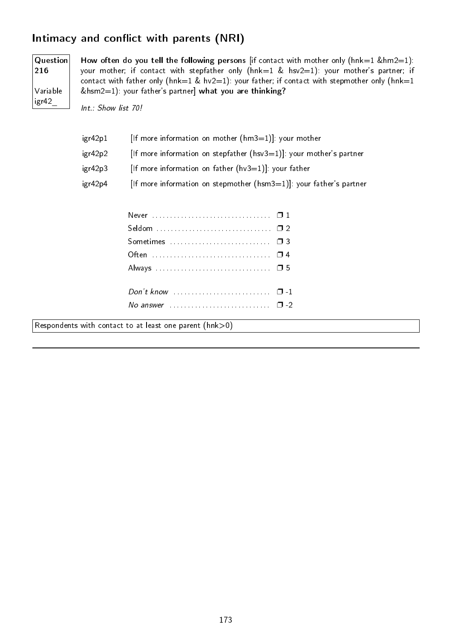# Intimacy and conflict with parents (NRI)

Question 216 Variable igr42\_

How often do you tell the following persons [if contact with mother only (hnk=1 &hm2=1): your mother; if contact with stepfather only (hnk=1 & hsv2=1): your mother's partner; if contact with father only (hnk=1 & hv2=1): your father; if contact with stepmother only (hnk=1  $\&$ hsm2=1): your father's partner] what you are thinking?

Int.: Show list 70!

| igr42p1 | [If more information on mother $(hm3=1)$ ]: your mother                 |
|---------|-------------------------------------------------------------------------|
| igr42p2 | [If more information on stepfather ( $hsv3=1$ )]: your mother's partner |
| igr42p3 | [If more information on father $(hv3=1)$ ]: your father                 |
| igr42p4 | [If more information on stepmother $(hsm3=1)$ ]: your father's partner  |

| Seldom  02                                                                  |  |  |  |  |  |  |  |  |  |  |  |  |  |  |  |
|-----------------------------------------------------------------------------|--|--|--|--|--|--|--|--|--|--|--|--|--|--|--|
| Sometimes  03                                                               |  |  |  |  |  |  |  |  |  |  |  |  |  |  |  |
|                                                                             |  |  |  |  |  |  |  |  |  |  |  |  |  |  |  |
|                                                                             |  |  |  |  |  |  |  |  |  |  |  |  |  |  |  |
| Don't know $\ldots \ldots \ldots \ldots \ldots \ldots \ldots \quad \Box$ -1 |  |  |  |  |  |  |  |  |  |  |  |  |  |  |  |
|                                                                             |  |  |  |  |  |  |  |  |  |  |  |  |  |  |  |
|                                                                             |  |  |  |  |  |  |  |  |  |  |  |  |  |  |  |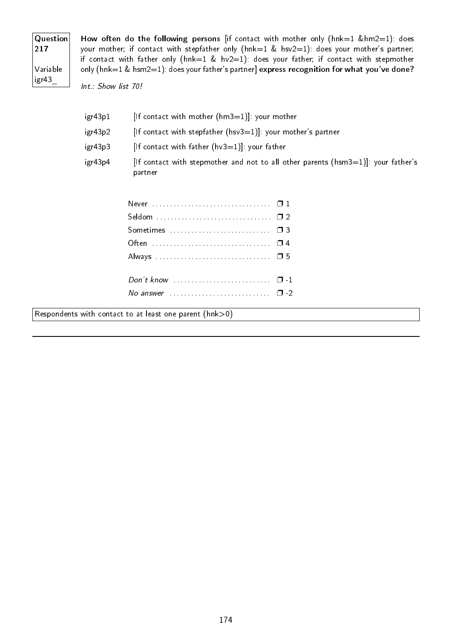| Question<br>217   |  |
|-------------------|--|
| Variable<br>igr43 |  |

How often do the following persons [if contact with mother only (hnk=1 &hm2=1): does your mother; if contact with stepfather only (hnk=1 & hsv2=1): does your mother's partner; if contact with father only (hnk=1 & hv2=1): does your father; if contact with stepmother only (hnk=1 & hsm2=1): does your father's partner] express recognition for what you've done?

Int.: Show list 70!

| igr43p1 | $[$ If contact with mother $(hm3=1)]$ : your mother                                              |
|---------|--------------------------------------------------------------------------------------------------|
| igr43p2 | $[$ If contact with stepfather $(hsv3=1)]$ : your mother's partner                               |
| igr43p3 | [If contact with father $(hv3=1)$ ]: your father                                                 |
| igr43p4 | [If contact with stepmother and not to all other parents ( $hsm3=1$ ]]: your father's<br>partner |

| No answer $\ldots \ldots \ldots \ldots \ldots \ldots \ldots \square$ -2 |  |
|-------------------------------------------------------------------------|--|
|                                                                         |  |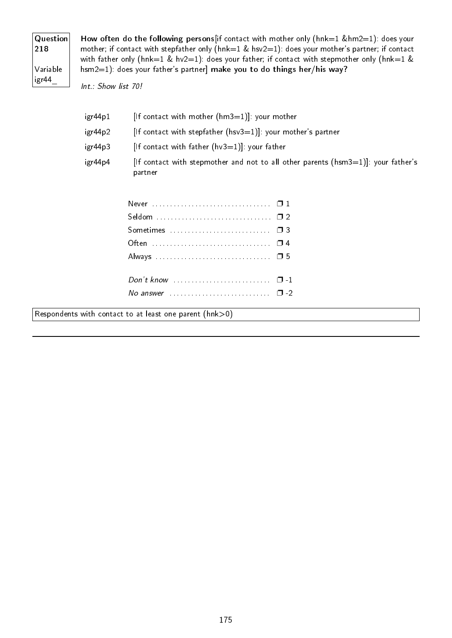| $\mathsf{Question}  $<br>218 |
|------------------------------|
| Variable<br>igr44            |

How often do the following persons[if contact with mother only (hnk=1 &hm2=1): does your mother; if contact with stepfather only (hnk=1 & hsv2=1): does your mother's partner; if contact with father only (hnk=1 & hv2=1): does your father; if contact with stepmother only (hnk=1 & hsm2=1): does your father's partner] make you to do things her/his way?

Int.: Show list 70!

| igr44p1 | [If contact with mother $(hm3=1)$ ]: your mother                                                 |
|---------|--------------------------------------------------------------------------------------------------|
| igr44p2 | [If contact with stepfather $(hsv3=1)$ ]: your mother's partner                                  |
| igr44p3 | $[$ If contact with father $(hv3=1)$ ]: your father                                              |
| igr44p4 | [If contact with stepmother and not to all other parents ( $hsm3=1$ ]]: your father's<br>partner |

| No answer $\cdots$ $\cdots$ $\cdots$ |  |
|--------------------------------------|--|
|                                      |  |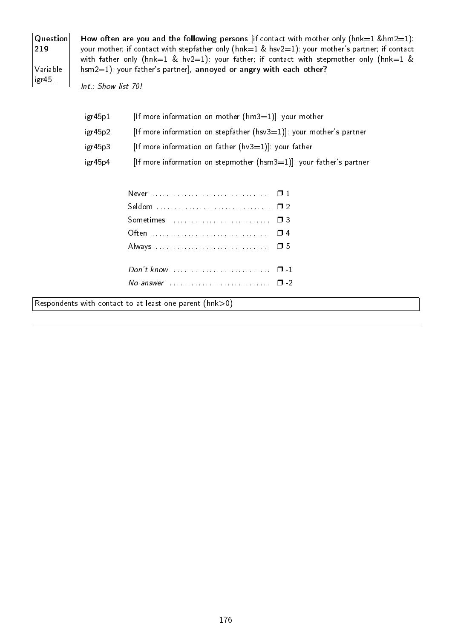| Question<br>219   |
|-------------------|
| Variable<br>igr45 |

How often are you and the following persons [if contact with mother only ( $h n k=1$  & $h m 2=1$ ): your mother; if contact with stepfather only (hnk=1 & hsv2=1): your mother's partner; if contact with father only (hnk=1 & hv2=1): your father; if contact with stepmother only (hnk=1 & hsm2=1): your father's partner], annoyed or angry with each other?

Int.: Show list 70!

| igr45p1 | [If more information on mother $(hm3=1)$ ]: your mother                |
|---------|------------------------------------------------------------------------|
| igr45p2 | If more information on stepfather ( $hsv3=1$ ). your mother's partner  |
| igr45p3 | [If more information on father $(hv3=1)$ ]: your father                |
| igr45p4 | [If more information on stepmother $(hsm3=1)$ ]: your father's partner |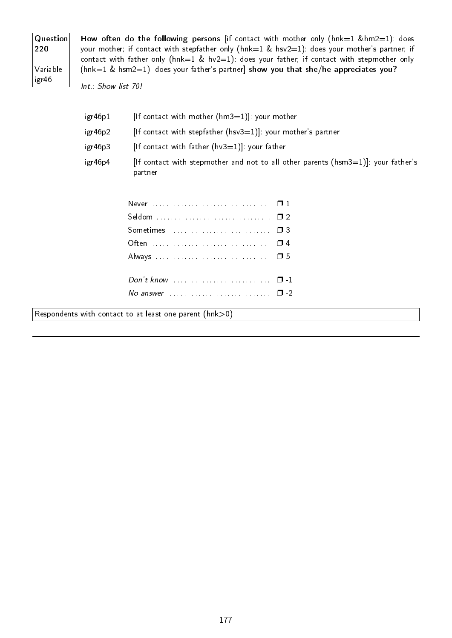| Question<br>220   |
|-------------------|
| Variable<br>igr46 |

How often do the following persons [if contact with mother only (hnk=1 &hm2=1): does your mother; if contact with stepfather only (hnk=1 & hsv2=1): does your mother's partner; if contact with father only (hnk=1 & hv2=1): does your father; if contact with stepmother only ( $hnk=1$  &  $hsm2=1$ ): does your father's partner] show you that she/he appreciates you?

Int.: Show list 70!

| igr46p1 | If contact with mother $(hm3=1)!$ your mother                                                   |
|---------|-------------------------------------------------------------------------------------------------|
| igr46p2 | $[$ If contact with stepfather $(hsv3=1)$ ]: your mother's partner                              |
| igr46p3 | $[$ If contact with father $(hv3=1)$ ]: your father                                             |
| igr46p4 | [If contact with stepmother and not to all other parents ( $hsm3=1$ ]: your father's<br>partner |

| No answer $\ldots$ $\ldots$ $\ldots$ $\ldots$ $\ldots$ $\ldots$ $\Box$ -2 |  |
|---------------------------------------------------------------------------|--|
|                                                                           |  |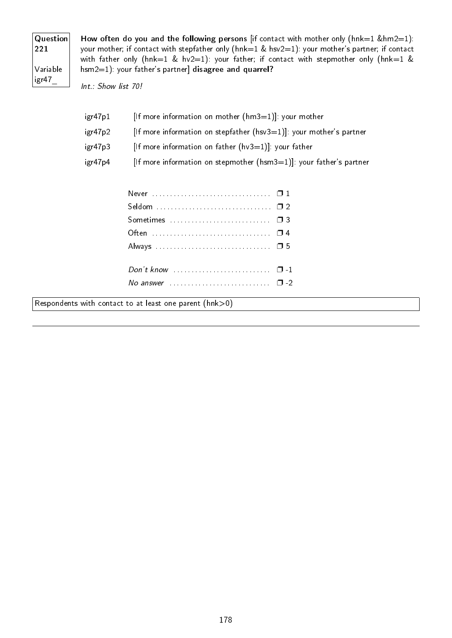| Question<br>221   |
|-------------------|
| Variable<br>igr47 |

How often do you and the following persons [if contact with mother only ( $hnk=1$  & $hm2=1$ ): your mother; if contact with stepfather only (hnk=1 & hsv2=1): your mother's partner; if contact with father only (hnk=1 & hv2=1): your father; if contact with stepmother only (hnk=1 & hsm2=1): your father's partner] disagree and quarrel?

Int.: Show list 70!

| igr47p1 | [If more information on mother $(hm3=1)$ ]: your mother                 |
|---------|-------------------------------------------------------------------------|
| igr47p2 | [If more information on stepfather ( $hsv3=1$ )]: your mother's partner |
| igr47p3 | [If more information on father $(hv3=1)$ ]: your father                 |
| igr47p4 | [If more information on stepmother $(hsm3=1)$ ]: your father's partner  |

| No answer $\cdots$ $\cdots$ $\cdots$ |  |
|--------------------------------------|--|
|                                      |  |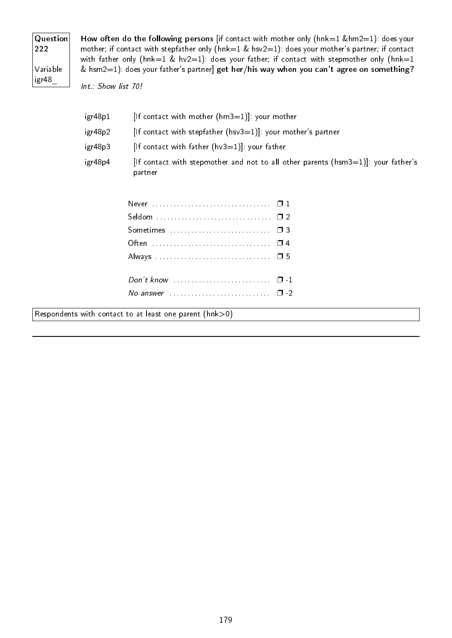| Question<br>222   |
|-------------------|
| Variable<br>igr48 |

How often do the following persons [if contact with mother only (hnk=1 &hm2=1): does your mother; if contact with stepfather only (hnk=1 & hsv2=1): does your mother's partner; if contact with father only (hnk=1 & hv2=1): does your father; if contact with stepmother only (hnk=1 & hsm2=1): does your father's partner] get her/his way when you can't agree on something?

Int.: Show list 70!

| igr48p1 | If contact with mother $(hm3=1)!$ your mother                                                   |
|---------|-------------------------------------------------------------------------------------------------|
| igr48p2 | If contact with stepfather (hsv $3=1$ ). your mother's partner                                  |
| igr48p3 | $[$ If contact with father $(hv3=1)$ ]: your father                                             |
| igr48p4 | [If contact with stepmother and not to all other parents ( $hsm3=1$ ]: your father's<br>partner |

| No answer $\ldots \ldots \ldots \ldots \ldots \ldots \ldots \square$ -2 |  |
|-------------------------------------------------------------------------|--|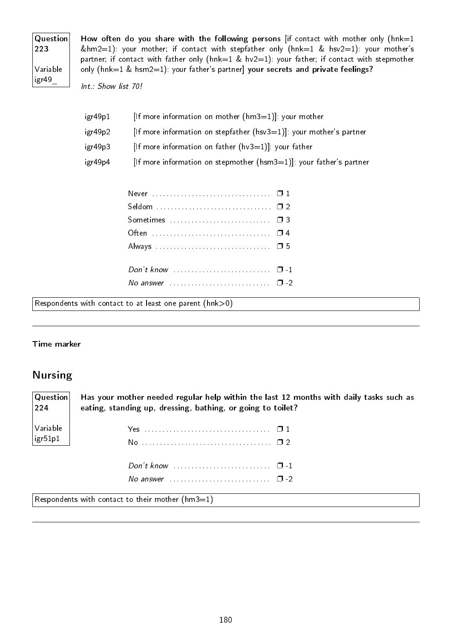| Question<br>223   |
|-------------------|
| Variable<br>igr49 |

How often do you share with the following persons [if contact with mother only (hnk=1 &hm2=1): your mother; if contact with stepfather only (hnk=1 & hsv2=1): your mother's partner; if contact with father only (hnk=1 & hv2=1): your father; if contact with stepmother only (hnk=1 & hsm2=1): your father's partner] your secrets and private feelings?

Int.: Show list 70!

| igr49p1 | [If more information on mother $(hm3=1)$ ]: your mother                |
|---------|------------------------------------------------------------------------|
| igr49p2 | If more information on stepfather $(hsv3=1)$ : your mother's partner   |
| igr49p3 | [If more information on father $(hv3=1)$ ]: your father                |
| igr49p4 | [If more information on stepmother $(hsm3=1)$ ]: your father's partner |

| No answer $\cdots$ $\cdots$ $\cdots$ |  |
|--------------------------------------|--|
|                                      |  |

Respondents with contact to at least one parent (hnk>0)

### Time marker

### Nursing

| $\mid$ Question $\mid$ | Has your mother needed regular help within the last 12 months with daily tasks such as |  |
|------------------------|----------------------------------------------------------------------------------------|--|
| $ 224\rangle$          | eating, standing up, dressing, bathing, or going to toilet?                            |  |
| $\sqrt{}$ Variable     |                                                                                        |  |
| $\vert$ igr $51p1$     |                                                                                        |  |
|                        |                                                                                        |  |
|                        | No answer $\ldots$ , $\ldots$ , $\ldots$ , $\ldots$ , $\Box$ -2                        |  |

Respondents with contact to their mother  $(hm3=1)$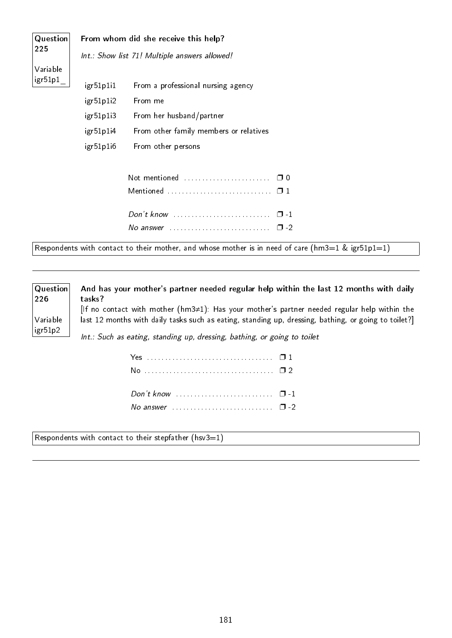| <b>Question</b> | From whom did she receive this help?                                                                 |                                                                                                                                                                                               |  |  |
|-----------------|------------------------------------------------------------------------------------------------------|-----------------------------------------------------------------------------------------------------------------------------------------------------------------------------------------------|--|--|
| 225             | Int.: Show list 71! Multiple answers allowed!                                                        |                                                                                                                                                                                               |  |  |
| Variable        |                                                                                                      |                                                                                                                                                                                               |  |  |
| igr51p1         | igr51p1i1                                                                                            | From a professional nursing agency                                                                                                                                                            |  |  |
|                 | igr51p1i2                                                                                            | From me                                                                                                                                                                                       |  |  |
|                 | igr51p1i3                                                                                            | From her husband/partner                                                                                                                                                                      |  |  |
|                 | igr51p1i4                                                                                            | From other family members or relatives                                                                                                                                                        |  |  |
|                 | igr51p1i6                                                                                            | From other persons                                                                                                                                                                            |  |  |
|                 |                                                                                                      |                                                                                                                                                                                               |  |  |
|                 |                                                                                                      | Not mentioned<br>$\Box$ 0                                                                                                                                                                     |  |  |
|                 |                                                                                                      |                                                                                                                                                                                               |  |  |
|                 |                                                                                                      | $\Box$ 1                                                                                                                                                                                      |  |  |
|                 |                                                                                                      | $\square$ - 2                                                                                                                                                                                 |  |  |
|                 |                                                                                                      | Respondents with contact to their mother, and whose mother is in need of care (hm3=1 & igr51p1=1)                                                                                             |  |  |
|                 |                                                                                                      |                                                                                                                                                                                               |  |  |
| Question<br>226 | tasks?                                                                                               | And has your mother's partner needed regular help within the last 12 months with daily<br>[If no contact with mother ( $hm3\neq1$ ): Has your mother's partner needed regular help within the |  |  |
| Variable        | last 12 months with daily tasks such as eating, standing up, dressing, bathing, or going to toilet?] |                                                                                                                                                                                               |  |  |
| igr51p2         | Int.: Such as eating, standing up, dressing, bathing, or going to toilet                             |                                                                                                                                                                                               |  |  |
|                 |                                                                                                      |                                                                                                                                                                                               |  |  |

Respondents with contact to their stepfather  $(hsv3=1)$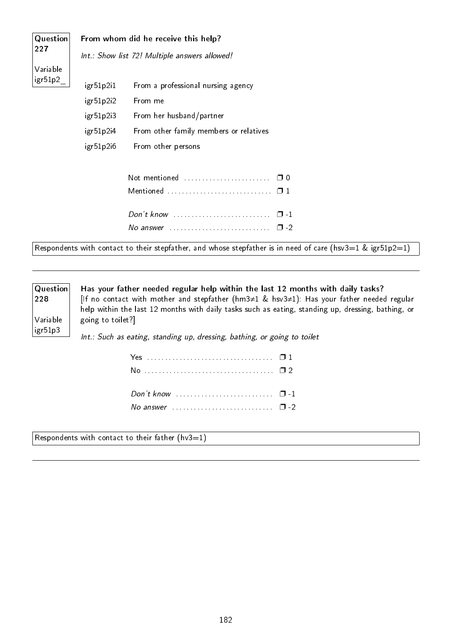| Question | From whom did he receive this help?           |                                                                                                            |  |  |
|----------|-----------------------------------------------|------------------------------------------------------------------------------------------------------------|--|--|
| 227      | Int.: Show list 72! Multiple answers allowed! |                                                                                                            |  |  |
| Variable |                                               |                                                                                                            |  |  |
| igr51p2  | igr51p2i1                                     | From a professional nursing agency                                                                         |  |  |
|          | igr51p2i2                                     | From me                                                                                                    |  |  |
|          | igr51p2i3                                     | From her husband/partner                                                                                   |  |  |
|          | igr51p2i4                                     | From other family members or relatives                                                                     |  |  |
|          | igr51p2i6                                     | From other persons                                                                                         |  |  |
|          |                                               |                                                                                                            |  |  |
|          |                                               |                                                                                                            |  |  |
|          |                                               |                                                                                                            |  |  |
|          |                                               | Don't know<br>$\Box$ $\Box$                                                                                |  |  |
|          |                                               |                                                                                                            |  |  |
|          |                                               |                                                                                                            |  |  |
|          |                                               | Respondents with contact to their stepfather, and whose stepfather is in need of care (hsv3=1 & igr51p2=1) |  |  |

Question 228

Variable igr51p3

Has your father needed regular help within the last 12 months with daily tasks? [If no contact with mother and stepfather (hm3≠1 & hsv3≠1): Has your father needed regular help within the last 12 months with daily tasks such as eating, standing up, dressing, bathing, or going to toilet?]

Int.: Such as eating, standing up, dressing, bathing, or going to toilet

| Don't know $\ldots \ldots \ldots \ldots \ldots \ldots \ldots \quad \Box -1$ |  |
|-----------------------------------------------------------------------------|--|
|                                                                             |  |

Respondents with contact to their father (hv3=1)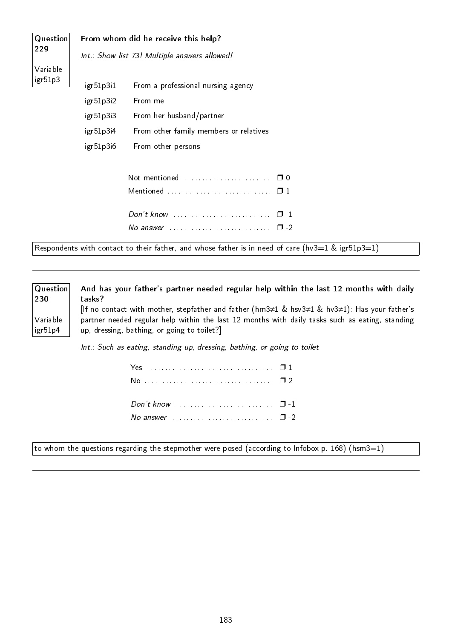| Question                                                                                          | From whom did he receive this help?           |                                                                         |  |
|---------------------------------------------------------------------------------------------------|-----------------------------------------------|-------------------------------------------------------------------------|--|
| 229                                                                                               | Int.: Show list 73! Multiple answers allowed! |                                                                         |  |
| Variable                                                                                          |                                               |                                                                         |  |
| igr51p3                                                                                           | igr51p3i1                                     | From a professional nursing agency                                      |  |
|                                                                                                   | igr51p3i2                                     | From me                                                                 |  |
|                                                                                                   | igr51p3i3                                     | From her husband/partner                                                |  |
|                                                                                                   | igr51p3i4                                     | From other family members or relatives                                  |  |
|                                                                                                   | igr51p3i6                                     | From other persons                                                      |  |
|                                                                                                   |                                               |                                                                         |  |
|                                                                                                   |                                               |                                                                         |  |
|                                                                                                   |                                               |                                                                         |  |
|                                                                                                   |                                               | No answer $\ldots \ldots \ldots \ldots \ldots \ldots \ldots \square$ -2 |  |
| Respondents with contact to their father, and whose father is in need of care (hv3=1 & igr51p3=1) |                                               |                                                                         |  |

**Question** 230 Variable igr51p4 And has your father's partner needed regular help within the last 12 months with daily tasks? [If no contact with mother, stepfather and father (hm3≠1 & hsv3≠1 & hv3≠1): Has your father's partner needed regular help within the last 12 months with daily tasks such as eating, standing up, dressing, bathing, or going to toilet?]

Int.: Such as eating, standing up, dressing, bathing, or going to toilet

 $\vert$ to whom the questions regarding the stepmother were posed (according to Infobox p. 168) (hsm3=1)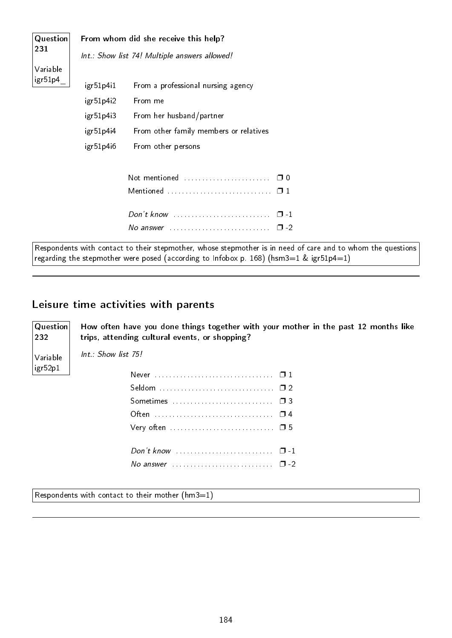| Question | From whom did she receive this help? |                                                                                                                                                                                                       |  |  |
|----------|--------------------------------------|-------------------------------------------------------------------------------------------------------------------------------------------------------------------------------------------------------|--|--|
| 231      |                                      | Int.: Show list 74! Multiple answers allowed!                                                                                                                                                         |  |  |
| Variable |                                      |                                                                                                                                                                                                       |  |  |
| igr51p4  | igr51p4i1                            | From a professional nursing agency                                                                                                                                                                    |  |  |
|          | igr51p4i2                            | From me                                                                                                                                                                                               |  |  |
|          | igr51p4i3                            | From her husband/partner                                                                                                                                                                              |  |  |
|          | igr51p4i4                            | From other family members or relatives                                                                                                                                                                |  |  |
|          | igr51p4i6                            | From other persons                                                                                                                                                                                    |  |  |
|          |                                      | Not mentioned<br>$\Box$ 0                                                                                                                                                                             |  |  |
|          |                                      | Mentioned $\ldots \ldots \ldots \ldots \ldots \ldots \ldots \square 1$                                                                                                                                |  |  |
|          |                                      | $Don't know \dots \dots \dots \dots \dots \dots \dots \dots \dots$<br>$\Box$ 1                                                                                                                        |  |  |
|          |                                      | No answer $\ldots \ldots \ldots \ldots \ldots \ldots \ldots \square$ -2                                                                                                                               |  |  |
|          |                                      | Respondents with contact to their stepmother, whose stepmother is in need of care and to whom the questions<br>regarding the stepmother were posed (according to Infobox p. 168) (hsm3=1 & igr51p4=1) |  |  |

# Leisure time activities with parents

trips, attending cultural events, or shopping?

Question 232 Variable igr52p1

Int.: Show list 75!

| Very often $\dots \dots \dots \dots \dots \dots \dots \dots \dots \dots \dots \dots \dots \dots \dots \dots \dots$ |  |
|--------------------------------------------------------------------------------------------------------------------|--|
|                                                                                                                    |  |
|                                                                                                                    |  |
| No answer $\cdots$ $\cdots$ $\cdots$                                                                               |  |
|                                                                                                                    |  |

How often have you done things together with your mother in the past 12 months like

Respondents with contact to their mother  $(hm3=1)$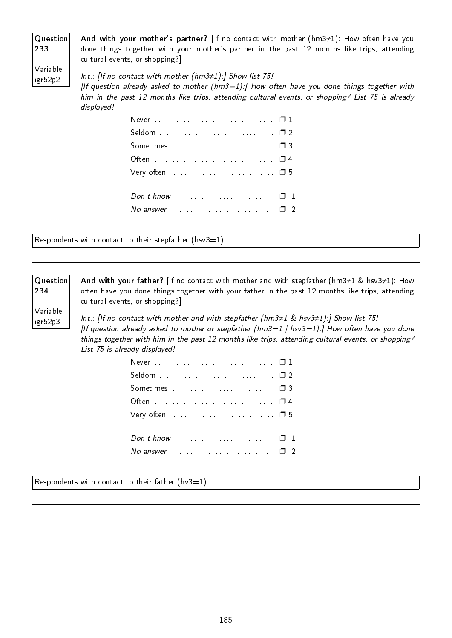| Question |  |
|----------|--|
| 233      |  |

And with your mother's partner? [If no contact with mother (hm3≠1): How often have you done things together with your mother's partner in the past 12 months like trips, attending cultural events, or shopping?]

Variable igr52p2

Int.: [If no contact with mother (hm3≠1):] Show list 75! [If question already asked to mother  $(hm3=1)$ :] How often have you done things together with him in the past 12 months like trips, attending cultural events, or shopping? List 75 is already displayed!

| Very often $\dots\dots\dots\dots\dots\dots\dots\dots\dots\Box$ 5        |  |
|-------------------------------------------------------------------------|--|
|                                                                         |  |
|                                                                         |  |
| No answer $\ldots \ldots \ldots \ldots \ldots \ldots \ldots \square$ -2 |  |

Respondents with contact to their stepfather (hsv3=1)

#### Question 234

Variable igr52p3

And with your father? [If no contact with mother and with stepfather (hm3≠1 & hsv3≠1): How often have you done things together with your father in the past 12 months like trips, attending cultural events, or shopping?]

Int.: [If no contact with mother and with stepfather (hm3≠1 & hsv3≠1):] Show list 75! [If question already asked to mother or stepfather (hm3=1 | hsv3=1):] How often have you done things together with him in the past 12 months like trips, attending cultural events, or shopping? List 75 is already displayed!

| No answer $\ldots$ $\ldots$ $\ldots$ $\ldots$ $\ldots$ $\ldots$ $\Box$ -2 |  |
|---------------------------------------------------------------------------|--|

Respondents with contact to their father (hv3=1)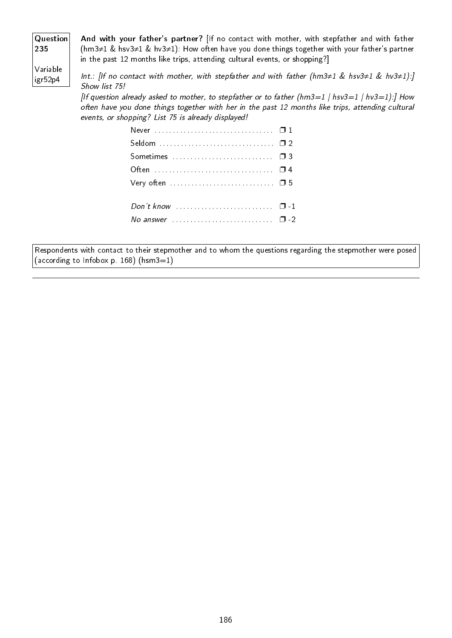| <b>Question</b><br> 235 |                                                    | And with your father's partner? [If no contact with mother, with stepfather and with father<br>$(hm3\neq 1 \& hsv3\neq 1 \& hv3\neq 1)$ : How often have you done things together with your father's partner<br>in the past 12 months like trips, attending cultural events, or shopping?] |
|-------------------------|----------------------------------------------------|--------------------------------------------------------------------------------------------------------------------------------------------------------------------------------------------------------------------------------------------------------------------------------------------|
| Variable<br>igr52p4     | Show list 75!                                      | Int.: [If no contact with mother, with stepfather and with father (hm3 $\neq$ 1 & hsv3 $\neq$ 1 & hv3 $\neq$ 1):]                                                                                                                                                                          |
|                         | events, or shopping? List 75 is already displayed! | [If question already asked to mother, to stepfather or to father (hm3=1   hsv3=1   hv3=1):] How<br>often have you done things together with her in the past 12 months like trips, attending cultural                                                                                       |
|                         |                                                    |                                                                                                                                                                                                                                                                                            |
|                         |                                                    |                                                                                                                                                                                                                                                                                            |

| No answer $\cdots$ $\cdots$ $\cdots$ $\cdots$ $\cdots$ $\cdots$ |  |
|-----------------------------------------------------------------|--|

Respondents with contact to their stepmother and to whom the questions regarding the stepmother were posed (according to Infobox p. 168) (hsm3=1)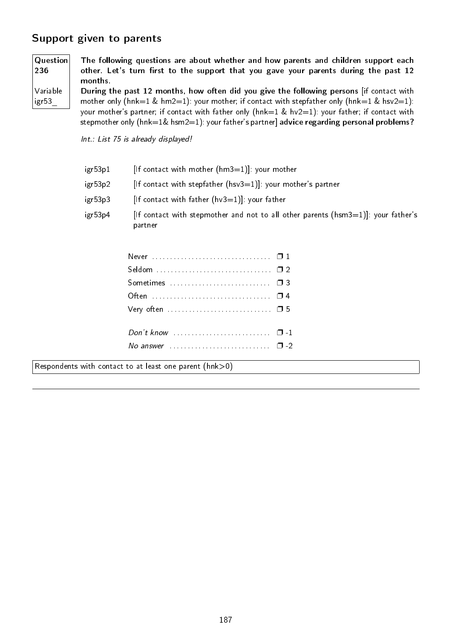# Support given to parents

igr53\_

| $\mid$ Question $\mid$ | The following questions are about whether and how parents and children support each      |
|------------------------|------------------------------------------------------------------------------------------|
| 236                    | other. Let's turn first to the support that you gave your parents during the past 12     |
|                        | months.                                                                                  |
| $\sqrt{}$ Variable     | During the past 12 months, how often did you give the following persons lif contact with |

During the past 12 months, how often did you give the following persons [if contact with mother only (hnk=1 & hm2=1): your mother; if contact with stepfather only (hnk=1 & hsv2=1): your mother's partner; if contact with father only (hnk=1 & hv2=1): your father; if contact with stepmother only (hnk=1& hsm2=1): your father's partner] advice regarding personal problems?

Int.: List 75 is already displayed!

- igr53p1 [If contact with mother  $(hm3=1)$ ]: your mother
- igr53p2 [If contact with stepfather (hsv3=1)]: your mother's partner
- igr53p3 [If contact with father  $(hv3=1)$ ]: your father
- igr53p4 [If contact with stepmother and not to all other parents (hsm3=1)]: your father's partner

| Very often $\dots\dots\dots\dots\dots\dots\dots\dots\dots\Box$ 5          |  |
|---------------------------------------------------------------------------|--|
|                                                                           |  |
|                                                                           |  |
| No answer $\ldots$ $\ldots$ $\ldots$ $\ldots$ $\ldots$ $\ldots$ $\Box$ -2 |  |
|                                                                           |  |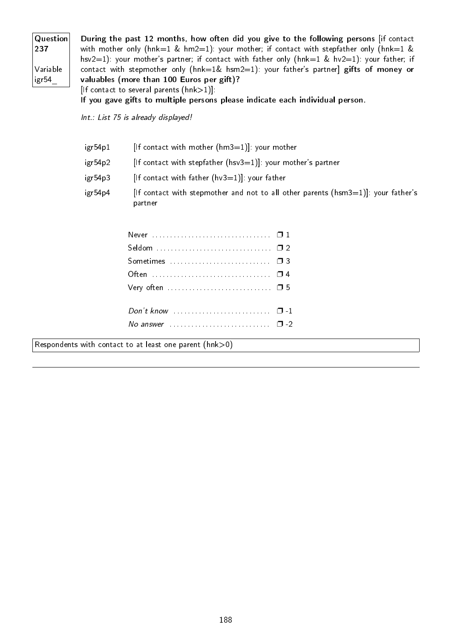| $\mathsf{Question}{} $ | During the past 12 months, how often did you give to the following persons lif contact             |
|------------------------|----------------------------------------------------------------------------------------------------|
| 237                    | with mother only ( $hnk=1$ & $hm2=1$ ): your mother; if contact with stepfather only ( $hnk=1$ &   |
|                        | hsv2=1): your mother's partner; if contact with father only ( $hnk=1$ & $hv2=1$ ): your father; if |
| Variable               | contact with stepmother only ( $h n k=1$ & $h s m/2=1$ ): your father's partner gifts of money or  |
| igr54                  | valuables (more than 100 Euros per gift)?                                                          |
|                        | $[$ If contact to several parents $(hnk>1)]$ :                                                     |
|                        | If you gave gifts to multiple persons please indicate each individual person.                      |
|                        |                                                                                                    |

Int.: List 75 is already displayed!

| igr54p1 | [If contact with mother $(hm3=1)$ ]: your mother                                                |
|---------|-------------------------------------------------------------------------------------------------|
| igr54p2 | $[$ If contact with stepfather $(hsv3=1)]$ : your mother's partner                              |
| igr54p3 | [If contact with father $(hv3=1)$ ]: your father                                                |
| igr54p4 | [If contact with stepmother and not to all other parents ( $hsm3=1$ ]: your father's<br>partner |

| No answer $\ldots \ldots \ldots \ldots \ldots \ldots \ldots \square$ -2 |  |
|-------------------------------------------------------------------------|--|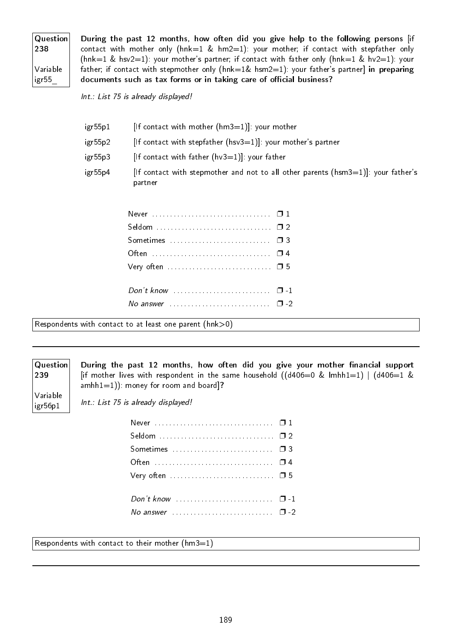| Question<br>238   |  |
|-------------------|--|
| Variable<br>igr55 |  |

During the past 12 months, how often did you give help to the following persons [if contact with mother only ( $h n k=1$  &  $h m 2=1$ ): your mother; if contact with stepfather only (hnk=1 & hsv2=1): your mother's partner; if contact with father only (hnk=1 & hv2=1): your father; if contact with stepmother only (hnk=1& hsm2=1): your father's partner] in preparing documents such as tax forms or in taking care of official business?

Int.: List 75 is already displayed!

| igr55p1 | [If contact with mother $(hm3=1)$ ]: your mother                                                |
|---------|-------------------------------------------------------------------------------------------------|
| igr55p2 | $[$ If contact with stepfather $(hsv3=1)]$ : your mother's partner                              |
| igr55p3 | [If contact with father $(hv3=1)$ ]: your father                                                |
| igr55p4 | [If contact with stepmother and not to all other parents ( $hsm3=1$ ]: your father's<br>partner |

| No answer $\cdots$ $\cdots$ $\cdots$ $\cdots$ |  |
|-----------------------------------------------|--|

Respondents with contact to at least one parent (hnk>0)

# Question

239 Variable

igr56p1

During the past 12 months, how often did you give your mother financial support [if mother lives with respondent in the same household  $((d406=0 \& 1mhh1=1) | (d406=1 \& 1mhh1=1)$  $amhh1=1)$ ): money for room and board]?

Int.: List 75 is already displayed!

| Very often $\dots\dots\dots\dots\dots\dots\dots\dots\dots\Box$ 5        |  |
|-------------------------------------------------------------------------|--|
|                                                                         |  |
|                                                                         |  |
| No answer $\ldots \ldots \ldots \ldots \ldots \ldots \ldots \square$ -2 |  |
|                                                                         |  |

Respondents with contact to their mother  $(hm3=1)$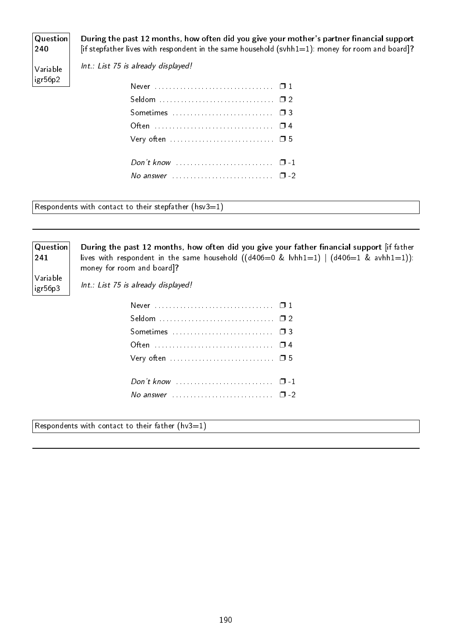# Question 240

During the past 12 months, how often did you give your mother's partner financial support [if stepfather lives with respondent in the same household (svhh1=1): money for room and board]?

Variable igr56p2

| Sometimes  03 |  |
|---------------|--|
|               |  |
|               |  |
|               |  |
|               |  |
|               |  |

Respondents with contact to their stepfather (hsv $3=1$ )

Int.: List 75 is already displayed!

# **Question** 241

During the past 12 months, how often did you give your father financial support [if father lives with respondent in the same household  $((d406=0 \& bwhh1=1) | (d406=1 \& awhh1=1))$ : money for room and board]?

Variable igr56p3

Int.: List 75 is already displayed!

Respondents with contact to their father ( $hv3=1$ )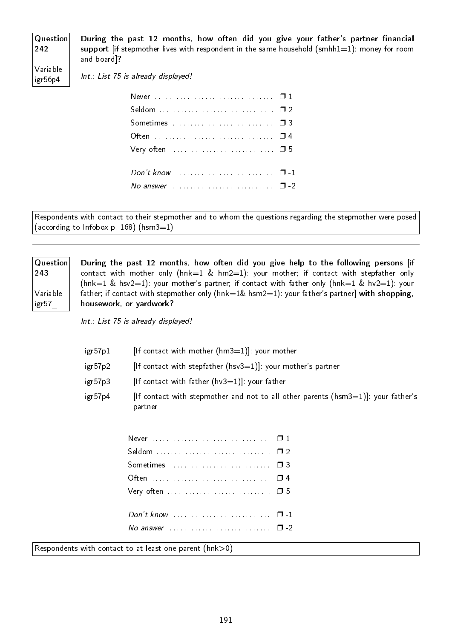| Question<br>242     | During the past 12 months, how often did you give your father's partner financial<br>support lif stepmother lives with respondent in the same household (smhh $1=1$ ): money for room |
|---------------------|---------------------------------------------------------------------------------------------------------------------------------------------------------------------------------------|
|                     | and board]?                                                                                                                                                                           |
| Variable<br>igr56p4 | Int.: List 75 is already displayed!                                                                                                                                                   |

| No answer $\cdots$ $\cdots$ $\cdots$ |  |
|--------------------------------------|--|
|                                      |  |

Respondents with contact to their stepmother and to whom the questions regarding the stepmother were posed (according to Infobox p. 168) (hsm $3=1$ )

| Question          | During the past 12 months, how often did you give help to the following persons [if                |
|-------------------|----------------------------------------------------------------------------------------------------|
| $ 243\rangle$     | contact with mother only ( $h n k=1$ & $h n/2=1$ ): your mother; if contact with stepfather only   |
|                   | (hnk=1 & hsv2=1): your mother's partner; if contact with father only (hnk=1 & hv2=1): your         |
| Variable          | father; if contact with stepmother only ( $hnk=1\&$ hsm2=1): your father's partner] with shopping, |
| $ $ igr $57$ $\_$ | housework, or yardwork?                                                                            |
|                   |                                                                                                    |

Int.: List 75 is already displayed!

| igr57p1 | [If contact with mother $(hm3=1)$ ]: your mother                                                 |
|---------|--------------------------------------------------------------------------------------------------|
| igr57p2 | [If contact with stepfather ( $hsv3=1$ )]: your mother's partner                                 |
| igr57p3 | $[$ If contact with father $(hv3=1)$ ]: your father                                              |
| igr57p4 | [If contact with stepmother and not to all other parents ( $hsm3=1$ ]]: your father's<br>partner |

| Don't know $\ldots \ldots \ldots \ldots \ldots \ldots \ldots \quad \Box$ -1    |  |
|--------------------------------------------------------------------------------|--|
| No answer $\ldots \ldots \ldots \ldots \ldots \ldots \ldots \ldots \square$ -2 |  |
|                                                                                |  |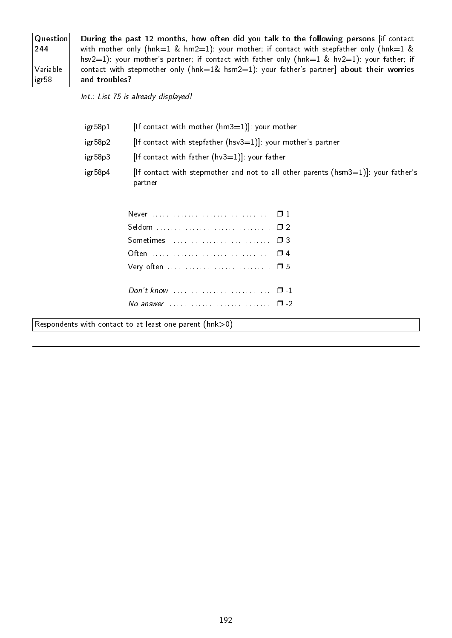| Question<br>244   |
|-------------------|
| Variable<br>igr58 |

During the past 12 months, how often did you talk to the following persons [if contact with mother only (hnk=1 & hm2=1): your mother; if contact with stepfather only (hnk=1 & hsv2=1): your mother's partner; if contact with father only (hnk=1 & hv2=1): your father; if contact with stepmother only (hnk=1& hsm2=1): your father's partner] about their worries and troubles?

Int.: List 75 is already displayed!

| igr58p1 | [If contact with mother $(hm3=1)$ ]: your mother                                                |
|---------|-------------------------------------------------------------------------------------------------|
| igr58p2 | $[$ If contact with stepfather $(hsv3=1)]$ : your mother's partner                              |
| igr58p3 | $[$ If contact with father $(hv3=1)$ ]: your father                                             |
| igr58p4 | [If contact with stepmother and not to all other parents ( $hsm3=1$ ]: your father's<br>partner |

| Very often $\dots \dots \dots \dots \dots \dots \dots \dots \dots \dots \dots \dots \dots \dots \dots \dots \dots$ |  |
|--------------------------------------------------------------------------------------------------------------------|--|
|                                                                                                                    |  |
| No answer $\ldots$ $\ldots$ $\ldots$ $\ldots$ $\ldots$ $\ldots$ $\Box$ -2                                          |  |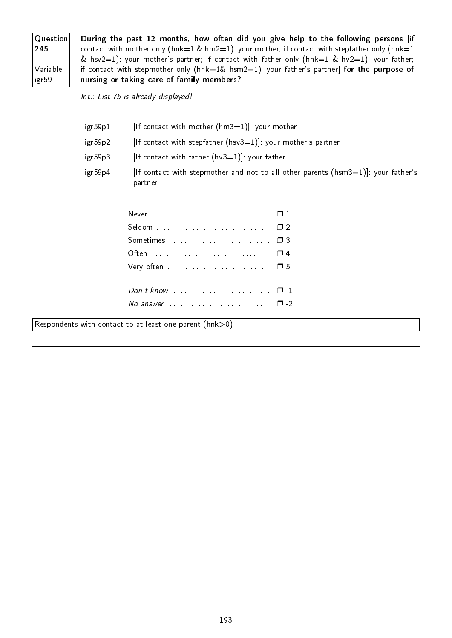| Question<br>245   |
|-------------------|
| Variable<br>igr59 |

During the past 12 months, how often did you give help to the following persons [if contact with mother only (hnk=1 & hm2=1): your mother; if contact with stepfather only (hnk=1 & hsv2=1): your mother's partner; if contact with father only (hnk=1 & hv2=1): your father; if contact with stepmother only (hnk=1& hsm2=1): your father's partner] for the purpose of nursing or taking care of family members?

Int.: List 75 is already displayed!

| igr59p1 | [If contact with mother $(hm3=1)$ ]: your mother                                                |
|---------|-------------------------------------------------------------------------------------------------|
| igr59p2 | $[$ If contact with stepfather $(hsv3=1)]$ : your mother's partner                              |
| igr59p3 | [If contact with father $(hv3=1)$ ]: your father                                                |
| igr59p4 | [If contact with stepmother and not to all other parents ( $hsm3=1$ ]: your father's<br>partner |

| No answer $\cdots$ $\cdots$ |  |
|-----------------------------|--|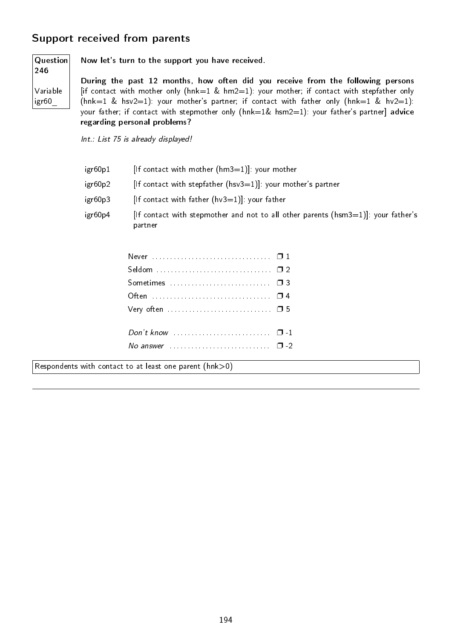# Support received from parents

Question 246

Variable igr60\_

Now let's turn to the support you have received.

During the past 12 months, how often did you receive from the following persons [if contact with mother only ( $h n k=1$  &  $h m 2=1$ ): your mother; if contact with stepfather only (hnk=1 & hsv2=1): your mother's partner; if contact with father only (hnk=1 & hv2=1): your father; if contact with stepmother only (hnk=1& hsm2=1): your father's partner] advice regarding personal problems?

Int.: List 75 is already displayed!

| igr60p1 | If contact with mother $(hm3=1)!$ : your mother                  |
|---------|------------------------------------------------------------------|
| igr60p2 | [If contact with stepfather ( $hsv3=1$ ]]: your mother's partner |
| igr60p3 | [If contact with father $(hv3=1)$ ]: your father                 |

igr60p4 [If contact with stepmother and not to all other parents (hsm3=1)]: your father's partner

| Very often $\dots\dots\dots\dots\dots\dots\dots\dots\dots\Box$ 5          |  |
|---------------------------------------------------------------------------|--|
|                                                                           |  |
|                                                                           |  |
| No answer $\ldots$ $\ldots$ $\ldots$ $\ldots$ $\ldots$ $\ldots$ $\Box$ -2 |  |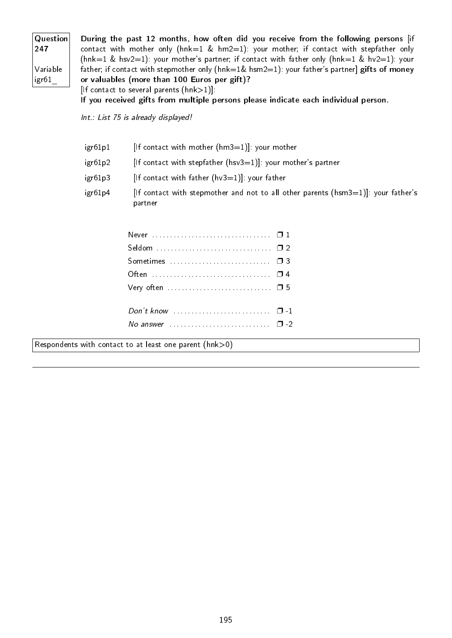| Question      | During the past 12 months, how often did you receive from the following persons [if                        |
|---------------|------------------------------------------------------------------------------------------------------------|
| $ 247\rangle$ | contact with mother only ( $h n k=1$ & $h m 2=1$ ): your mother; if contact with stepfather only           |
|               | (hnk=1 & hsv2=1): your mother's partner; if contact with father only (hnk=1 & hv2=1): your                 |
| Variable      | father; if contact with stepmother only ( $h n k=1$ & $h s m/2=1$ ): your father's partner] gifts of money |
| igr61         | or valuables (more than 100 Euros per gift)?                                                               |
|               | $[$ If contact to several parents $(hnk>1)$ ]:                                                             |
|               | If you received gifts from multiple persons please indicate each individual person.                        |

Int.: List 75 is already displayed!

| igr61p1 | [If contact with mother $(hm3=1)$ ]: your mother                                                 |
|---------|--------------------------------------------------------------------------------------------------|
| igr61p2 | $[$ If contact with stepfather $(hsv3=1)$ ]: your mother's partner                               |
| igr61p3 | $[$ If contact with father $(hv3=1)]$ : your father                                              |
| igr61p4 | [If contact with stepmother and not to all other parents ( $hsm3=1$ ]]: your father's<br>partner |

| No answer $\ldots \ldots \ldots \ldots \ldots \ldots \ldots \square$ -2 |  |
|-------------------------------------------------------------------------|--|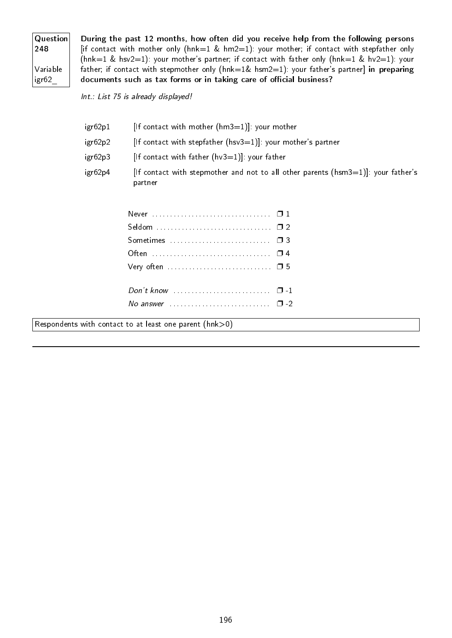| Question<br>248   |  |
|-------------------|--|
| Variable<br>igr62 |  |

During the past 12 months, how often did you receive help from the following persons [if contact with mother only ( $hnk=1$  &  $hm2=1$ ): your mother; if contact with stepfather only (hnk=1 & hsv2=1): your mother's partner; if contact with father only (hnk=1 & hv2=1): your father; if contact with stepmother only (hnk=1& hsm2=1): your father's partner] in preparing documents such as tax forms or in taking care of official business?

Int.: List 75 is already displayed!

| igr62p1 | [If contact with mother $(hm3=1)$ ]: your mother                                                 |
|---------|--------------------------------------------------------------------------------------------------|
| igr62p2 | $[$ If contact with stepfather $(hsv3=1)]$ : your mother's partner                               |
| igr62p3 | $[$ If contact with father $(hv3=1)$ ]: your father                                              |
| igr62p4 | [If contact with stepmother and not to all other parents ( $hsm3=1$ ]]: your father's<br>partner |

| Very often $\dots \dots \dots \dots \dots \dots \dots \dots \dots \dots \dots \dots \dots \dots \dots \dots \dots$ |  |
|--------------------------------------------------------------------------------------------------------------------|--|
|                                                                                                                    |  |
|                                                                                                                    |  |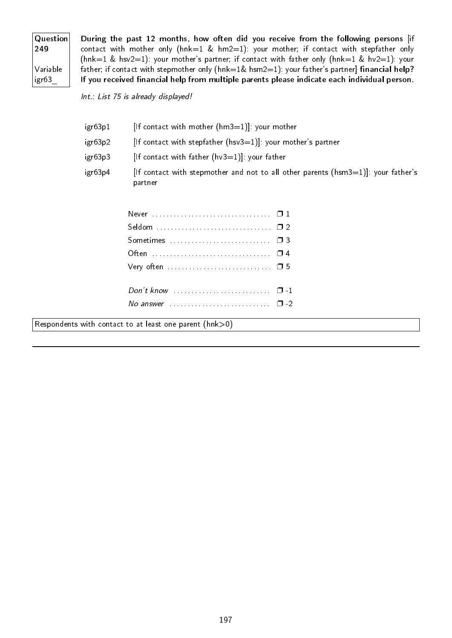| Question<br>249   |  |
|-------------------|--|
| Variable<br>igr63 |  |

During the past 12 months, how often did you receive from the following persons [if contact with mother only (hnk=1 & hm2=1): your mother; if contact with stepfather only (hnk=1 & hsv2=1): your mother's partner; if contact with father only (hnk=1 & hv2=1): your father; if contact with stepmother only (hnk=1& hsm2=1): your father's partner] financial help? If you received financial help from multiple parents please indicate each individual person.

Int.: List 75 is already displayed!

| igr63p1 | [If contact with mother $(hm3=1)$ ]: your mother                                                 |
|---------|--------------------------------------------------------------------------------------------------|
| igr63p2 | $[$ If contact with stepfather $(hsv3=1)$ ]: your mother's partner                               |
| igr63p3 | [If contact with father $(hv3=1)$ ]: your father                                                 |
| igr63p4 | [If contact with stepmother and not to all other parents ( $hsm3=1$ ]]: your father's<br>partner |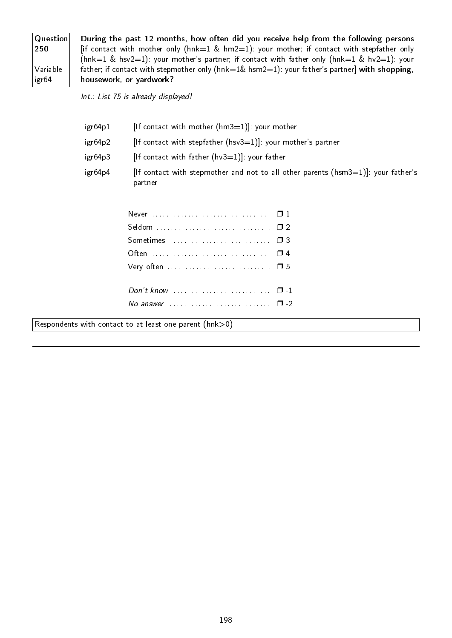| Question<br>250   |  |
|-------------------|--|
| Variable<br>igr64 |  |

During the past 12 months, how often did you receive help from the following persons [if contact with mother only ( $hnk=1$  &  $hm2=1$ ): your mother; if contact with stepfather only (hnk=1 & hsv2=1): your mother's partner; if contact with father only (hnk=1 & hv2=1): your father; if contact with stepmother only (hnk=1& hsm2=1): your father's partner] with shopping, housework, or yardwork?

Int.: List 75 is already displayed!

| igr64p1 | [If contact with mother $(hm3=1)$ ]: your mother                                                |
|---------|-------------------------------------------------------------------------------------------------|
| igr64p2 | [If contact with stepfather ( $hsv3=1$ ]]: your mother's partner                                |
| igr64p3 | $[$ If contact with father $(hv3=1)$ ]: your father                                             |
| igr64p4 | [If contact with stepmother and not to all other parents ( $hsm3=1$ ]: your father's<br>partner |

| Very often $\dots \dots \dots \dots \dots \dots \dots \dots \dots \dots \dots \dots \dots \dots \dots \dots \dots$ |  |
|--------------------------------------------------------------------------------------------------------------------|--|
|                                                                                                                    |  |
|                                                                                                                    |  |
|                                                                                                                    |  |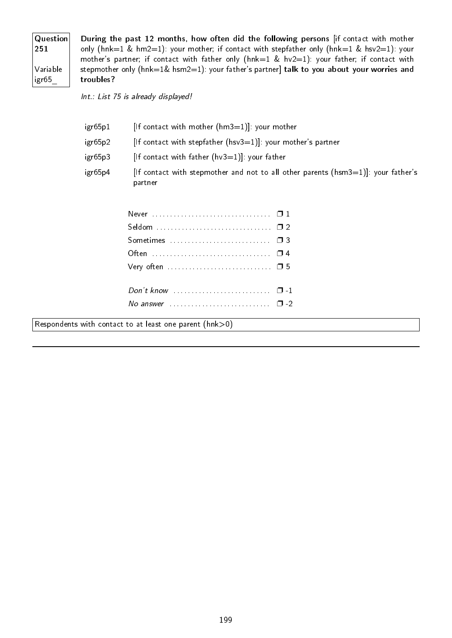| <b>Question</b> |
|-----------------|
| 251             |
|                 |
| Variable        |
| igr65           |

During the past 12 months, how often did the following persons [if contact with mother only (hnk=1 & hm2=1): your mother; if contact with stepfather only (hnk=1 & hsv2=1): your mother's partner; if contact with father only (hnk=1 & hv2=1): your father; if contact with stepmother only (hnk=1& hsm2=1): your father's partner] talk to you about your worries and troubles?

Int.: List 75 is already displayed!

| igr65p1 | [If contact with mother $(hm3=1)$ ]: your mother                                                |
|---------|-------------------------------------------------------------------------------------------------|
| igr65p2 | $[$ If contact with stepfather $(hsv3=1)]$ : your mother's partner                              |
| igr65p3 | $[$ If contact with father $(hv3=1)$ ]: your father                                             |
| igr65p4 | [If contact with stepmother and not to all other parents ( $hsm3=1$ ]: your father's<br>partner |

| Very often $\dots \dots \dots \dots \dots \dots \dots \dots \dots \dots \dots \dots \dots \dots \dots \dots \dots$ |  |
|--------------------------------------------------------------------------------------------------------------------|--|
|                                                                                                                    |  |
|                                                                                                                    |  |
|                                                                                                                    |  |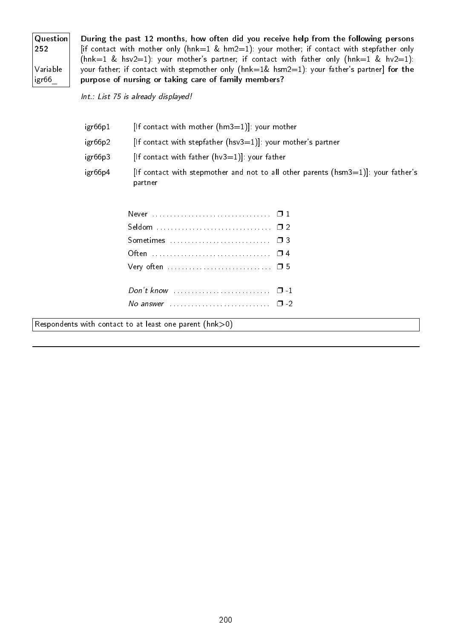| Question | During the past 12 months, how often did you receive help from the following persons                     |
|----------|----------------------------------------------------------------------------------------------------------|
| 252      | [if contact with mother only ( $h n k = 1$ & $h m 2 = 1$ ): your mother; if contact with stepfather only |
|          | (hnk=1 & hsv2=1): your mother's partner; if contact with father only (hnk=1 & hv2=1):                    |
| Variable | your father; if contact with stepmother only (hnk=1& hsm2=1): your father's partner] for the             |
| igr66    | purpose of nursing or taking care of family members?                                                     |
|          |                                                                                                          |

Int.: List 75 is already displayed!

| igr66p4 | [If contact with stepmother and not to all other parents ( $h$ sm $3=1$ ]: your father's<br>partner |
|---------|-----------------------------------------------------------------------------------------------------|
| igr66p3 | [If contact with father $(hv3=1)$ ]: your father                                                    |
| igr66p2 | $[$ If contact with stepfather $(hsv3=1)]$ : your mother's partner                                  |
| igr66p1 | $[$ If contact with mother $(hm3=1)]$ : your mother                                                 |

| Very often $\dots \dots \dots \dots \dots \dots \dots \dots \dots \dots \dots \dots \dots \dots \dots \dots \dots$ |  |
|--------------------------------------------------------------------------------------------------------------------|--|
|                                                                                                                    |  |
|                                                                                                                    |  |
|                                                                                                                    |  |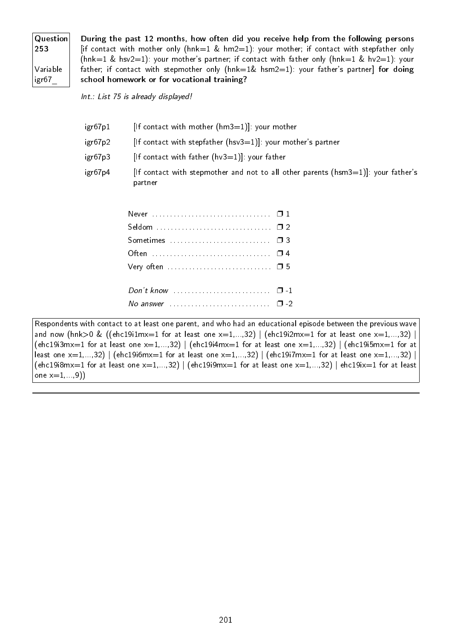| Question<br>253   |  |
|-------------------|--|
| Variable<br>igr67 |  |

During the past 12 months, how often did you receive help from the following persons [if contact with mother only ( $h n k=1$  &  $h m 2=1$ ): your mother; if contact with stepfather only (hnk=1 & hsv2=1): your mother's partner; if contact with father only (hnk=1 & hv2=1): your father; if contact with stepmother only ( $h n k=1$ & hsm2=1): your father's partner] for doing school homework or for vocational training?

Int.: List 75 is already displayed!

| igr67p1 | [If contact with mother $(hm3=1)$ ]: your mother                                                 |
|---------|--------------------------------------------------------------------------------------------------|
| igr67p2 | $[$ If contact with stepfather $(hsv3=1)]$ : your mother's partner                               |
| igr67p3 | $[$ If contact with father $(hv3=1)$ ]: your father                                              |
| igr67p4 | [If contact with stepmother and not to all other parents ( $hsm3=1$ ]]: your father's<br>partner |

| Very often $\dots\dots\dots\dots\dots\dots\dots\dots\dots\Box$ 5            |  |
|-----------------------------------------------------------------------------|--|
|                                                                             |  |
| Don't know $\ldots \ldots \ldots \ldots \ldots \ldots \ldots \quad \Box -1$ |  |
| No answer $\ldots$ $\ldots$ $\ldots$ $\ldots$ $\ldots$ $\ldots$ $\Box$ -2   |  |

Respondents with contact to at least one parent, and who had an educational episode between the previous wave and now (hnk>0 & ((ehc19i1mx=1 for at least one x=1,...,32) | (ehc19i2mx=1 for at least one x=1,...,32) | (ehc19i3mx=1 for at least one  $x=1,...,32$ ) | (ehc19i4mx=1 for at least one  $x=1,...,32$ ) | (ehc19i5mx=1 for at least one  $x=1,...,32$  | (ehc19i6mx=1 for at least one  $x=1,...,32$ ) | (ehc19i7mx=1 for at least one  $x=1,...,32$ ) | (ehc19i8mx=1 for at least one  $x=1,...,32$ ) | (ehc19i9mx=1 for at least one  $x=1,...,32$ ) | ehc19ix=1 for at least one  $x=1,...,9)$ )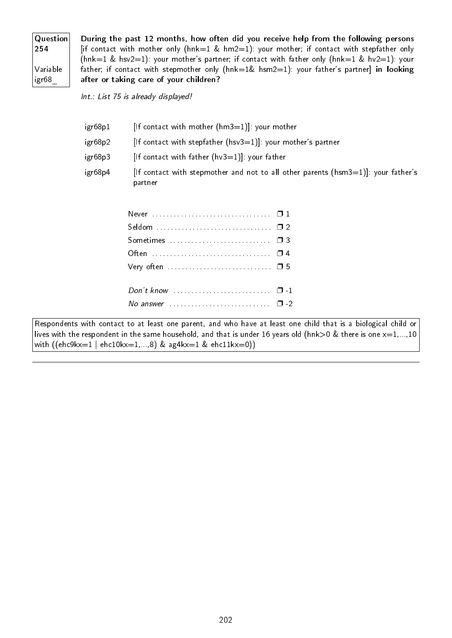| Question <br>254  |  |
|-------------------|--|
| Variable<br>igr68 |  |

During the past 12 months, how often did you receive help from the following persons [if contact with mother only ( $h n k=1$  &  $h m 2=1$ ): your mother; if contact with stepfather only (hnk=1 & hsv2=1): your mother's partner; if contact with father only (hnk=1 & hv2=1): your father; if contact with stepmother only (hnk=1& hsm2=1): your father's partner] in looking after or taking care of your children?

Int.: List 75 is already displayed!

| igr68p1 | $[$ If contact with mother $(hm3=1)$ ]: your mother                                             |
|---------|-------------------------------------------------------------------------------------------------|
| igr68p2 | $[$ If contact with stepfather $(hsv3=1)$ ]: your mother's partner                              |
| igr68p3 | [If contact with father $(hv3=1)$ ]: your father                                                |
| igr68p4 | [If contact with stepmother and not to all other parents ( $hsm3=1$ ]: your father's<br>partner |

Respondents with contact to at least one parent, and who have at least one child that is a biological child or lives with the respondent in the same household, and that is under 16 years old (hnk>0 & there is one  $x=1,...,10$ with  $((ehc9kx=1 | ehc10kx=1,...,8)$  & ag4kx=1 & ehc11kx=0))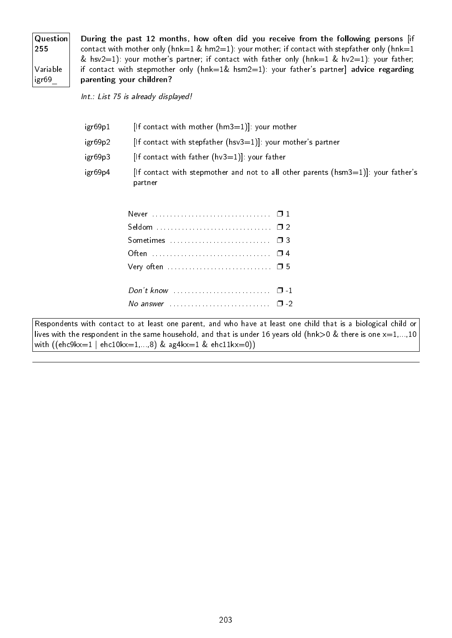| Question<br>255   |
|-------------------|
| Variable<br>igr69 |

During the past 12 months, how often did you receive from the following persons [if contact with mother only (hnk=1 & hm2=1): your mother; if contact with stepfather only (hnk=1 & hsv2=1): your mother's partner; if contact with father only (hnk=1 & hv2=1): your father; if contact with stepmother only (hnk=1& hsm2=1): your father's partner] advice regarding parenting your children?

Int.: List 75 is already displayed!

| igr69p1 | [If contact with mother $(hm3=1)$ ]: your mother                                                |
|---------|-------------------------------------------------------------------------------------------------|
| igr69p2 | $[$ If contact with stepfather $(hsv3=1)$ ]: your mother's partner                              |
| igr69p3 | [If contact with father $(hv3=1)$ ]: your father                                                |
| igr69p4 | [If contact with stepmother and not to all other parents ( $hsm3=1$ ]: your father's<br>partner |

Respondents with contact to at least one parent, and who have at least one child that is a biological child or lives with the respondent in the same household, and that is under 16 years old (hnk>0 & there is one  $x=1,...,10$ with ((ehc9kx=1 | ehc10kx=1,...,8) & ag4kx=1 & ehc11kx=0))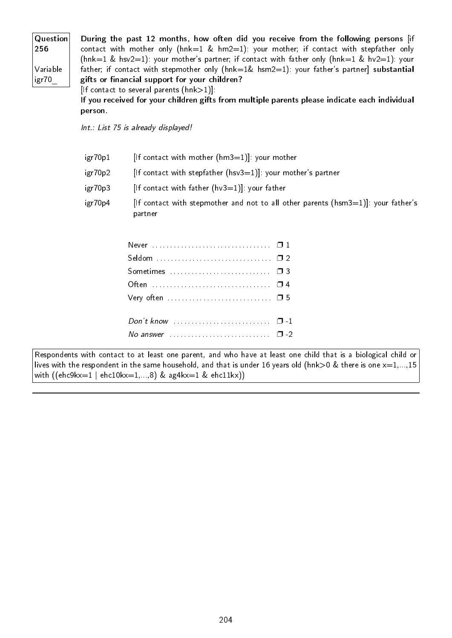| Question | During the past 12 months, how often did you receive from the following persons lif                     |
|----------|---------------------------------------------------------------------------------------------------------|
| 256      | contact with mother only ( $hnk=1$ & $hm2=1$ ): your mother; if contact with stepfather only            |
|          | (hnk=1 & hsv2=1): your mother's partner; if contact with father only (hnk=1 & hv2=1): your              |
| Variable | father; if contact with stepmother only ( $h n k=1$ & $h s m/2=1$ ): your father's partner] substantial |
| igr70    | gifts or financial support for your children?                                                           |
|          | $[$ If contact to several parents $(hnk>1)]$ :                                                          |

If you received for your children gifts from multiple parents please indicate each individual person.

Int.: List 75 is already displayed!

| igr70p1 | [If contact with mother $(hm3=1)$ ]: your mother                                                |
|---------|-------------------------------------------------------------------------------------------------|
| igr70p2 | $[$ If contact with stepfather $(hsv3=1)]$ : your mother's partner                              |
| igr70p3 | $[$ If contact with father $(hv3=1)$ ]: your father                                             |
| igr70p4 | [If contact with stepmother and not to all other parents ( $hsm3=1$ ]: your father's<br>partner |

Respondents with contact to at least one parent, and who have at least one child that is a biological child or lives with the respondent in the same household, and that is under 16 years old (hnk>0 & there is one  $x=1,...,15$ with ((ehc9kx=1 | ehc10kx=1,...,8) & ag4kx=1 & ehc11kx))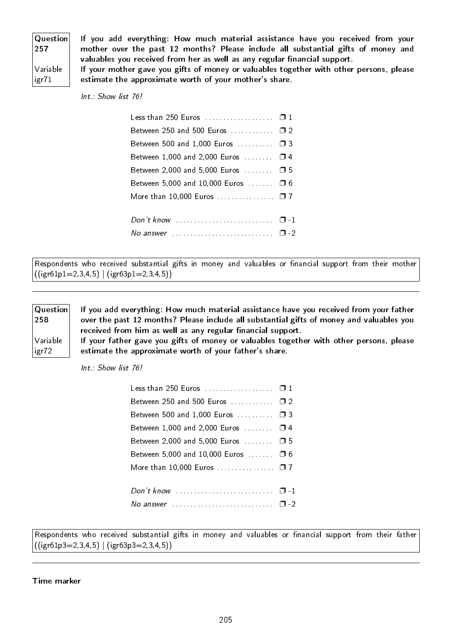| Question<br>257   |
|-------------------|
| Variable<br>igr71 |

If you add everything: How much material assistance have you received from your mother over the past 12 months? Please include all substantial gifts of money and valuables you received from her as well as any regular financial support.

If your mother gave you gifts of money or valuables together with other persons, please estimate the approximate worth of your mother's share.

Int.: Show list 76!

| Less than 250 Euros  0 1               |  |
|----------------------------------------|--|
| Between 250 and 500 Euros  □ 2         |  |
| Between 500 and 1,000 Euros  □ 3       |  |
| Between 1,000 and 2,000 Euros $\Box$ 4 |  |
| Between 2,000 and 5,000 Euros  □ 5     |  |
| Between 5,000 and 10,000 Euros  □ 6    |  |
| More than 10,000 Euros $\square$ 7     |  |
|                                        |  |
|                                        |  |
|                                        |  |
|                                        |  |

Respondents who received substantial gifts in money and valuables or financial support from their mother  $((igr61p1=2,3,4,5) | (igr63p1=2,3,4,5))$ 

Question 258

Variable igr72

If you add everything: How much material assistance have you received from your father over the past 12 months? Please include all substantial gifts of money and valuables you received from him as well as any regular financial support.

If your father gave you gifts of money or valuables together with other persons, please estimate the approximate worth of your father's share.

Int.: Show list 76!

| Less than 250 Euros $\,\ldots\, \ldots\, \ldots\, \blacksquare\, 1$     |  |
|-------------------------------------------------------------------------|--|
| Between 250 and 500 Euros  □ 2                                          |  |
| Between 500 and 1,000 Euros $\ldots \ldots \square$ 3                   |  |
| Between 1,000 and 2,000 Euros  □ 4                                      |  |
| Between 2,000 and 5,000 Euros  □ 5                                      |  |
| Between 5,000 and 10,000 Euros $\dots \dots$ $\Box$ 6                   |  |
| More than 10,000 Euros  □ 7                                             |  |
|                                                                         |  |
| No answer $\ldots \ldots \ldots \ldots \ldots \ldots \ldots \square$ -2 |  |

Respondents who received substantial gifts in money and valuables or financial support from their father  $((igr61p3=2,3,4,5) | (igr63p3=2,3,4,5))$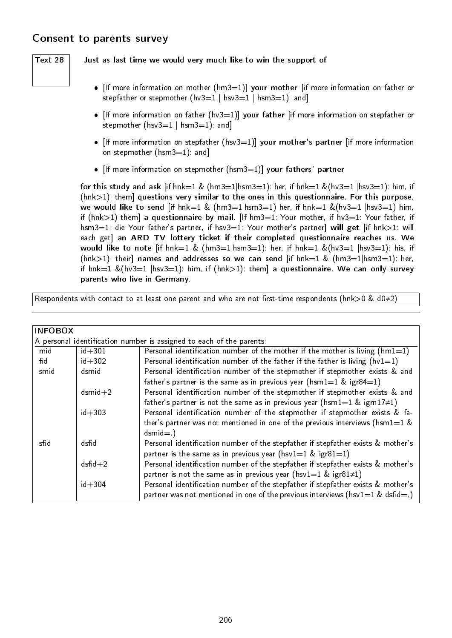## Consent to parents survey

### Text 28  $\parallel$  Just as last time we would very much like to win the support of

- $\bullet$  [If more information on mother (hm3=1)] your mother [if more information on father or stepfather or stepmother (hv3=1 | hsv3=1 | hsm3=1): and
- $\bullet$  [If more information on father (hv3=1)] your father [if more information on stepfather or stepmother ( $hsv3=1$  |  $hsm3=1$ ): and
- [If more information on stepfather (hsv3=1)] your mother's partner [if more information on stepmother (hsm3=1): and]
- [If more information on stepmother (hsm3=1)] your fathers' partner

for this study and ask  $\left[\text{if hnk=1 \& (hm3=1|hsm3=1): her, if hnk=1 \& (hv3=1|hsv3=1): him, if }\right]$  $(hnk>1)$ : them] questions very similar to the ones in this questionnaire. For this purpose, we would like to send [if hnk=1 & (hm3=1|hsm3=1) her, if hnk=1 &(hv3=1 |hsv3=1) him, if (hnk $>1$ ) them] a questionnaire by mail. [If hm3=1: Your mother, if hv3=1: Your father, if hsm3=1: die Your father's partner, if hsv3=1: Your mother's partner] will get [if hnk>1: will each get] an ARD TV lottery ticket if their completed questionnaire reaches us. We would like to note [if  $hnk=1$  &  $(hm3=1|hsm3=1)$ : her, if  $hnk=1$  &  $(hv3=1|hsv3=1)$ : his, if (hnk>1): their] names and addresses so we can send [if hnk=1 & (hm3=1|hsm3=1): her, if hnk=1 &(hv3=1 |hsv3=1): him, if (hnk>1): them] a questionnaire. We can only survey parents who live in Germany.

Respondents with contact to at least one parent and who are not first-time respondents (hnk>0 & d0≠2)

| <b>INFOBOX</b> |               |                                                                                   |
|----------------|---------------|-----------------------------------------------------------------------------------|
|                |               | A personal identification number is assigned to each of the parents:              |
| mid            | $id + 301$    | Personal identification number of the mother if the mother is living $(hm1=1)$    |
| fid            | $id + 302$    | Personal identification number of the father if the father is living $(hv1=1)$    |
| smid           | dsmid         | Personal identification number of the stepmother if stepmother exists & and       |
|                |               | father's partner is the same as in previous year (hsm1=1 & igr84=1)               |
|                | $d$ smid $+2$ | Personal identification number of the stepmother if stepmother exists & and       |
|                |               | father's partner is not the same as in previous year (hsm1=1 & igrn17 $\neq$ 1)   |
|                | $id + 303$    | Personal identification number of the stepmother if stepmother exists & fa-       |
|                |               | ther's partner was not mentioned in one of the previous interviews (hsm1=1 $\&$   |
|                |               | $d$ smid= $)$                                                                     |
| sfid           | dsfid         | Personal identification number of the stepfather if stepfather exists & mother's  |
|                |               | partner is the same as in previous year (hsv1=1 & igr81=1)                        |
|                | $dsfid+2$     | Personal identification number of the stepfather if stepfather exists & mother's  |
|                |               | partner is not the same as in previous year (hsv1=1 & igr81 $\neq$ 1)             |
|                | $id + 304$    | Personal identification number of the stepfather if stepfather exists & mother's  |
|                |               | partner was not mentioned in one of the previous interviews ( $hsv1=1$ & dsfid=.) |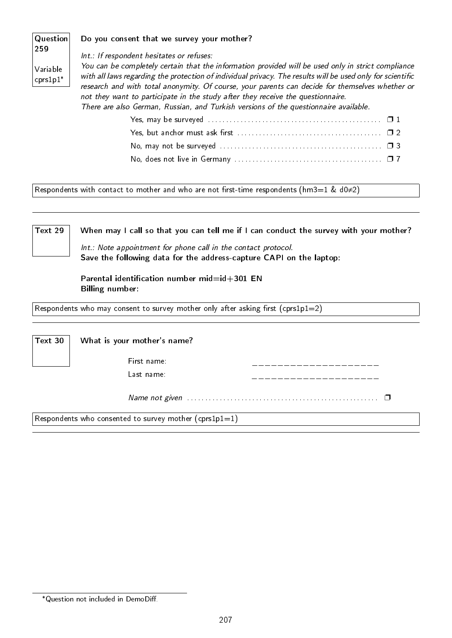| Question                           | Do you consent that we survey your mother?                                                                                                                                                                                                                                                                                                                                                                                                                                                                                                  |
|------------------------------------|---------------------------------------------------------------------------------------------------------------------------------------------------------------------------------------------------------------------------------------------------------------------------------------------------------------------------------------------------------------------------------------------------------------------------------------------------------------------------------------------------------------------------------------------|
| 259<br>Variable<br>$ $ cprs $1p1*$ | Int.: If respondent hesitates or refuses:<br>You can be completely certain that the information provided will be used only in strict compliance<br>with all laws regarding the protection of individual privacy. The results will be used only for scientific<br>research and with total anonymity. Of course, your parents can decide for themselves whether or<br>not they want to participate in the study after they receive the questionnaire.<br>There are also German, Russian, and Turkish versions of the questionnaire available. |
|                                    |                                                                                                                                                                                                                                                                                                                                                                                                                                                                                                                                             |
|                                    |                                                                                                                                                                                                                                                                                                                                                                                                                                                                                                                                             |
|                                    | No, may not be surveyed $\ldots \ldots \ldots \ldots \ldots \ldots \ldots \ldots \ldots \ldots \ldots \square 3$                                                                                                                                                                                                                                                                                                                                                                                                                            |

No, does not live in Germany . . . . . . . . . . . . . . . . . . . . . . . . . . . . . . . . . . . . . . . . . ❐ 7

Respondents with contact to mother and who are not first-time respondents (hm3=1 & d0≠2)

Text 29 When may I call so that you can tell me if I can conduct the survey with your mother? Int.: Note appointment for phone call in the contact protocol.

Save the following data for the address-capture CAPI on the laptop:

Parental identification number mid= $id+301$  EN Billing number:

Respondents who may consent to survey mother only after asking first (cprs1p1=2)

Text 30 What is your mother's name? First name: Last name: \_\_\_\_\_\_\_\_\_\_\_\_\_\_\_\_\_\_\_\_ Name not given . . . . . . . . . . . . . . . . . . . . . . . . . . . . . . . . . . . . . . . . . . . . . . . . . . . . . ❐ Respondents who consented to survey mother (cprs1p1=1)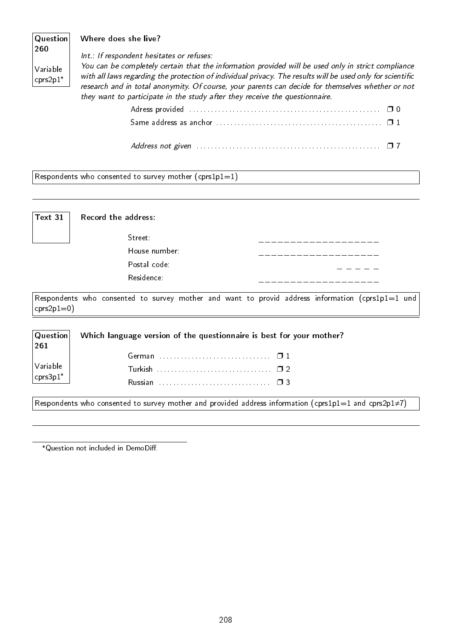| Question<br>260        | Where does she live?                                                                                                                                                                                                                                                                                                                                                                                 |
|------------------------|------------------------------------------------------------------------------------------------------------------------------------------------------------------------------------------------------------------------------------------------------------------------------------------------------------------------------------------------------------------------------------------------------|
|                        | Int.: If respondent hesitates or refuses:                                                                                                                                                                                                                                                                                                                                                            |
| Variable<br>$cprs2p1*$ | You can be completely certain that the information provided will be used only in strict compliance<br>with all laws regarding the protection of individual privacy. The results will be used only for scientific<br>research and in total anonymity. Of course, your parents can decide for themselves whether or not<br>they want to participate in the study after they receive the questionnaire. |
|                        |                                                                                                                                                                                                                                                                                                                                                                                                      |

Respondents who consented to survey mother  $(cps1p1=1)$ 

| Text 31 | Record the address: |  |
|---------|---------------------|--|
|         | Street:             |  |
|         | House number:       |  |
|         | Postal code:        |  |
|         | Residence           |  |
|         |                     |  |

Respondents who consented to survey mother and want to provid address information (cprs1p1=1 und  $cps2p1=0)$ 

| $1^{261}$                                                          | $ $ Question Which language version of the questionnaire is best for your mother? |  |  |
|--------------------------------------------------------------------|-----------------------------------------------------------------------------------|--|--|
|                                                                    | German $\Box$ 1                                                                   |  |  |
| $\begin{array}{ l } \text{Variable} \\ \text{cps3p1*} \end{array}$ |                                                                                   |  |  |
|                                                                    |                                                                                   |  |  |

Respondents who consented to survey mother and provided address information (cprs1p1=1 and cprs2p1≠7)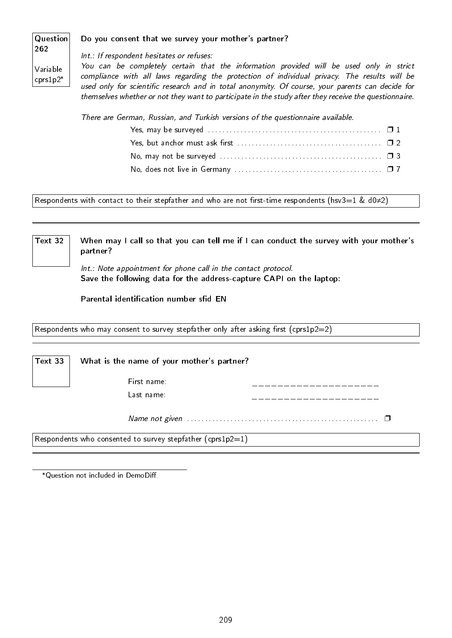#### Question Do you consent that we survey your mother's partner?

262 Variable cprs1p2\*

Int.: If respondent hesitates or refuses:

You can be completely certain that the information provided will be used only in strict compliance with all laws regarding the protection of individual privacy. The results will be used only for scientific research and in total anonymity. Of course, your parents can decide for themselves whether or not they want to participate in the study after they receive the questionnaire.

There are German, Russian, and Turkish versions of the questionnaire available.

Respondents with contact to their stepfather and who are not first-time respondents (hsv3=1 & d0≠2)

Text 32  $\parallel$  When may I call so that you can tell me if I can conduct the survey with your mother's partner?

> Int.: Note appointment for phone call in the contact protocol. Save the following data for the address-capture CAPI on the laptop:

Parental identification number sfid EN

Respondents who may consent to survey stepfather only after asking first (cprs1p2=2)

Text 33  $\parallel$  What is the name of your mother's partner?

First name: Last name:

Name not given . . . . . . . . . . . . . . . . . . . . . . . . . . . . . . . . . . . . . . . . . . . . . . . . . . . . . ❐

Respondents who consented to survey stepfather (cprs1p2=1)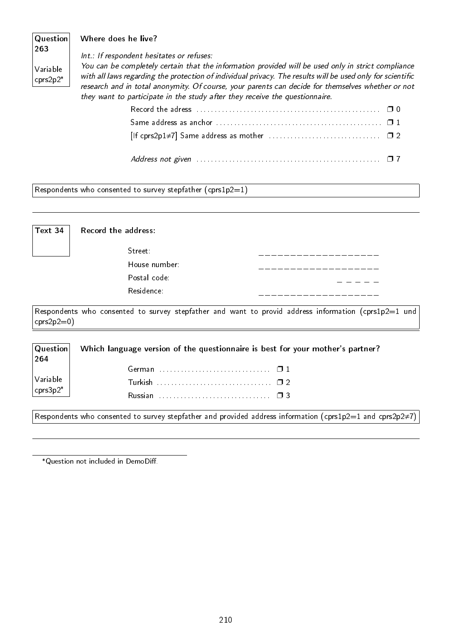#### Question 263 Variable cprs2p2\* Where does he live? Int.: If respondent hesitates or refuses: You can be completely certain that the information provided will be used only in strict compliance with all laws regarding the protection of individual privacy. The results will be used only for scientific research and in total anonymity. Of course, your parents can decide for themselves whether or not they want to participate in the study after they receive the questionnaire. Record the adress . . . . . . . . . . . . . . . . . . . . . . . . . . . . . . . . . . . . . . . . . . . . . . . . . . . ❐ 0

| Same address as anchor $\ldots, \ldots, \ldots, \ldots, \ldots, \ldots, \ldots, \ldots, \square$ 1                       |  |
|--------------------------------------------------------------------------------------------------------------------------|--|
|                                                                                                                          |  |
| Address not given $\ldots \ldots \ldots \ldots \ldots \ldots \ldots \ldots \ldots \ldots \ldots \ldots \ldots \square 7$ |  |

Respondents who consented to survey stepfather (cprs1p2=1)

| Text 34 | Record the address: |  |
|---------|---------------------|--|
|         | Street:             |  |
|         | House number:       |  |
|         | Postal code:        |  |
|         | Residence           |  |
|         |                     |  |

Respondents who consented to survey stepfather and want to provid address information (cprs1p2=1 und  $cps2p2=0$ )

| <b>Question</b><br> 264                                                    | Which language version of the questionnaire is best for your mother's partner? |
|----------------------------------------------------------------------------|--------------------------------------------------------------------------------|
|                                                                            |                                                                                |
| $\bigg \begin{array}{c} \textsf{Variable} \ \textsf{cps3p2}^* \end{array}$ |                                                                                |
|                                                                            |                                                                                |

Respondents who consented to survey stepfather and provided address information (cprs1p2=1 and cprs2p2≠7)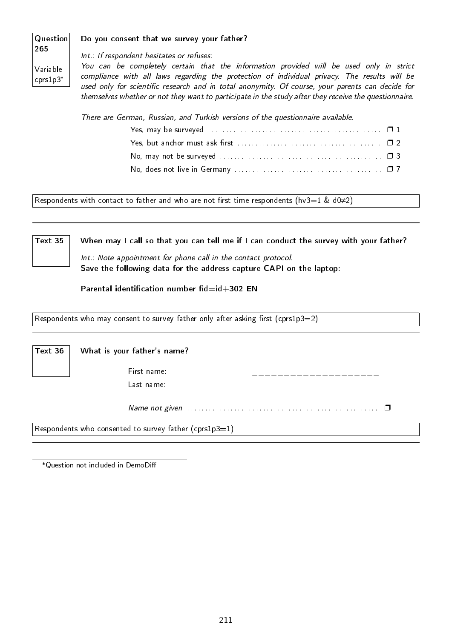#### Question Do you consent that we survey your father?

265 Variable cprs1p3\*

Int.: If respondent hesitates or refuses:

You can be completely certain that the information provided will be used only in strict compliance with all laws regarding the protection of individual privacy. The results will be used only for scientific research and in total anonymity. Of course, your parents can decide for themselves whether or not they want to participate in the study after they receive the questionnaire.

There are German, Russian, and Turkish versions of the questionnaire available.

| Yes, but anchor must ask first $\dots\dots\dots\dots\dots\dots\dots\dots\dots\dots\dots\quad\Box$ 2 |  |
|-----------------------------------------------------------------------------------------------------|--|
|                                                                                                     |  |
|                                                                                                     |  |

Respondents with contact to father and who are not first-time respondents (hv3=1 & d0≠2)

Text 35  $\parallel$  When may I call so that you can tell me if I can conduct the survey with your father? Int.: Note appointment for phone call in the contact protocol.

Save the following data for the address-capture CAPI on the laptop:

Parental identification number  $fid=id+302$  EN

Respondents who may consent to survey father only after asking first (cprs1p3=2)

| $ $ Text 36 | What is your father's name? |  |
|-------------|-----------------------------|--|
|             | First name:                 |  |
|             | Last name:                  |  |

Name not given . . . . . . . . . . . . . . . . . . . . . . . . . . . . . . . . . . . . . . . . . . . . . . . . . . . . . ❐

Respondents who consented to survey father (cprs1p3=1)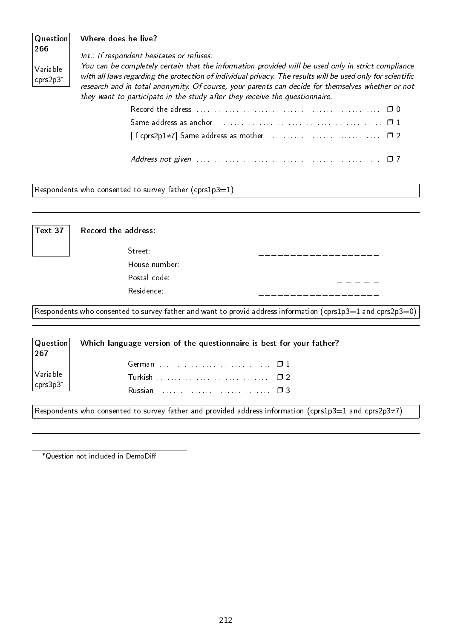#### Question 266 Variable cprs2p3\* Where does he live? Int.: If respondent hesitates or refuses: You can be completely certain that the information provided will be used only in strict compliance with all laws regarding the protection of individual privacy. The results will be used only for scientific research and in total anonymity. Of course, your parents can decide for themselves whether or not they want to participate in the study after they receive the questionnaire. Record the adress . . . . . . . . . . . . . . . . . . . . . . . . . . . . . . . . . . . . . . . . . . . . . . . . . . . ❐ 0

| Record the adress $\ldots$ , $\ldots$ , $\ldots$ , $\ldots$ , $\ldots$ , $\ldots$ , $\ldots$ , $\ldots$ , $\Box$ 0 |  |
|--------------------------------------------------------------------------------------------------------------------|--|
|                                                                                                                    |  |
|                                                                                                                    |  |
|                                                                                                                    |  |

Respondents who consented to survey father (cprs1p3=1)

| Text 37 | Record the address: |                                                                                                                   |
|---------|---------------------|-------------------------------------------------------------------------------------------------------------------|
|         | $\mathsf{Street}$   |                                                                                                                   |
|         | House number:       |                                                                                                                   |
|         | Postal code:        |                                                                                                                   |
|         | Residence:          |                                                                                                                   |
|         |                     |                                                                                                                   |
|         |                     | $ \,$ Respondents who consented to survey father and want to provid address information (cprs1p3=1 and cprs2p3=0) |

| Question <br>267                                                        | Which language version of the questionnaire is best for your father?                                  |
|-------------------------------------------------------------------------|-------------------------------------------------------------------------------------------------------|
|                                                                         |                                                                                                       |
| $\begin{array}{c} \sqrt{\text{Variable}} \\ \text{cps3p3*} \end{array}$ |                                                                                                       |
|                                                                         |                                                                                                       |
|                                                                         | Respondents who consented to survey father and provided address information (cprs1p3=1 and cprs2p3≠7) |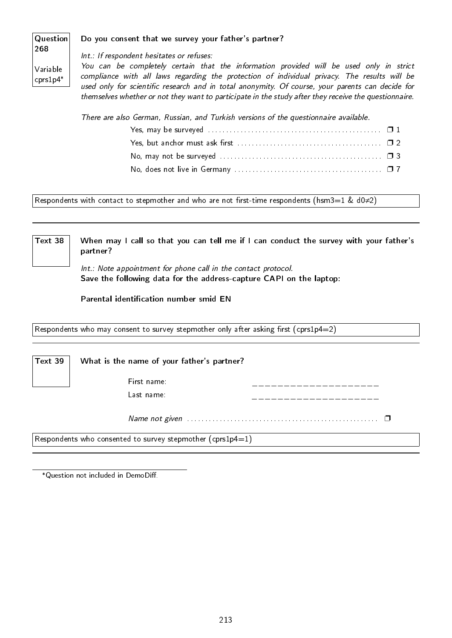#### Question Do you consent that we survey your father's partner?

268 Variable

cprs1p4\*

Int.: If respondent hesitates or refuses:

You can be completely certain that the information provided will be used only in strict compliance with all laws regarding the protection of individual privacy. The results will be used only for scientific research and in total anonymity. Of course, your parents can decide for themselves whether or not they want to participate in the study after they receive the questionnaire.

There are also German, Russian, and Turkish versions of the questionnaire available.

Respondents with contact to stepmother and who are not first-time respondents (hsm3=1 & d0≠2)

Text 38  $\parallel$  When may I call so that you can tell me if I can conduct the survey with your father's partner?

> Int.: Note appointment for phone call in the contact protocol. Save the following data for the address-capture CAPI on the laptop:

Parental identification number smid EN

Respondents who may consent to survey stepmother only after asking first (cprs1p4=2)

Text 39  $\parallel$  What is the name of your father's partner?

First name: Last name:

Name not given . . . . . . . . . . . . . . . . . . . . . . . . . . . . . . . . . . . . . . . . . . . . . . . . . . . . . ❐

Respondents who consented to survey stepmother (cprs1p4=1)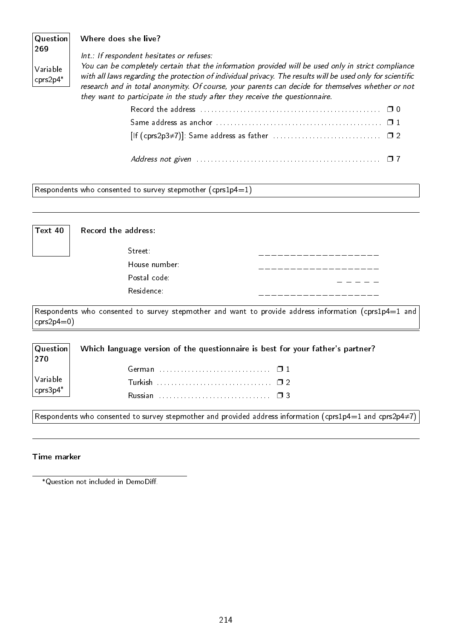#### Question 269 Variable cprs2p4\* Where does she live? Int.: If respondent hesitates or refuses: You can be completely certain that the information provided will be used only in strict compliance with all laws regarding the protection of individual privacy. The results will be used only for scientific research and in total anonymity. Of course, your parents can decide for themselves whether or not they want to participate in the study after they receive the questionnaire. Record the address . . . . . . . . . . . . . . . . . . . . . . . . . . . . . . . . . . . . . . . . . . . . . . . . . . ❐ 0

| $[$ If (cprs2p3≠7)]: Same address as father $\ldots \ldots \ldots \ldots \ldots \ldots \ldots \ldots \square 2$ |  |
|-----------------------------------------------------------------------------------------------------------------|--|
|                                                                                                                 |  |

Respondents who consented to survey stepmother (cprs1p4=1)

| Text 40 | Record the address: |  |
|---------|---------------------|--|
|         | Street:             |  |
|         | House number:       |  |
|         | Postal code:        |  |
|         | Residence           |  |
|         |                     |  |

Respondents who consented to survey stepmother and want to provide address information (cprs1p4=1 and  $crs2p4=0)$ 

| $ $ Question $ $<br> 270                     | Which language version of the questionnaire is best for your father's partner? |
|----------------------------------------------|--------------------------------------------------------------------------------|
|                                              |                                                                                |
| $\bigg \text{Variable} \atop \text{cps3p4*}$ | Turkish $\ldots$ . $\ldots$ . $\ldots$ . $\ldots$ . $\ldots$ $\Box$ 2          |
|                                              | Russian $\cdots$ , $\cdots$ , $\cdots$ , $\cdots$ , $\Box$ 3                   |

Respondents who consented to survey stepmother and provided address information (cprs1p4=1 and cprs2p4≠7)

#### Time marker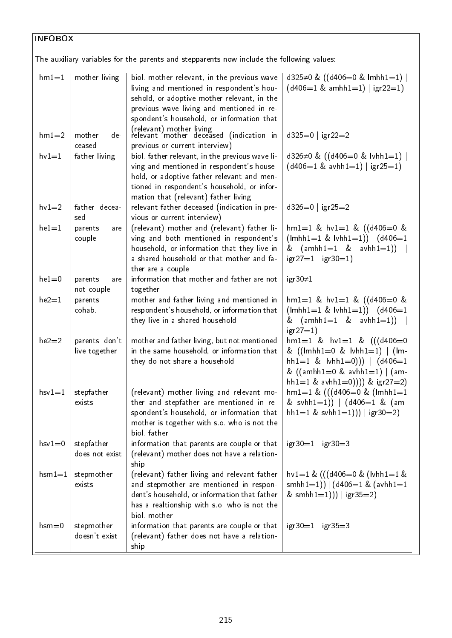$\boxed{\mathsf{The}$  auxiliary variables for the parents and stepparents now include the following values:

| $hm1=1$   | mother living  | biol. mother relevant, in the previous wave                                                  | d325 $\neq$ 0 & ((d406=0 & lmhh1=1)                                              |
|-----------|----------------|----------------------------------------------------------------------------------------------|----------------------------------------------------------------------------------|
|           |                | living and mentioned in respondent's hou-                                                    | $(d406=1 \& \text{amhh1}=1)   \text{igr2}=1)$                                    |
|           |                | sehold, or adoptive mother relevant, in the                                                  |                                                                                  |
|           |                | previous wave living and mentioned in re-                                                    |                                                                                  |
|           |                | spondent's household, or information that                                                    |                                                                                  |
| $hm1=2$   | mother<br>de-  | (relevant) mother living<br>relevant mother deceased (indication in                          | $d325=0$   igr22=2                                                               |
|           | ceased         | previous or current interview)                                                               |                                                                                  |
| $hv1=1$   | father living  | biol. father relevant, in the previous wave li-<br>ving and mentioned in respondent's house- | d326≠0 & ((d406=0 & lvhh1=1)  <br>$(d406=1 \& \text{avhh1}=1)   \text{igr25}=1)$ |
|           |                | hold, or adoptive father relevant and men-                                                   |                                                                                  |
|           |                | tioned in respondent's household, or infor-                                                  |                                                                                  |
|           |                | mation that (relevant) father living                                                         |                                                                                  |
| $hv1=2$   | father decea-  | relevant father deceased (indication in pre-                                                 | $d326=0$   igr25=2                                                               |
|           | sed            | vious or current interview)                                                                  |                                                                                  |
| $he1 = 1$ | parents<br>are | (relevant) mother and (relevant) father li-<br>ving and both mentioned in respondent's       | $hm1=1$ & $hv1=1$ & $((d406=0$ &<br>$(lmhh1=1 \& lvhh1=1))   (d406=1$            |
|           | couple         | household, or information that they live in                                                  | & $(amhh1=1 \& avhh1=1))$                                                        |
|           |                | a shared household or that mother and fa-                                                    | $\lg r 27 = 1   \lg r 30 = 1)$                                                   |
|           |                | ther are a couple                                                                            |                                                                                  |
| $he1=0$   | parents<br>are | information that mother and father are not                                                   | igr $30\neq 1$                                                                   |
|           | not couple     | together                                                                                     |                                                                                  |
| $he2=1$   | parents        | mother and father living and mentioned in                                                    | $hm1=1$ & $hv1=1$ & $((d406=0$ &                                                 |
|           | cohab.         | respondent's household, or information that                                                  | $(lmhh1=1 \& lvhh1=1))   (d406=1$                                                |
|           |                | they live in a shared household                                                              | & $(amhh1=1 \& avhh1=1))$<br>$igr27 = 1$ )                                       |
| $he2=2$   | parents don't  | mother and father living, but not mentioned                                                  | $hm1=1$ & $hv1=1$ & $(((d406=0$                                                  |
|           | live together  | in the same household, or information that                                                   | & $((\text{lmhh1=0 \& \text{lvhh1=1})   (\text{lm-})$                            |
|           |                | they do not share a household                                                                | hh1=1 & $\vert$ vhh1=0)))   $\vert$ (d406=1                                      |
|           |                |                                                                                              | & $((amhh1=0 \&avhh1=1)   (am-1))$                                               |
|           |                |                                                                                              | hh1=1 & avhh1=0)))) & $\frac{1}{2}$ (gr27=2)                                     |
| $hsv1=1$  | stepfather     | (relevant) mother living and relevant mo-                                                    | $hm1=1$ & $(((d406=0$ & $(lmh1=1$                                                |
|           | exists         | ther and stepfather are mentioned in re-                                                     | & svhh1=1))   $(d406=1 \& (am-$                                                  |
|           |                | spondent's household, or information that                                                    | hh1=1 & svhh1=1))   igr30=2)                                                     |
|           |                | mother is together with s.o. who is not the                                                  |                                                                                  |
|           |                | biol father                                                                                  |                                                                                  |
| $hsv1=0$  | stepfather     | information that parents are couple or that                                                  | $\lg r30 = 1$   $\lg r30 = 3$                                                    |
|           | does not exist | (relevant) mother does not have a relation-                                                  |                                                                                  |
|           |                | ship                                                                                         |                                                                                  |
| $hsm1=1$  | stepmother     | (relevant) father living and relevant father                                                 | $hv1=1$ & (((d406=0 & (lvhh1=1 &                                                 |
|           | exists         | and stepmother are mentioned in respon-<br>dent's household, or information that father      | smhh $1=1$ )) $ $ (d406=1 & (avhh $1=1$                                          |
|           |                | has a realtionship with s.o. who is not the                                                  | & smhh1=1))   igr35=2)                                                           |
|           |                | biol mother                                                                                  |                                                                                  |
| $hsm = 0$ | stepmother     | information that parents are couple or that                                                  | $\lg r30 = 1$   $\lg r35 = 3$                                                    |
|           | doesn't exist  | (relevant) father does not have a relation-                                                  |                                                                                  |
|           |                | ship                                                                                         |                                                                                  |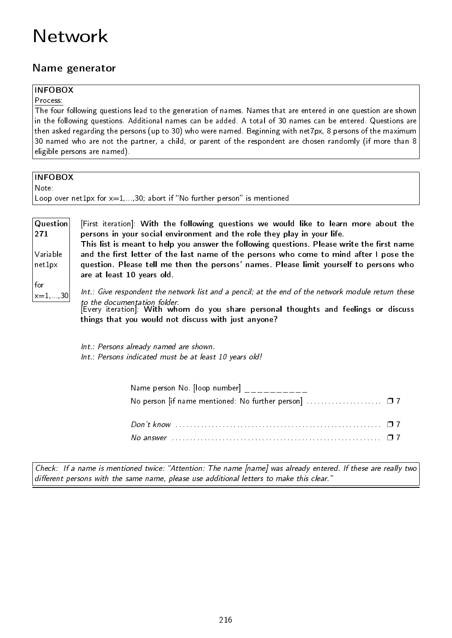# Network

# Name generator

# INFOBOX

Process:

The four following questions lead to the generation of names. Names that are entered in one question are shown in the following questions. Additional names can be added. A total of 30 names can be entered. Questions are then asked regarding the persons (up to 30) who were named. Beginning with net7px, 8 persons of the maximum 30 named who are not the partner, a child, or parent of the respondent are chosen randomly (if more than 8 eligible persons are named).

| <b>INFOBOX</b>                                                                                                                                                                                                                       |                                                                                                                                                                                                                                                                                  |  |  |  |  |  |  |  |  |  |  |
|--------------------------------------------------------------------------------------------------------------------------------------------------------------------------------------------------------------------------------------|----------------------------------------------------------------------------------------------------------------------------------------------------------------------------------------------------------------------------------------------------------------------------------|--|--|--|--|--|--|--|--|--|--|
| Note:                                                                                                                                                                                                                                |                                                                                                                                                                                                                                                                                  |  |  |  |  |  |  |  |  |  |  |
|                                                                                                                                                                                                                                      | Loop over net $1px$ for $x=1,,30$ ; abort if "No further person" is mentioned                                                                                                                                                                                                    |  |  |  |  |  |  |  |  |  |  |
|                                                                                                                                                                                                                                      |                                                                                                                                                                                                                                                                                  |  |  |  |  |  |  |  |  |  |  |
| Question<br>271                                                                                                                                                                                                                      | [First iteration]: With the following questions we would like to learn more about the<br>persons in your social environment and the role they play in your life.<br>This list is meant to help you answer the following questions. Please write the first name                   |  |  |  |  |  |  |  |  |  |  |
| Variable<br>and the first letter of the last name of the persons who come to mind after I pose the<br>question. Please tell me then the persons' names. Please limit yourself to persons who<br>net1px<br>are at least 10 years old. |                                                                                                                                                                                                                                                                                  |  |  |  |  |  |  |  |  |  |  |
| for<br>$ x=1,,30 $                                                                                                                                                                                                                   | Int.: Give respondent the network list and a pencil; at the end of the network module return these<br>to the documentation folder.<br>[Every iteration]: With whom do you share personal thoughts and feelings or discuss<br>things that you would not discuss with just anyone? |  |  |  |  |  |  |  |  |  |  |
|                                                                                                                                                                                                                                      | Int.: Persons already named are shown.<br>Int.: Persons indicated must be at least 10 years old!                                                                                                                                                                                 |  |  |  |  |  |  |  |  |  |  |
|                                                                                                                                                                                                                                      | Name person No. [loop number] $\frac{1}{2}$ ______                                                                                                                                                                                                                               |  |  |  |  |  |  |  |  |  |  |

| Don't know $\ldots$ $\ldots$ $\ldots$ $\ldots$ $\ldots$ $\ldots$ $\ldots$ $\ldots$ $\ldots$ $\ldots$ $\ldots$ $\ldots$ $\ldots$ |  |  |  |  |  |  |  |  |  |  |  |  |  |  |  |  |  |
|---------------------------------------------------------------------------------------------------------------------------------|--|--|--|--|--|--|--|--|--|--|--|--|--|--|--|--|--|
|                                                                                                                                 |  |  |  |  |  |  |  |  |  |  |  |  |  |  |  |  |  |

No person [if name mentioned: No further person] ......................... 07

Check: If a name is mentioned twice: "Attention: The name [name] was already entered. If these are really two  $differential$  different persons with the same name, please use additional letters to make this clear."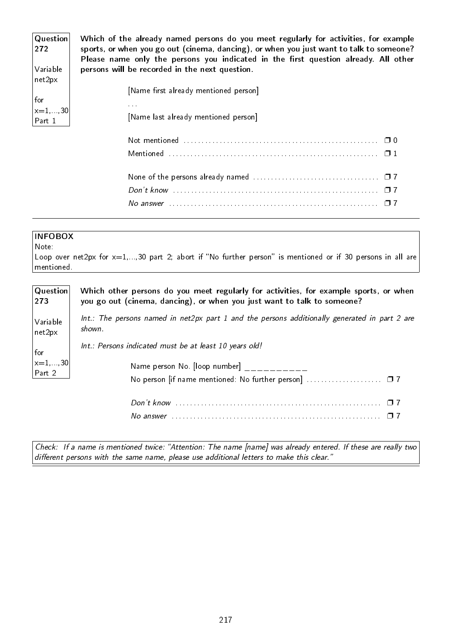| Question<br>272<br>Variable | Which of the already named persons do you meet regularly for activities, for example<br>sports, or when you go out (cinema, dancing), or when you just want to talk to someone?<br>Please name only the persons you indicated in the first question already. All other<br>persons will be recorded in the next question. |
|-----------------------------|--------------------------------------------------------------------------------------------------------------------------------------------------------------------------------------------------------------------------------------------------------------------------------------------------------------------------|
| net2px                      |                                                                                                                                                                                                                                                                                                                          |
|                             | [Name first already mentioned person]                                                                                                                                                                                                                                                                                    |
| for                         |                                                                                                                                                                                                                                                                                                                          |
| $\vert x=1,\ldots,30 \vert$ | <b>ALCOHOL: N</b>                                                                                                                                                                                                                                                                                                        |
| Part 1                      | [Name last already mentioned person]                                                                                                                                                                                                                                                                                     |
|                             |                                                                                                                                                                                                                                                                                                                          |
|                             |                                                                                                                                                                                                                                                                                                                          |
|                             |                                                                                                                                                                                                                                                                                                                          |
|                             |                                                                                                                                                                                                                                                                                                                          |
|                             |                                                                                                                                                                                                                                                                                                                          |
|                             |                                                                                                                                                                                                                                                                                                                          |

Note:

Loop over net2px for  $x=1,...,30$  part 2; abort if "No further person" is mentioned or if 30 persons in all are mentioned.

| Question                 | Which other persons do you meet regularly for activities, for example sports, or when            |
|--------------------------|--------------------------------------------------------------------------------------------------|
| 273                      | you go out (cinema, dancing), or when you just want to talk to someone?                          |
| Variable                 | $Int.$ : The persons named in net2px part 1 and the persons additionally generated in part 2 are |
| net2px                   | shown.                                                                                           |
| for                      | Int.: Persons indicated must be at least 10 years old!                                           |
| $\vert$ x=1, ,30 $\vert$ | Name person No. [loop number]                                                                    |
| Part 2                   | No person  if name mentioned: No further person]  □ 7                                            |
|                          |                                                                                                  |

Don't know . . . . . . . . . . . . . . . . . . . . . . . . . . . . . . . . . . . . . . . . . . . . . . . . . . . . . . . . . ❐ 7 No answer . . . . . . . . . . . . . . . . . . . . . . . . . . . . . . . . . . . . . . . . . . . . . . . . . . . . . . . . . . ❐ 7

Check: If a name is mentioned twice: "Attention: The name [name] was already entered. If these are really two different persons with the same name, please use additional letters to make this clear."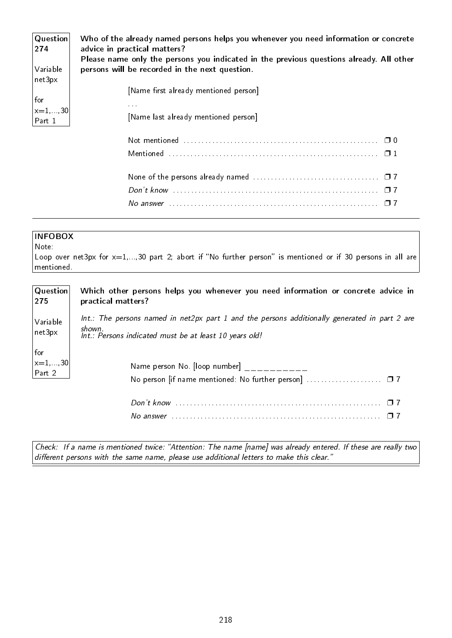| Question<br>274      | Who of the already named persons helps you whenever you need information or concrete<br>advice in practical matters?<br>Please name only the persons you indicated in the previous questions already. All other |  |  |  |  |  |  |  |  |  |  |  |
|----------------------|-----------------------------------------------------------------------------------------------------------------------------------------------------------------------------------------------------------------|--|--|--|--|--|--|--|--|--|--|--|
| Variable             | persons will be recorded in the next question.                                                                                                                                                                  |  |  |  |  |  |  |  |  |  |  |  |
| net3px               | [Name first already mentioned person]                                                                                                                                                                           |  |  |  |  |  |  |  |  |  |  |  |
| for<br>$x = 1, , 30$ | 1.111                                                                                                                                                                                                           |  |  |  |  |  |  |  |  |  |  |  |
| Part 1               | [Name last already mentioned person]                                                                                                                                                                            |  |  |  |  |  |  |  |  |  |  |  |
|                      |                                                                                                                                                                                                                 |  |  |  |  |  |  |  |  |  |  |  |
|                      |                                                                                                                                                                                                                 |  |  |  |  |  |  |  |  |  |  |  |
|                      |                                                                                                                                                                                                                 |  |  |  |  |  |  |  |  |  |  |  |
|                      |                                                                                                                                                                                                                 |  |  |  |  |  |  |  |  |  |  |  |
|                      | No answer $\ldots \ldots \ldots \ldots \ldots \ldots \ldots \ldots \ldots \ldots \ldots \ldots \ldots$<br>$\Box$ 7                                                                                              |  |  |  |  |  |  |  |  |  |  |  |

Note:

Loop over net3px for  $x=1,...,30$  part 2; abort if "No further person" is mentioned or if 30 persons in all are mentioned.

| $\mid$ Question $\mid$<br>275            | Which other persons helps you whenever you need information or concrete advice in<br>practical matters?                                                              |
|------------------------------------------|----------------------------------------------------------------------------------------------------------------------------------------------------------------------|
| Variable<br>$ $ net $3$ px               | $Int.$ : The persons named in net2px part 1 and the persons additionally generated in part 2 are<br>shown.<br>Int.: Persons indicated must be at least 10 years old! |
| $ $ for<br>$ x=1,,30 $<br>$ $ Part $ 2 $ | Name person No. [loop number]<br>No person  if name mentioned: No further person]  □ 7                                                                               |

Check: If a name is mentioned twice: "Attention: The name [name] was already entered. If these are really two different persons with the same name, please use additional letters to make this clear."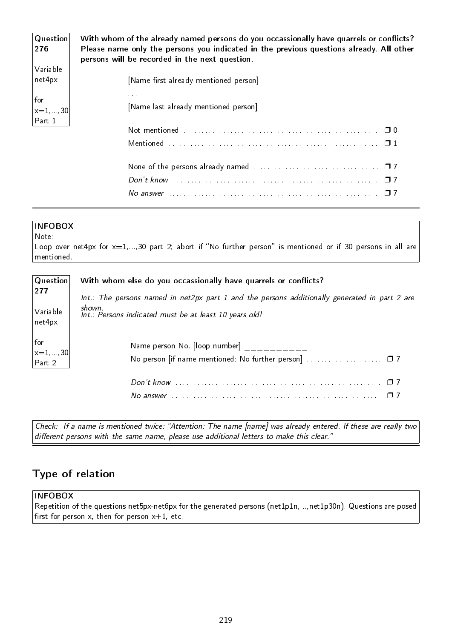| Question<br>276                          | With whom of the already named persons do you occassionally have quarrels or conflicts?<br>Please name only the persons you indicated in the previous questions already. All other<br>persons will be recorded in the next question. |
|------------------------------------------|--------------------------------------------------------------------------------------------------------------------------------------------------------------------------------------------------------------------------------------|
| Variable<br>net4px                       | [Name first already mentioned person]                                                                                                                                                                                                |
| for<br>$\vert$ x=1,,30 $\vert$<br>Part 1 | 1.1.1<br>[Name last already mentioned person]                                                                                                                                                                                        |
|                                          |                                                                                                                                                                                                                                      |
|                                          |                                                                                                                                                                                                                                      |
|                                          |                                                                                                                                                                                                                                      |
|                                          |                                                                                                                                                                                                                                      |
|                                          |                                                                                                                                                                                                                                      |

## Note:

Loop over net4px for  $x=1,...,30$  part 2; abort if "No further person" is mentioned or if 30 persons in all are mentioned.

| $ $ Question $ $                                         | With whom else do you occassionally have quarrels or conflicts?                                  |
|----------------------------------------------------------|--------------------------------------------------------------------------------------------------|
| 277                                                      | $Int.$ : The persons named in net2px part 1 and the persons additionally generated in part 2 are |
| Variable                                                 | shown.                                                                                           |
| net4px                                                   | Int.: Persons indicated must be at least 10 years old!                                           |
| $ $ for                                                  | Name person No. [loop number]                                                                    |
| $\begin{vmatrix} 1 & 0 \\ x & 1 \\ Part 2 \end{vmatrix}$ | No person [if name mentioned: No further person]  07                                             |
|                                                          |                                                                                                  |

Check: If a name is mentioned twice: "Attention: The name [name] was already entered. If these are really two different persons with the same name, please use additional letters to make this clear."

# Type of relation

### INFOBOX

Repetition of the questions net5px-net6px for the generated persons (net1p1n,...,net1p30n). Questions are posed first for person  $x$ , then for person  $x+1$ , etc.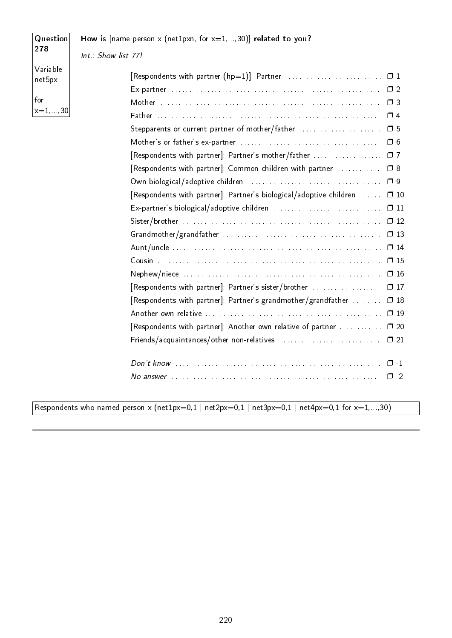| Question           | How is [name person x (net1pxn, for $x=1,,30$ )] related to you?              |
|--------------------|-------------------------------------------------------------------------------|
| 278                | Int.: Show list 77!                                                           |
| Variable<br>net5px |                                                                               |
|                    |                                                                               |
| for                |                                                                               |
| $x=1, , 30$        | $\Box$ 4                                                                      |
|                    | Stepparents or current partner of mother/father  05                           |
|                    |                                                                               |
|                    | [Respondents with partner]: Partner's mother/father  □ 7                      |
|                    | [Respondents with partner]: Common children with partner<br>$\square$ 8       |
|                    |                                                                               |
|                    | [Respondents with partner]: Partner's biological/adoptive children  □ 10      |
|                    | Ex-partner's biological/adoptive children<br>$\square$ 11                     |
|                    | $\square$ 12                                                                  |
|                    | $\square$ 13                                                                  |
|                    | $\square$ 14                                                                  |
|                    | $\square$ 15                                                                  |
|                    | $\square$ 16                                                                  |
|                    | [Respondents with partner]: Partner's sister/brother<br>$\square$ 17          |
|                    | [Respondents with partner]: Partner's grandmother/grandfather<br>$\square$ 18 |
|                    | $\Box$ 19                                                                     |
|                    | [Respondents with partner]: Another own relative of partner<br>$\square$ 20   |
|                    | Friends/acquaintances/other non-relatives<br>$\square$ 21                     |
|                    |                                                                               |
|                    | $\square$ -1                                                                  |
|                    | $\square$ -2                                                                  |
|                    |                                                                               |

Respondents who named person  $\times$  (net1px=0,1 | net2px=0,1 | net3px=0,1 | net4px=0,1 for x=1,...,30)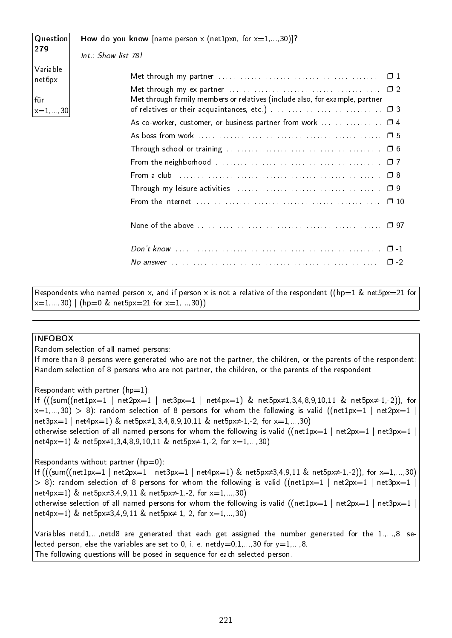| Question<br>How do you know [name person x (net1pxn, for $x=1,,30$ )]? |                     |                                                                                                                                |           |  |  |
|------------------------------------------------------------------------|---------------------|--------------------------------------------------------------------------------------------------------------------------------|-----------|--|--|
| 279                                                                    | Int.: Show list 78! |                                                                                                                                |           |  |  |
| Variable<br>net6px                                                     |                     | Met through my partner $\ldots \ldots \ldots \ldots \ldots \ldots \ldots \ldots \ldots \ldots \ldots \quad \Box$ 1             |           |  |  |
| für                                                                    |                     | Met through family members or relatives (include also, for example, partner                                                    |           |  |  |
| $ x=1, , 30 $                                                          |                     |                                                                                                                                |           |  |  |
|                                                                        |                     |                                                                                                                                |           |  |  |
|                                                                        |                     |                                                                                                                                | 口 5       |  |  |
|                                                                        |                     |                                                                                                                                |           |  |  |
|                                                                        |                     |                                                                                                                                | $\Box$ 7  |  |  |
|                                                                        |                     |                                                                                                                                | $\Box$ 8  |  |  |
|                                                                        |                     |                                                                                                                                | $\Box$ 9  |  |  |
|                                                                        |                     |                                                                                                                                | $\Box$ 10 |  |  |
|                                                                        |                     | None of the above $\ldots \ldots \ldots \ldots \ldots \ldots \ldots \ldots \ldots \ldots \ldots \ldots \ldots \Box$ 97         |           |  |  |
|                                                                        |                     |                                                                                                                                | $\Box$ -1 |  |  |
|                                                                        |                     | No answer $\ldots$ $\ldots$ $\ldots$ $\ldots$ $\ldots$ $\ldots$ $\ldots$ $\ldots$ $\ldots$ $\ldots$ $\ldots$ $\ldots$ $\ldots$ | $\Box$    |  |  |
|                                                                        |                     |                                                                                                                                |           |  |  |

Respondents who named person x, and if person x is not a relative of the respondent ((hp=1 & net5px=21 for  $x=1,...,30$  | (hp=0 & net5px=21 for x=1,...,30))

#### INFOBOX

Random selection of all named persons:

If more than 8 persons were generated who are not the partner, the children, or the parents of the respondent: Random selection of 8 persons who are not partner, the children, or the parents of the respondent

Respondant with partner  $(hp=1)$ :

If (((sum((net1px=1 | net2px=1 | net3px=1 | net4px=1) & net5px≠1,3,4,8,9,10,11 & net5px≠-1,-2)), for  $x=1,...,30) > 8$ ): random selection of 8 persons for whom the following is valid ((net1px=1 | net2px=1 | net3px=1 | net4px=1) & net5px≠1,3,4,8,9,10,11 & net5px≠-1,-2, for x=1,...,30) otherwise selection of all named persons for whom the following is valid ((net1px=1 | net2px=1 | net3px=1 | net4px=1) & net5px≠1,3,4,8,9,10,11 & net5px≠-1,-2, for x=1,...,30)

Respondants without partner  $(hp=0)$ :

If (((sum((net1px=1 | net2px=1 | net3px=1 | net4px=1) & net5px $\neq$ 3,4,9,11 & net5px $\neq$ -1,-2)), for x=1,...,30)  $> 8$ ): random selection of 8 persons for whom the following is valid ((net1px=1 | net2px=1 | net3px=1 | net4px=1) & net5px≠3,4,9,11 & net5px≠-1,-2, for x=1,...,30) otherwise selection of all named persons for whom the following is valid ((net1px=1 | net2px=1 | net3px=1 | net4px=1) & net5px≠3,4,9,11 & net5px≠-1,-2, for x=1,...,30)

Variables netd1,...,netd8 are generated that each get assigned the number generated for the 1.,...,8. selected person, else the variables are set to 0, i. e. netdy=0,1,...,30 for  $y=1,...,8$ . The following questions will be posed in sequence for each selected person.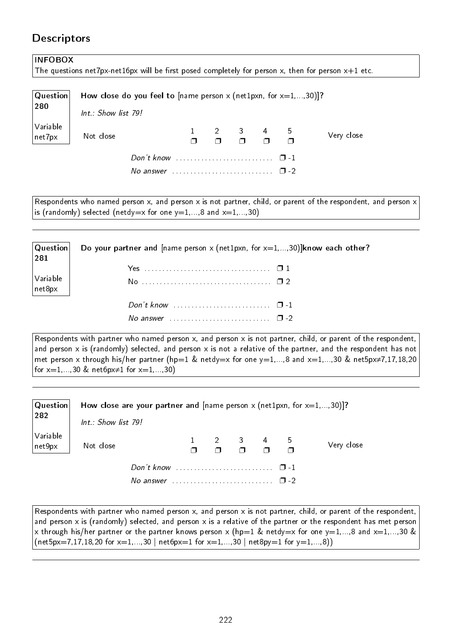# **Descriptors**

| <b>INFOBOX</b>     |                                                                                                      |                                               |  |                                                                                                           |  |  |            |
|--------------------|------------------------------------------------------------------------------------------------------|-----------------------------------------------|--|-----------------------------------------------------------------------------------------------------------|--|--|------------|
|                    | The questions net7px-net16px will be first posed completely for person x, then for person $x+1$ etc. |                                               |  |                                                                                                           |  |  |            |
| Question<br>280    | How close do you feel to [name person x (net1pxn, for $x=1,,30$ ]?<br>$Int : Show$ list 79!          |                                               |  |                                                                                                           |  |  |            |
| Variable<br>net7px | Not close                                                                                            |                                               |  | $\begin{array}{ccccccccccccc}\n1 & 2 & 3 & 4 & 5 \\ \Box & \Box & \Box & \Box & \Box & \Box\n\end{array}$ |  |  | Very close |
|                    |                                                                                                      |                                               |  |                                                                                                           |  |  |            |
|                    |                                                                                                      | No answer $\cdots$ $\cdots$ $\cdots$ $\cdots$ |  |                                                                                                           |  |  |            |
|                    |                                                                                                      |                                               |  |                                                                                                           |  |  |            |

Respondents who named person x, and person x is not partner, child, or parent of the respondent, and person x is (randomly) selected (netdy=x for one  $y=1,...,8$  and  $x=1,...,30$ )

| Question <br>$ 281\rangle$                                            | Do your partner and [name person x (net1pxn, for $x=1,,30$ )]know each other? |
|-----------------------------------------------------------------------|-------------------------------------------------------------------------------|
|                                                                       |                                                                               |
| $\begin{array}{c} \big  \text{Variable} \\ \text{net8px} \end{array}$ |                                                                               |
|                                                                       | Don't know $\cdots$ $\cdots$ $\cdots$ $\cdots$                                |

No answer  $\dots \dots \dots \dots \dots \dots \dots \square$  -2

Respondents with partner who named person x, and person x is not partner, child, or parent of the respondent, and person x is (randomly) selected, and person x is not a relative of the partner, and the respondent has not met person x through his/her partner (hp=1 & netdy=x for one y=1,...,8 and x=1,...,30 & net5px≠7,17,18,20 for  $x=1,...,30$  & net6px $\neq$ 1 for  $x=1,...,30$ )

| Question <br>282   | Int.: Show list 79! | How close are your partner and [name person $x$ (net1pxn, for $x=1,,30$ )]?       |                                                    |  |            |
|--------------------|---------------------|-----------------------------------------------------------------------------------|----------------------------------------------------|--|------------|
| Variable<br>net9px | Not close           |                                                                                   | $1 \t2 \t3 \t4 \t5$<br>$1 \t1 \t1 \t1 \t1 \t1 \t1$ |  | Very close |
|                    |                     | Don't know $\ldots \ldots \ldots \ldots \ldots \ldots \quad \Box -1$<br>No answer |                                                    |  |            |

Respondents with partner who named person x, and person x is not partner, child, or parent of the respondent, and person x is (randomly) selected, and person x is a relative of the partner or the respondent has met person x through his/her partner or the partner knows person x (hp=1 & netdy=x for one y=1,...,8 and x=1,...,30 &  $(net5px=7,17,18,20 for x=1,...,30 | net6px=1 for x=1,...,30 | net8py=1 for y=1,...,8))$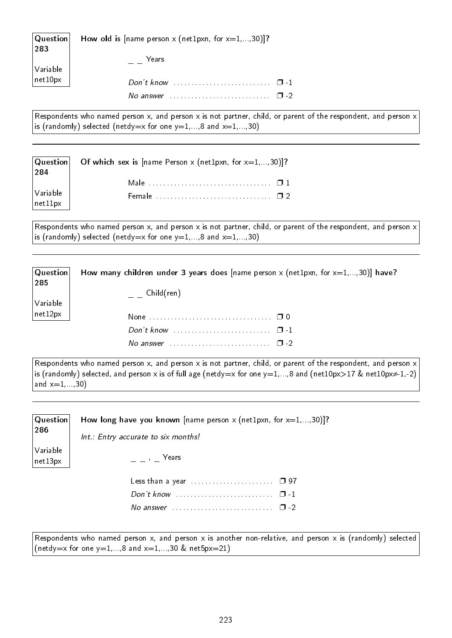| $ $ Question $ $<br>283 | How old is [name person x (net1pxn, for $x=1,,30$ ]? |  |
|-------------------------|------------------------------------------------------|--|
| Variable                | Years                                                |  |
| $\vert$ net $10$ px     |                                                      |  |
|                         | No answer $\ldots$ , $\ldots$ , $\ldots$ , $\Box$ -2 |  |

Respondents who named person x, and person x is not partner, child, or parent of the respondent, and person x is (randomly) selected (netdy=x for one  $y=1,...,8$  and  $x=1,...,30$ )

| 284                                             | $ $ Question Get which sex is [name Person x (net1pxn, for $x=1,,30$ ]? |
|-------------------------------------------------|-------------------------------------------------------------------------|
|                                                 |                                                                         |
| $\bigg \textsf{Variable}\atop \textsf{net11px}$ | Female $\ldots$ . $\ldots$ . $\ldots$ . $\ldots$ . $\blacksquare$ 2     |

Respondents who named person x, and person x is not partner, child, or parent of the respondent, and person x is (randomly) selected (netdy=x for one  $y=1,...,8$  and  $x=1,...,30$ )

| $\mid$ Question $\mid$ | How many children under 3 years does [name person x (net1pxn, for $x=1,,30$ )] have? |
|------------------------|--------------------------------------------------------------------------------------|
| 285                    |                                                                                      |
|                        | $\overline{\phantom{a}}$ Child(ren)                                                  |
| $\sqrt{}$ Variable     |                                                                                      |
| $ $ net $12$ px        |                                                                                      |
|                        |                                                                                      |
|                        | No answer $\ldots \ldots \ldots \ldots \ldots \ldots \ldots \square$ -2              |

Respondents who named person x, and person x is not partner, child, or parent of the respondent, and person x is (randomly) selected, and person x is of full age (netdy=x for one y=1,...,8 and (net10px>17 & net10px $\neq$ 1,-2) and  $x=1,...,30$ )

| Question<br>286     | How long have you known [name person x (net1pxn, for $x=1,,30$ ]?<br>Int.: Entry accurate to six months! |
|---------------------|----------------------------------------------------------------------------------------------------------|
| Variable<br>net13px | $\alpha = \alpha - \beta$ Years                                                                          |
|                     | Less than a year $\ldots \ldots \ldots \ldots \ldots \quad \Box$ 97                                      |

Respondents who named person x, and person x is another non-relative, and person x is (randomly) selected (netdy=x for one  $y=1,...,8$  and  $x=1,...,30$  & net5px=21)

No answer  $\dots\dots\dots\dots\dots\dots\dots\dots$   $\Box$  -2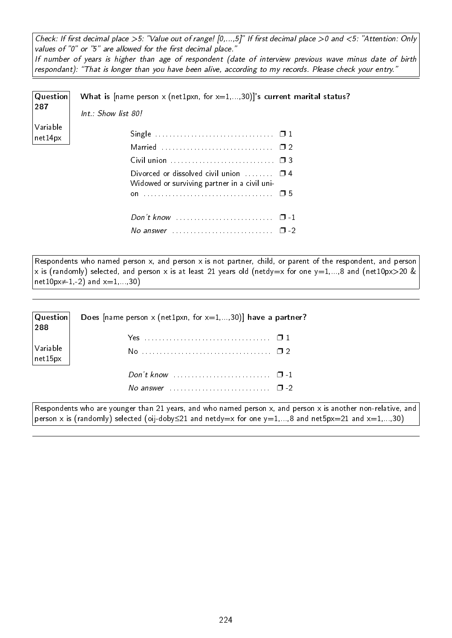Check: If first decimal place >5: "Value out of range!  $[0,...,5]$ " If first decimal place >0 and <5: "Attention: Only values of "0" or "5" are allowed for the first decimal place."

If number of years is higher than age of respondent (date of interview previous wave minus date of birth respondant): "That is longer than you have been alive, according to my records. Please check your entry."

| Question            | What is [name person x (net1pxn, for $x=1,,30$ ] 's current marital status?                       |
|---------------------|---------------------------------------------------------------------------------------------------|
| 287                 | Int.: Show list 80!                                                                               |
| Variable<br>net14px |                                                                                                   |
|                     |                                                                                                   |
|                     |                                                                                                   |
|                     | Divorced or dissolved civil union $\Box$ $\Box$ 4<br>Widowed or surviving partner in a civil uni- |
|                     |                                                                                                   |
|                     |                                                                                                   |
|                     | No answer $\ldots \ldots \ldots \ldots \ldots \ldots \ldots \square$ -2                           |

Respondents who named person x, and person x is not partner, child, or parent of the respondent, and person x is (randomly) selected, and person x is at least 21 years old (netdy=x for one y=1,...,8 and (net10px>20 & net10px≠-1,-2) and  $x=1,...,30$ )

| $ $ Question $ $<br>288                                                         | Does [name person x (net1pxn, for $x=1,,30$ )] have a partner?                   |
|---------------------------------------------------------------------------------|----------------------------------------------------------------------------------|
|                                                                                 |                                                                                  |
| $\bigg \begin{array}{c} \textsf{Variable} \ \textsf{net15px} \end{array}\bigg $ |                                                                                  |
|                                                                                 |                                                                                  |
|                                                                                 | No answer $\ldots$ $\ldots$ $\ldots$ $\ldots$ $\ldots$ $\ldots$ $\Box$ -2        |
| D.                                                                              | - 1<br><b>Contract Contract</b><br><b>Contract Contract Contract</b><br>$\sim$ 1 |

Respondents who are younger than 21 years, and who named person x, and person x is another non-relative, and person x is (randomly) selected (oij-doby≤21 and netdy=x for one y=1,...,8 and net5px=21 and x=1,...,30)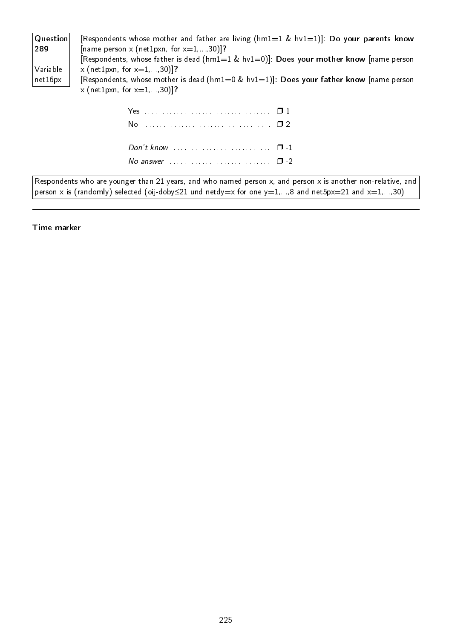| Question                |                                            | [Respondents whose mother and father are living ( $hml=1$ & $hvl=1$ ]: Do your parents know   |
|-------------------------|--------------------------------------------|-----------------------------------------------------------------------------------------------|
| 289                     | [name person x (net1pxn, for $x=1,,30$ )]? |                                                                                               |
|                         |                                            | [Respondents, whose father is dead ( $hml=1$ & $hvl=0$ ]]: Does your mother know [name person |
| Variable                | x (net1pxn, for $x=1,,30$ )]?              |                                                                                               |
| $ $ net $16$ p $\times$ |                                            | [Respondents, whose mother is dead ( $hml=0$ & $hv1=1$ )]: Does your father know [name person |
|                         | x (net1pxn, for $x=1, , 30$ )]?            |                                                                                               |
|                         |                                            |                                                                                               |
|                         |                                            |                                                                                               |

| No answer $\ldots$ $\ldots$ $\ldots$ $\ldots$ $\ldots$ $\ldots$ $\Box$ -2 |  |
|---------------------------------------------------------------------------|--|
|                                                                           |  |

Respondents who are younger than 21 years, and who named person x, and person x is another non-relative, and person x is (randomly) selected (oij-doby≤21 und netdy=x for one y=1,...,8 and net5px=21 and x=1,...,30)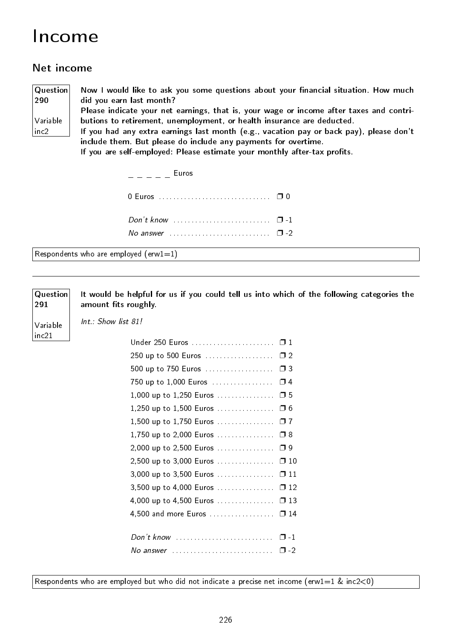# Income

# Net income

Question 290 Variable inc2

291

Variable inc21

Now I would like to ask you some questions about your financial situation. How much did you earn last month?

Please indicate your net earnings, that is, your wage or income after taxes and contributions to retirement, unemployment, or health insurance are deducted.

If you had any extra earnings last month (e.g., vacation pay or back pay), please don't include them. But please do include any payments for overtime.

If you are self-employed: Please estimate your monthly after-tax profits.

| <u>in the second terms</u> Euros                      |  |
|-------------------------------------------------------|--|
|                                                       |  |
| Don't know $\ldots$ , $\ldots$ , $\ldots$ , $\Box$ -1 |  |
|                                                       |  |

Respondents who are employed (erw1=1)

**Question** It would be helpful for us if you could tell us into which of the following categories the amount fits roughly.

Int.: Show list 81!

| 250 up to 500 Euros □ 2                                                    |  |
|----------------------------------------------------------------------------|--|
| 500 up to 750 Euros  □ 3                                                   |  |
|                                                                            |  |
| 1,000 up to 1,250 Euros □ 5                                                |  |
| 1,250 up to 1,500 Euros □ 6                                                |  |
| 1,500 up to 1,750 Euros □ 7                                                |  |
| 1,750 up to 2,000 Euros $\Box$ 8                                           |  |
| 2,000 up to 2,500 Euros □ 9                                                |  |
| 2,500 up to 3,000 Euros  □ 10                                              |  |
| 3,000 up to 3,500 Euros  □ 11                                              |  |
| 3,500 up to 4,000 Euros  □ 12                                              |  |
| 4,000 up to 4,500 Euros  □ 13                                              |  |
| 4,500 and more Euros  □ 14                                                 |  |
|                                                                            |  |
|                                                                            |  |
| No answer $\ldots \ldots \ldots \ldots \ldots \ldots \ldots \quad \Box$ -2 |  |
|                                                                            |  |

Respondents who are employed but who did not indicate a precise net income (erw1=1 & inc2<0)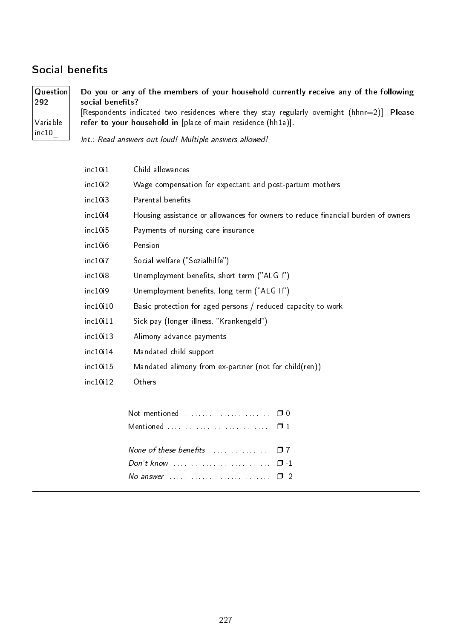## Social benefits

**Question** 292 Variable inc10\_ Do you or any of the members of your household currently receive any of the following social benefits? [Respondents indicated two residences where they stay regularly overnight (hhnr=2)]: Please refer to your household in [place of main residence (hh1a)].

Int.: Read answers out loud! Multiple answers allowed!

| inc10i1              | Child allowances                                                                 |
|----------------------|----------------------------------------------------------------------------------|
| inc10i2              | Wage compensation for expectant and post-partum mothers                          |
| inc10i3              | Parental benefits                                                                |
| inc10 <sub>1</sub> 4 | Housing assistance or allowances for owners to reduce financial burden of owners |
| inc10i5              | Payments of nursing care insurance                                               |
| inc10i6              | Pension                                                                          |
| inc10i7              | Social welfare ("Sozialhilfe")                                                   |
| inc10i8              | Unemployment benefits, short term ("ALG I")                                      |
| inc10i9              | Unemployment benefits, long term ("ALG II")                                      |
| inc10i10             | Basic protection for aged persons / reduced capacity to work                     |
| inc10i11             | Sick pay (longer illness, "Krankengeld")                                         |
| inc10:13             | Alimony advance payments                                                         |
| inc10i14             | Mandated child support                                                           |
| inc10i15             | Mandated alimony from ex-partner (not for child(ren))                            |
| inc10i12             | Others                                                                           |
|                      | Not mentioned<br>$\Box$ 0                                                        |
|                      |                                                                                  |
|                      | None of these benefits<br>$\Box$ 7                                               |

Don't know . . . . . . . . . . . . . . . . . . . . . . . . . . . ❐ -1 No answer  $\dots\dots\dots\dots\dots\dots\dots\dots$   $\Box$  -2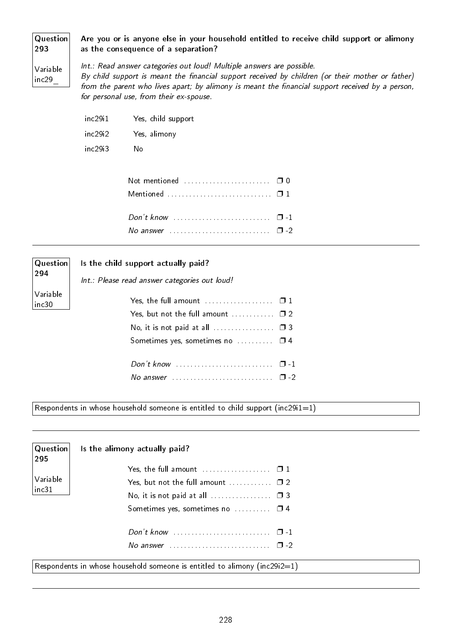#### Question Are you or is anyone else in your household entitled to receive child support or alimony as the consequence of a separation?

Variable inc29\_

293

Int.: Read answer categories out loud! Multiple answers are possible. By child support is meant the financial support received by children (or their mother or father) from the parent who lives apart; by alimony is meant the financial support received by a person, for personal use, from their ex-spouse.

| inc29i1 | Yes, child support |
|---------|--------------------|
| inc29i2 | Yes, alimony       |
| inc29i3 | N٥                 |

Question 294 Variable inc30

### Is the child support actually paid?

Int.: Please read answer categories out loud!

| Yes, but not the full amount $\dots\dots\dots \square$ 2                   |  |
|----------------------------------------------------------------------------|--|
|                                                                            |  |
| Sometimes yes, sometimes no $\Box$ $\Box$ 4                                |  |
|                                                                            |  |
|                                                                            |  |
| No answer $\ldots \ldots \ldots \ldots \ldots \ldots \ldots \quad \Box$ -2 |  |

Respondents in whose household someone is entitled to child support (inc29i1=1)

| Question<br>295 | Is the alimony actually paid?                  |          |
|-----------------|------------------------------------------------|----------|
|                 |                                                |          |
| Variable        | Yes, but not the full amount $\ldots$ $\Box$ 2 |          |
| inc31           |                                                |          |
|                 | Sometimes yes, sometimes no $\Box$ 4           |          |
|                 | Don't know                                     | $\Box$ 1 |
|                 |                                                | $\Box$   |

Respondents in whose household someone is entitled to alimony (inc29i2=1)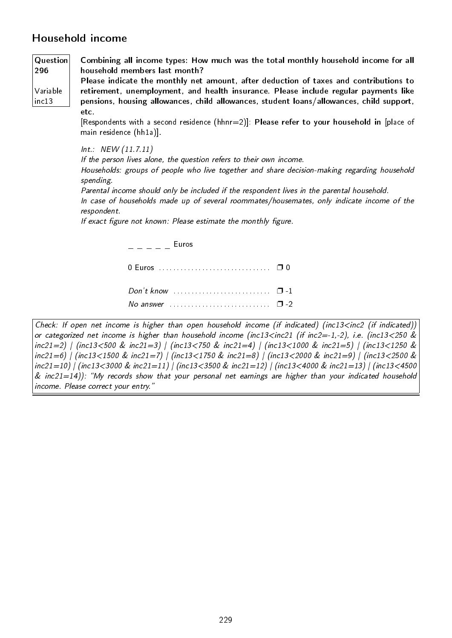# Household income

Variable inc13

Question 296 Combining all income types: How much was the total monthly household income for all household members last month?

Please indicate the monthly net amount, after deduction of taxes and contributions to retirement, unemployment, and health insurance. Please include regular payments like pensions, housing allowances, child allowances, student loans/allowances, child support, etc.

[Respondents with a second residence (hhnr=2)]: Please refer to your household in [place of main residence (hh1a)].

Int.: NEW (11.7.11) If the person lives alone, the question refers to their own income. Households: groups of people who live together and share decision-making regarding household spending. Parental income should only be included if the respondent lives in the parental household. In case of households made up of several roommates/housemates, only indicate income of the respondent. If exact figure not known: Please estimate the monthly figure.  $-$  Euros

| Don't know $\ldots$ $\ldots$ $\ldots$ $\ldots$ $\ldots$ $\ldots$ $\Box$ -1 |  |
|----------------------------------------------------------------------------|--|
| No answer $\cdots$ $\cdots$ $\cdots$                                       |  |

```
Check: If open net income is higher than open household income (if indicated) (inc13<inc2 (if indicated))
or categorized net income is higher than household income (inc13<inc21 (if inc2=-1,-2), i.e. (inc13<250 &
inc21=2) | (inc13<500 & inc21=3) | (inc13<750 & inc21=4) | (inc13<1000 & inc21=5) | (inc13<1250 &
inc21=6) | (inc13<1500 & inc21=7) | (inc13<1750 & inc21=8) | (inc13<2000 & inc21=9) | (inc13<2500 &
inc21=10) | (inc13<3000 & inc21=11) | (inc13<3500 & inc21=12) | (inc13<4000 & inc21=13) | (inc13<4500
& inc21=14)): "My records show that your personal net earnings are higher than your indicated household
income. Please correct your entry.
```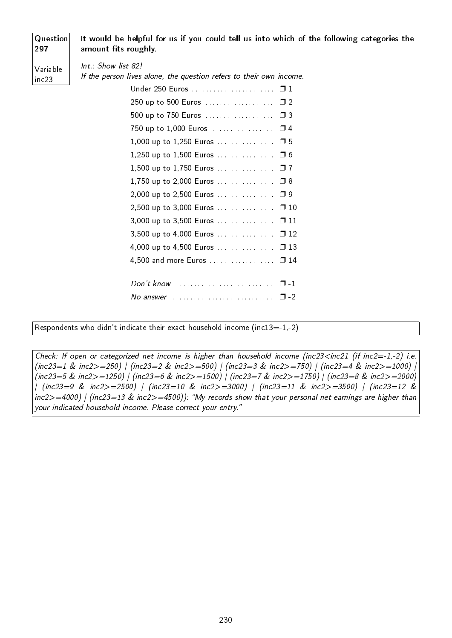| Question<br>297   | It would be helpful for us if you could tell us into which of the following categories the<br>amount fits roughly.                                                                                                                                                                                   |
|-------------------|------------------------------------------------------------------------------------------------------------------------------------------------------------------------------------------------------------------------------------------------------------------------------------------------------|
| Variable<br>inc23 | $Int.:$ Show list 82!<br>If the person lives alone, the question refers to their own income.<br>250 up to 500 Euros  □ 2<br>500 up to 750 Euros  □ 3<br>1,500 up to 1,750 Euros $\square$ 7<br>1,750 up to 2,000 Euros $\Box$ 8<br>2,000 up to 2,500 Euros $\Box$ 9<br>2,500 up to 3,000 Euros  □ 10 |
|                   |                                                                                                                                                                                                                                                                                                      |
|                   | 4,500 and more Euros  0 14                                                                                                                                                                                                                                                                           |
|                   | Don't know $\dots\dots\dots\dots\dots\dots\dots\dots\dots \quad \Box$ -1                                                                                                                                                                                                                             |

Respondents who didn't indicate their exact household income (inc13=-1,-2)

Check: If open or categorized net income is higher than household income (inc23<inc21 (if inc2=-1,-2) i.e. (inc23=1 & inc2>=250) | (inc23=2 & inc2>=500) | (inc23=3 & inc2>=750) | (inc23=4 & inc2>=1000) | (inc23=5 & inc2>=1250) | (inc23=6 & inc2>=1500) | (inc23=7 & inc2>=1750) | (inc23=8 & inc2>=2000) | (inc23=9 & inc2>=2500) | (inc23=10 & inc2>=3000) | (inc23=11 & inc2>=3500) | (inc23=12 & inc2>=4000) | (inc23=13 & inc2>=4500)): My records show that your personal net earnings are higher than your indicated household income. Please correct your entry.

No answer . . . . . . . . . . . . . . . . . . . . . . . . . . . . ❐ -2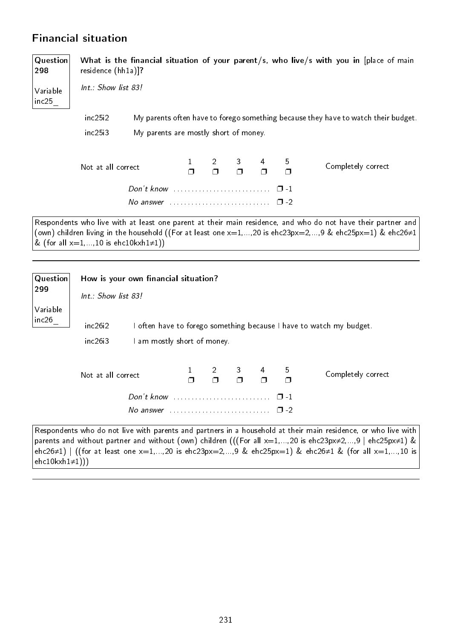# Financial situation

| Question<br>298   | residence (hh1a)]?                           |                                                                            |  |        |        |        | What is the financial situation of your parent/s, who live/s with you in [place of main                                                                                                                                    |
|-------------------|----------------------------------------------|----------------------------------------------------------------------------|--|--------|--------|--------|----------------------------------------------------------------------------------------------------------------------------------------------------------------------------------------------------------------------------|
| Variable<br>inc25 | Int.: Show list 83!                          |                                                                            |  |        |        |        |                                                                                                                                                                                                                            |
|                   | inc25i2                                      |                                                                            |  |        |        |        | My parents often have to forego something because they have to watch their budget.                                                                                                                                         |
|                   | inc25i3                                      | My parents are mostly short of money.                                      |  |        |        |        |                                                                                                                                                                                                                            |
|                   |                                              |                                                                            |  |        |        |        |                                                                                                                                                                                                                            |
|                   | Not at all correct                           |                                                                            |  | $\Box$ | $\Box$ | 5<br>Π | Completely correct                                                                                                                                                                                                         |
|                   |                                              |                                                                            |  |        |        |        |                                                                                                                                                                                                                            |
|                   |                                              | No answer $\ldots \ldots \ldots \ldots \ldots \ldots \ldots \quad \Box$ -2 |  |        |        |        |                                                                                                                                                                                                                            |
|                   | & (for all $x=1,,10$ is ehc10kxh1 $\neq$ 1)) |                                                                            |  |        |        |        | Respondents who live with at least one parent at their main residence, and who do not have their partner and<br>(own) children living in the household ((For at least one $x=1,,20$ is ehc23px=2,,9 & ehc25px=1) & ehc26≠1 |
|                   |                                              |                                                                            |  |        |        |        |                                                                                                                                                                                                                            |
| Question<br>ົດດ   |                                              | How is your own financial situation?                                       |  |        |        |        |                                                                                                                                                                                                                            |

| 299               |                       |                             |           |   |                |           |                                                                                                           |
|-------------------|-----------------------|-----------------------------|-----------|---|----------------|-----------|-----------------------------------------------------------------------------------------------------------|
|                   | $Int.:$ Show list 83! |                             |           |   |                |           |                                                                                                           |
| Variable<br>inc26 | inc26i2<br>inc26i3    | I am mostly short of money. |           |   |                |           | I often have to forego something because I have to watch my budget.                                       |
|                   | Not at all correct    |                             | $2 \quad$ | 3 | $\overline{4}$ | 5         | Completely correct                                                                                        |
|                   |                       | Don't know                  |           |   |                | $\Box$ -1 |                                                                                                           |
|                   |                       |                             |           |   |                | $\Box$ -2 |                                                                                                           |
|                   |                       |                             |           |   |                |           | Respondents who do not live with parents and partners in a household at their main residence, or who live |

| Respondents who do not live with parents and partners in a household at their main residence, or who live with           |
|--------------------------------------------------------------------------------------------------------------------------|
| parents and without partner and without (own) children (((For all $x=1,,20$ is ehc23px $\neq$ 2,,9   ehc25px $\neq$ 1) & |
| ehc26≠1)   ((for at least one x=1,,20 is ehc23px=2,,9 & ehc25px=1) & ehc26≠1 & (for all x=1,,10 is                       |
| ehc $10$ kxh $1\neq$ $1$ )))                                                                                             |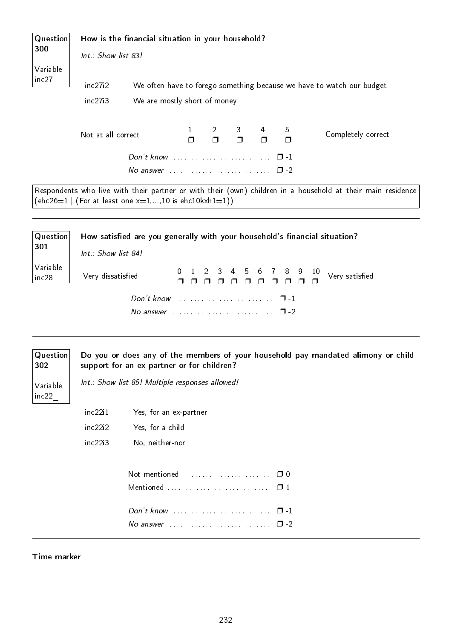| Question<br>300<br>Variable | Int.: Show list 83! | How is the financial situation in your household?                  |                              |                             |                            |                            |                           |                                                                                                             |
|-----------------------------|---------------------|--------------------------------------------------------------------|------------------------------|-----------------------------|----------------------------|----------------------------|---------------------------|-------------------------------------------------------------------------------------------------------------|
| inc27                       | inc27i2             |                                                                    |                              |                             |                            |                            |                           | We often have to forego something because we have to watch our budget.                                      |
|                             | inc27i3             | We are mostly short of money.                                      |                              |                             |                            |                            |                           |                                                                                                             |
|                             |                     |                                                                    |                              |                             |                            |                            |                           |                                                                                                             |
|                             | Not at all correct  |                                                                    | $\mathbf{1}$<br>σ            | 2<br>$\Box$                 | 3<br>$\Box$                | 4<br>$\Box$                | 5<br>$\Box$               | Completely correct                                                                                          |
|                             |                     |                                                                    |                              |                             |                            |                            | $\Box$ -1                 |                                                                                                             |
|                             |                     |                                                                    |                              |                             |                            |                            | $\Box$ -2                 |                                                                                                             |
|                             |                     | $(ehc26=1   (For at least one x=1,,10 is ehc10kxh1=1))$            |                              |                             |                            |                            |                           | Respondents who live with their partner or with their (own) children in a household at their main residence |
| Question<br>301             | Int.: Show list 84! |                                                                    |                              |                             |                            |                            |                           | How satisfied are you generally with your household's financial situation?                                  |
| Variable<br>inc28           | Very dissatisfied   |                                                                    | $\Omega$<br>$\Box$<br>$\Box$ | 2<br>3.<br>$\Box$<br>$\Box$ | 4<br>5<br>$\Box$<br>$\Box$ | 7<br>6<br>$\Box$<br>$\Box$ | 8<br>$\Box$               | 9<br>10<br>Very satisfied<br>$\Box$                                                                         |
|                             |                     |                                                                    |                              |                             |                            |                            | $\Box$ -1<br>$\square$ -2 |                                                                                                             |
| Question<br>302             |                     | support for an ex-partner or for children?                         |                              |                             |                            |                            |                           | Do you or does any of the members of your household pay mandated alimony or child                           |
| Variable<br>inc22           |                     | Int.: Show list 85! Multiple responses allowed!                    |                              |                             |                            |                            |                           |                                                                                                             |
|                             | inc22i1             | Yes, for an ex-partner                                             |                              |                             |                            |                            |                           |                                                                                                             |
|                             | inc22i2             | Yes, for a child                                                   |                              |                             |                            |                            |                           |                                                                                                             |
|                             | inc22i3             | No, neither-nor                                                    |                              |                             |                            |                            |                           |                                                                                                             |
|                             |                     | Not mentioned                                                      |                              |                             |                            |                            | $\Box$ 0                  |                                                                                                             |
|                             |                     | $Don't know \dots \dots \dots \dots \dots \dots \dots \dots \dots$ |                              |                             |                            |                            | $\Box$ -1                 |                                                                                                             |
|                             |                     |                                                                    |                              |                             |                            |                            | $\Box$ -2                 |                                                                                                             |
|                             |                     |                                                                    |                              |                             |                            |                            |                           |                                                                                                             |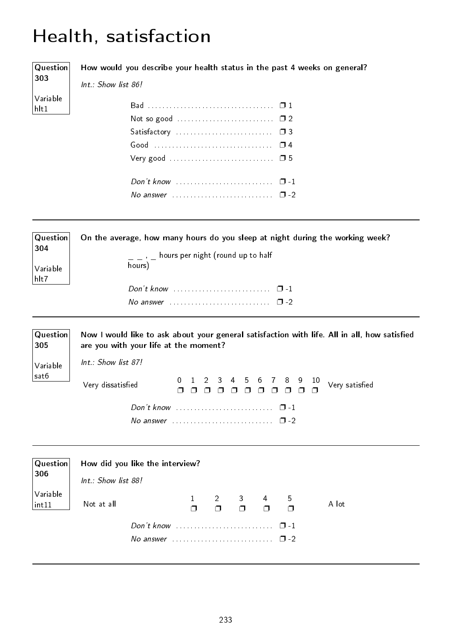# Health, satisfaction

| Question                            | How would you describe your health status in the past 4 weeks on general?                                                                                                                                                                                                            |
|-------------------------------------|--------------------------------------------------------------------------------------------------------------------------------------------------------------------------------------------------------------------------------------------------------------------------------------|
| 303                                 | Int.: Show list 86!                                                                                                                                                                                                                                                                  |
| Variable<br>hlt1                    |                                                                                                                                                                                                                                                                                      |
| Question<br>304<br>Variable<br>hlt7 | On the average, how many hours do you sleep at night during the working week?<br>$\overline{\phantom{a}}$ $\overline{\phantom{a}}$ , $\overline{\phantom{a}}$ hours per night (round up to half<br>hours)<br>No answer $\ldots \ldots \ldots \ldots \ldots \ldots \ldots \square$ -2 |
|                                     |                                                                                                                                                                                                                                                                                      |
| Question<br>305                     | Now I would like to ask about your general satisfaction with life. All in all, how satisfied<br>are you with your life at the moment?                                                                                                                                                |
| Variable                            | Int.: Show list 87!                                                                                                                                                                                                                                                                  |
| sat6                                | $1\quad 2$<br>$\mathbf{3}$<br>789<br>$\frac{10}{4}$ Very satisfied<br>4 5<br>6<br>$\mathbf{0}$<br>Very dissatisfied<br>$\Box$<br>$\Box$                                                                                                                                              |
|                                     | $\Box$ -1                                                                                                                                                                                                                                                                            |
|                                     | $\square$ -2                                                                                                                                                                                                                                                                         |
|                                     |                                                                                                                                                                                                                                                                                      |
| Question<br>306                     | How did you like the interview?<br>Int.: Show list 88!                                                                                                                                                                                                                               |
| Variable<br>int11                   | $\overline{2}$<br>3<br>5<br>1<br>4<br>A lot<br>Not at all<br>$\Box$<br>$\Box$<br>$\Box$<br>$\Box$<br>$\Box$                                                                                                                                                                          |

Don't know . . . . . . . . . . . . . . . . . . . . . . . . . . . ❐ -1 No answer . . . . . . . . . . . . . . . . . . . . . . . . . . . . ❐ -2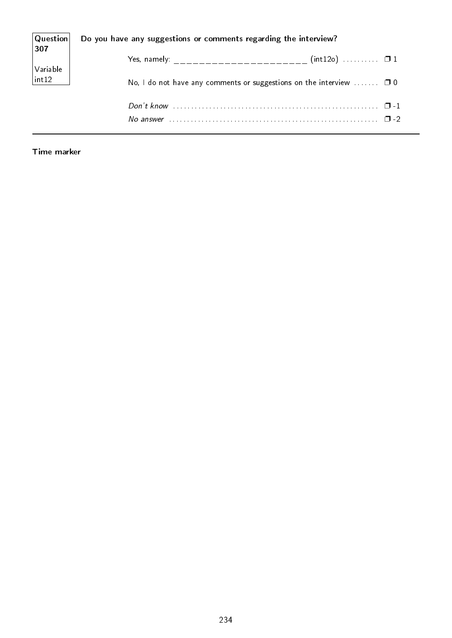| Question <br> 307                        | Do you have any suggestions or comments regarding the interview?        |
|------------------------------------------|-------------------------------------------------------------------------|
|                                          | Yes, namely: _________________________ (int12o)  0 1                    |
| $\bigg \text{Variable}\atop\text{int12}$ | No, I do not have any comments or suggestions on the interview $\Box$ 0 |
|                                          |                                                                         |
|                                          | $\Box$                                                                  |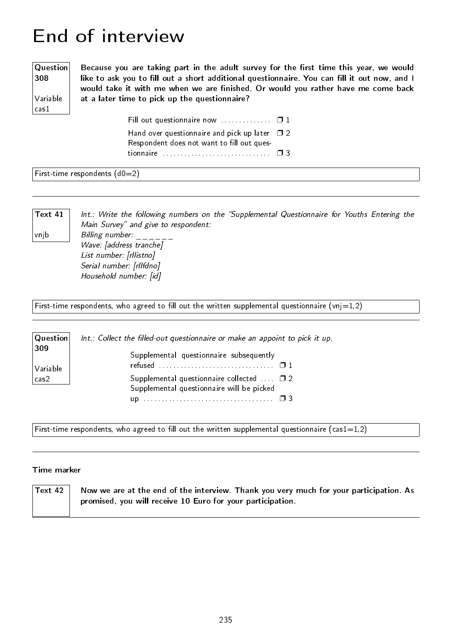# End of interview

#### **Question** 308

Variable cas1

Because you are taking part in the adult survey for the first time this year, we would like to ask you to fill out a short additional questionnaire. You can fill it out now, and I would take it with me when we are finished. Or would you rather have me come back at a later time to pick up the questionnaire?

> Fill out questionnaire now  $\dots\dots\dots\dots \Box 1$ Hand over questionnaire and pick up later  $\Box$  2 Respondent does not want to fill out questionnaire . . . . . . . . . . . . . . . . . . . . . . . . . . . . . . ❐ 3

### First-time respondents  $(d0=2)$

Text 41

vnjb

Int.: Write the following numbers on the "Supplemental Questionnaire for Youths Entering the Main Survey" and give to respondent: Billing number: Wave: [address tranche] List number: [rllistno] Serial number: [rllfdno] Household number: [id]

First-time respondents, who agreed to fill out the written supplemental questionnaire (vnj=1,2)

| Question        | Int.: Collect the filled-out questionnaire or make an appoint to pick it up.                      |
|-----------------|---------------------------------------------------------------------------------------------------|
| 309<br>Variable | Supplemental questionnaire subsequently                                                           |
| cas2            | Supplemental questionnaire collected $\Box$ $\Box$ 2<br>Supplemental questionnaire will be picked |
|                 |                                                                                                   |

First-time respondents, who agreed to fill out the written supplemental questionnaire (cas1=1,2)

| $^{\shortmid}$ Text 42 $_{\shortmid}$ | Now we are at the end of the interview. Thank you very much for your participation. As |
|---------------------------------------|----------------------------------------------------------------------------------------|
|                                       | promised, you will receive 10 Euro for your participation.                             |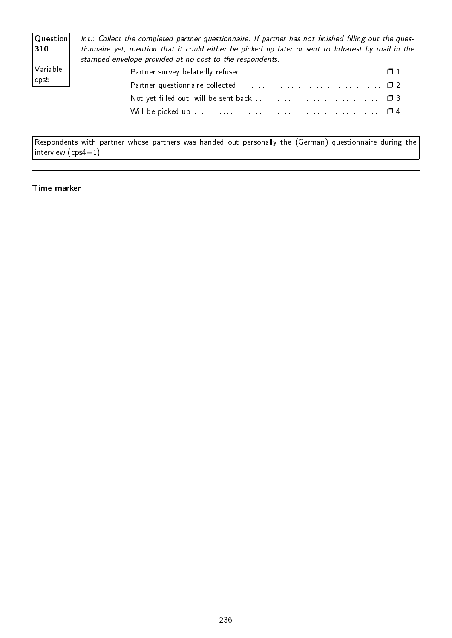| $ $ Question $ $<br>$ 310\rangle$ | Int.: Collect the completed partner questionnaire. If partner has not finished filling out the ques-<br>tionnaire yet, mention that it could either be picked up later or sent to Infratest by mail in the<br>stamped envelope provided at no cost to the respondents. |
|-----------------------------------|------------------------------------------------------------------------------------------------------------------------------------------------------------------------------------------------------------------------------------------------------------------------|
| $\sqrt{}$ Variable                |                                                                                                                                                                                                                                                                        |
| $ $ cps $5 $                      |                                                                                                                                                                                                                                                                        |
|                                   |                                                                                                                                                                                                                                                                        |
|                                   |                                                                                                                                                                                                                                                                        |

Respondents with partner whose partners was handed out personally the (German) questionnaire during the  $\vert$  interview  $(\textsf{cps4}{=}1)$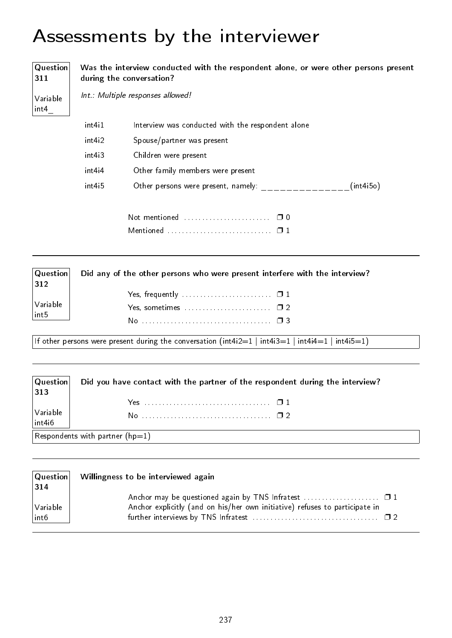# Assessments by the interviewer

Question 311 Variable int4\_ Was the interview conducted with the respondent alone, or were other persons present during the conversation? Int.: Multiple responses allowed! int4i1 Interview was conducted with the respondent alone int4i2 Spouse/partner was present int4i3 Children were present int4i4 Other family members were present  $int4i5$  Other persons were present, namely: \_\_\_\_\_\_\_\_\_\_\_\_\_\_\_(int4i5o) Not mentioned . . . . . . . . . . . . . . . . . . . . . . . . ❐ 0 Mentioned . . . . . . . . . . . . . . . . . . . . . . . . . . . . . ❐ 1

| $ $ Question $ $<br>$ 312\rangle$       | Did any of the other persons who were present interfere with the interview? |
|-----------------------------------------|-----------------------------------------------------------------------------|
|                                         |                                                                             |
| $\bigg \text{Variable}\atop\text{int5}$ |                                                                             |
|                                         |                                                                             |

If other persons were present during the conversation (int4i2=1 | int4i3=1 | int4i4=1 | int4i5=1)

Question Did you have contact with the partner of the respondent during the interview?

| 313                       |                                 |  |
|---------------------------|---------------------------------|--|
|                           |                                 |  |
| Variable<br>$\int$ int4i6 |                                 |  |
|                           | Respondents with partner (hp=1) |  |

| $ 314\rangle$                                                                              |  |
|--------------------------------------------------------------------------------------------|--|
| Anchor may be questioned again by TNS Infratest $\dots\dots\dots\dots\dots\dots \square 1$ |  |
| Anchor explicitly (and on his/her own initiative) refuses to participate in<br>Variable    |  |
| int6                                                                                       |  |